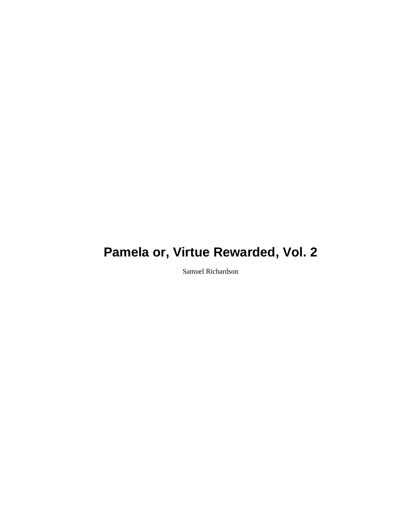Samuel Richardson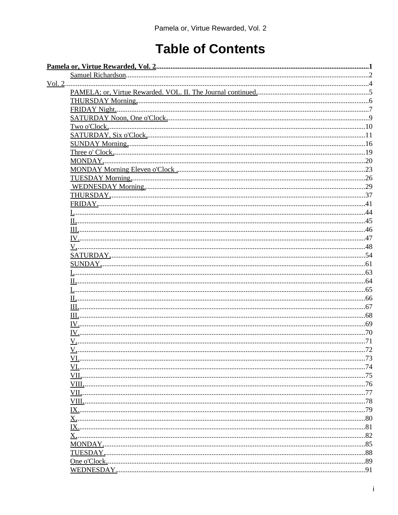## **Table of Contents**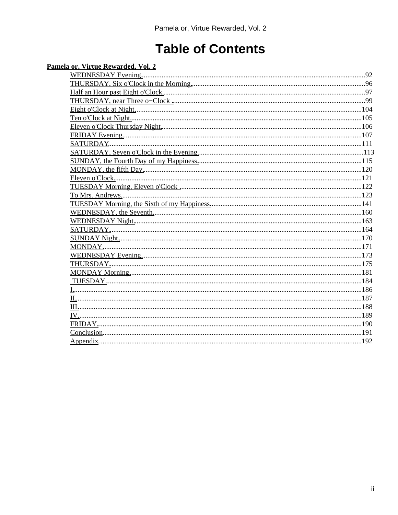## **Table of Contents**

### Pamela or, Virtue Rewarded, Vol. 2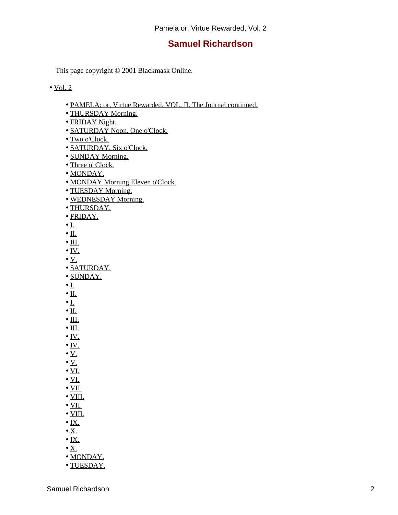## **Samuel Richardson**

<span id="page-5-0"></span>This page copyright © 2001 Blackmask Online.

 $\bullet$  [Vol. 2](#page-7-0)

- [PAMELA; or, Virtue Rewarded. VOL. II. The Journal continued.](#page-8-0)
- [THURSDAY Morning.](#page-9-0)
- [FRIDAY Night.](#page-10-0)
- [SATURDAY Noon, One o'Clock.](#page-12-0)
- [Two o'Clock.](#page-13-0)
- [SATURDAY, Six o'Clock,](#page-14-0)
- **[SUNDAY Morning.](#page-19-0)**
- [Three o' Clock.](#page-22-0)
- [MONDAY.](#page-23-0)
- [MONDAY Morning Eleven o'Clock.](#page-26-0)
- [TUESDAY Morning.](#page-29-0)
- [WEDNESDAY Morning.](#page-32-0)
- [THURSDAY.](#page-40-0)
- [FRIDAY.](#page-44-0)
- $\bullet$  L.
- $\bullet$  [II.](#page-48-0)
- $\bullet$  [III.](#page-49-0)
- $\bullet$  [IV.](#page-50-0)
- $\bullet$  <u>[V.](#page-51-0)</u>
- [SATURDAY.](#page-57-0)
- [SUNDAY.](#page-64-0)
- $\bullet$  [I.](#page-66-0)
- $\bullet$  [II.](#page-67-0)
- $\bullet$  L
- $\bullet$  [II.](#page-69-0)
- $\bullet$  [III.](#page-70-0)
- $\bullet$  [III.](#page-71-0)
- $\bullet$  [IV.](#page-72-0)
- $\bullet$  [IV.](#page-73-0)
- $\bullet$  <u>V</u>.
- $\bullet$  <u>V</u>.
- $\bullet$  <u>[VI.](#page-76-0)</u>
- $\bullet$  [VI.](#page-77-0)
- $\bullet$  [VII.](#page-78-0)
- $\bullet$  [VIII.](#page-79-0)
- $\bullet$  [VII.](#page-80-0)
- $\bullet$  [VIII.](#page-81-0)
- $\bullet$  [IX.](#page-82-0)
- $\bullet$   $\underline{X}$ .
- $\bullet$  <u>[IX.](#page-84-0)</u>
- $\bullet$  [X.](#page-85-0)
- [MONDAY.](#page-88-0) • [TUESDAY.](#page-91-0)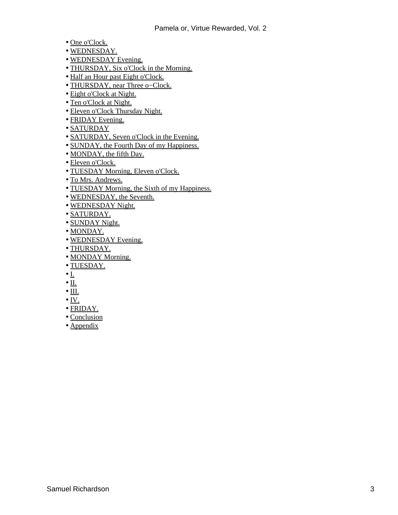- [One o'Clock.](#page-92-0)
- [WEDNESDAY.](#page-94-0)
- [WEDNESDAY Evening.](#page-95-0)
- [THURSDAY, Six o'Clock in the Morning.](#page-99-0)
- [Half an Hour past Eight o'Clock.](#page-100-0)
- [THURSDAY, near Three o−Clock.](#page-102-0)
- [Eight o'Clock at Night.](#page-107-0)
- [Ten o'Clock at Night.](#page-108-0)
- [Eleven o'Clock Thursday Night.](#page-109-0)
- [FRIDAY Evening.](#page-110-0)
- [SATURDAY](#page-114-0)
- [SATURDAY, Seven o'Clock in the Evening.](#page-116-0)
- [SUNDAY, the Fourth Day of my Happiness.](#page-118-0)
- [MONDAY, the fifth Day.](#page-123-0)
- [Eleven o'Clock.](#page-124-0)
- [TUESDAY Morning, Eleven o'Clock.](#page-125-0)
- [To Mrs. Andrews.](#page-126-0)
- [TUESDAY Morning, the Sixth of my Happiness.](#page-144-0)
- [WEDNESDAY, the Seventh.](#page-163-0)
- [WEDNESDAY Night.](#page-166-0)
- [SATURDAY.](#page-167-0)
- [SUNDAY Night.](#page-173-0)
- [MONDAY.](#page-174-0)
- [WEDNESDAY Evening.](#page-176-0)
- [THURSDAY.](#page-178-0)
- [MONDAY Morning.](#page-184-0)
- [TUESDAY.](#page-187-0)
- $\bullet$  [I.](#page-189-0)
- $\bullet$  [II.](#page-190-0)
- [III.](#page-191-0)
- $\bullet$  [IV.](#page-192-0)
- [FRIDAY.](#page-193-0)
- [Conclusion](#page-194-0)
- [Appendix](#page-195-0)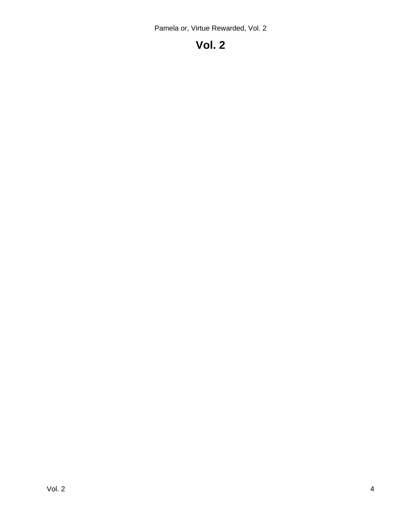## <span id="page-7-0"></span>**Vol. 2**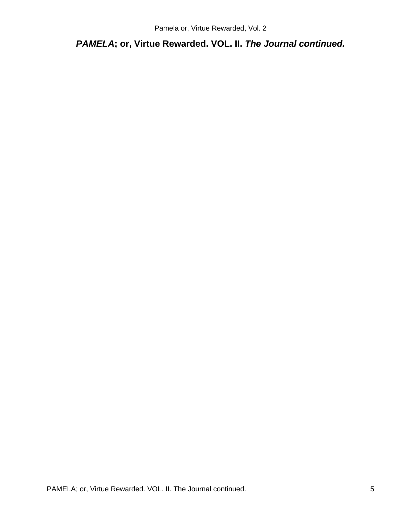## <span id="page-8-0"></span>**PAMELA; or, Virtue Rewarded. VOL. II. The Journal continued.**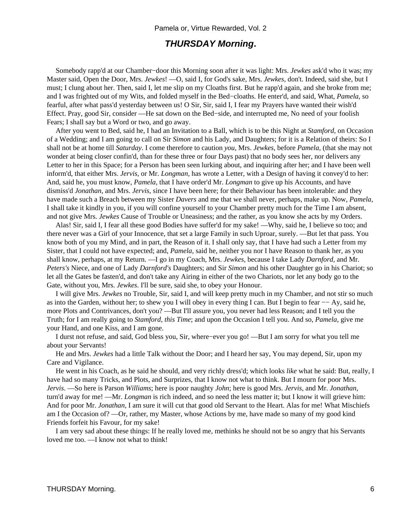## **THURSDAY Morning.**

<span id="page-9-0"></span> Somebody rapp'd at our Chamber−door this Morning soon after it was light: Mrs. *Jewkes* ask'd who it was; my Master said, Open the Door, Mrs. *Jewkes*! —O, said I, for God's sake, Mrs. *Jewkes,* don't. Indeed, said she, but I must; I clung about her. Then, said I, let me slip on my Cloaths first. But he rapp'd again, and she broke from me; and I was frighted out of my Wits, and folded myself in the Bed−cloaths. He enter'd, and said, What, *Pamela,* so fearful, after what pass'd yesterday between us! O Sir, Sir, said I, I fear my Prayers have wanted their wish'd Effect. Pray, good Sir, consider —He sat down on the Bed−side, and interrupted me, No need of your foolish Fears; I shall say but a Word or two, and go away.

 After you went to Bed, said he, I had an Invitation to a Ball, which is to be this Night at *Stamford,* on Occasion of a Wedding; and I am going to call on Sir *Simon* and his Lady, and Daughters; for it is a Relation of theirs: So I shall not be at home till *Saturday*. I come therefore to caution *you,* Mrs. *Jewkes,* before *Pamela,* (that she may not wonder at being closer confin'd, than for these three or four Days past) that no body sees her, nor delivers any Letter to her in this Space; for a Person has been seen lurking about, and inquiring after her; and I have been well inform'd, that either Mrs. *Jervis,* or Mr. *Longman,* has wrote a Letter, with a Design of having it convey'd to her: And, said he, you must know, *Pamela,* that I have order'd Mr. *Longman* to give up his Accounts, and have dismiss'd *Jonathan,* and Mrs. *Jervis,* since I have been here; for their Behaviour has been intolerable: and they have made such a Breach between my Sister *Davers* and me that we shall never, perhaps, make up. Now, *Pamela,* I shall take it kindly in you, if you will confine yourself to your Chamber pretty much for the Time I am absent, and not give Mrs. *Jewkes* Cause of Trouble or Uneasiness; and the rather, as you know she acts by my Orders.

 Alas! Sir, said I, I fear all these good Bodies have suffer'd for my sake! —Why, said he, I believe so too; and there never was a Girl of your Innocence, that set a large Family in such Uproar, surely. —But let that pass. You know both of you my Mind, and in part, the Reason of it. I shall only say, that I have had such a Letter from my Sister, that I could not have expected; and, *Pamela,* said he, neither you nor I have Reason to thank her, as you shall know, perhaps, at my Return. —I go in my Coach, Mrs. *Jewkes,* because I take Lady *Darnford,* and Mr. *Peters's* Niece, and one of Lady *Darnford's* Daughters; and Sir *Simon* and his other Daughter go in his Chariot; so let all the Gates be fasten'd, and don't take any Airing in either of the two Chariots, nor let any body go to the Gate, without you, Mrs. *Jewkes*. I'll be sure, said she, to obey your Honour.

 I will give Mrs. *Jewkes* no Trouble, Sir, said I, and will keep pretty much in my Chamber, and not stir so much as into the Garden, without her; to shew you I will obey in every thing I can. But I begin to fear –− Ay, said he, more Plots and Contrivances, don't you? —But I'll assure you, you never had less Reason; and I tell you the Truth; for I am really going to *Stamford, this Time*; and upon the Occasion I tell you. And so, *Pamela,* give me your Hand, and one Kiss, and I am gone.

 I durst not refuse, and said, God bless you, Sir, where−ever you go! —But I am sorry for what you tell me about your Servants!

 He and Mrs. *Jewkes* had a little Talk without the Door; and I heard her say, You may depend, Sir, upon my Care and Vigilance.

 He went in his Coach, as he said he should, and very richly dress'd; which looks *like* what he said: But, really, I have had so many Tricks, and Plots, and Surprizes, that I know not what to think. But I mourn for poor Mrs. *Jervis*. —So here is Parson *Williams*; here is poor naughty *John*; here is good Mrs. *Jervis,* and Mr. *Jonathan,* turn'd away for me! —Mr. *Longman* is rich indeed, and so need the less matter it; but I know it will grieve him: And for poor Mr. *Jonathan,* I am sure it will cut that good old Servant to the Heart. Alas for me! What Mischiefs am I the Occasion of? —Or, rather, my Master, whose Actions by me, have made so many of my good kind Friends forfeit his Favour, for my sake!

 I am very sad about these things: If he really loved me, methinks he should not be so angry that his Servants loved me too. —I know not what to think!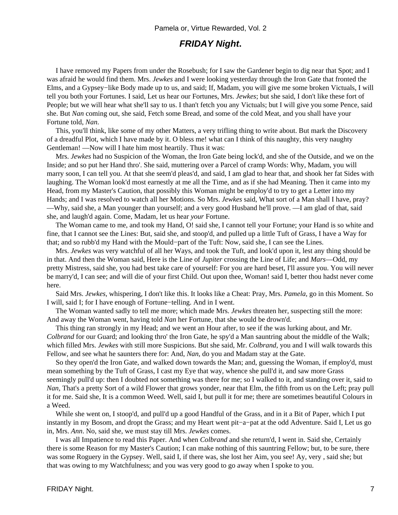## **FRIDAY Night.**

<span id="page-10-0"></span> I have removed my Papers from under the Rosebush; for I saw the Gardener begin to dig near that Spot; and I was afraid he would find them. Mrs. *Jewkes* and I were looking yesterday through the Iron Gate that fronted the Elms, and a Gypsey−like Body made up to us, and said; If, Madam, you will give me some broken Victuals, I will tell you both your Fortunes. I said, Let us hear our Fortunes, Mrs. *Jewkes*; but she said, I don't like these fort of People; but we will hear what she'll say to us. I than't fetch you any Victuals; but I will give you some Pence, said she. But *Nan* coming out, she said, Fetch some Bread, and some of the cold Meat, and you shall have your Fortune told, *Nan*.

 This, you'll think, like some of my other Matters, a very trifling thing to write about. But mark the Discovery of a dreadful Plot, which I have made by it. O bless me! what can I think of this naughty, this very naughty Gentleman! —Now will I hate him most heartily. Thus it was:

 Mrs. *Jewkes* had no Suspicion of the Woman, the Iron Gate being lock'd, and she of the Outside, and we on the Inside; and so put her Hand thro'. She said, muttering over a Parcel of cramp Words: Why, Madam, you will marry soon, I can tell you. At that she seem'd pleas'd, and said, I am glad to hear that, and shook her fat Sides with laughing. The Woman look'd most earnestly at me all the Time, and as if she had Meaning. Then it came into my Head, from my Master's Caution, that possibly this Woman might be employ'd to try to get a Letter into my Hands; and I was resolved to watch all her Motions. So Mrs. *Jewkes* said, What sort of a Man shall I have, pray? —Why, said she, a Man younger than yourself; and a very good Husband he'll prove. —I am glad of that, said she, and laugh'd again. Come, Madam, let us hear *your* Fortune.

 The Woman came to me, and took my Hand, O! said she, I cannot tell your Fortune; your Hand is so white and fine, that I cannot see the Lines: But, said she, and stoop'd, and pulled up a little Tuft of Grass, I have a Way for that; and so rubb'd my Hand with the Mould−part of the Tuft: Now, said she, I can see the Lines.

 Mrs. *Jewkes* was very watchful of all her Ways, and took the Tuft, and look'd upon it, lest any thing should be in that. And then the Woman said, Here is the Line of *Jupiter* crossing the Line of Life; and *Mars*—Odd, my pretty Mistress, said she, you had best take care of yourself: For you are hard beset, I'll assure you. You will never be marry'd, I can see; and will die of your first Child. Out upon thee, Woman! said I, better thou hadst never come here.

 Said Mrs. *Jewkes,* whispering, I don't like this. It looks like a Cheat: Pray, Mrs. *Pamela,* go in this Moment. So I will, said I; for I have enough of Fortune−telling. And in I went.

 The Woman wanted sadly to tell me more; which made Mrs. *Jewkes* threaten her, suspecting still the more: And away the Woman went, having told *Nan* her Fortune, that she would be drown'd.

 This thing ran strongly in my Head; and we went an Hour after, to see if the was lurking about, and Mr. *Colbrand* for our Guard; and looking thro' the Iron Gate, he spy'd a Man sauntring about the middle of the Walk; which filled Mrs. *Jewkes* with still more Suspicions. But she said, Mr. *Colbrand,* you and I will walk towards this Fellow, and see what he saunters there for: And, *Nan,* do you and Madam stay at the Gate.

 So they open'd the Iron Gate, and walked down towards the Man; and, guessing the Woman, if employ'd, must mean something by the Tuft of Grass, I cast my Eye that way, whence she pull'd it, and saw more Grass seemingly pull'd up: then I doubted not something was there for me; so I walked to it, and standing over it, said to *Nan*, That's a pretty Sort of a wild Flower that grows yonder, near that Elm, the fifth from us on the Left; pray pull it for me. Said she, It is a common Weed. Well, said I, but pull it for me; there are sometimes beautiful Colours in a Weed.

 While she went on, I stoop'd, and pull'd up a good Handful of the Grass, and in it a Bit of Paper, which I put instantly in my Bosom, and dropt the Grass; and my Heart went pit−a−pat at the odd Adventure. Said I, Let us go in, Mrs. *Ann*. No, said she, we must stay till Mrs. *Jewkes* comes.

 I was all Impatience to read this Paper. And when *Colbrand* and she return'd, I went in. Said she, Certainly there is some Reason for my Master's Caution; I can make nothing of this sauntring Fellow; but, to be sure, there was some Roguery in the Gypsey. Well, said I, if there was, she lost her Aim, you see! Ay, very , said she; but that was owing to my Watchfulness; and you was very good to go away when I spoke to you.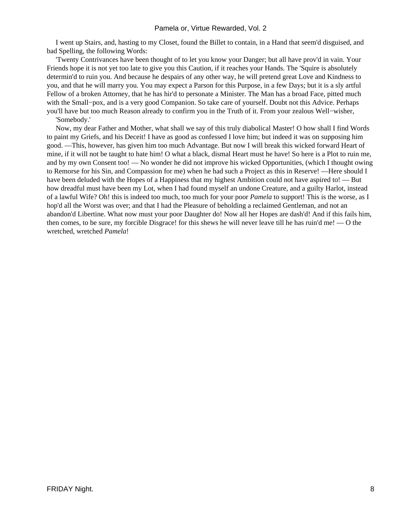I went up Stairs, and, hasting to my Closet, found the Billet to contain, in a Hand that seem'd disguised, and bad Spelling, the following Words:

 'Twenty Contrivances have been thought of to let you know your Danger; but all have prov'd in vain. Your Friends hope it is not yet too late to give you this Caution, if it reaches your Hands. The 'Squire is absolutely determin'd to ruin you. And because he despairs of any other way, he will pretend great Love and Kindness to you, and that he will marry you. You may expect a Parson for this Purpose, in a few Days; but it is a sly artful Fellow of a broken Attorney, that he has hir'd to personate a Minister. The Man has a broad Face, pitted much with the Small−pox, and is a very good Companion. So take care of yourself. Doubt not this Advice. Perhaps you'll have but too much Reason already to confirm you in the Truth of it. From your zealous Well−wisher,

'Somebody.'

 Now, my dear Father and Mother, what shall we say of this truly diabolical Master! O how shall I find Words to paint my Griefs, and his Deceit! I have as good as confessed I love him; but indeed it was on supposing him good. —This, however, has given him too much Advantage. But now I will break this wicked forward Heart of mine, if it will not be taught to hate him! O what a black, dismal Heart must he have! So here is a Plot to ruin me, and by my own Consent too! — No wonder he did not improve his wicked Opportunities, (which I thought owing to Remorse for his Sin, and Compassion for me) when he had such a Project as this in Reserve! —Here should I have been deluded with the Hopes of a Happiness that my highest Ambition could not have aspired to! — But how dreadful must have been my Lot, when I had found myself an undone Creature, and a guilty Harlot, instead of a lawful Wife? Oh! this is indeed too much, too much for your poor *Pamela* to support! This is the worse, as I hop'd all the Worst was over; and that I had the Pleasure of beholding a reclaimed Gentleman, and not an abandon'd Libertine. What now must your poor Daughter do! Now all her Hopes are dash'd! And if this fails him, then comes, to be sure, my forcible Disgrace! for this shews he will never leave till he has ruin'd me! — O the wretched, wretched *Pamela*!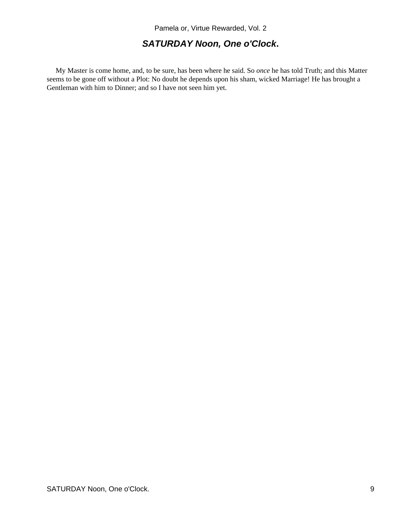## **SATURDAY Noon, One o'Clock.**

<span id="page-12-0"></span> My Master is come home, and, to be sure, has been where he said. So *once* he has told Truth; and this Matter seems to be gone off without a Plot: No doubt he depends upon his sham, wicked Marriage! He has brought a Gentleman with him to Dinner; and so I have not seen him yet.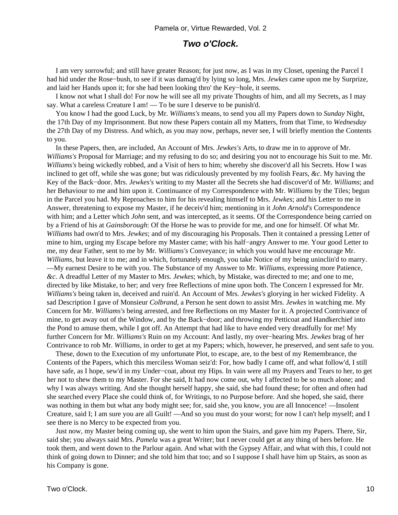### **Two o'Clock.**

<span id="page-13-0"></span> I am very sorrowful; and still have greater Reason; for just now, as I was in my Closet, opening the Parcel I had hid under the Rose−bush, to see if it was damag'd by lying so long, Mrs. *Jewkes* came upon me by Surprize, and laid her Hands upon it; for she had been looking thro' the Key−hole, it seems.

 I know not what I shall do! For now he will see all my private Thoughts of him, and all my Secrets, as I may say. What a careless Creature I am! — To be sure I deserve to be punish'd.

 You know I had the good Luck, by Mr. *Williams's* means, to send you all my Papers down to *Sunday* Night, the 17th Day of my Imprisonment. But now these Papers contain all my Matters, from that Time, to *Wednesday* the 27th Day of my Distress. And which, as you may now, perhaps, never see, I will briefly mention the Contents to you.

 In these Papers, then, are included, An Account of Mrs. *Jewkes's* Arts, to draw me in to approve of Mr. *Williams's* Proposal for Marriage; and my refusing to do so; and desiring you not to encourage his Suit to me. Mr. *Williams's* being wickedly robbed, and a Visit of hers to him; whereby she discover'd all his Secrets. How I was inclined to get off, while she was gone; but was ridiculously prevented by my foolish Fears, *&c*. My having the Key of the Back−door. Mrs. *Jewkes's* writing to my Master all the Secrets she had discover'd of Mr. *Williams*; and her Behaviour to me and him upon it. Continuance of my Correspondence with Mr. *Williams* by the Tiles; begun in the Parcel you had. My Reproaches to him for his revealing himself to Mrs. *Jewkes*; and his Letter to me in Answer, threatening to expose my Master, if he deceiv'd him; mentioning in it *John Arnold's* Correspondence with him; and a Letter which *John* sent, and was intercepted, as it seems. Of the Correspondence being carried on by a Friend of his at *Gainsborough*: Of the Horse he was to provide for me, and one for himself. Of what Mr. *Williams* had own'd to Mrs. *Jewkes*; and of my discouraging his Proposals. Then it contained a pressing Letter of mine to him, urging my Escape before my Master came; with his half−angry Answer to me. Your good Letter to me, my dear Father, sent to me by Mr. *Williams's* Conveyance; in which you would have me encourage Mr. *Williams,* but leave it to me; and in which, fortunately enough, you take Notice of my being uninclin'd to marry. —My earnest Desire to be with you. The Substance of my Answer to Mr. *Williams,* expressing more Patience, *&c*. A dreadful Letter of my Master to Mrs. *Jewkes*; which, by Mistake, was directed to me; and one to me,

directed by like Mistake, to her; and very free Reflections of mine upon both. The Concern I expressed for Mr. *Williams's* being taken in, deceived and ruin'd. An Account of Mrs. *Jewkes's* glorying in her wicked Fidelity. A sad Description I gave of Monsieur *Colbrand,* a Person he sent down to assist Mrs. *Jewkes* in watching me. My Concern for Mr. *Williams's* being arrested, and free Reflections on my Master for it. A projected Contrivance of mine, to get away out of the Window, and by the Back−door; and throwing my Petticoat and Handkerchief into the Pond to amuse them, while I got off. An Attempt that had like to have ended very dreadfully for me! My further Concern for Mr. *Williams's* Ruin on my Account: And lastly, my over−hearing Mrs. *Jewkes* brag of her Contrivance to rob Mr. *Williams,* in order to get at my Papers; which, however, he preserved, and sent safe to you.

 These, down to the Execution of my unfortunate Plot, to escape, are, to the best of my Remembrance, the Contents of the Papers, which this merciless Woman seiz'd: For, how badly I came off, and what follow'd, I still have safe, as I hope, sew'd in my Under−coat, about my Hips. In vain were all my Prayers and Tears to her, to get her not to shew them to my Master. For she said, It had now come out, why I affected to be so much alone; and why I was always writing. And she thought herself happy, she said, she had found these; for often and often had she searched every Place she could think of, for Writings, to no Purpose before. And she hoped, she said, there was nothing in them but what any body might see; for, said she, you know, you are all Innocence! —Insolent Creature, said I; I am sure you are all Guilt! —And so you must do your worst; for now I can't help myself; and I see there is no Mercy to be expected from you.

 Just now, my Master being coming up, she went to him upon the Stairs, and gave him my Papers. There, Sir, said she; you always said Mrs. *Pamela* was a great Writer; but I never could get at any thing of hers before. He took them, and went down to the Parlour again. And what with the Gypsey Affair, and what with this, I could not think of going down to Dinner; and she told him that too; and so I suppose I shall have him up Stairs, as soon as his Company is gone.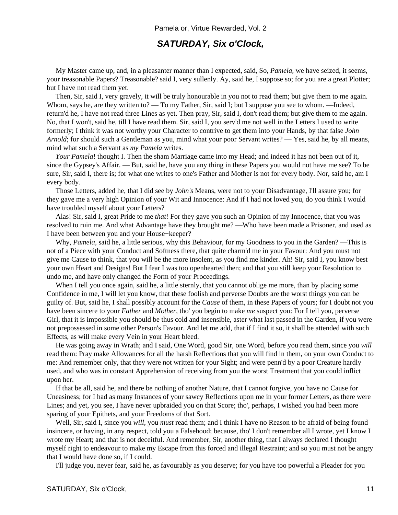## **SATURDAY, Six o'Clock,**

<span id="page-14-0"></span> My Master came up, and, in a pleasanter manner than I expected, said, So, *Pamela,* we have seized, it seems, your treasonable Papers? Treasonable? said I, very sullenly. Ay, said he, I suppose so; for you are a great Plotter; but I have not read them yet.

 Then, Sir, said I, very gravely, it will be truly honourable in you not to read them; but give them to me again. Whom, says he, are they written to? — To my Father, Sir, said I; but I suppose you see to whom. —Indeed, return'd he, I have not read three Lines as yet. Then pray, Sir, said I, don't read them; but give them to me again. No, that I won't, said he, till I have read them. Sir, said I, you serv'd me not well in the Letters I used to write formerly; I think it was not worthy your Character to contrive to get them into your Hands, by that false *John Arnold*; for should such a Gentleman as you, mind what your poor Servant writes? — Yes, said he, by all means, mind what such a Servant as *my Pamela* writes.

*Your Pamela*! thought I. Then the sham Marriage came into my Head; and indeed it has not been out of it, since the Gypsey's Affair. — But, said he, have you any thing in these Papers you would not have me see? To be sure, Sir, said I, there is; for what one writes to one's Father and Mother is not for every body. Nor, said he, am I every body.

 Those Letters, added he, that I did see by *John's* Means, were not to your Disadvantage, I'll assure you; for they gave me a very high Opinion of your Wit and Innocence: And if I had not loved you, do you think I would have troubled myself about your Letters?

 Alas! Sir, said I, great Pride to me *that*! For they gave you such an Opinion of my Innocence, that you was resolved to ruin me. And what Advantage have they brought me? —Who have been made a Prisoner, and used as I have been between you and your House−keeper?

Why, Pamela, said he, a little serious, why this Behaviour, for my Goodness to you in the Garden? —This is not of a Piece with your Conduct and Softness there, that quite charm'd me in your Favour: And you must not give me Cause to think, that you will be the more insolent, as you find me kinder. Ah! Sir, said I, you know best your own Heart and Designs! But I fear I was too openhearted then; and that you still keep your Resolution to undo me, and have only changed the Form of your Proceedings.

When I tell you once again, said he, a little sternly, that you cannot oblige me more, than by placing some Confidence in me, I will let you know, that these foolish and perverse Doubts are the worst things you can be guilty of. But, said he, I shall possibly account for the *Cause* of them, in these Papers of yours; for I doubt not you have been sincere to your *Father* and *Mother,* tho' you begin to make *me* suspect you: For I tell you, perverse Girl, that it is impossible you should be thus cold and insensible, aster what last passed in the Garden, if you were not prepossessed in some other Person's Favour. And let me add, that if I find it so, it shall be attended with such Effects, as will make every Vein in your Heart bleed.

 He was going away in Wrath; and I said, One Word, good Sir, one Word, before you read them, since you *will* read them: Pray make Allowances for all the harsh Reflections that you will find in them, on your own Conduct to me: And remember only, that they were not written for your Sight; and were penn'd by a poor Creature hardly used, and who was in constant Apprehension of receiving from you the worst Treatment that you could inflict upon her.

 If that be all, said he, and there be nothing of another Nature, that I cannot forgive, you have no Cause for Uneasiness; for I had as many Instances of your sawcy Reflections upon me in your former Letters, as there were Lines; and yet, you see, I have never upbraided you on that Score; tho', perhaps, I wished you had been more sparing of your Epithets, and your Freedoms of that Sort.

 Well, Sir, said I, since you *will,* you *must* read them; and I think I have no Reason to be afraid of being found insincere, or having, in any respect, told you a Falsehood; because, tho' I don't remember all I wrote, yet I know I wrote my Heart; and that is not deceitful. And remember, Sir, another thing, that I always declared I thought myself right to endeavour to make my Escape from this forced and illegal Restraint; and so you must not be angry that I would have done so, if I could.

I'll judge you, never fear, said he, as favourably as you deserve; for you have too powerful a Pleader for you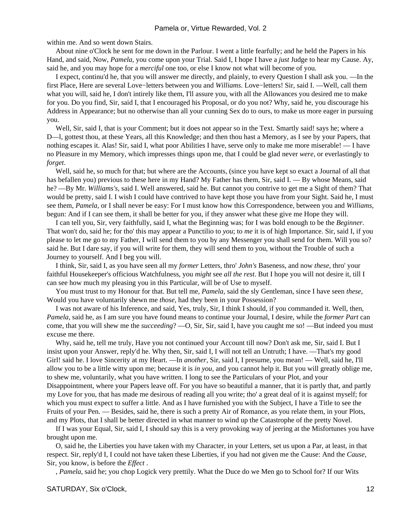within me. And so went down Stairs.

 About nine o'Clock he sent for me down in the Parlour. I went a little fearfully; and he held the Papers in his Hand, and said, Now, *Pamela,* you come upon your Trial. Said I, I hope I have a *just* Judge to hear my Cause. Ay, said he, and you may hope for a *merciful* one too, or else I know not what will become of you.

 I expect, continu'd he, that you will answer me directly, and plainly, to every Question I shall ask you. —In the first Place, Here are several Love−letters between you and *Williams*. Love−letters! Sir, said I. —Well, call them what you will, said he, I don't intirely like them, I'll assure you, with all the Allowances you desired me to make for you. Do you find, Sir, said I, that I encouraged his Proposal, or do you not? Why, said he, you discourage his Address in Appearance; but no otherwise than all your cunning Sex do to ours, to make us more eager in pursuing you.

Well, Sir, said I, that is your Comment; but it does not appear so in the Text. Smartly said! says he; where a D—l, gottest thou, at these Years, all this Knowledge; and then thou hast a Memory, as I see by your Papers, that nothing escapes it. Alas! Sir, said I, what poor Abilities I have, serve only to make me more miserable! — I have no Pleasure in my Memory, which impresses things upon me, that I could be glad never *were,* or everlastingly to *forget*.

 Well, said he, so much for that; but where are the Accounts, (since you have kept so exact a Journal of all that has befallen you) previous to these here in my Hand? My Father has them, Sir, said I. — By whose Means, said he? —By Mr. *Williams's,* said I. Well answered, said he. But cannot you contrive to get me a Sight of them? That would be pretty, said I. I wish I could have contrived to have kept those you have from your Sight. Said he, I must see them, *Pamela,* or I shall never be easy: For I must know how this Correspondence, between you and *Williams,* begun: And if I can see them, it shall be better for you, if they answer what these give me Hope they will.

 I can tell you, Sir, very faithfully, said I, what the Beginning was; for I was bold enough to be the *Beginner*. That won't do, said he; for tho' this may appear a Punctilio to *you*; to *me* it is of high Importance. Sir, said I, if you please to let me go to my Father, I will send them to you by any Messenger you shall send for them. Will you so? said he. But I dare say, if you will write for them, they will send them to you, without the Trouble of such a Journey to yourself. And I beg you will.

 I think, Sir, said I, as you have seen all my *former* Letters, thro' *John's* Baseness, and now *these,* thro' your faithful Housekeeper's officious Watchfulness, you *might* see *all the rest*. But I hope you will not desire it, till I can see how much my pleasing you in this Particular, will be of Use to myself.

 You must trust to my Honour for that. But tell me, *Pamela,* said the sly Gentleman, since I have seen *these,* Would you have voluntarily shewn me *those,* had they been in your Possession?

 I was not aware of his Inference, and said, Yes, truly, Sir, I think I should, if you commanded it. Well, then, *Pamela,* said he, as I am sure you have found means to continue your Journal, I desire, while the *former Part* can come, that you will shew me the *succeeding*? —O, Sir, Sir, said I, have you caught me so! —But indeed you must excuse me there.

 Why, said he, tell me truly, Have you not continued your Account till now? Don't ask me, Sir, said I. But I insist upon your Answer, reply'd he. Why then, Sir, said I, I will not tell an Untruth; I have. —That's my good Girl! said he. I love Sincerity at my Heart. —In *another,* Sir, said I, I presume, you mean! — Well, said he, I'll allow you to be a little witty upon me; because it is *in you,* and you cannot help it. But you will greatly oblige me, to shew me, voluntarily, what you have written. I long to see the Particulars of your Plot, and your Disappointment, where your Papers leave off. For you have so beautiful a manner, that it is partly that, and partly my Love for you, that has made me desirous of reading all you write; tho' a great deal of it is against myself; for which you must expect to suffer a little. And as I have furnished you with the Subject, I have a Title to see the Fruits of your Pen. — Besides, said he, there is such a pretty Air of Romance, as you relate them, in your Plots, and my Plots, that I shall be better directed in what manner to wind up the Catastrophe of the pretty Novel.

 If I was your Equal, Sir, said I, I should say this is a very provoking way of jeering at the Misfortunes you have brought upon me.

 O, said he, the Liberties you have taken with my Character, in your Letters, set us upon a Par, at least, in that respect. Sir, reply'd I, I could not have taken these Liberties, if you had not given me the Cause: And the *Cause,* Sir, you know, is before the *Effect* .

, *Pamela,* said he; you chop Logick very prettily. What the Duce do we Men go to School for? If our Wits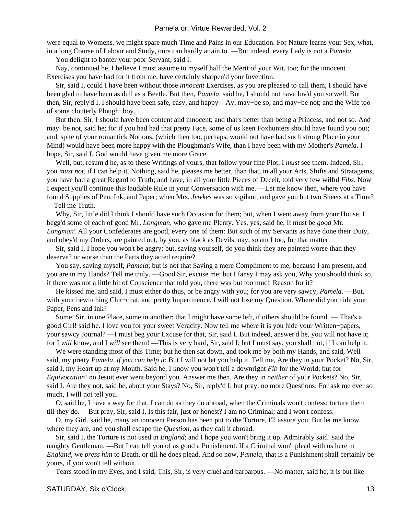were equal to Womens, we might spare much Time and Pains in our Education. For Nature learns your Sex, what, in a long Course of Labour and Study, ours can hardly attain to. —But indeed, every Lady is not a *Pamela*.

You delight to banter your poor Servant, said I.

 Nay, continued he, I believe I must assume to myself half the Merit of your Wit, too; for the innocent Exercises you have had for it from me, have certainly sharpen'd your Invention.

 Sir, said I, could I have been without those *innocent* Exercises, as you are pleased to call them, I should have been glad to have been as dull as a Beetle. But then, *Pamela,* said he, I should not have lov'd you so well. But then, Sir, reply'd I, I should have been safe, easy, and happy—Ay, may−be so, and may−be not; and the Wife too of some clouterly Plough−boy.

 But then, Sir, I should have been content and innocent; and that's better than being a Princess, and not so. And may−be not, said he; for if you had had that pretty Face, some of us keen Foxhunters should have found you out; and, spite of your romantick Notions, (which then too, perhaps, would not have had such strong Place in your Mind) would have been more happy with the Ploughman's Wife, than I have been with my Mother's *Pamela*. I hope, Sir, said I, God would have given me more Grace.

 Well, but, resum'd he, as to these Writings of yours, that follow your fine Plot, I *must* see them. Indeed, Sir, you *must not,* if I can help it. Nothing, said he, pleases me better, than that, in all your Arts, Shifts and Stratagems, you have had a great Regard to Truth; and have, in all your little Pieces of Deceit, told very few wilful *Fibs*. Now I expect you'll continue this laudable Rule in your Conversation with me. —Let me know then, where you have found Supplies of Pen, Ink, and Paper; when Mrs. *Jewkes* was so vigilant, and gave you but two Sheets at a Time? —Tell me Truth.

Why, Sir, little did I think I should have such Occasion for them; but, when I went away from your House, I begg'd some of each of good Mr. *Longman,* who gave me Plenty. Yes, yes, said he, It must be *good* Mr. *Longman*! All your Confederates are good, every one of them: But such of my Servants as have done their Duty, and obey'd my Orders, are painted out, by you, as black as Devils; nay, so am I too, for that matter.

 Sir, said I, I hope you won't be angry; but, saving yourself, do you think they are painted worse than they deserve? or worse than the Parts they acted require?

 You say, saving myself, *Pamela*; but is not that Saving a mere Compliment to me, because I am present, and you are in my Hands? Tell me truly. —Good Sir, excuse me; but I fansy I may ask you, Why you should think so, if there was not a little bit of Conscience that told you, there was but too much Reason for it?

 He kissed me, and said, I must either do thus, or be angry with you; for you are very sawcy, *Pamela*. —But, with your bewitching Chit−chat, and pretty Impertinence, I will not lose my Question. Where did you hide your Paper, Pens and Ink?

 Some, Sir, in one Place, some in another; that I might have some left, if others should be found. — That's a good Girl! said he. I love you for your sweet Veracity. Now tell me where it is you hide your Written−papers, your sawcy Journal? —I must beg your Excuse for that, Sir, said I. But indeed, answer'd he, you will not have it; for I *will* know, and I *will* see them! —This is very hard, Sir, said I; but I must say, you shall not, if I can help it.

 We were standing most of this Time; but he then sat down, and took me by both my Hands, and said, Well said, my pretty *Pamela, if you can help it*: But I will not let you help it. Tell me, Are they in your Pocket? No, Sir, said I, my Heart up at my Mouth. Said he, I know you won't tell a downright *Fib* for the World; but for *Equivocation*! no Jesuit ever went beyond you. Answer me then, Are they in *neither* of your Pockets? No, Sir, said I. Are they not, said he, about your Stays? No, Sir, reply'd I; but pray, no more Questions: For ask me ever so much, I will not tell you.

 O, said he, I have a way for that. I can do as they do abroad, when the Criminals won't confess; torture them till they do. —But pray, Sir, said I, Is this fair, just or honest? I am no Criminal; and I won't confess.

 O, my Girl. said he, many an innocent Person has been put to the Torture, I'll assure you. But let me know where they are, and you shall escape the *Question,* as they call it abroad.

 Sir, said I, the Torture is not used in *England*; and I hope you won't bring it up. Admirably said! said the naughty Gentleman. —But I can tell you of as good a Punishment. If a Criminal won't plead with us here in *England,* we *press him* to Death, or till he does plead. And so now, *Pamela,* that is a Punishment shall certainly be yours, if you won't tell without.

Tears stood in my Eyes, and I said, This, Sir, is very cruel and barbarous. —No matter, said he, it is but like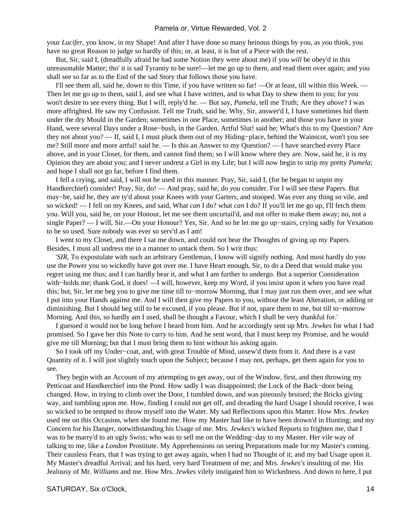your *Lucifer,* you know, in my Shape! And after I have done so many heinous things by you, as *you* think, you have no great Reason to judge so hardly of this; or, at least, it is but of a Piece with the rest.

 But, Sir, said I, (dreadfully afraid he had some Notion they were about me) if you *will* be obey'd in this unreasonable Matter; tho' it is sad Tyranny to be sure!—let me go up to them, and read them over again; and you shall see so far as to the End of the sad Story that follows those you have.

 I'll see them all, said he, down to this Time, if you have written so far! —Or at least, till within this Week. — Then let me go up to them, said I, and see what I have written, and to what Day to shew them to you; for you won't desire to see every thing. But I will, reply'd he. — But say, *Pamela,* tell me Truth; Are they *above*? I was more affrighted. He saw my Confusion. Tell me Truth, said he. Why, Sir, answer'd I, I have sometimes hid them under the dry Mould in the Garden; sometimes in one Place, sometimes in another; and those you have in your Hand, were several Days under a Rose−bush, in the Garden. Artful Slut! said he; What's this to my Question? Are they not about you? — If, said I, I must pluck them out of my Hiding−place, behind the Wainscot, won't you see me? Still more and more artful! said he. — Is this an Answer to my Question? — I have searched every Place above, and in your Closet, for them, and cannot find them; so I will know where they are. Now, said he, it is my Opinion they are about you; and I never undrest a Girl in my Life; but I will now begin to strip my pretty *Pamela*; and hope I shall not go far, before I find them.

 I fell a crying, and said, I will not be used in this manner. Pray, Sir, said I, (for he began to unpin my Handkerchief) consider! Pray, Sir, do! — And pray, said he, do *you* consider. For I will see these Papers. But may−be, said he, they are ty'd about your Knees with your Garters, and stooped. Was ever any thing so vile, and so wicked! — I fell on my Knees, and said, What *can* I do? what *can* I do? If you'll let me go up, I'll fetch them you. Will you, said he, on your Honour, let me see them uncurtail'd, and not offer to make them away; no, not a single Paper? — I will, Sir.—On your Honour? Yes, Sir. And so he let me go up−stairs, crying sadly for Vexation to be so used. Sure nobody was ever so serv'd as I am!

 I went to my Closet, and there I sat me down, and could not bear the Thoughts of giving up my Papers. Besides, I must all undress me in a manner to untack them. So I writ thus:

 '*SIR,* To expostulate with such an arbitrary Gentleman, I know will signify nothing. And most hardly do you use the Power you so wickedly have got over me. I have Heart enough, Sir, to do a Deed that would make you regret using me thus; and I can hardly bear it, and what I am further to undergo. But a superior Consideration with–holds me; thank God, it does! —I will, however, keep my Word, if you insist upon it when you have read this; but, Sir, let me beg you to give me time till to−morrow Morning, that I may just run them over, and see what I put into your Hands against me. And I will then give my Papers to you, without the least Alteration, or adding or diminishing. But I should beg still to be excused, if you please. But if not, spare them to me, but till to−morrow Morning. And this, so hardly am I used, shall be thought a Favour, which I shall be very thankful for.'

 I guessed it would not be long before I heard from him. And he accordingly sent up Mrs. *Jewkes* for what I had promised. So I gave her this Note to carry to him. And he sent word, that I must keep my Promise, and he would give me till Morning; but that I must bring them to him without his asking again.

 So I took off my Under−coat, and, with great Trouble of Mind, unsew'd them from it. And there is a vast Quantity of it. I will just slightly touch upon the Subject; because I may not, perhaps, get them again for you to see.

 They begin with an Account of my attempting to get away, out of the Window, first, and then throwing my Petticoat and Handkerchief into the Pond. How sadly I was disappointed; the Lock of the Back−door being changed. How, in trying to climb over the Door, I tumbled down, and was piteously bruised; the Bricks giving way, and tumbling upon me. How, finding I could not get off, and dreading the hard Usage I should receive, I was so wicked to be tempted to throw myself into the Water. My sad Reflections upon this Matter. How Mrs. *Jewkes* used me on this Occasion, when she found me. How my Master had like to have been drown'd in Hunting; and my Concern for his Danger, notwithstanding his Usage of me. Mrs. *Jewkes's* wicked Reports to frighten me, that I was to be marry'd to an ugly *Swiss*; who was to sell me on the Wedding−day to my Master. Her vile way of talking to me, like a *London* Prostitute. My Apprehensions on seeing Preparations made for my Master's coming. Their causless Fears, that I was trying to get away again, when I had no Thought of it; and my bad Usage upon it. My Master's dreadful Arrival; and his hard, very hard Treatment of me; and Mrs. *Jewkes's* insulting of me. His Jealousy of Mr. *Williams* and me. How Mrs. *Jewkes* vilely instigated him to Wickedness. And down to here, I put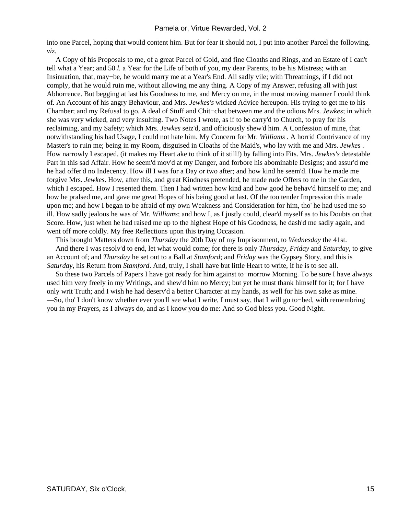into one Parcel, hoping that would content him. But for fear it should not, I put into another Parcel the following, *viz*.

 A Copy of his Proposals to me, of a great Parcel of Gold, and fine Cloaths and Rings, and an Estate of I can't tell what a Year; and 50 *l.* a Year for the Life of both of you, my dear Parents, to be his Mistress; with an Insinuation, that, may−be, he would marry me at a Year's End. All sadly vile; with Threatnings, if I did not comply, that he would ruin me, without allowing me any thing. A Copy of my Answer, refusing all with just Abhorrence. But begging at last his Goodness to me, and Mercy on me, in the most moving manner I could think of. An Account of his angry Behaviour, and Mrs. *Jewkes's* wicked Advice hereupon. His trying to get me to his Chamber; and my Refusal to go. A deal of Stuff and Chit−chat between me and the odious Mrs. *Jewkes*; in which she was very wicked, and very insulting. Two Notes I wrote, as if to be carry'd to Church, to pray for his reclaiming, and my Safety; which Mrs. *Jewkes* seiz'd, and officiously shew'd him. A Confession of mine, that notwithstanding his bad Usage, I could not hate him. My Concern for Mr. *Williams* . A horrid Contrivance of my Master's to ruin me; being in my Room, disguised in Cloaths of the Maid's, who lay with me and Mrs. *Jewkes* . How narrowly I escaped, (it makes my Heart ake to think of it still!) by falling into Fits. Mrs. *Jewkes's* detestable Part in this sad Affair. How he seem'd mov'd at my Danger, and forbore his abominable Designs; and assur'd me he had offer'd no Indecency. How ill I was for a Day or two after; and how kind he seem'd. How he made me forgive Mrs. *Jewkes*. How, after this, and great Kindness pretended, he made rude Offers to me in the Garden, which I escaped. How I resented them. Then I had written how kind and how good he behav'd himself to me; and how he pralsed me, and gave me great Hopes of his being good at last. Of the too tender Impression this made upon me; and how I began to be afraid of my own Weakness and Consideration for him, tho' he had used me so ill. How sadly jealous he was of Mr. *Williams*; and how I, as I justly could, clear'd myself as to his Doubts on that Score. How, just when he had raised me up to the highest Hope of his Goodness, he dash'd me sadly again, and went off more coldly. My free Reflections upon this trying Occasion.

 This brought Matters down from *Thursday* the 20th Day of my Imprisonment, to *Wednesday* the 41st. And there I was resolv'd to end, let what would come; for there is only *Thursday, Friday* and *Saturday,* to give an Account of; and *Thursday* he set out to a Ball at *Stamford*; and *Friday* was the Gypsey Story, and this is *Saturday,* his Return from *Stamford*. And, truly, I shall have but little Heart to write, if he is to see all.

 So these two Parcels of Papers I have got ready for him against to−morrow Morning. To be sure I have always used him very freely in my Writings, and shew'd him no Mercy; but yet he must thank himself for it; for I have only writ Truth; and I wish he had deserv'd a better Character at my hands, as well for his own sake as mine. —So, tho' I don't know whether ever you'll see what I write, I must say, that I will go to−bed, with remembring you in my Prayers, as I always do, and as I know you do me: And so God bless you. Good Night.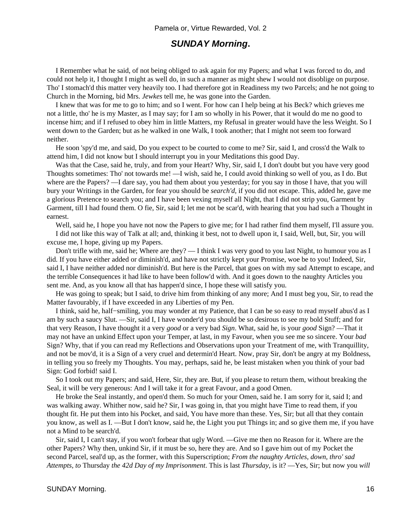## **SUNDAY Morning.**

<span id="page-19-0"></span> I Remember what he said, of not being obliged to ask again for my Papers; and what I was forced to do, and could not help it, I thought I might as well do, in such a manner as might shew I would not disoblige on purpose. Tho' I stomach'd this matter very heavily too. I had therefore got in Readiness my two Parcels; and he not going to Church in the Morning, bid Mrs. *Jewkes* tell me, he was gone into the Garden.

 I knew that was for me to go to him; and so I went. For how can I help being at his Beck? which grieves me not a little, tho' he is my Master, as I may say; for I am so wholly in his Power, that it would do me no good to incense him; and if I refused to obey him in little Matters, my Refusal in greater would have the less Weight. So I went down to the Garden; but as he walked in one Walk, I took another; that I might not seem too forward neither.

 He soon 'spy'd me, and said, Do you expect to be courted to come to me? Sir, said I, and cross'd the Walk to attend him, I did not know but I should interrupt you in your Meditations this good Day.

 Was that the Case, said he, truly, and from your Heart? Why, Sir, said I, I don't doubt but you have very good Thoughts sometimes: Tho' not towards me! —I wish, said he, I could avoid thinking so well of you, as I do. But where are the Papers? —I dare say, you had them about you yesterday; for you say in those I have, that you will bury your Writings in the Garden, for fear you should be *search'd,* if you did not escape. This, added he, gave me a glorious Pretence to search you; and I have been vexing myself all Night, that I did not strip you, Garment by Garment, till I had found them. O fie, Sir, said I; let me not be scar'd, with hearing that you had such a Thought in earnest.

Well, said he, I hope you have not now the Papers to give me; for I had rather find them myself, I'll assure you.

 I did not like this way of Talk at all; and, thinking it best, not to dwell upon it, I said, Well, but, Sir, you will excuse me, I hope, giving up my Papers.

 Don't trifle with me, said he; Where are they? — I think I was very good to you last Night, to humour you as I did. If you have either added or diminish'd, and have not strictly kept your Promise, woe be to you! Indeed, Sir, said I, I have neither added nor diminish'd. But here is the Parcel, that goes on with my sad Attempt to escape, and the terrible Consequences it had like to have been follow'd with. And it goes down to the naughty Articles you sent me. And, as you know all that has happen'd since, I hope these will satisfy you.

 He was going to speak; but I said, to drive him from thinking of any more; And I must beg you, Sir, to read the Matter favourably, if I have exceeded in any Liberties of my Pen.

 I think, said he, half−smiling, you may wonder at my Patience, that I can be so easy to read myself abus'd as I am by such a saucy Slut. —Sir, said I, I have wonder'd you should be so desirous to see my bold Stuff; and for that very Reason, I have thought it a very *good* or a very bad *Sign*. What, said he, is your *good* Sign? —That it may not have an unkind Effect upon your Temper, at last, in my Favour, when you see me so sincere. Your *bad* Sign? Why, that if you can read my Reflections and Observations upon your Treatment of me, with Tranquillity, and not be mov'd, it is a Sign of a very cruel and determin'd Heart. Now, pray Sir, don't be angry at my Boldness, in telling you so freely my Thoughts. You may, perhaps, said he, be least mistaken when you think of your bad Sign: God forbid! said I.

 So I took out my Papers; and said, Here, Sir, they are. But, if you please to return them, without breaking the Seal, it will be very generous: And I will take it for a great Favour, and a good Omen.

 He broke the Seal instantly, and open'd them. So much for your Omen, said he. I am sorry for it, said I; and was walking away. Whither now, said he? Sir, I was going in, that you might have Time to read them, if you thought fit. He put them into his Pocket, and said, You have more than these. Yes, Sir; but all that they contain you know, as well as I. —But I don't know, said he, the Light you put Things in; and so give them me, if you have not a Mind to be search'd.

 Sir, said I, I can't stay, if you won't forbear that ugly Word. —Give me then no Reason for it. Where are the other Papers? Why then, unkind Sir, if it must be so, here they are. And so I gave him out of my Pocket the second Parcel, seal'd up, as the former, with this Superscription; *From the naughty Articles, down, thro' sad Attempts, to* Thursday *the 42d Day of my Imprisonment*. This is last *Thursday,* is it? —Yes, Sir; but now you *will*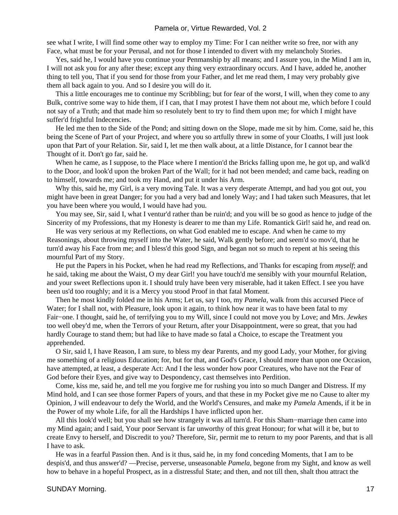see what I write, I will find some other way to employ my Time: For I can neither write so free, nor with any Face, what must be for your Perusal, and not for those I intended to divert with my melancholy Stories.

 Yes, said he, I would have you continue your Penmanship by all means; and I assure you, in the Mind I am in, I will not ask you for any after these; except any thing very extraordinary occurs. And I have, added he, another thing to tell you, That if you send for those from your Father, and let me read them, I may very probably give them all back again to you. And so I desire you will do it.

 This a little encourages me to continue my Scribbling; but for fear of the worst, I will, when they come to any Bulk, contrive some way to hide them, if I can, that I may protest I have them not about me, which before I could not say of a Truth; and that made him so resolutely bent to try to find them upon me; for which I might have suffer'd frightful Indecencies.

 He led me then to the Side of the Pond; and sitting down on the Slope, made me sit by him. Come, said he, this being the Scene of Part of your Project, and where you so artfully threw in some of your Cloaths, I will just look upon that Part of your Relation. Sir, said I, let me then walk about, at a little Distance, for I cannot bear the Thought of it. Don't go far, said he.

 When he came, as I suppose, to the Place where I mention'd the Bricks falling upon me, he got up, and walk'd to the Door, and look'd upon the broken Part of the Wall; for it had not been mended; and came back, reading on to himself, towards me; and took my Hand, and put it under his Arm.

 Why this, said he, my Girl, is a very moving Tale. It was a very desperate Attempt, and had you got out, you might have been in great Danger; for you had a very bad and lonely Way; and I had taken such Measures, that let you have been where you would, I would have had you.

 You may see, Sir, said I, what I ventur'd rather than be ruin'd; and you will be so good as hence to judge of the Sincerity of my Professions, that my Honesty is dearer to me than my Life. Romantick Girl! said he, and read on.

 He was very serious at my Reflections, on what God enabled me to escape. And when he came to my Reasonings, about throwing myself into the Water, he said, Walk gently before; and seem'd so mov'd, that he turn'd away his Face from me; and I bless'd this good Sign, and began not so much to repent at his seeing this mournful Part of my Story.

 He put the Papers in his Pocket, when he had read my Reflections, and Thanks for escaping from *myself*; and he said, taking me about the Waist, O my dear Girl! you have touch'd me sensibly with your mournful Relation, and your sweet Reflections upon it. I should truly have been very miserable, had it taken Effect. I see you have been us'd too roughly; and it is a Mercy you stood Proof in that fatal Moment.

 Then he most kindly folded me in his Arms; Let us, say I too, my *Pamela,* walk from this accursed Piece of Water; for I shall not, with Pleasure, look upon it again, to think how near it was to have been fatal to my Fair−one. I thought, said he, of terrifying you to my Will, since I could not move you by Love; and Mrs. *Jewkes* too well obey'd me, when the Terrors of your Return, after your Disappointment, were so great, that you had hardly Courage to stand them; but had like to have made so fatal a Choice, to escape the Treatment you apprehended.

 O Sir, said I, I have Reason, I am sure, to bless my dear Parents, and my good Lady, your Mother, for giving me something of a religious Education; for, but for that, and God's Grace, I should more than upon one Occasion, have attempted, at least, a desperate Act: And I the less wonder how poor Creatures, who have not the Fear of God before their Eyes, and give way to Despondency, cast themselves into Perdition.

 Come, kiss me, said he, and tell me you forgive me for rushing you into so much Danger and Distress. If my Mind hold, and I can see those former Papers of yours, and that these in my Pocket give me no Cause to alter my Opinion, J will endeavour to defy the World, and the World's Censures, and make my *Pamela* Amends, if it be in the Power of my whole Life, for all the Hardships I have inflicted upon her.

 All this look'd well; but you shall see how strangely it was all turn'd. For this Sham−marriage then came into my Mind again; and I said, Your poor Servant is far unworthy of this great Honour; for what will it be, but to create Envy to herself, and Discredit to you? Therefore, Sir, permit me to return to my poor Parents, and that is all I have to ask.

 He was in a fearful Passion then. And is it thus, said he, in my fond conceding Moments, that I am to be despis'd, and thus answer'd? —Precise, perverse, unseasonable *Pamela,* begone from my Sight, and know as well how to behave in a hopeful Prospect, as in a distressful State; and then, and not till then, shalt thou attract the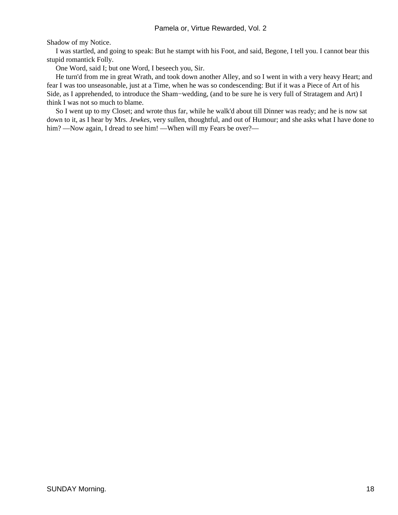Shadow of my Notice.

 I was startled, and going to speak: But he stampt with his Foot, and said, Begone, I tell you. I cannot bear this stupid romantick Folly.

One Word, said I; but one Word, I beseech you, Sir.

 He turn'd from me in great Wrath, and took down another Alley, and so I went in with a very heavy Heart; and fear I was too unseasonable, just at a Time, when he was so condescending: But if it was a Piece of Art of his Side, as I apprehended, to introduce the Sham−wedding, (and to be sure he is very full of Stratagem and Art) I think I was not so much to blame.

 So I went up to my Closet; and wrote thus far, while he walk'd about till Dinner was ready; and he is now sat down to it, as I hear by Mrs. *Jewkes,* very sullen, thoughtful, and out of Humour; and she asks what I have done to him? —Now again, I dread to see him! —When will my Fears be over?—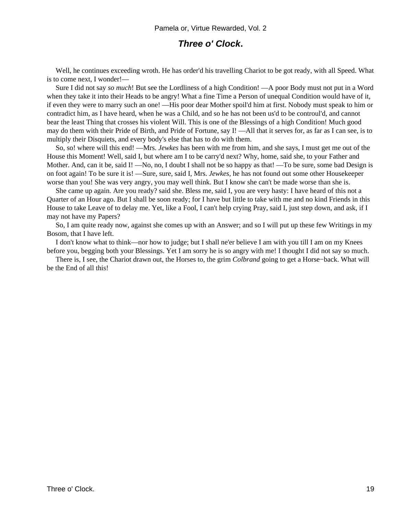## **Three o' Clock.**

<span id="page-22-0"></span> Well, he continues exceeding wroth. He has order'd his travelling Chariot to be got ready, with all Speed. What is to come next, I wonder!—

 Sure I did not say *so much*! But see the Lordliness of a high Condition! —A poor Body must not put in a Word when they take it into their Heads to be angry! What a fine Time a Person of unequal Condition would have of it, if even they were to marry such an one! —His poor dear Mother spoil'd him at first. Nobody must speak to him or contradict him, as I have heard, when he was a Child, and so he has not been us'd to be controul'd, and cannot bear the least Thing that crosses his violent Will. This is one of the Blessings of a high Condition! Much good may do them with their Pride of Birth, and Pride of Fortune, say I! —All that it serves for, as far as I can see, is to multiply their Disquiets, and every body's else that has to do with them.

 So, so! where will this end! —Mrs. *Jewkes* has been with me from him, and she says, I must get me out of the House this Moment! Well, said I, but where am I to be carry'd next? Why, home, said she, to your Father and Mother. And, can it be, said I! —No, no, I doubt I shall not be so happy as that! —To be sure, some bad Design is on foot again! To be sure it is! —Sure, sure, said I, Mrs. *Jewkes,* he has not found out some other Housekeeper worse than you! She was very angry, you may well think. But I know she can't be made worse than she is.

 She came up again. Are you ready? said she. Bless me, said I, you are very hasty: I have heard of this not a Quarter of an Hour ago. But I shall be soon ready; for I have but little to take with me and no kind Friends in this House to take Leave of to delay me. Yet, like a Fool, I can't help crying Pray, said I, just step down, and ask, if I may not have my Papers?

 So, I am quite ready now, against she comes up with an Answer; and so I will put up these few Writings in my Bosom, that I have left.

 I don't know what to think—nor how to judge; but I shall ne'er believe I am with you till I am on my Knees before you, begging both your Blessings. Yet I am sorry he is so angry with me! I thought I did not say so much.

 There is, I see, the Chariot drawn out, the Horses to, the grim *Colbrand* going to get a Horse−back. What will be the End of all this!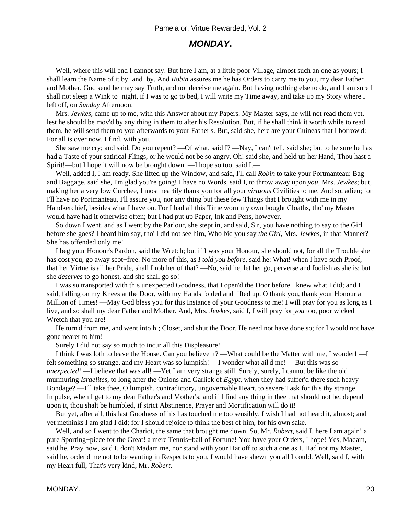### **MONDAY.**

<span id="page-23-0"></span>Well, where this will end I cannot say. But here I am, at a little poor Village, almost such an one as yours; I shall learn the Name of it by−and−by. And *Robin* assures me he has Orders to carry me to you, my dear Father and Mother. God send he may say Truth, and not deceive me again. But having nothing else to do, and I am sure I shall not sleep a Wink to−night, if I was to go to bed, I will write my Time away, and take up my Story where I left off, on *Sunday* Afternoon.

 Mrs. *Jewkes,* came up to me, with this Answer about my Papers. My Master says, he will not read them yet, lest he should be mov'd by any thing in them to alter his Resolution. But, if he shall think it worth while to read them, he will send them to you afterwards to your Father's. But, said she, here are your Guineas that I borrow'd: For all is over now, I find, with you.

 She saw me cry; and said, Do you repent? —Of what, said I? —Nay, I can't tell, said she; but to he sure he has had a Taste of your satirical Flings, or he would not be so angry. Oh! said she, and held up her Hand, Thou hast a Spirit!—but I hope it will now be brought down. —I hope so too, said I.—

Well, added I, I am ready. She lifted up the Window, and said, I'll call *Robin* to take your Portmanteau: Bag and Baggage, said she, I'm glad you're going! I have no Words, said I, to throw away upon *you,* Mrs. *Jewkes*; but, making her a very low Curchee, I most heartily thank you for all your *virtuous* Civilities to me. And so, adieu; for I'll have no Portmanteau, I'll assure you, nor any thing but these few Things that I brought with me in my Handkerchief, besides what I have on. For I had all this Time worn my own bought Cloaths, tho' my Master would have had it otherwise often; but I had put up Paper, Ink and Pens, however.

 So down I went, and as I went by the Parlour, she stept in, and said, Sir, you have nothing to say to the Girl before she goes? I heard him say, tho' I did not see him, Who bid you say *the Girl,* Mrs. *Jewkes,* in that Manner? She has offended only me!

 I beg your Honour's Pardon, said the Wretch; but if I was your Honour, she should not, for all the Trouble she has cost you, go away scot−free. No more of this, as *I told you before,* said he: What! when I have such Proof, that her Virtue is all her Pride, shall I rob her of that? —No, said he, let her go, perverse and foolish as she is; but she *deserves* to go honest, and she shall go so!

 I was so transported with this unexpected Goodness, that I open'd the Door before I knew what I did; and I said, falling on my Knees at the Door, with my Hands folded and lifted up. O thank you, thank your Honour a Million of Times! —May God bless you for this Instance of your Goodness to me! I will pray for you as long as I live, and so shall my dear Father and Mother. And, Mrs. *Jewkes,* said I, I will pray for *you* too, poor wicked Wretch that you are!

 He turn'd from me, and went into hi; Closet, and shut the Door. He need not have done so; for I would not have gone nearer to him!

Surely I did not say so much to incur all this Displeasure!

 I think I was loth to leave the House. Can you believe it? —What could be the Matter with me, I wonder! —I felt something so strange, and my Heart was so lumpish! —I wonder what ail'd me! —But this was so *unexpected*! —I believe that was all! —Yet I am very strange still. Surely, surely, I cannot be like the old murmuring *Israelites,* to long after the Onions and Garlick of *Egypt,* when they had suffer'd there such heavy Bondage? —I'll take thee, O lumpish, contradictory, ungovernable Heart, to severe Task for this thy strange Impulse, when I get to my dear Father's and Mother's; and if I find any thing in thee that should not be, depend upon it, thou shalt be humbled, if strict Abstinence, Prayer and Mortification will do it!

 But yet, after all, this last Goodness of his has touched me too sensibly. I wish I had not heard it, almost; and yet methinks I am glad I did; for I should rejoice to think the best of him, for his own sake.

Well, and so I went to the Chariot, the same that brought me down. So, Mr. *Robert*, said I, here I am again! a pure Sporting−piece for the Great! a mere Tennis−ball of Fortune! You have your Orders, I hope! Yes, Madam, said he. Pray now, said I, don't Madam me, nor stand with your Hat off to such a one as I. Had not my Master, said he, order'd me not to be wanting in Respects to you, I would have shewn you all I could. Well, said I, with my Heart full, That's very kind, Mr. *Robert*.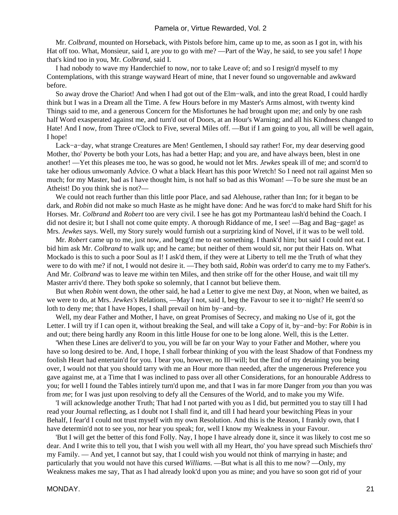Mr. *Colbrand,* mounted on Horseback, with Pistols before him, came up to me, as soon as I got in, with his Hat off too. What, Monsieur, said I, are *you* to go with me? —Part of the Way, he said, to see you safe! I *hope* that's kind too in you, Mr. *Colbrand,* said I.

 I had nobody to wave my Handerchief to now, nor to take Leave of; and so I resign'd myself to my Contemplations, with this strange wayward Heart of mine, that I never found so ungovernable and awkward before.

 So away drove the Chariot! And when I had got out of the Elm−walk, and into the great Road, I could hardly think but I was in a Dream all the Time. A few Hours before in my Master's Arms almost, with twenty kind Things said to me, and a generous Concern for the Misfortunes he had brought upon me; and only by one rash half Word exasperated against me, and turn'd out of Doors, at an Hour's Warning; and all his Kindness changed to Hate! And I now, from Three o'Clock to Five, several Miles off. —But if I am going to you, all will be well again, I hope!

 Lack−a−day, what strange Creatures are Men! Gentlemen, I should say rather! For, my dear deserving good Mother, tho' Poverty be both your Lots, has had a better Hap; and you are, and have always been, blest in one another! —Yet this pleases me too, he was so good, he would not let Mrs. *Jewkes* speak ill of me; and scorn'd to take her odious unwomanly Advice. O what a black Heart has this poor Wretch! So I need not rail against Men so much; for my Master, bad as I have thought him, is not half so bad as this Woman! —To be sure she must be an Atheist! Do you think she is not?—

 We could not reach further than this little poor Place, and sad Alehouse, rather than Inn; for it began to be dark, and *Robin* did not make so much Haste as he might have done: And he was forc'd to make hard Shift for his Horses. Mr. *Colbrand* and *Robert* too are very civil. I see he has got my Portmanteau lash'd behind the Coach. I did not desire it; but I shall not come quite empty. A thorough Riddance of me, I see! —Bag and Bag−gage! as Mrs. *Jewkes* says. Well, my Story surely would furnish out a surprizing kind of Novel, if it was to be well told.

 Mr. *Robert* came up to me, just now, and begg'd me to eat something. I thank'd him; but said I could not eat. I bid him ask Mr. *Colbrand* to walk up; and he came; but neither of them would sit, nor put their Hats on. What Mockado is this to such a poor Soul as I! I ask'd them, if they were at Liberty to tell me the Truth of what they were to do with me? if not, I would not desire it. —They both said, *Robin* was order'd to carry me to my Father's. And Mr. *Colbrand* was to leave me within ten Miles, and then strike off for the other House, and wait till my Master arriv'd there. They both spoke so solemnly, that I cannot but believe them.

 But when *Robin* went down, the other said, he had a Letter to give me next Day, at Noon, when we baited, as we were to do, at Mrs. *Jewkes's* Relations, —May I not, said I, beg the Favour to see it to−night? He seem'd so loth to deny me; that I have Hopes, I shall prevail on him by−and−by.

 Well, my dear Father and Mother, I have, on great Promises of Secrecy, and making no Use of it, got the Letter. I will try if I can open it, without breaking the Seal, and will take a Copy of it, by−and−by: For *Robin* is in and out; there being hardly any Room in this little House for one to be long alone. Well, this is the Letter.

 'When these Lines are deliver'd to you, you will be far on your Way to your Father and Mother, where you have so long desired to be. And, I hope, I shall forbear thinking of you with the least Shadow of that Fondness my foolish Heart had entertain'd for you. I bear you, however, no Ill−will; but the End of my detaining you being over, I would not that you should tarry with me an Hour more than needed, after the ungenerous Preference you gave against me, at a Time that I was inclined to pass over all other Considerations, for an honourable Address to you; for well I found the Tables intirely turn'd upon me, and that I was in far more Danger from *you* than you was from *me*; for I was just upon resolving to defy all the Censures of the World, and to make you my Wife.

 'I will acknowledge another Truth; That had I not parted with you as I did, but permitted you to stay till I had read your Journal reflecting, as I doubt not I shall find it, and till I had heard your bewitching Pleas in your Behalf, I fear'd I could not trust myself with my own Resolution. And this is the Reason, I frankly own, that I have determin'd not to see you, nor hear you speak; for, well I know my Weakness in your Favour.

 'But I will get the better of this fond Folly. Nay, I hope I have already done it, since it was likely to cost me so dear. And I write this to tell you, that I wish you well with all my Heart, tho' you have spread such Mischiefs thro' my Family. — And yet, I cannot but say, that I could wish you would not think of marrying in haste; and particularly that you would not have this cursed *Williams*. —But what is all this to me now? —Only, my Weakness makes me say, That as I had already look'd upon you as mine; and you have so soon got rid of your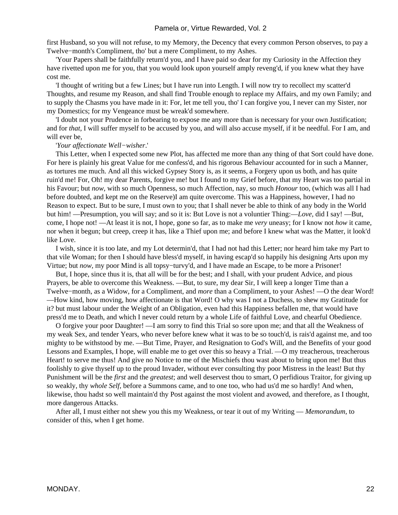first Husband, so you will not refuse, to my Memory, the Decency that every common Person observes, to pay a Twelve−month's Compliment, tho' but a mere Compliment, to my Ashes.

 'Your Papers shall be faithfully return'd you, and I have paid so dear for my Curiosity in the Affection they have rivetted upon me for you, that you would look upon yourself amply reveng'd, if you knew what they have cost me.

 'I thought of writing but a few Lines; but I have run into Length. I will now try to recollect my scatter'd Thoughts, and resume my Reason, and shall find Trouble enough to replace my Affairs, and my own Family; and to supply the Chasms you have made in it: For, let me tell you, tho' I can forgive you, I never can my Sister, nor my Domestics; for my Vengeance must be wreak'd somewhere.

 'I doubt not your Prudence in forbearing to expose me any more than is necessary for your own Justification; and for *that,* I will suffer myself to be accused by you, and will also accuse myself, if it be needful. For I am, and will ever be,

#### '*Your affectionate Well−wisher*.'

 This Letter, when I expected some new Plot, has affected me more than any thing of that Sort could have done. For here is plainly his great Value for me confess'd, and his rigorous Behaviour accounted for in such a Manner, as tortures me much. And all this wicked Gypsey Story is, as it seems, a Forgery upon us both, and has quite ruin'd me! For, Oh! my dear Parents, forgive me! but I found to my Grief before, that my Heart was too partial in his Favour; but *now,* with so much Openness, so much Affection, nay, so much *Honour* too, (which was all I had before doubted, and kept me on the Reserve)I am quite overcome. This was a Happiness, however, I had no Reason to expect. But to be sure, I must own to you; that I shall never be able to think of any body in the World but him! —Presumption, you will say; and so it is: But Love is not a voluntier Thing:—*Love,* did I say! —But, come, I hope not! —At least it is not, I hope, gone so far, as to make me *very* uneasy; for I know not *how* it came, nor when it begun; but creep, creep it has, like a Thief upon me; and before I knew what was the Matter, it look'd like Love.

 I wish, since it is too late, and my Lot determin'd, that I had not had this Letter; nor heard him take my Part to that vile Woman; for then I should have bless'd myself, in having escap'd so happily his designing Arts upon my Virtue; but *now,* my poor Mind is all topsy−turvy'd, and I have made an Escape, to be more a Prisoner!

 But, I hope, since thus it is, that all will be for the best; and I shall, with your prudent Advice, and pious Prayers, be able to overcome this Weakness. —But, to sure, my dear Sir, I will keep a longer Time than a Twelve−month, as a Widow, for a Compliment, and *more* than a Compliment, to your Ashes! —O the dear Word! —How kind, how moving, how affectionate is that Word! O why was I not a Duchess, to shew my Gratitude for it? but must labour under the Weight of an Obligation, even had this Happiness befallen me, that would have press'd me to Death, and which I never could return by a whole Life of faithful Love, and chearful Obedience.

 O forgive your poor Daughter! —I am sorry to find this Trial so sore upon me; and that all the Weakness of my weak Sex, and tender Years, who never before knew what it was to be so touch'd, is rais'd against me, and too mighty to be withstood by me. —But Time, Prayer, and Resignation to God's Will, and the Benefits of your good Lessons and Examples, I hope, will enable me to get over this so heavy a Trial. —O my treacherous, treacherous Heart! to serve me thus! And give no Notice to me of the Mischiefs thou wast about to bring upon me! But thus foolishly to give thyself up to the proud Invader, without ever consulting thy poor Mistress in the least! But thy Punishment will be the *first* and the *greatest*; and well deservest thou to smart, O perfidious Traitor, for giving up so weakly, thy *whole Self,* before a Summons came, and to one too, who had us'd me so hardly! And when, likewise, thou hadst so well maintain'd thy Post against the most violent and avowed, and therefore, as I thought, more dangerous Attacks.

 After all, I must either not shew you this my Weakness, or tear it out of my Writing — *Memorandum,* to consider of this, when I get home.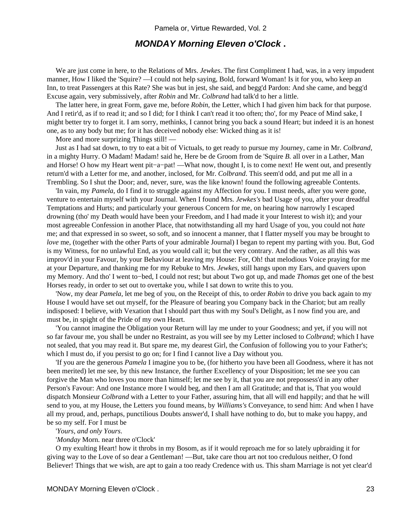## **MONDAY Morning Eleven o'Clock .**

<span id="page-26-0"></span> We are just come in here, to the Relations of Mrs. *Jewkes*. The first Compliment I had, was, in a very impudent manner, How I liked the 'Squire? —I could not help saying, Bold, forward Woman! Is it for you, who keep an Inn, to treat Passengers at this Rate? She was but in jest, she said, and begg'd Pardon: And she came, and begg'd Excuse again, very submissively, after *Robin* and Mr. *Colbrand* had talk'd to her a little.

 The latter here, in great Form, gave me, before *Robin,* the Letter, which I had given him back for that purpose. And I retir'd, as if to read it; and so I did; for I think I can't read it too often; tho', for my Peace of Mind sake, I might better try to forget it. I am sorry, methinks, I cannot bring you back a sound Heart; but indeed it is an honest one, as to any body but me; for it has deceived nobody else: Wicked thing as it is!

More and more surprizing Things still! —

 Just as I had sat down, to try to eat a bit of Victuals, to get ready to pursue my Journey, came in Mr. *Colbrand,* in a mighty Hurry. O Madam! Madam! said he, Here be de Groom from de 'Squire *B.* all over in a Lather, Man and Horse! O how my Heart went pit−a−pat! —What now, thought I, is to come next! He went out, and presently return'd with a Letter for me, and another, inclosed, for Mr. *Colbrand*. This seem'd odd, and put me all in a Trembling. So I shut the Door; and, never, sure, was the like known! found the following agreeable Contents.

 'In vain, my *Pamela,* do I find it to struggle against my Affection for you. I must needs, after you were gone, venture to entertain myself with your Journal. When I found Mrs. *Jewkes's* bad Usage of you, after your dreadful Temptations and Hurts; and particularly your generous Concern for me, on hearing how narrowly I escaped drowning (tho' my Death would have been your Freedom, and I had made it your Interest to wish it); and your most agreeable Confession in another Place, that notwithstanding all my hard Usage of you, you could not *hate* me; and that expressed in so sweet, so soft, and so innocent a manner, that I flatter myself you may be brought to *love* me, (together with the other Parts of your admirable Journal) I began to repent my parting with you. But, God is my Witness, for no unlawful End, as you would call it; but the very contrary. And the rather, as all this was improv'd in your Favour, by your Behaviour at leaving my House: For, Oh! that melodious Voice praying for me at your Departure, and thanking me for my Rebuke to Mrs. *Jewkes,* still hangs upon my Ears, and quavers upon my Memory. And tho' I went to−bed, I could not rest; but about Two got up, and made *Thomas* get one of the best Horses ready, in order to set out to overtake you, while I sat down to write this to you.

 'Now, my dear *Pamela,* let me beg of you, on the Receipt of this, to order *Robin* to drive you back again to my House I would have set out myself, for the Pleasure of bearing you Company back in the Chariot; but am really indisposed: I believe, with Vexation that I should part thus with my Soul's Delight, as I now find you are, and must be, in spight of the Pride of my own Heart.

 'You cannot imagine the Obligation your Return will lay me under to your Goodness; and yet, if you will not so far favour me, you shall be under no Restraint, as you will see by my Letter inclosed to *Colbrand*; which I have not sealed, that you may read it. But spare me, my dearest Girl, the Confusion of following you to your Father's; which I must do, if you persist to go on; for I find I cannot live a Day without you.

 'If you are the generous *Pamela* I imagine you to be, (for hitherto you have been all Goodness, where it has not been merited) let me see, by this new Instance, the further Excellency of your Disposition; let me see you can forgive the Man who loves you more than himself; let me see by it, that you are not prepossess'd in any other Person's Favour: And one Instance more I would beg, and then I am all Gratitude; and that is, That you would dispatch Monsieur *Colbrand* with a Letter to your Father, assuring him, that all will end happily; and that he will send to you, at my House, the Letters you found means, by *Williams's* Conveyance, to send him: And when I have all my proud, and, perhaps, punctilious Doubts answer'd, I shall have nothing to do, but to make you happy, and be so my self. For I must be

'*Yours, and only Yours*.

'*Monday* Morn. near three o'Clock'

 O my exulting Heart! how it throbs in my Bosom, as if it would reproach me for so lately upbraiding it for giving way to the Love of so dear a Gentleman! —But, take care thou art not too credulous neither, O fond Believer! Things that we wish, are apt to gain a too ready Credence with us. This sham Marriage is not yet clear'd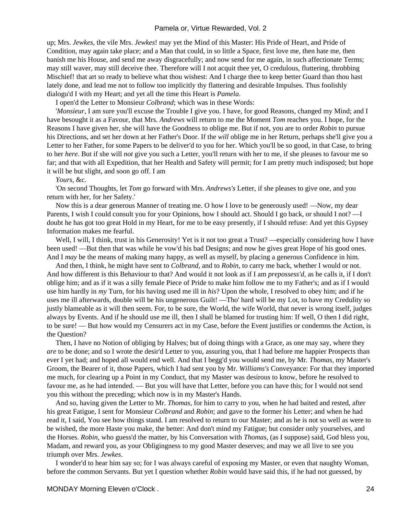up; Mrs. *Jewkes,* the vile Mrs. *Jewkes*! may yet the Mind of this Master: His Pride of Heart, and Pride of Condition, may again take place; and a Man that could, in so little a Space, first love me, then hate me, then banish me his House, and send me away disgracefully; and now send for me again, in such affectionate Terms; may still waver, may still deceive thee. Therefore will I not acquit thee yet, O credulous, fluttering, throbbing Mischief! that art so ready to believe what thou wishest: And I charge thee to keep better Guard than thou hast lately done, and lead me not to follow too implicitly thy flattering and desirable Impulses. Thus foolishly dialogu'd I with my Heart; and yet all the time this Heart is *Pamela*.

I open'd the Letter to Monsieur *Colbrand*; which was in these Words:

 '*Monsieur,* I am sure you'll excuse the Trouble I give you. I have, for good Reasons, changed my Mind; and I have besought it as a Favour, that Mrs. *Andrews* will return to me the Moment *Tom* reaches you. I hope, for the Reasons I have given her, she will have the Goodness to oblige me. But if not, you are to order *Robin* to pursue his Directions, and set her down at her Father's Door. If the *will* oblige me in her Return, perhaps she'll give you a Letter to her Father, for some Papers to be deliver'd to you for her. Which you'll be so good, in that Case, to bring to her *here*. But if she will *not* give you such a Letter, you'll return with her to me, if she pleases to favour me so far; and that with all Expedition, that her Health and Safety will permit; for I am pretty much indisposed; but hope it will be but slight, and soon go off. I am

*Yours,* &c.

 'On second Thoughts, let *Tom* go forward with Mrs. *Andrews's* Letter, if she pleases to give one, and you return with her, for her Safety.'

 Now this is a dear generous Manner of treating me. O how I love to be generously used! —Now, my dear Parents, I wish I could consult you for your Opinions, how I should act. Should I go back, or should I not? —I doubt he has got too great Hold in my Heart, for me to be easy presently, if I should refuse: And yet this Gypsey Information makes me fearful.

Well, I will, I think, trust in his Generosity! Yet is it not too great a Trust? —especially considering how I have been used! —But then that was while he vow'd his bad Designs; and now he gives great Hope of his good ones. And I *may* be the means of making many happy, as well as myself, by placing a generous Confidence in him.

 And then, I think, he might have sent to *Colbrand,* and to *Robin,* to carry me back, whether I would or not. And how different is this Behaviour to that? And would it not look as if I am *prepossess'd,* as he calls it, if I don't oblige him; and as if it was a silly female Piece of Pride to make him follow me to my Father's; and as if I would use him hardly in *my* Turn, for his having used me ill in *his*? Upon the whole, I resolved to obey him; and if he uses me ill afterwards, double will be his ungenerous Guilt! —Tho' hard will be my Lot, to have my Credulity so justly blameable as it will then seem. For, to be sure, the World, the wife World, that never is wrong itself, judges always by Events. And if he should use me ill, then I shall be blamed for trusting him: If well, O then I did right, to be sure! — But how would my Censurers act in my Case, before the Event justifies or condemns the Action, is the Question?

 Then, I have no Notion of obliging by Halves; but of doing things with a Grace, as one may say, where they *are* to be done; and so I wrote the desir'd Letter to you, assuring you, that I had before me happier Prospects than ever I yet had; and hoped all would end well. And that I begg'd you would send me, by Mr. *Thomas,* my Master's Groom, the Bearer of it, those Papers, which I had sent you by Mr. *Williams's* Conveyance: For that they imported me much, for clearing up a Point in my Conduct, that my Master was desirous to know, before he resolved to favour me, as he had intended. — But you will have that Letter, before you can have this; for I would not send you this without the preceding; which now is in my Master's Hands.

 And so, having given the Letter to Mr. *Thomas,* for him to carry to you, when he had baited and rested, after his great Fatigue, I sent for Monsieur *Colbrand* and *Robin*; and gave to the former his Letter; and when he had read it, I said, You see how things stand. I am resolved to return to our Master; and as he is not so well as were to be wished, the more Haste you make, the better: And don't mind my Fatigue; but consider only yourselves, and the Horses. *Robin,* who guess'd the matter, by his Conversation with *Thomas,* (as I suppose) said, God bless you, Madam, and reward you, as your Obligingness to my good Master deserves; and may we all live to see you triumph over Mrs. *Jewkes*.

 I wonder'd to hear him say so; for I was always careful of exposing my Master, or even that naughty Woman, before the common Servants. But yet I question whether *Robin* would have said this, if he had not guessed, by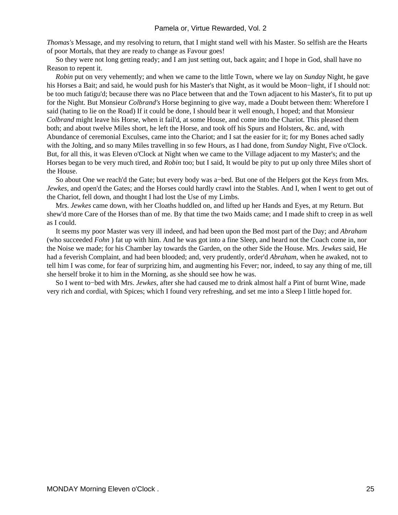*Thomas's* Message, and my resolving to return, that I might stand well with his Master. So selfish are the Hearts of poor Mortals, that they are ready to change as Favour goes!

 So they were not long getting ready; and I am just setting out, back again; and I hope in God, shall have no Reason to repent it.

*Robin* put on very vehemently; and when we came to the little Town, where we lay on *Sunday* Night, he gave his Horses a Bait; and said, he would push for his Master's that Night, as it would be Moon−light, if I should not: be too much fatigu'd; because there was no Place between that and the Town adjacent to his Master's, fit to put up for the Night. But Monsieur *Colbrand's* Horse beginning to give way, made a Doubt between them: Wherefore I said (hating to lie on the Road) If it could be done, I should bear it well enough, I hoped; and that Monsieur *Colbrand* might leave his Horse, when it fail'd, at some House, and come into the Chariot. This pleased them both; and about twelve Miles short, he left the Horse, and took off his Spurs and Holsters, &c. and, with Abundance of ceremonial Exculses, came into the Chariot; and I sat the easier for it; for my Bones ached sadly with the Jolting, and so many Miles travelling in so few Hours, as I had done, from *Sunday* Night, Five o'Clock. But, for all this, it was Eleven o'Clock at Night when we came to the Village adjacent to my Master's; and the Horses began to be very much tired, and *Robin* too; but I said, It would be pity to put up only three Miles short of the House.

 So about One we reach'd the Gate; but every body was a−bed. But one of the Helpers got the Keys from Mrs. *Jewkes,* and open'd the Gates; and the Horses could hardly crawl into the Stables. And I, when I went to get out of the Chariot, fell down, and thought I had lost the Use of my Limbs.

 Mrs. *Jewkes* came down, with her Cloaths huddled on, and lifted up her Hands and Eyes, at my Return. But shew'd more Care of the Horses than of me. By that time the two Maids came; and I made shift to creep in as well as I could.

 It seems my poor Master was very ill indeed, and had been upon the Bed most part of the Day; and *Abraham* (who succeeded *Fohn* ) fat up with him. And he was got into a fine Sleep, and heard not the Coach come in, nor the Noise we made; for his Chamber lay towards the Garden, on the other Side the House. Mrs. *Jewkes* said, He had a feverish Complaint, and had been blooded; and, very prudently, order'd *Abraham,* when he awaked, not to tell him I was come, for fear of surprizing him, and augmenting his Fever; nor, indeed, to say any thing of me, till she herself broke it to him in the Morning, as she should see how he was.

 So I went to−bed with Mrs. *Jewkes,* after she had caused me to drink almost half a Pint of burnt Wine, made very rich and cordial, with Spices; which I found very refreshing, and set me into a Sleep I little hoped for.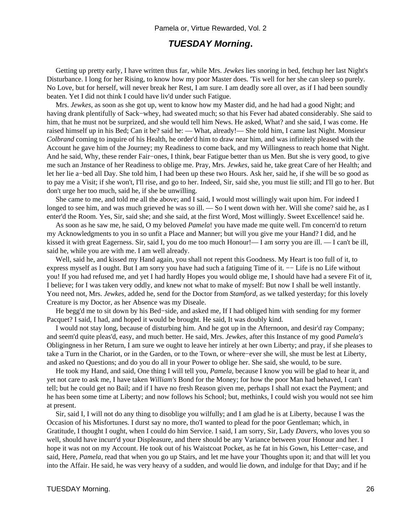## **TUESDAY Morning.**

<span id="page-29-0"></span> Getting up pretty early, I have written thus far, while Mrs. *Jewkes* lies snoring in bed, fetchup her last Night's Disturbance. I long for her Rising, to know how my poor Master does. 'Tis well for her she can sleep so purely. No Love, but for herself, will never break her Rest, I am sure. I am deadly sore all over, as if I had been soundly beaten. Yet I did not think I could have liv'd under such Fatigue.

 Mrs. *Jewkes,* as soon as she got up, went to know how my Master did, and he had had a good Night; and having drank plentifully of Sack−whey, had sweated much; so that his Fever had abated considerably. She said to him, that he must not be surprized, and she would tell him News. He asked, What? and she said, I was come. He raised himself up in his Bed; Can it be? said he: — What, already!— She told him, I came last Night. Monsieur *Colbrand* coming to inquire of his Health, he order'd him to draw near him, and was infinitely pleased with the Account he gave him of the Journey; my Readiness to come back, and my Willingness to reach home that Night. And he said, Why, these render Fair−ones, I think, bear Fatigue better than us Men. But she is very good, to give me such an Jnstance of her Readiness to oblige me. Pray, Mrs. *Jewkes,* said he, take great Care of her Health; and let her lie a−bed all Day. She told him, I had been up these two Hours. Ask her, said he, if she will be so good as to pay me a Visit; if she won't, I'll rise, and go to her. Indeed, Sir, said she, you must lie still; and I'll go to her. But don't urge her too much, said he, if she be unwilling.

 She came to me, and told me all the above; and I said, I would most willingly wait upon him. For indeed I longed to see him, and was much grieved he was so ill. — So I went down with her. Will she come? said he, as I enter'd the Room. Yes, Sir, said she; and she said, at the first Word, Most willingly. Sweet Excellence! said he.

 As soon as he saw me, he said, O my beloved *Pamela*! you have made me quite well. I'm concern'd to return my Acknowledgments to you in so unfit a Place and Manner; but will you give me your Hand? I did, and he kissed it with great Eagerness. Sir, said I, you do me too much Honour!— I am sorry you are ill. — I can't be ill, said he, while you are with me. I am well already.

 Well, said he, and kissed my Hand again, you shall not repent this Goodness. My Heart is too full of it, to express myself as I ought. But I am sorry you have had such a fatiguing Time of it. — Life is no Life without you! If you had refused me, and yet I had hardly Hopes you would oblige me, I should have had a severe Fit of it, I believe; for I was taken very oddly, and knew not what to make of myself: But now I shall be well instantly. You need not, Mrs. *Jewkes,* added he, send for the Doctor from *Stamford,* as we talked yesterday; for this lovely Creature is my Doctor, as her Absence was my Diseale.

 He begg'd me to sit down by his Bed−side, and asked me, If I had obliged him with sending for my former Pacquet? I said, I had, and hoped it would be brought. He said, It was doubly kind.

 I would not stay long, because of disturbing him. And he got up in the Afternoon, and desir'd ray Company; and seem'd quite pleas'd, easy, and much better. He said, Mrs. *Jewkes,* after this Instance of my good *Pamela's* Obligingness in her Return, I am sure we ought to leave her intirely at her own Liberty; and pray, if she pleases to take a Turn in the Chariot, or in the Garden, or to the Town, or where−ever she will, she must be lest at Liberty, and asked no Questions; and do you do all in your Power to oblige her. She said, she would, to be sure.

 He took my Hand, and said, One thing I will tell you, *Pamela,* because I know you will be glad to hear it, and yet not care to ask me, I have taken *William's* Bond for the Money; for how the poor Man had behaved, I can't tell; but he could get no Bail; and if I have no fresh Reason given me, perhaps I shall not exact the Payment; and he has been some time at Liberty; and now follows his School; but, methinks, I could wish you would not see him at present.

 Sir, said I, I will not do any thing to disoblige you wilfully; and I am glad he is at Liberty, because I was the Occasion of his Misfortunes. I durst say no more, tho'I wanted to plead for the poor Gentleman; which, in Gratitude, I thought I ought, when I could do him Service. I said, I am sorry, Sir, Lady *Davers,* who loves you so well, should have incurr'd your Displeasure, and there should be any Variance between your Honour and her. I hope it was not on my Account. He took out of his Waistcoat Pocket, as he fat in his Gown, his Letter−case, and said, Here, *Pamela,* read that when you go up Stairs, and let me have your Thoughts upon it; and that will let you into the Affair. He said, he was very heavy of a sudden, and would lie down, and indulge for that Day; and if he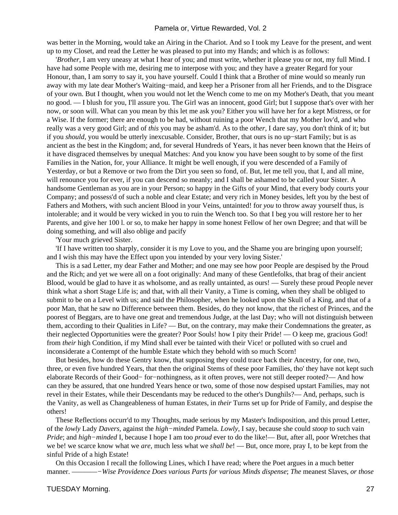was better in the Morning, would take an Airing in the Chariot. And so I took my Leave for the present, and went up to my Closet, and read the Letter he was pleased to put into my Hands; and which is as follows:

 '*Brother,* I am very uneasy at what I hear of you; and must write, whether it please you or not, my full Mind. I have had some People with me, desiring me to interpose with you; and they have a greater Regard for your Honour, than, I am sorry to say it, you have yourself. Could I think that a Brother of mine would so meanly run away with my late dear Mother's Waiting−maid, and keep her a Prisoner from all her Friends, and to the Disgrace of your own. But I thought, when you would not let the Wench come to me on my Mother's Death, that you meant no good. — I blush for you, I'll assure you. The Girl was an innocent, good Girl; but I suppose that's over with her now, or soon will. What can you mean by this let me ask you? Either you will have her for a kept Mistress, or for a Wise. If the former; there are enough to be had, without ruining a poor Wench that my Mother lov'd, and who really was a very good Girl; and of *this* you may be asham'd. As to the *other,* I dare say, you don't think of it; but if you *should,* you would be utterly inexcusable. Consider, Brother, that ours is no up−start Family; but is as ancient as the best in the Kingdom; and, for several Hundreds of Years, it has never been known that the Heirs of it have disgraced themselves by unequal Matches: And you know you have been sought to by some of the first Families in the Nation, for, your Alliance. It might be well enough, if you were descended of a Family of Yesterday, or but a Remove or two from the Dirt you seen so fond, of. But, let me tell you, that I, and all mine, will renounce you for ever, if you can descend so meanly; and I shall be ashamed to be called your Sister. A handsome Gentleman as you are in your Person; so happy in the Gifts of your Mind, that every body courts your Company; and possess'd of such a noble and clear Estate; and very rich in Money besides, left you by the best of Fathers and Mothers, with such ancient Blood in your Veins, untainted! for *you* to throw away yourself thus, is intolerable; and it would be very wicked in you to ruin the Wench too. So that I beg you will restore her to her Parents, and give her 100 l. or so, to make her happy in some honest Fellow of her own Degree; and that will be doing something, and will also oblige and pacify

'Your much grieved Sister.

 'If I have written too sharply, consider it is my Love to you, and the Shame you are bringing upon yourself; and I wish this may have the Effect upon you intended by your very loving Sister.'

 This is a sad Letter, my dear Father and Mother; and one may see how poor People are despised by the Proud and the Rich; and yet we were all on a foot originally: And many of these Gentlefolks, that brag of their ancient Blood, would be glad to have it as wholsome, and as really untainted, as ours! — Surely these proud People never think what a short Stage Life is; and that, with all their Vanity, a Time is coming, when they shall be obliged to submit to be on a Level with us; and said the Philosopher, when he looked upon the Skull of a King, and that of a poor Man, that he saw no Difference between them. Besides, do they not know, that the richest of Princes, and the poorest of Beggars, are to have one great and tremendous Judge, at the last Day; who will not distinguish between them, according to their Qualities in Life? — But, on the contrary, may make their Condemnations the greater, as their neglected Opportunities were the greater? Poor Souls! how I pity their Pride! — O keep me, gracious God! from *their* high Condition, if my Mind shall ever be tainted with their Vice! or polluted with so cruel and inconsiderate a Contempt of the humble Estate which they behold with so much Scorn!

 But besides, how do these Gentry know, that supposing they could trace back their Ancestry, for one, two, three, or even five hundred Years, that then the original Stems of these poor Families, tho' they have not kept such elaborate Records of their Good− for−nothingness, as it often proves, were not still deeper rooted?— And how can they be assured, that one hundred Years hence or two, some of those now despised upstart Families, may not revel in their Estates, while their Descendants may be reduced to the other's Dunghils?— And, perhaps, such is the Vanity, as well as Changeableness of human Estates, in *their* Turns set up for Pride of Family, and despise the others!

 These Reflections occurr'd to my Thoughts, made serious by my Master's Indisposition, and this proud Letter, of the *lowly* Lady *Davers,* against the *high−minded* Pamela. *Lowly,* I say, because she could *stoop* to such vain *Pride*; and *high−minded* I, because I hope I am too *proud* ever to do the like!— But, after all, poor Wretches that we be! we scarce know what we *are,* much less what we *shall be*! — But, once more, pray I, to be kept from the sinful Pride of a high Estate!

 On this Occasion I recall the following Lines, which I have read; where the Poet argues in a much better manner. *————−Wise Providence Does various Parts for various Minds dispense*; *The* meanest Slaves, *or those*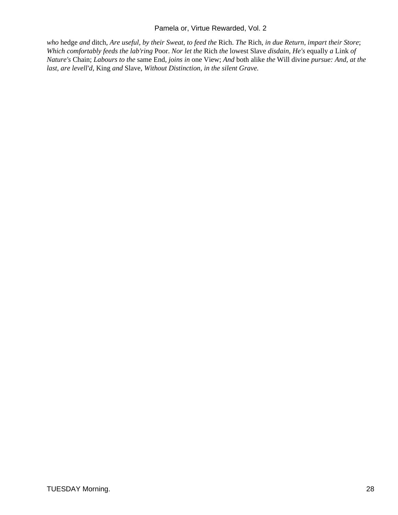*who* hedge *and* ditch, *Are useful, by their Sweat, to feed the* Rich. *The* Rich, *in due Return, impart their Store*; *Which comfortably feeds the lab'ring* Poor. *Nor let the* Rich *the* lowest Slave *disdain, He's* equally *a* Link *of Nature's* Chain; *Labours to the* same End, *joins in* one View; *And* both alike *the* Will divine *pursue: And, at the last, are levell'd,* King *and* Slave, *Without Distinction, in the silent Grave.*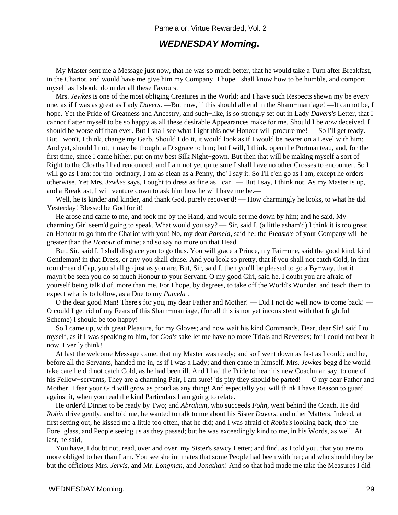### **WEDNESDAY Morning.**

<span id="page-32-0"></span> My Master sent me a Message just now, that he was so much better, that he would take a Turn after Breakfast, in the Chariot, and would have me give him my Company! I hope I shall know how to be humble, and comport myself as I should do under all these Favours.

 Mrs. *Jewkes* is one of the most obliging Creatures in the World; and I have such Respects shewn my be every one, as if I was as great as Lady *Davers*. —But now, if this should all end in the Sham−marriage! —It cannot be, I hope. Yet the Pride of Greatness and Ancestry, and such−like, is so strongly set out in Lady *Davers's* Letter, that I cannot flatter myself to be so happy as all these desirable Appearances make for me. Should I be *now* deceived, I should be worse off than ever. But I shall see what Light this new Honour will procure me! — So I'll get ready. But I won't, I think, change my Garb. Should I do it, it would look as if I would be nearer on a Level with him: And yet, should I not, it may be thought a Disgrace to him; but I will, I think, open the Portmanteau, and, for the first time, since I came hither, put on my best Silk Night−gown. But then that will be making myself a sort of Right to the Cloaths I had renounced; and I am not yet quite sure I shall have no other Crosses to encounter. So I will go as I am; for tho' ordinary, I am as clean as a Penny, tho' I say it. So I'll e'en go as I am, except he orders otherwise. Yet Mrs. *Jewkes* says, I ought to dress as fine as I can! — But I say, I think not. As my Master is up, and a Breakfast, I will venture down to ask him how he will have me be.—

 Well, he is kinder and kinder, and thank God, purely recover'd! — How charmingly he looks, to what he did Yesterday! Blessed be God for it!

 He arose and came to me, and took me by the Hand, and would set me down by him; and he said, My charming Girl seem'd going to speak. What would you say? — Sir, said I, (a little asham'd) I think it is too great an Honour to go into the Chariot with you! No, my dear *Pamela,* said he; the *Pleasure* of your Company will be greater than the *Honour* of mine; and so say no more on that Head.

 But, Sir, said I, I shall disgrace you to go thus. You will grace a Prince, my Fair−one, said the good kind, kind Gentleman! in that Dress, or any you shall chuse. And you look so pretty, that if you shall not catch Cold, in that round−ear'd Cap, you shall go just as you are. But, Sir, said I, then you'll be pleased to go a By−way, that it mayn't be seen you do so much Honour to your Servant. O my good Girl, said he, I doubt you are afraid of yourself being talk'd of, more than me. For I hope, by degrees, to take off the World's Wonder, and teach them to expect what is to follow, as a Due to my *Pamela* .

 O the dear good Man! There's for you, my dear Father and Mother! — Did I not do well now to come back! — O could I get rid of my Fears of this Sham−marriage, (for all this is not yet inconsistent with that frightful Scheme) I should be too happy!

 So I came up, with great Pleasure, for my Gloves; and now wait his kind Commands. Dear, dear Sir! said I to myself, as if I was speaking to him, for *God's* sake let me have no more Trials and Reverses; for I could not bear it now, I verily think!

 At last the welcome Message came, that my Master was ready; and so I went down as fast as I could; and he, before all the Servants, handed me in, as if I was a Lady; and then came in himself. Mrs. *Jewkes* begg'd he would take care he did not catch Cold, as he had been ill. And I had the Pride to hear his new Coachman say, to one of his Fellow−servants, They are a charming Pair, I am sure! 'tis pity they should be parted! — O my dear Father and Mother! I fear your Girl will grow as proud as any thing! And especially you will think I have Reason to guard against it, when you read the kind Particulars I am going to relate.

 He order'd Dinner to be ready by Two; and *Abraham,* who succeeds *Fohn,* went behind the Coach. He did *Robin* drive gently, and told me, he wanted to talk to me about his Sister *Davers,* and other Matters. Indeed, at first setting out, he kissed me a little too often, that he did; and I was afraid of *Robin's* looking back, thro' the Fore−glass, and People seeing us as they passed; but he was exceedingly kind to me, in his Words, as well. At last, he said,

 You have, I doubt not, read, over and over, my Sister's sawcy Letter; and find, as I told you, that you are no more obliged to her than I am. You see she intimates that some People had been with her; and who should they be but the officious Mrs. *Jervis,* and Mr. *Longman,* and *Jonathan*! And so that had made me take the Measures I did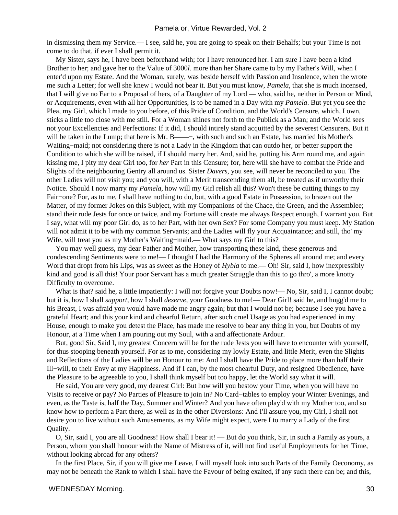in dismissing them my Service.— I see, sald he, you are going to speak on their Behalfs; but your Time is not come to do that, if ever I shall permit it.

 My Sister, says he, I have been beforehand with; for I have renounced her. I am sure I have been a kind Brother to her; and gave her to the Value of 3000*l.* more than her Share came to by my Father's Will, when I enter'd upon my Estate. And the Woman, surely, was beside herself with Passion and Insolence, when the wrote me such a Letter; for well she knew I would not bear it. But you must know, *Pamela,* that she is much incensed, that I will give no Ear to a Proposal of hers, of a Daughter of my Lord — who, said he, neither in Person or Mind, or Acquirements, even with all her Opportunities, is to be named in a Day with my *Pamela*. But yet you see the Plea, my Girl, which I made to you before, of this Pride of Condition, and the World's Censure, which, I own, sticks a little too close with me still. For a Woman shines not forth to the Publick as a Man; and the World sees not your Excellencies and Perfections: If it did, I should intirely stand acquitted by the severest Censurers. But it will be taken in the Lump; that here is Mr. B——–, with such and such an Estate, has married his Mother's Waiting−maid; not considering there is not a Lady in the Kingdom that can outdo her, or better support the Condition to which she will be raised, if I should marry her. And, said he, putting his Arm round me, and again kissing me, I pity my dear Girl too, for *her* Part in this Censure; for, here will she have to combat the Pride and Slights of the neighbouring Gentry all around us. Sister *Davers,* you see, will never be reconciled to you. The other Ladies will not visit you; and you will, with a Merit transcending them all, be treated as if unworthy their Notice. Should I now marry my *Pamela,* how will my Girl relish all this? Won't these be cutting things to my Fair−one? For, as to me, I shall have nothing to do, but, with a good Estate in Possession, to brazen out the Matter, of my former Jokes on this Subject, with my Companions of the Chace, the Green, and the Assemblee; stand their rude Jests for once or twice, and my Fortune will create me always Respect enough, I warrant you. But I say, what will my poor Girl do, as to her Part, with her own Sex? For some Company you must keep. My Station will not admit it to be with my common Servants; and the Ladies will fly your Acquaintance; and still, tho' my Wife, will treat you as my Mother's Waiting−maid.— What says my Girl to this?

 You may well guess, my dear Father and Mother, how transporting these kind, these generous and condescending Sentiments were to me!— I thought I had the Harmony of the Spheres all around me; and every Word that dropt from his Lips, was as sweet as the Honey of *Hybla* to me.— Oh! Sir, said I, how inexpressibly kind and good is all this! Your poor Servant has a much greater Struggle than this to go thro', a more knotty Difficulty to overcome.

What is that? said he, a little impatiently: I will not forgive your Doubts now!— No, Sir, said I, I cannot doubt; but it is, how I shall *support,* how I shall *deserve,* your Goodness to me!— Dear Girl! said he, and hugg'd me to his Breast, I was afraid you would have made me angry again; but that I would not be; because I see you have a grateful Heart; and this your kind and chearful Return, after such cruel Usage as you had experienced in my House, enough to make you detest the Place, has made me resolve to bear any thing in you, but Doubts of my Honour, at a Time when I am pouring out my Soul, with a and affectionate Ardour.

 But, good Sir, Said I, my greatest Concern will be for the rude Jests you will have to encounter with yourself, for thus stooping beneath yourself. For as to me, considering my lowly Estate, and little Merit, even the Slights and Reflections of the Ladies will be an Honour to me: And I shall have the Pride to place more than half their Ill−will, to their Envy at my Happiness. And if I can, by the most chearful Duty, and resigned Obedience, have the Pleasure to be agreeable to you, I shall think myself but too happy, let the World say what it will.

 He said, You are very good, my dearest Girl: But how will you bestow your Time, when you will have no Visits to receive or pay? No Parties of Pleasure to join in? No Card−tables to employ your Winter Evenings, and even, as the Taste is, half the Day, Summer and Winter? And you have often play'd with my Mother too, and so know how to perform a Part there, as well as in the other Diversions: And I'll assure you, my Girl, I shall not desire you to live without such Amusements, as my Wife might expect, were I to marry a Lady of the first Quality.

 O, Sir, said I, you are all Goodness! How shall I bear it! — But do you think, Sir, in such a Family as yours, a Person, whom you shall honour with the Name of Mistress of it, will not find useful Employments for her Time, without looking abroad for any others?

 In the first Place, Sir, if you will give me Leave, I will myself look into such Parts of the Family Oeconomy, as may not be beneath the Rank to which I shall have the Favour of being exalted, if any such there can be; and this,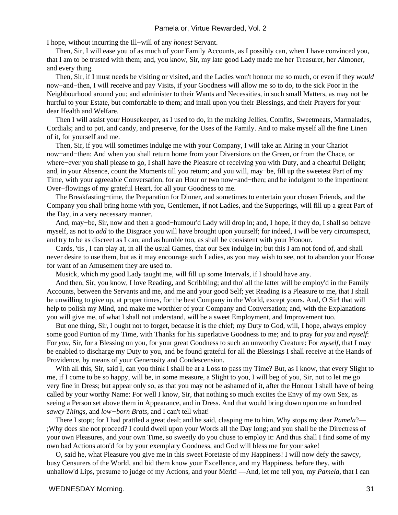I hope, without incurring the Ill−will of any *honest* Servant.

 Then, Sir, I will ease you of as much of your Family Accounts, as I possibly can, when I have convinced you, that I am to be trusted with them; and, you know, Sir, my late good Lady made me her Treasurer, her Almoner, and every thing.

 Then, Sir, if I must needs be visiting or visited, and the Ladies won't honour me so much, or even if they *would* now−and−then, I will receive and pay Visits, if your Goodness will allow me so to do, to the sick Poor in the Neighbourhood around you; and administer to their Wants and Necessities, in such small Matters, as may not be hurtful to your Estate, but comfortable to them; and intail upon you their Blessings, and their Prayers for your dear Health and Welfare.

 Then I will assist your Housekeeper, as I used to do, in the making Jellies, Comfits, Sweetmeats, Marmalades, Cordials; and to pot, and candy, and preserve, for the Uses of the Family. And to make myself all the fine Linen of it, for yourself and me.

 Then, Sir, if you will sometimes indulge me with your Company, I will take an Airing in your Chariot now−and−then: And when you shall return home from your Diversions on the Green, or from the Chace, or where−ever you shall please to go, I shall have the Pleasure of receiving you with Duty, and a chearful Delight; and, in your Absence, count the Moments till you return; and you will, may−be, fill up the sweetest Part of my Time, with your agreeable Conversation, for an Hour or two now−and−then; and be indulgent to the impertinent Over−flowings of my grateful Heart, for all your Goodness to me.

 The Breakfasting−time, the Preparation for Dinner, and sometimes to entertain your chosen Friends, and the Company you shall bring home with you, Gentlemen, if not Ladies, and the Supperings, will fill up a great Part of the Day, in a very necessary manner.

 And, may−be, Sir, now and then a good−humour'd Lady will drop in; and, I hope, if they do, I shall so behave myself, as not to *add* to the Disgrace you will have brought upon yourself; for indeed, I will be very circumspect, and try to be as discreet as I can; and as humble too, as shall be consistent with your Honour.

Cards, 'tis , I can play at, in all the usual Games, that our Sex indulge in; but this I am not fond of, and shall never desire to use them, but as it may encourage such Ladies, as you may wish to see, not to abandon your House for want of an Amusement they are used to.

Musick, which my good Lady taught me, will fill up some Intervals, if I should have any.

 And then, Sir, you know, I love Reading, and Scribbling; and tho' all the latter will be employ'd in the Family Accounts, between the Servants and me, and me and your good Self; yet Reading is a Pleasure to me, that I shall be unwilling to give up, at proper times, for the best Company in the World, except yours. And, O Sir! that will help to polish my Mind, and make me worthier of your Company and Conversation; and, with the Explanations you will give me, of what I shall not understand, will be a sweet Employment, and Improvement too.

 But one thing, Sir, I ought not to forget, because it is the chief; my Duty to God, will, I hope, always employ some good Portion of my Time, with Thanks for his superlative Goodness to me; and to pray for *you* and *myself*: For *you,* Sir, for a Blessing on you, for your great Goodness to such an unworthy Creature: For *myself,* that I may be enabled to discharge my Duty to you, and be found grateful for all the Blessings I shall receive at the Hands of Providence, by means of your Generosity and Condescension.

With all this, Sir, said I, can you think I shall be at a Loss to pass my Time? But, as I know, that every Slight to me, if I come to be so happy, will be, in some measure, a Slight to you, I will beg of you, Sir, not to let me go very fine in Dress; but appear only so, as that you may not be ashamed of it, after the Honour I shall have of being called by your worthy Name: For well I know, Sir, that nothing so much excites the Envy of my own Sex, as seeing a Person set above them in Appearance, and in Dress. And that would bring down upon me an hundred *sawcy Things,* and *low−born Brats,* and I can't tell what!

 There I stopt; for I had prattled a great deal; and he said, clasping me to him, Why stops my dear *Pamela*?— ;Why does she not proceed? I could dwell upon your Words all the Day long; and you shall be the Directress of your own Pleasures, and your own Time, so sweetly do you chuse to employ it: And thus shall I find some of my own bad Actions aton'd for by your exemplary Goodness, and God will bless me for your sake!

 O, said he, what Pleasure you give me in this sweet Foretaste of my Happiness! I will now defy the sawcy, busy Censurers of the World, and bid them know your Excellence, and my Happiness, before they, with unhallow'd Lips, presume to judge of my Actions, and your Merit! —And, let me tell you, my *Pamela,* that I can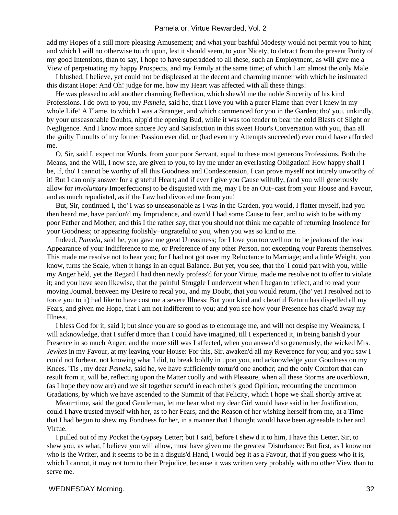add my Hopes of a still more pleasing Amusement; and what your bashful Modesty would not permit you to hint; and which I will no otherwise touch upon, lest it should seem, to your Nicety, to detract from the present Purity of my good Intentions, than to say, I hope to have superadded to all these, such an Employment, as will give me a View of perpetuating my happy Prospects, and my Family at the same time; of which I am almost the only Male.

 I blushed, I believe, yet could not be displeased at the decent and charming manner with which he insinuated this distant Hope: And Oh! judge for me, how my Heart was affected with all these things!

 He was pleased to add another charming Reflection, which shew'd me the noble Sincerity of his kind Professions. I do own to you, my *Pamela,* said he, that I love you with a purer Flame than ever I knew in my whole Life! A Flame, to which I was a Stranger, and which commenced for you in the Garden; tho' you, unkindly, by your unseasonable Doubts, nipp'd the opening Bud, while it was too tender to bear the cold Blasts of Slight or Negligence. And I know more sincere Joy and Satisfaction in this sweet Hour's Conversation with you, than all the guilty Tumults of my former Passion ever did, or (had even my Attempts succeeded) ever could have afforded me.

 O, Sir, said I, expect not Words, from your poor Servant, equal to these most generous Professions. Both the Means, and the Will, I now see, are given to you, to lay me under an everlasting Obligation! How happy shall I be, if, tho' I cannot be worthy of all this Goodness and Condescension, I can prove myself not intirely unworthy of it! But I can only answer for a grateful Heart; and if ever I give you Cause wilfully, (and you will generously allow for *involuntary* Imperfections) to be disgusted with me, may I be an Out−cast from your House and Favour, and as much repudiated, as if the Law had divorced me from you!

 But, Sir, continued I, tho' I was so unseasonable as I was in the Garden, you would, I flatter myself, had you then heard me, have pardon'd my Imprudence, and own'd I had some Cause to fear, and to wish to be with my poor Father and Mother; and this I the rather say, that you should not think me capable of returning Insolence for your Goodness; or appearing foolishly−ungrateful to you, when you was so kind to me.

 Indeed, *Pamela,* said he, you gave me great Uneasiness; for I love you too well not to be jealous of the least Appearance of your Indifference to me, or Preference of any other Person, not excepting your Parents themselves. This made me resolve not to hear you; for I had not got over my Reluctance to Marriage; and a little Weight, you know, turns the Scale, when it hangs in an equal Balance. But yet, you see, that tho' I could part with you, while my Anger held, yet the Regard I had then newly profess'd for your Virtue, made me resolve not to offer to violate it; and you have seen likewise, that the painful Struggle I underwent when I began to reflect, and to read your moving Journal, between my Desire to recal you, and my Doubt, that you would return, (tho' yet I resolved not to force you to it) had like to have cost me a severe Illness: But your kind and chearful Return has dispelled all my Fears, and given me Hope, that I am not indifferent to you; and you see how your Presence has chas'd away my Illness.

 I bless God for it, said I; but since you are so good as to encourage me, and will not despise my Weakness, I will acknowledge, that I suffer'd more than I could have imagined, till I experienced it, in being banish'd your Presence in so much Anger; and the more still was I affected, when you answer'd so generously, the wicked Mrs. *Jewkes* in my Favour, at my leaving your House: For this, Sir, awaken'd all my Reverence for you; and you saw I could not forbear, not knowing what I did, to break boldly in upon you, and acknowledge your Goodness on my Knees. 'Tis , my dear *Pamela,* said he, we have sufficiently tortur'd one another; and the only Comfort that can result from it, will be, reflecting upon the Matter coolly and with Pleasure, when all these Storms are overblown, (as I hope they now are) and we sit together secur'd in each other's good Opinion, recounting the uncommon Gradations, by which we have ascended to the Summit of that Felicity, which I hope we shall shortly arrive at.

 Mean−time, said the good Gentleman, let me hear what my dear Girl would have said in her Justification, could I have trusted myself with her, as to her Fears, and the Reason of her wishing herself from me, at a Time that I had begun to shew my Fondness for her, in a manner that I thought would have been agreeable to her and Virtue.

 I pulled out of my Pocket the Gypsey Letter; but I said, before I shew'd it to him, I have this Letter, Sir, to shew you, as what, I believe you will allow, must have given me the greatest Disturbance: But first, as I know not who is the Writer, and it seems to be in a disguis'd Hand, I would beg it as a Favour, that if you guess who it is, which I cannot, it may not turn to their Prejudice, because it was written very probably with no other View than to serve me.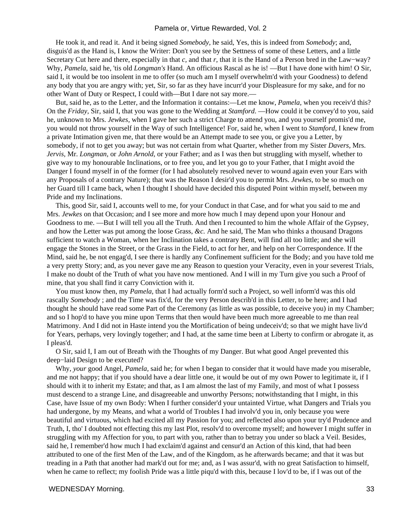He took it, and read it. And it being signed *Somebody,* he said, Yes, this is indeed from *Somebody*; and, disguis'd as the Hand is, I know the Writer: Don't you see by the Settness of some of these Letters, and a little Secretary Cut here and there, especially in that *c,* and that *r,* that it is the Hand of a Person bred in the Law−way? Why, Pamela, said he, 'tis old *Longman's* Hand. An officious Rascal as he is! —But I have done with him! O Sir, said I, it would be too insolent in me to offer (so much am I myself overwhelm'd with your Goodness) to defend any body that you are angry with; yet, Sir, so far as they have incurr'd your Displeasure for my sake, and for no other Want of Duty or Respect, I could with—But I dare not say more.—

 But, said he, as to the Letter, and the Information it contains:—Let me know, *Pamela,* when you receiv'd this? On the *Friday,* Sir, said I, that you was gone to the Wedding at *Stamford*. —How could it be convey'd to you, said he, unknown to Mrs. *Jewkes,* when I gave her such a strict Charge to attend you, and you yourself promis'd me, you would not throw yourself in the Way of such Intelligence! For, said he, when I went to *Stamford,* I knew from a private Intimation given me, that there would be an Attempt made to see you, or give you a Letter, by somebody, if not to get you away; but was not certain from what Quarter, whether from my Sister *Davers,* Mrs. *Jervis,* Mr. *Longman,* or *John Arnold,* or your Father; and as I was then but struggling with myself, whether to give way to my honourable Inclinations, or to free you, and let you go to your Father, that I might avoid the Danger I found myself in of the former (for I had absolutely resolved never to wound again even your Ears with any Proposals of a contrary Nature); that was the Reason I desir'd you to permit Mrs. *Jewkes,* to be so much on her Guard till I came back, when I thought I should have decided this disputed Point within myself, between my Pride and my Inclinations.

 This, good Sir, said I, accounts well to me, for your Conduct in that Case, and for what you said to me and Mrs. *Jewkes* on that Occasion; and I see more and more how much I may depend upon your Honour and Goodness to me. —But I will tell you all the Truth. And then I recounted to him the whole Affair of the Gypsey, and how the Letter was put among the loose Grass, *&c.* And he said, The Man who thinks a thousand Dragons sufficient to watch a Woman, when her Inclination takes a contrary Bent, will find all too little; and she will engage the Stones in the Street, or the Grass in the Field, to act for her, and help on her Correspondence. If the Mind, said he, be not engag'd, I see there is hardly any Confinement sufficient for the Body; and you have told me a very pretty Story; and, as you never gave me any Reason to question your Veracity, even in your severest Trials, I make no doubt of the Truth of what you have now mentioned. And I will in my Turn give you such a Proof of mine, that you shall find it carry Conviction with it.

 You must know then, my *Pamela,* that I had actually form'd such a Project, so well inform'd was this old rascally *Somebody* ; and the Time was fix'd, for the very Person describ'd in this Letter, to be here; and I had thought he should have read some Part of the Ceremony (as little as was possible, to deceive you) in my Chamber; and so I hop'd to have you mine upon Terms that then would have been much more agreeable to me than real Matrimony. And I did not in Haste intend you the Mortification of being undeceiv'd; so that we might have liv'd for Years, perhaps, very lovingly together; and I had, at the same time been at Liberty to confirm or abrogate it, as I pleas'd.

 O Sir, said I, I am out of Breath with the Thoughts of my Danger. But what good Angel prevented this deep−laid Design to be executed?

 Why, *your* good Angel, *Pamela,* said he; for when I began to consider that it would have made you miserable, and me not happy; that if you should have a dear little one, it would be out of my own Power to legitimate it, if I should with it to inherit my Estate; and that, as I am almost the last of my Family, and most of what I possess must descend to a strange Line, and disagreeable and unworthy Persons; notwithstanding that I might, in this Case, have Issue of my own Body: When I further consider'd your untainted Virtue, what Dangers and Trials you had undergone, by my Means, and what a world of Troubles I had involv'd you in, only because you were beautiful and virtuous, which had excited all my Passion for you; and reflected also upon your try'd Prudence and Truth, I, tho' I doubted not effecting this my last Plot, resolv'd to overcome myself; and however I might suffer in struggling with my Affection for you, to part with you, rather than to betray you under so black a Veil. Besides, said he, I remember'd how much I had exclaim'd against and censur'd an Action of this kind, that had been attributed to one of the first Men of the Law, and of the Kingdom, as he afterwards became; and that it was but treading in a Path that another had mark'd out for me; and, as I was assur'd, with no great Satisfaction to himself, when he came to reflect; my foolish Pride was a little piqu'd with this, because I lov'd to be, if I was out of the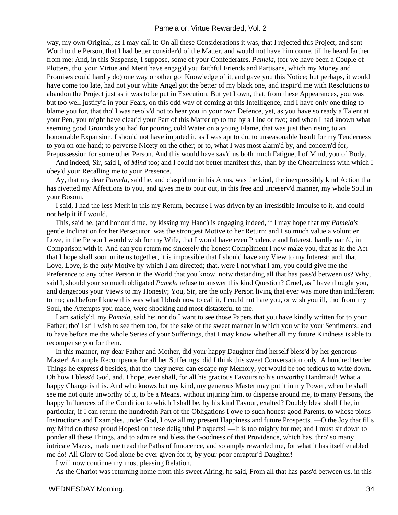way, my own Original, as I may call it: On all these Considerations it was, that I rejected this Project, and sent Word to the Person, that I had better consider'd of the Matter, and would not have him come, till he heard farther from me: And, in this Suspense, I suppose, some of your Confederates, *Pamela,* (for we have been a Couple of Plotters, tho' your Virtue and Merit have engag'd you faithful Friends and Partisans, which my Money and Promises could hardly do) one way or other got Knowledge of it, and gave you this Notice; but perhaps, it would have come too late, had not your white Angel got the better of my black one, and inspir'd me with Resolutions to abandon the Project just as it was to be put in Execution. But yet I own, that, from these Appearances, you was but too well justify'd in your Fears, on this odd way of coming at this Intelligence; and I have only one thing to blame you for, that tho' I was resolv'd not to hear you in your own Defence, yet, as you have so ready a Talent at your Pen, you might have clear'd your Part of this Matter up to me by a Line or two; and when I had known what seeming good Grounds you had for pouring cold Water on a young Flame, that was just then rising to an honourable Expansion, I should not have imputed it, as I was apt to do, to unseasonable Insult for my Tenderness to you on one hand; to perverse Nicety on the other; or to, what I was most alarm'd by, and concern'd for, Prepossession for some other Person. And this would have sav'd us both much Fatigue, I of Mind, you of Body.

 And indeed, Sir, said I, of *Mind* too; and I could not better manifest this, than by the Chearfulness with which I obey'd your Recalling me to your Presence.

 Ay, that my dear *Pamela,* said he, and clasp'd me in his Arms, was the kind, the inexpressibly kind Action that has rivetted my Affections to you, and gives me to pour out, in this free and unreserv'd manner, my whole Soul in your Bosom.

 I said, I had the less Merit in this my Return, because I was driven by an irresistible Impulse to it, and could not help it if I would.

 This, said he, (and honour'd me, by kissing my Hand) is engaging indeed, if I may hope that my *Pamela's* gentle Inclination for her Persecutor, was the strongest Motive to her Return; and I so much value a voluntier Love, in the Person I would wish for my Wife, that I would have even Prudence and Interest, hardly nam'd, in Comparison with it. And can you return me sincerely the honest Compliment I now make you, that as in the Act that I hope shall soon unite us together, it is impossible that I should have any View to my Interest; and, that Love, Love, is the *only* Motive by which I am directed; that, were I not what I am, you could give me the Preference to any other Person in the World that you know, notwithstanding all that has pass'd between us? Why, said I, should your so much obligated *Pamela* refuse to answer this kind Question? Cruel, as I have thought you, and dangerous your Views to my Honesty; You, Sir, are the only Person living that ever was more than indifferent to me; and before I knew this was what I blush now to call it, I could not hate you, or wish you ill, tho' from my Soul, the Attempts you made, were shocking and most distasteful to me.

 I am satisfy'd, my *Pamela,* said he; nor do I want to see those Papers that you have kindly written for to your Father; tho' I still wish to see them too, for the sake of the sweet manner in which you write your Sentiments; and to have before me the whole Series of your Sufferings, that I may know whether all my future Kindness is able to recompense you for them.

 In this manner, my dear Father and Mother, did your happy Daughter find herself bless'd by her generous Master! An ample Recompence for all her Sufferings, did I think this sweet Conversation only. A hundred tender Things he express'd besides, that tho' they never can escape my Memory, yet would be too tedious to write down. Oh how I bless'd God, and, I hope, ever shall, for all his gracious Favours to his unworthy Handmaid! What a happy Change is this. And who knows but my kind, my generous Master may put it in my Power, when he shall see me not quite unworthy of it, to be a Means, without injuring him, to dispense around me, to many Persons, the happy Influences of the Condition to which I shall be, by his kind Favour, exalted? Doubly blest shall I be, in particular, if I can return the hundredth Part of the Obligations I owe to such honest good Parents, to whose pious Instructions and Examples, under God, I owe all my present Happiness and future Prospects. —O the Joy that fills my Mind on these proud Hopes! on these delightful Prospects! —It is too mighty for me; and I must sit down to ponder all these Things, and to admire and bless the Goodness of that Providence, which has, thro' so many intricate Mazes, made me tread the Paths of Innocence, and so amply rewarded me, for what it has itself enabled me do! All Glory to God alone be ever given for it, by your poor enraptur'd Daughter!—

I will now continue my most pleasing Relation.

As the Chariot was returning home from this sweet Airing, he said, From all that has pass'd between us, in this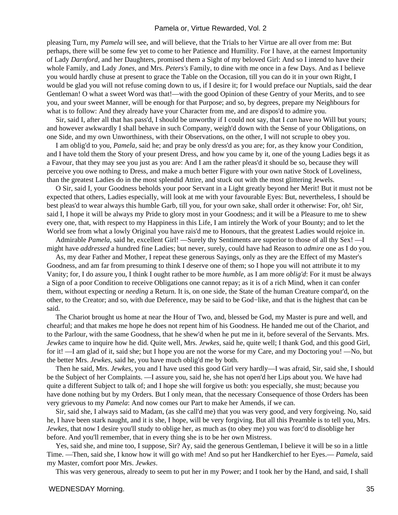pleasing Turn, my *Pamela* will see, and will believe, that the Trials to her Virtue are all over from me: But perhaps, there will be some few yet to come to her Patience and Humility. For I have, at the earnest Importunity of Lady *Darnford,* and her Daughters, promised them a Sight of my beloved Girl: And so I intend to have their whole Family, and Lady *Jones,* and Mrs. *Peters's* Family, to dine with me once in a few Days. And as I believe you would hardly chuse at present to grace the Table on the Occasion, till you can do it in your own Right, I would be glad you will not refuse coming down to us, if I desire it; for I would preface our Nuptials, said the dear Gentleman! O what a sweet Word was that!—with the good Opinion of these Gentry of your Merits, and to see you, and your sweet Manner, will be enough for that Purpose; and so, by degrees, prepare my Neighbours for what is to follow: And they already have your Character from me, and are dispos'd to admire you.

 Sir, said I, after all that has pass'd, I should be unworthy if I could not say, that I *can* have no Will but yours; and however awkwardly I shall behave in such Company, weigh'd down with the Sense of your Obligations, on one Side, and my own Unworthiness, with their Observations, on the other, I will not scruple to obey you.

 I am oblig'd to you, *Pamela,* said he; and pray be only dress'd as you are; for, as they know your Condition, and I have told them the Story of your present Dress, and how you came by it, one of the young Ladies begs it as a Favour, that they may see you just as you are: And I am the rather pleas'd it should be so, because they will perceive you owe nothing to Dress, and make a much better Figure with your own native Stock of Loveliness, than the greatest Ladies do in the most splendid Attire, and stuck out with the most glittering Jewels.

 O Sir, said I, your Goodness beholds your poor Servant in a Light greatly beyond her Merit! But it must not be expected that others, Ladies especially, will look at me with your favourable Eyes: But, nevertheless, I should be best pleas'd to wear always this humble Garb, till you, for your own sake, shall order it otherwise: For, oh! Sir, said I, I hope it will be always my Pride to glory most in your Goodness; and it will be a Pleasure to me to shew every one, that, with respect to my Happiness in this Life, I am intirely the Work of your Bounty; and to let the World see from what a lowly Original you have rais'd me to Honours, that the greatest Ladies would rejoice in.

 Admirable *Pamela,* said he, excellent Girl! —Surely thy Sentiments are superior to those of all thy Sex! —I might have *addressed* a hundred fine Ladies; but never, surely, could have had Reason to *admire* one as I do you.

 As, my dear Father and Mother, I repeat these generous Sayings, only as they are the Effect of my Master's Goodness, and am far from presuming to think I deserve one of them; so I hope you will not attribute it to my Vanity; for, I do assure you, I think I ought rather to be more *humble,* as I am more *oblig'd*: For it must be always a Sign of a poor Condition to receive Obligations one cannot repay; as it is of a rich Mind, when it can confer them, without expecting or *needing* a Return. It is, on one side, the State of the human Creature compar'd, on the other, to the Creator; and so, with due Deference, may be said to be God−like, and that is the highest that can be said.

 The Chariot brought us home at near the Hour of Two, and, blessed be God, my Master is pure and well, and chearful; and that makes me hope he does not repent him of his Goodness. He handed me out of the Chariot, and to the Parlour, with the same Goodness, that he shew'd when he put me in it, before several of the Servants. Mrs. *Jewkes* came to inquire how he did. Quite well, Mrs. *Jewkes,* said he, quite well; I thank God, and this good Girl, for it! —I am glad of it, said she; but I hope you are not the worse for my Care, and my Doctoring you! —No, but the better Mrs. *Jewkes,* said he, you have much oblig'd me by both.

 Then he said, Mrs. *Jewkes,* you and I have used this good Girl very hardly—I was afraid, Sir, said she, I should be the Subject of her Complaints. —I assure you, said he, she has not open'd her Lips about you. We have had quite a different Subject to talk of; and I hope she will forgive us both: you especially, she must; because you have done nothing but by my Orders. But I only mean, that the necessary Consequence of those Orders has been very grievous to my *Pamela*: And now comes our Part to make her Amends, if we can.

 Sir, said she, I always said to Madam, (as she call'd me) that you was very good, and very forgiveing. No, said he, I have been stark naught, and it is she, I hope, will be very forgiving. But all this Preamble is to tell you, Mrs. *Jewkes,* that now I desire you'll study to oblige her, as much as (to obey me) you was forc'd to disoblige her before. And you'll remember, that in every thing she is to be her own Mistress.

 Yes, said she, and mine too, I suppose, Sir? Ay, said the generous Gentleman, I believe it will be so in a little Time. —Then, said she, I know how it will go with me! And so put her Handkerchief to her Eyes.— *Pamela,* said my Master, comfort poor Mrs. *Jewkes*.

This was very generous, already to seem to put her in my Power; and I took her by the Hand, and said, I shall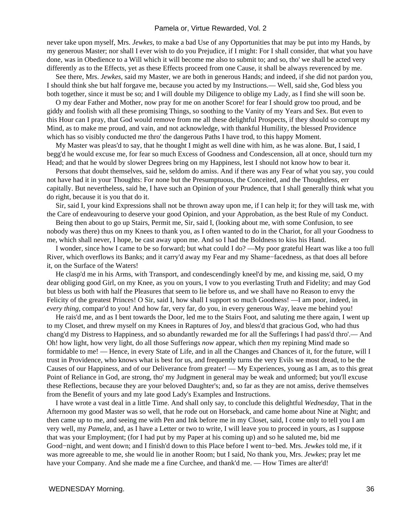never take upon myself, Mrs. *Jewkes,* to make a bad Use of any Opportunities that may be put into my Hands, by my generous Master; nor shall I ever wish to do you Prejudice, if I might: For I shall consider, that what you have done, was in Obedience to a Will which it will become me also to submit to; and so, tho' we shall be acted very differently as to the Effects, yet as these Effects proceed from one Cause, it shall be always reverenced by me.

 See there, Mrs. *Jewkes,* said my Master, we are both in generous Hands; and indeed, if she did not pardon you, I should think she but half forgave me, because you acted by my Instructions.— Well, said she, God bless you both together, since it must be so; and I will double my Diligence to oblige my Lady, as I find she will soon be.

 O my dear Father and Mother, now pray for me on another Score! for fear I should grow too proud, and be giddy and foolish with all these promising Things, so soothing to the Vanity of my Years and Sex. But even to this Hour can I pray, that God would remove from me all these delightful Prospects, if they should so corrupt my Mind, as to make me proud, and vain, and not acknowledge, with thankful Humility, the blessed Providence which has so visibly conducted me thro' the dangerous Paths I have trod, to this happy Moment.

 My Master was pleas'd to say, that he thought I might as well dine with him, as he was alone. But, I said, I begg'd he would excuse me, for fear so much Excess of Goodness and Condescension, all at once, should turn my Head; and that he would by slower Degrees bring on my Happiness, lest I should not know how to bear it.

 Persons that doubt themselves, said he, seldom do amiss. And if there was any Fear of what you say, you could not have had it in your Thoughts: For none but the Presumptuous, the Conceited, and the Thoughtless, err capitally. But nevertheless, said he, I have such an Opinion of your Prudence, that I shall generally think what you do right, because it is you that do it.

 Sir, said I, your kind Expressions shall not be thrown away upon me, if I can help it; for they will task me, with the Care of endeavouring to deserve your good Opinion, and your Approbation, as the best Rule of my Conduct.

 Being then about to go up Stairs, Permit me, Sir, said I, (looking about me, with some Confusion, to see nobody was there) thus on my Knees to thank you, as I often wanted to do in the Chariot, for all your Goodness to me, which shall never, I hope, be cast away upon me. And so I had the Boldness to kiss his Hand.

I wonder, since how I came to be so forward; but what could I do? —My poor grateful Heart was like a too full River, which overflows its Banks; and it carry'd away my Fear and my Shame−facedness, as that does all before it, on the Surface of the Waters!

 He clasp'd me in his Arms, with Transport, and condescendingly kneel'd by me, and kissing me, said, O my dear obliging good Girl, on my Knee, as you on yours, I vow to you everlasting Truth and Fidelity; and may God but bless us both with half the Pleasures that seem to lie before us, and we shall have no Reason to envy the Felicity of the greatest Princes! O Sir, said I, how shall I support so much Goodness! —I am poor, indeed, in *every thing,* compar'd to you! And how far, very far, do you, in every generous Way, leave me behind you!

 He rais'd me, and as I bent towards the Door, led me to the Stairs Foot, and saluting me there again, I went up to my Closet, and threw myself on my Knees in Raptures of Joy, and bless'd that gracious God, who had thus chang'd my Distress to Happiness, and so abundantly rewarded me for all the Sufferings I had pass'd thro'.— And Oh! how light, how very light, do all those Sufferings *now* appear, which *then* my repining Mind made so formidable to me! — Hence, in every State of Life, and in all the Changes and Chances of it, for the future, will I trust in Providence, who knows what is best for us, and frequently turns the very Evils we most dread, to be the Causes of our Happiness, and of our Deliverance from greater! — My Experiences, young as I am, as to this great Point of Reliance in God, are strong, tho' my Judgment in general may be weak and unformed; but you'll excuse these Reflections, because they are your beloved Daughter's; and, so far as they are not amiss, derive themselves from the Benefit of yours and my late good Lady's Examples and Instructions.

 I have wrote a vast deal in a little Time. And shall only say, to conclude this delightful *Wednesday,* That in the Afternoon my good Master was so well, that he rode out on Horseback, and came home about Nine at Night; and then came up to me, and seeing me with Pen and Ink before me in my Closet, said, I come only to tell you I am very well, my *Pamela,* and, as I have a Letter or two to write, I will leave you to proceed in yours, as I suppose that was your Employment; (for I had put by my Paper at his coming up) and so he saluted me, bid me Good−night, and went down; and I finish'd down to this Place before I went to−bed. Mrs. *Jewkes* told me, if it was more agreeable to me, she would lie in another Room; but I said, No thank you, Mrs. *Jewkes*; pray let me have your Company. And she made me a fine Curchee, and thank'd me. — How Times are alter'd!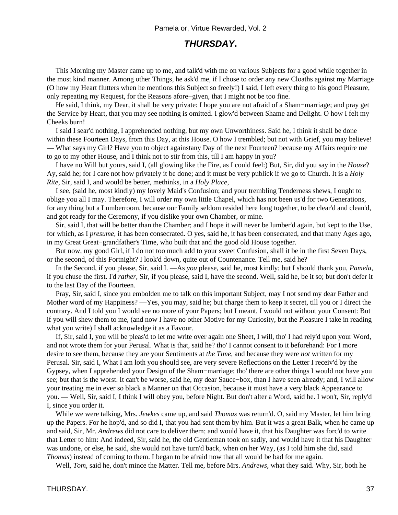### **THURSDAY.**

 This Morning my Master came up to me, and talk'd with me on various Subjects for a good while together in the most kind manner. Among other Things, he ask'd me, if I chose to order any new Cloaths against my Marriage (O how my Heart flutters when he mentions this Subject so freely!) I said, I left every thing to his good Pleasure, only repeating my Request, for the Reasons afore−given, that I might not be too fine.

 He said, I think, my Dear, it shall be very private: I hope you are not afraid of a Sham−marriage; and pray get the Service by Heart, that you may see nothing is omitted. I glow'd between Shame and Delight. O how I felt my Cheeks burn!

 I said I sear'd nothing, I apprehended nothing, but my own Unworthiness. Said he, I think it shall be done within these Fourteen Days, from this Day, at this House. O how I trembled; but not with Grief, you may believe! — What says my Girl? Have you to object againstany Day of the next Fourteen? because my Affairs require me to go to my other House, and I think not to stir from this, till I am happy in you?

 I have no Will but yours, said I, (all glowing like the Fire, as I could feel:) But, Sir, did you say in the *House*? Ay, said he; for I care not how privately it be done; and it must be very publick if we go to Church. It is a *Holy Rite,* Sir, said I, and would be better, methinks, in a *Holy Place,*

 I see, (said he, most kindly) my lovely Maid's Confusion; and your trembling Tenderness shews, I ought to oblige you all I may. Therefore, I will order my own little Chapel, which has not been us'd for two Generations, for any thing but a Lumberroom, because our Family seldom resided here long together, to be clear'd and clean'd, and got ready for the Ceremony, if you dislike your own Chamber, or mine.

 Sir, said I, that will be better than the Chamber; and I hope it will never be lumber'd again, but kept to the Use, for which, as I *presume,* it has been consecrated. O yes, said he, it has been consecrated, and that many Ages ago, in my Great Great−grandfather's Time, who built that and the good old House together.

 But now, my good Girl, if I do not too much add to your sweet Confusion, shall it be in the first Seven Days, or the second, of this Fortnight? I look'd down, quite out of Countenance. Tell me, said he?

 In the Second, if you please, Sir, said I. —As *you* please, said he, most kindly; but I should thank you, *Pamela,* if you chuse the first. I'd *rather,* Sir, if you please, said I, have the second. Well, said he, be it so; but don't defer it to the last Day of the Fourteen.

 Pray, Sir, said I, since you embolden me to talk on this important Subject, may I not send my dear Father and Mother word of my Happiness? —Yes, you may, said he; but charge them to keep it secret, till you or I direct the contrary. And I told you I would see no more of your Papers; but I meant, I would not without your Consent: But if you will shew them to me, (and now I have no other Motive for my Curiosity, but the Pleasure I take in reading what you write) I shall acknowledge it as a Favour.

 If, Sir, said I, you will be pleas'd to let me write over again one Sheet, I will, tho' I had rely'd upon your Word, and not wrote them for your Perusal. What is that, said he? tho' I cannot consent to it beforehand: For I more desire to see them, because they are your Sentiments at *the Time,* and because they were *not* written for my Perusal. Sir, said I, What I am loth you should see, are very severe Reflections on the Letter I receiv'd by the Gypsey, when I apprehended your Design of the Sham−marriage; tho' there are other things I would not have you see; but that is the worst. It can't be worse, said he, my dear Sauce−box, than I have seen already; and, I will allow your treating me in ever so black a Manner on that Occasion, because it must have a very black Appearance to you. — Well, Sir, said I, I think I will obey you, before Night. But don't alter a Word, said he. I won't, Sir, reply'd I, since you order it.

 While we were talking, Mrs. *Jewkes* came up, and said *Thomas* was return'd. O, said my Master, let him bring up the Papers. For he hop'd, and so did I, that you had sent them by him. But it was a great Balk, when he came up and said, Sir, Mr. *Andrews* did not care to deliver them; and would have it, that his Daughter was forc'd to write that Letter to him: And indeed, Sir, said he, the old Gentleman took on sadly, and would have it that his Daughter was undone, or else, he said, she would not have turn'd back, when on her Way, (as I told him she did, said *Thomas*) instead of coming to them. I began to be afraid now that all would be bad for me again.

Well, *Tom,* said he, don't mince the Matter. Tell me, before Mrs. *Andrews,* what they said. Why, Sir, both he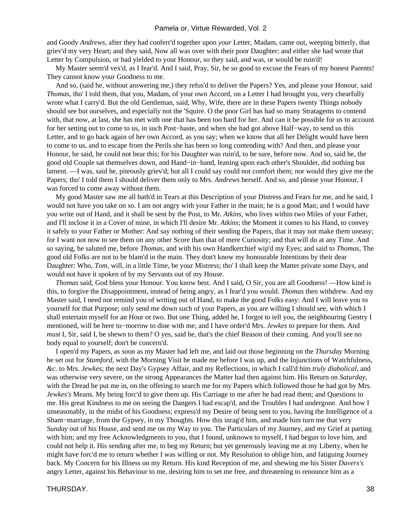and Goody *Andrews,* after they had conferr'd together upon *your* Letter, Madam, came out, weeping bitterly, that griev'd my very Heart; and they said, Now all was over with their poor Daughter; and either she had wrote that Letter by Compulsion, or had yielded to your Honour, so they said, and was, or would be ruin'd!

 My Master seem'd vex'd, as I fear'd. And I said, Pray, Sir, be so good to excuse the Fears of my honest Parents! They cannot know your Goodness to me.

 And so, (said he, without answering me,) they refus'd to deliver the Papers? Yes, and please your Honour, said *Thomas,* tho' I told them, that you, Madam, of your own Accord, on a Letter I had brought you, very chearfully wrote what I carry'd. But the old Gentleman, said, Why, Wife, there are in these Papers twenty Things nobody should see but ourselves, and especially not the 'Squire. O the poor Girl has had so many Stratagems to contend with, that now, at last, she has met with one that has been too hard for her. And can it be possible for us to account for her setting out to come to us, in such Post−haste, and when she had got above Half−way, to send us this Letter, and to go back again of her own Accord, as you say; when we know that all her Delight would have been to come to us, and to escape from the Perils she has been so long contending with? And then, and please your Honour, he said, he could not bear this; for his Daughter was ruin'd, to be sure, before now. And so, said he, the good old Couple sat themselves down, and Hand−in−hand, leaning upon each other's Shoulder, did nothing but lament. —I was, said he, piteously griev'd; but all I could say could not comfort them; nor would they give me the Papers; tho' I told them I should deliver them only to Mrs. *Andrews* herself. And so, and please your Honour, I was forced to come away without them.

 My good Master saw me all bath'd in Tears at this Description of your Distress and Fears for me, and he said, I would not have you take on so. I am not angry with your Father in the main; he is a good Man; and I would have you write out of Hand, and it shall be sent by the Post, to Mr. *Atkins,* who lives within two Miles of your Father, and I'll inclose it in a Cover of mine, in which I'll desire Mr. *Atkins*; the Moment it comes to his Hand, to convey it safely to your Father or Mother: And say nothing of their sending the Papers, that it may not make them uneasy; for I want not now to see them on any other Score than that of mere Curiosity; and that will do at any Time. And so saying, he saluted me, before *Thomas,* and with his own Handkerchief wip'd my Eyes; and said to *Thomas,* The good old Folks are not to be blam'd in the main. They don't know my honourable Intentions by their dear Daughter: Who, *Tom,* will, in a little Time, be your Mistress; tho' I shall keep the Matter private some Days, and would not have it spoken of by my Servants out of my House.

*Thomas* said, God bless your Honour. You know best. And I said, O Sir, you are all Goodness! —How kind is this, to forgive the Disappointment, instead of being angry, as I fear'd you would. *Thomas* then withdrew. And my Master said, I need not remind you of writing out of Hand, to make the good Folks easy: And I will leave you to yourself for that Purpose; only send me down such of your Papers, as you are willing I should see, with which I shall entertain myself for an Hour or two. But one Thing, added he, I forgot to tell you, the neighbouring Gentry I mentioned, will be here to−morrow to dine with me; and I have order'd Mrs. *Jewkes* to prepare for them. And *must* I, Sir, said I, be shewn to them? O yes, said he, that's the chief Reason of their coming. And you'll see no body equal to yourself; don't be concern'd.

 I open'd my Papers, as soon as my Master had left me, and laid out those beginning on the *Thursday* Morning he set out for *Stamford,* with the Morning Visit he made me before I was up, and the Injunctions of Watchfulness, *&c.* to Mrs. *Jewkes*; the next Day's Gypsey Affair, and my Reflections, in which I call'd him *truly diabolical,* and was otherwise very severe, on the strong Appearances the Matter had then against him. His Return on *Saturday,* with the Dread he put me in, on the offering to search me for my Papers which followed those he had got by Mrs. *Jewkes's* Means. My being forc'd to give them up. His Carriage to me after he had read them; and Questions to me. His great Kindness to me on seeing the Dangers I had escap'd, and the Troubles I had undergone. And how I unseasonably, in the midst of his Goodness; express'd my Desire of being sent to you, having the Intelligence of a Sham−marriage, from the Gypsey, in my Thoughts. How this inrag'd him, and made him turn me that very *Sunday* out of his House, and send me on my Way to you. The Particulars of my Journey, and my Grief at parting with him; and my free Acknowledgments to you, that I found, unknown to myself, I had begun to love him, and could not help it. His sending after me, to beg my Return; but yet generously leaving me at my Liberty, when he might have forc'd me to return whether I was willing or not. My Resolution to oblige him, and fatiguing Journey back. My Concern for his Illness on my Return. His kind Reception of me, and shewing me his Sister *Davers's* angry Letter, against his Behaviour to me, desiring him to set me free, and threatening to renounce him as a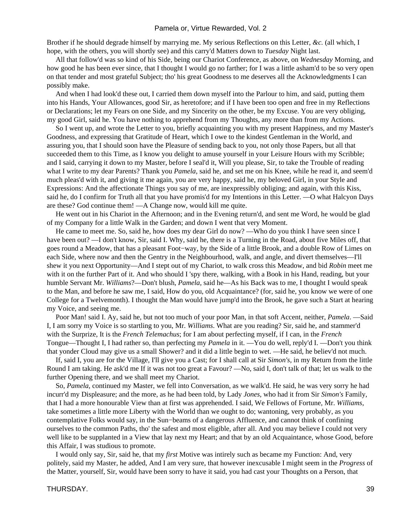Brother if he should degrade himself by marrying me. My serious Reflections on this Letter, *&c.* (all which, I hope, with the others, you will shortly see) and this carry'd Matters down to *Tuesday* Night last.

 All that follow'd was so kind of his Side, being our Chariot Conference, as above, on *Wednesday* Morning, and how good he has been ever since, that I thought I would go no farther; for I was a little asham'd to be so very open on that tender and most grateful Subject; tho' his great Goodness to me deserves all the Acknowledgments I can possibly make.

 And when I had look'd these out, I carried them down myself into the Parlour to him, and said, putting them into his Hands, Your Allowances, good Sir, as heretofore; and if I have been too open and free in my Reflections or Declarations; let my Fears on one Side, and my Sincerity on the other, be my Excuse. You are very obliging, my good Girl, said he. You have nothing to apprehend from my Thoughts, any more than from my Actions.

 So I went up, and wrote the Letter to you, briefly acquainting you with my present Happiness, and my Master's Goodness, and expressing that Gratitude of Heart, which I owe to the kindest Gentleman in the World, and assuring you, that I should soon have the Pleasure of sending back to you, not only those Papers, but all that succeeded them to this Time, as I know you delight to amuse yourself in your Leisure Hours with my Scribble; and I said, carrying it down to my Master, before I seal'd it, Will you please, Sir, to take the Trouble of reading what I write to my dear Parents? Thank you *Pamela,* said he, and set me on his Knee, while he read it, and seem'd much pleas'd with it, and giving it me again, you are very happy, said he, my beloved Girl, in your Style and Expressions: And the affectionate Things you say of me, are inexpressibly obliging; and again, with this Kiss, said he, do I confirm for Truth all that you have promis'd for my Intentions in this Letter. —O what Halcyon Days are these? God continue them! —A Change now, would kill me quite.

 He went out in his Chariot in the Afternoon; and in the Evening return'd, and sent me Word, he would be glad of my Company for a little Walk in the Garden; and down I went that very Moment.

 He came to meet me. So, said he, how does my dear Girl do now? —Who do you think I have seen since I have been out? —I don't know, Sir, said I. Why, said he, there is a Turning in the Road, about five Miles off, that goes round a Meadow, that has a pleasant Foot−way, by the Side of a little Brook, and a double Row of Limes on each Side, where now and then the Gentry in the Neighbourhood, walk, and angle, and divert themselves—I'll shew it you next Opportunity—And I stept out of my Chariot, to walk cross this Meadow, and bid *Robin* meet me with it on the further Part of it. And who should I 'spy there, walking, with a Book in his Hand, reading, but your humble Servant Mr. *Williams*?—Don't blush, *Pamela,* said he—As his Back was to me, I thought I would speak to the Man, and before he saw me, I said, How do you, old Acquaintance? (for, said he, you know we were of one College for a Twelvemonth). I thought the Man would have jump'd into the Brook, he gave such a Start at hearing my Voice, and seeing me.

 Poor Man! said I. Ay, said he, but not too much of your poor Man, in that soft Accent, neither, *Pamela*. —Said I, I am sorry my Voice is so startling to you, Mr. *Williams*. What are you reading? Sir, said he, and stammer'd with the Surprize, It is the *French Telemachus*; for I am about perfecting myself, if I can, in the *French* Tongue—Thought I, I had rather so, than perfecting my *Pamela* in it. —You do well, reply'd I. —Don't you think that yonder Cloud may give us a small Shower? and it did a little begin to wet. —He said, he believ'd not much.

 If, said I, you are for the Village, I'll give you a Cast; for I shall call at Sir *Simon's,* in my Return from the little Round I am taking. He ask'd me If it was not too great a Favour? —No, said I, don't talk of that; let us walk to the further Opening there, and we shall meet my Chariot.

 So, *Pamela,* continued my Master, we fell into Conversation, as we walk'd. He said, he was very sorry he had incurr'd my Displeasure; and the more, as he had been told, by Lady *Jones,* who had it from Sir *Simon's* Family, that I had a more honourable View than at first was apprehended. I said, We Fellows of Fortune, Mr. *Williams,* take sometimes a little more Liberty with the World than we ought to do; wantoning, very probably, as you contemplative Folks would say, in the Sun−beams of a dangerous Affluence, and cannot think of confining ourselves to the common Paths, tho' the safest and most eligible, after all. And you may believe I could not very well like to be supplanted in a View that lay next my Heart; and that by an old Acquaintance, whose Good, before this Affair, I was studious to promote.

 I would only say, Sir, said he, that my *first* Motive was intirely such as became my Function: And, very politely, said my Master, he added, And I am very sure, that however inexcusable I might seem in the *Progress* of the Matter, yourself, Sir, would have been sorry to have it said, you had cast your Thoughts on a Person, that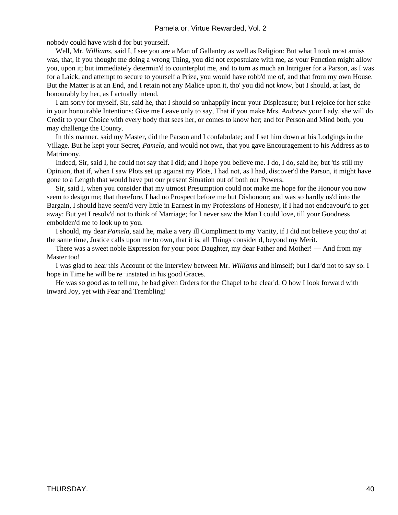nobody could have wish'd for but yourself.

 Well, Mr. *Williams,* said I, I see you are a Man of Gallantry as well as Religion: But what I took most amiss was, that, if you thought me doing a wrong Thing, you did not expostulate with me, as your Function might allow you, upon it; but immediately determin'd to counterplot me, and to turn as much an Intriguer for a Parson, as I was for a Laick, and attempt to secure to yourself a Prize, you would have robb'd me of, and that from my own House. But the Matter is at an End, and I retain not any Malice upon it, tho' you did not *know,* but I should, at last, do honourably by her, as I actually intend.

 I am sorry for myself, Sir, said he, that I should so unhappily incur your Displeasure; but I rejoice for her sake in your honourable Intentions: Give me Leave only to say, That if you make Mrs. *Andrews* your Lady, she will do Credit to your Choice with every body that sees her, or comes to know her; and for Person and Mind both, you may challenge the County.

 In this manner, said my Master, did the Parson and I confabulate; and I set him down at his Lodgings in the Village. But he kept your Secret, *Pamela,* and would not own, that you gave Encouragement to his Address as to Matrimony.

 Indeed, Sir, said I, he could not say that I did; and I hope you believe me. I do, I do, said he; but 'tis still my Opinion, that if, when I saw Plots set up against my Plots, I had not, as I had, discover'd the Parson, it might have gone to a Length that would have put our present Situation out of both our Powers.

 Sir, said I, when you consider that my utmost Presumption could not make me hope for the Honour you now seem to design me; that therefore, I had no Prospect before me but Dishonour; and was so hardly us'd into the Bargain, I should have seem'd very little in Earnest in my Professions of Honesty, if I had not endeavour'd to get away: But yet I resolv'd not to think of Marriage; for I never saw the Man I could love, till your Goodness embolden'd me to look up to you.

 I should, my dear *Pamela,* said he, make a very ill Compliment to my Vanity, if I did not believe you; tho' at the same time, Justice calls upon me to own, that it is, all Things consider'd, beyond my Merit.

 There was a sweet noble Expression for your poor Daughter, my dear Father and Mother! — And from my Master too!

 I was glad to hear this Account of the Interview between Mr. *Williams* and himself; but I dar'd not to say so. I hope in Time he will be re−instated in his good Graces.

 He was so good as to tell me, he bad given Orders for the Chapel to be clear'd. O how I look forward with inward Joy, yet with Fear and Trembling!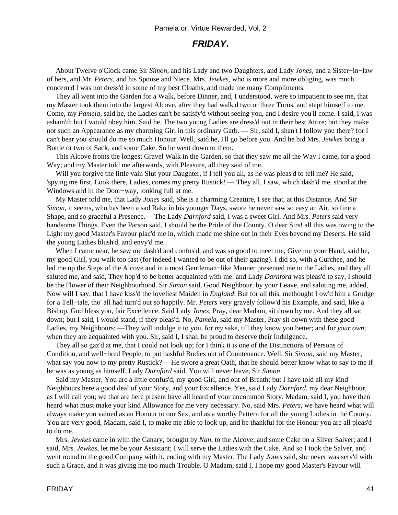### **FRIDAY.**

 About Twelve o'Clock came Sir *Simon,* and his Lady and two Daughters, and Lady *Jones,* and a Sister−in−law of hers, and Mr. *Peters,* and his Spouse and Niece. Mrs. *Jewkes,* who is more and more obliging, was much concern'd I was not dress'd in some of my best Cloaths, and made me many Compliments.

 They all went into the Garden for a Walk, before Dinner, and, I understood, were so impatient to see me, that my Master took them into the largest Alcove, after they had walk'd two or three Turns, and stept himself to me. Come, my *Pamela,* said he, the Ladies can't be satisfy'd without seeing you, and I desire you'll come. I said, I was asham'd; but I would obey him. Said he, The two young Ladies are dress'd out in their best Attire; but they make not such an Appearance as my charming Girl in this ordinary Garb. — Sir, said I, shan't I follow you there? for I can't bear you should do me so much Honour. Well, said he, I'll go before you. And he bid Mrs. *Jewkes* bring a Bottle or two of Sack, and some Cake. So he went down to them.

 This Alcove fronts the longest Gravel Walk in the Garden, so that they saw me all the Way I came, for a good Way; and my Master told me afterwards, with Pleasure, all they said of me.

Will you forgive the little vain Slut your Daughter, if I tell you all, as he was pleas'd to tell me? He said, 'spying me first, Look there, Ladies, comes my pretty Rustick! — They all, I saw, which dash'd me, stood at the Windows and in the Door−way, looking full at me.

 My Master told me, that Lady *Jones* said, She is a charming Creature, I see that, at this Distance. And Sir *Simon*, it seems, who has been a sad Rake in his younger Days, swore he never saw so easy an Air, so fine a Shape, and so graceful a Presence.— The Lady *Darnford* said, I was a sweet Girl. And Mrs. *Peters* said very handsome Things. Even the Parson said, I should be the Pride of the County. O dear Sirs! all this was owing to the Light my good Master's Favour plac'd me in, which made me shine out in their Eyes beyond my Deserts. He said the young Ladies blush'd, and envy'd me.

 When I came near, he saw me dash'd and confus'd, and was so good to meet me, Give me your Hand, said he, my good Girl, you walk too fast (for indeed I wanted to be out of their gazing). I did so, with a Curchee, and he led me up the Steps of the Alcove and in a most Gentleman−like Manner presented me to the Ladies, and they all saluted me, and said, They hop'd to be better acquainted with me: and Lady *Darnford* was pleas'd to say, I should be the Flower of their Neighbourhood. Sir *Simon* said, Good Neighbour, by your Leave, and saluting me, added, Now will I say, that I have kiss'd the loveliest Maiden in *England*. But for all this, methought I ow'd him a Grudge for a Tell−tale, tho' all had turn'd out so happily. Mr. *Peters* very gravely follow'd his Example, and said, like a Bishop, God bless you, fair Excellence. Said Lady *Jones,* Pray, dear Madam, sit down by me. And they all sat down; but I said, I would stand, if they pleas'd. No, *Pamela,* said my Master, Pray sit down with these good Ladies, my Neighbours: —They will indulge it to you, for *my* sake, till they know you better; and for *your own,* when they are acquainted with you. Sir, said I, I shall be proud to deserve their Indulgence.

 They all so gaz'd at me, that I could not look up; for I think it is one of the Distinctions of Persons of Condition, and well−bred People, to put bashful Bodies out of Countenance. Well, Sir *Simon,* said my Master, what say you now to my pretty Rustick? —He swore a great Oath, that he should better know what to say to me if he was as young as himself. Lady *Darnford* said, You will never leave, Sir *Simon*.

 Said my Master, You are a little confus'd, my good Girl, and out of Breath; but I have told all my kind Neighbours here a good deal of your Story, and your Excellence. Yes, said Lady *Darnford,* my dear Neighbour, as I will call you; we that are here present have all heard of your uncommon Story. Madam, said I, you have then heard what must make your kind Allowance for me very necessary. No, said Mrs. *Peters,* we have heard what will always make you valued as an Honour to our Sex, and as a worthy Pattern for all the young Ladies in the County. You are very good, Madam, said I, to make me able to look up, and be thankful for the Honour you are all pleas'd to do me.

 Mrs. *Jewkes* came in with the Canary, brought by *Nan,* to the Alcove, and some Cake on a Silver Salver; and I said, Mrs. *Jewkes,* let me be your Assistant; I will serve the Ladies with the Cake. And so I took the Salver, and went round to the good Company with it, ending with my Master. The Lady *Jones* said, she never was serv'd with such a Grace, and it was giving me too much Trouble. O Madam, said I, I hope my good Master's Favour will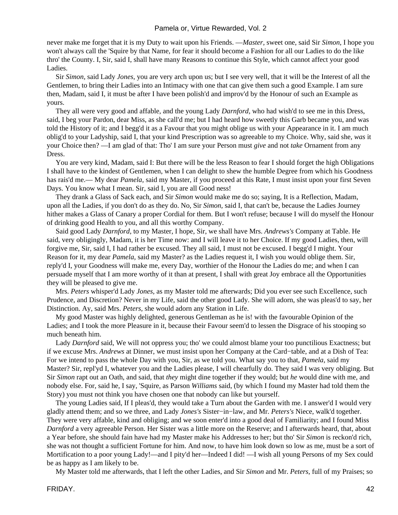never make me forget that it is my Duty to wait upon his Friends. —*Master,* sweet one, said Sir *Simon,* I hope you won't always call the 'Squire by that Name, for fear it should become a Fashion for all our Ladies to do the like thro' the County. I, Sir, said I, shall have many Reasons to continue this Style, which cannot affect your good Ladies.

 Sir *Simon,* said Lady *Jones,* you are very arch upon us; but I see very well, that it will be the Interest of all the Gentlemen, to bring their Ladies into an Intimacy with one that can give them such a good Example. I am sure then, Madam, said I, it must be after I have been polish'd and improv'd by the Honour of such an Example as yours.

 They all were very good and affable, and the young Lady *Darnford,* who had wish'd to see me in this Dress, said, I beg your Pardon, dear Miss, as she call'd me; but I had heard how sweetly this Garb became you, and was told the History of it; and I begg'd it as a Favour that you might oblige us with your Appearance in it. I am much oblig'd to your Ladyship, said I, that your kind Prescription was so agreeable to my Choice. Why, said she, *was* it your Choice then? —I am glad of that: Tho' I am sure your Person must *give* and not *take* Ornament from any Dress.

 You are very kind, Madam, said I: But there will be the less Reason to fear I should forget the high Obligations I shall have to the kindest of Gentlemen, when I can delight to shew the humble Degree from which his Goodness has rais'd me.— My dear *Pamela,* said my Master, if you proceed at this Rate, I must insist upon your first Seven Days. You know what I mean. Sir, said I, you are all Good ness!

 They drank a Glass of Sack each, and Sir *Simon* would make me do so; saying, It is a Reflection, Madam, upon all the Ladies, if you don't do as they do. No, Sir *Simon,* said I, that can't be, because the Ladies Journey hither makes a Glass of Canary a proper Cordial for them. But I won't refuse; because I will do myself the Honour of drinking good Health to you, and all this worthy Company.

 Said good Lady *Darnford,* to my Master, I hope, Sir, we shall have Mrs. *Andrews's* Company at Table. He said, very obligingly, Madam, it is her Time now: and I will leave it to her Choice. If my good Ladies, then, will forgive me, Sir, said I, I had rather be excused. They all said, I must not be excused. I begg'd I might. Your Reason for it, my dear *Pamela,* said my Master? as the Ladies request it, I wish you would oblige them. Sir, reply'd I, your Goodness will make me, every Day, worthier of the Honour the Ladies do me; and when I can persuade myself that I am more worthy of it than at present, I shall with great Joy embrace all the Opportunities they will be pleased to give me.

 Mrs. *Peters* whisper'd Lady *Jones,* as my Master told me afterwards; Did you ever see such Excellence, such Prudence, and Discretion? Never in my Life, said the other good Lady. She will adorn, she was pleas'd to say, her Distinction. Ay, said Mrs. *Peters,* she would adorn any Station in Life.

 My good Master was highly delighted, generous Gentleman as he is! with the favourable Opinion of the Ladies; and I took the more Pleasure in it, because their Favour seem'd to lessen the Disgrace of his stooping so much beneath him.

 Lady *Darnford* said, We will not oppress you; tho' we could almost blame your too punctilious Exactness; but if we excuse Mrs. *Andrews* at Dinner, we must insist upon her Company at the Card−table, and at a Dish of Tea: For we intend to pass the whole Day with you, Sir, as we told you. What say you to that, *Pamela,* said my Master? Sir, repl'yd I, whatever you and the Ladies please, I will chearfully do. They said I was very obliging. But Sir *Simon* rapt out an Oath, and said, that *they* might dine together if they would; but *he* would dine with me, and nobody else. For, said he, I say, 'Squire, as Parson *Williams* said, (by which I found my Master had told them the Story) you must not think you have chosen one that nobody can like but yourself.

 The young Ladies said, If I pleas'd, they would take a Turn about the Garden with me. I answer'd I would very gladly attend them; and so we three, and Lady *Jones's* Sister−in−law, and Mr. *Peters's* Niece, walk'd together. They were very affable, kind and obliging; and we soon enter'd into a good deal of Familiarity; and I found Miss *Darnford* a very agreeable Person. Her Sister was a little more on the Reserve; and I afterwards heard, that, about a Year before, she should fain have had my Master make his Addresses to her; but tho' Sir *Simon* is reckon'd rich, she was not thought a sufficient Fortune for him. And now, to have him look down so low as me, must be a sort of Mortification to a poor young Lady!—and I pity'd her—Indeed I did! —I wish all young Persons of my Sex could be as happy as I am likely to be.

My Master told me afterwards, that I left the other Ladies, and Sir *Simon* and Mr. *Peters,* full of my Praises; so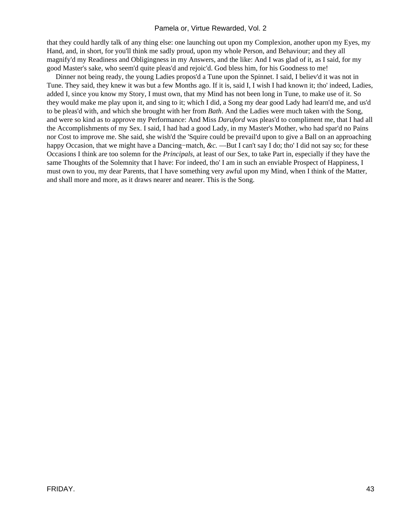that they could hardly talk of any thing else: one launching out upon my Complexion, another upon my Eyes, my Hand, and, in short, for you'll think me sadly proud, upon my whole Person, and Behaviour; and they all magnify'd my Readiness and Obligingness in my Answers, and the like: And I was glad of it, as I said, for my good Master's sake, who seem'd quite pleas'd and rejoic'd. God bless him, for his Goodness to me!

 Dinner not being ready, the young Ladies propos'd a Tune upon the Spinnet. I said, I believ'd it was not in Tune. They said, they knew it was but a few Months ago. If it is, said I, I wish I had known it; tho' indeed, Ladies, added I, since you know my Story, I must own, that my Mind has not been long in Tune, to make use of it. So they would make me play upon it, and sing to it; which I did, a Song my dear good Lady had learn'd me, and us'd to be pleas'd with, and which she brought with her from *Bath*. And the Ladies were much taken with the Song, and were so kind as to approve my Performance: And Miss *Daruford* was pleas'd to compliment me, that I had all the Accomplishments of my Sex. I said, I had had a good Lady, in my Master's Mother, who had spar'd no Pains nor Cost to improve me. She said, she wish'd the 'Squire could be prevail'd upon to give a Ball on an approaching happy Occasion, that we might have a Dancing−match, *&c.* —But I can't say I do; tho' I did not say so; for these Occasions I think are too solemn for the *Principals,* at least of our Sex, to take Part in, especially if they have the same Thoughts of the Solemnity that I have: For indeed, tho' I am in such an enviable Prospect of Happiness, I must own to you, my dear Parents, that I have something very awful upon my Mind, when I think of the Matter, and shall more and more, as it draws nearer and nearer. This is the Song.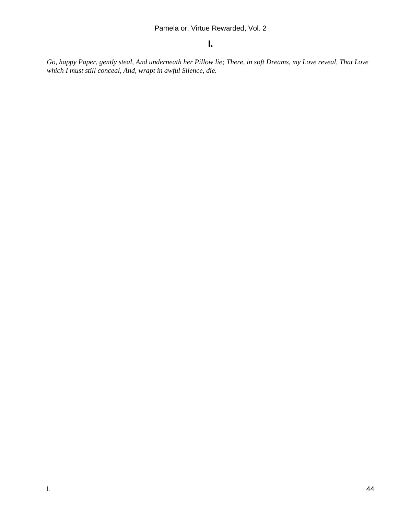# **I.**

*Go, happy Paper, gently steal, And underneath her Pillow lie; There, in soft Dreams, my Love reveal, That Love which I must still conceal, And, wrapt in awful Silence, die.*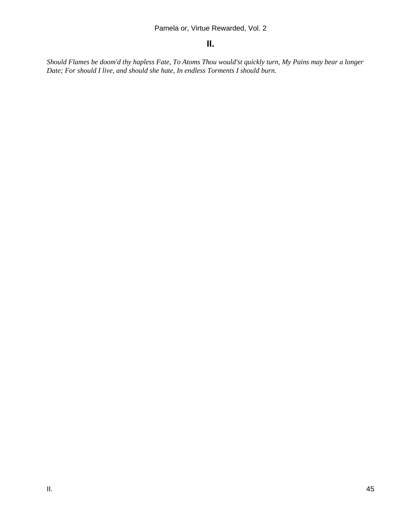# **II.**

*Should Flames be doom'd thy hapless Fate, To Atoms Thou would'st quickly turn, My Pains may bear a longer Date; For should I live, and should she hate, In endless Torments I should burn.*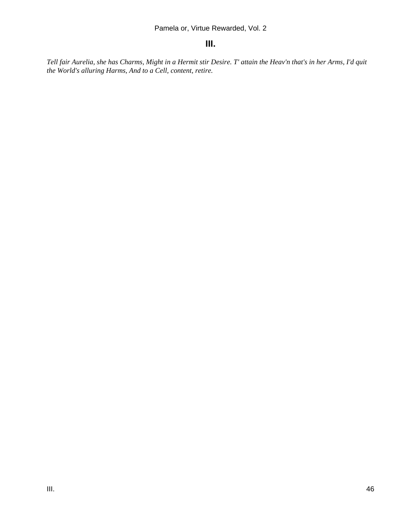## **III.**

*Tell fair Aurelia, she has Charms, Might in a Hermit stir Desire. T' attain the Heav'n that's in her Arms, I'd quit the World's alluring Harms, And to a Cell, content, retire.*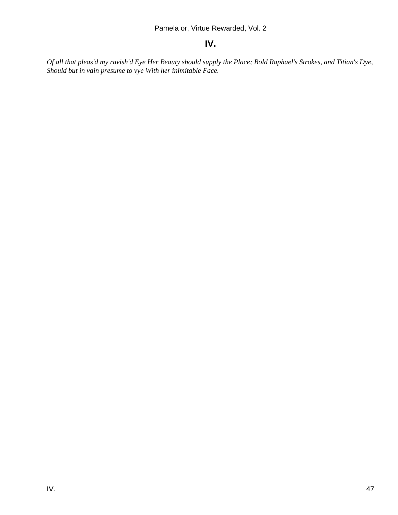## **IV.**

*Of all that pleas'd my ravish'd Eye Her Beauty should supply the Place; Bold Raphael's Strokes, and Titian's Dye, Should but in vain presume to vye With her inimitable Face.*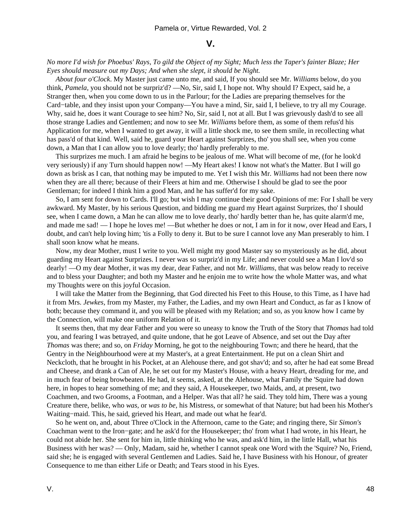*No more I'd wish for Phoebus' Rays, To gild the Object of my Sight; Much less the Taper's fainter Blaze; Her Eyes should measure out my Days; And when she slept, it should be Night.*

*About four o'Clock*. My Master just came unto me, and said, If you should see Mr. *Williams* below, do you think, *Pamela,* you should not be surpriz'd? —No, Sir, said I, I hope not. Why should I? Expect, said he, a Stranger then, when you come down to us in the Parlour; for the Ladies are preparing themselves for the Card−table, and they insist upon your Company—You have a mind, Sir, said I, I believe, to try all my Courage. Why, said he, does it want Courage to see him? No, Sir, said I, not at all. But I was grievously dash'd to see all those strange Ladies and Gentlemen; and now to see Mr. *Williams* before them, as some of them refus'd his Application for me, when I wanted to get away, it will a little shock me, to see them smile, in recollecting what has pass'd of that kind. Well, said he, guard your Heart against Surprizes, tho' you shall see, when you come down, a Man that I can allow you to love dearly; tho' hardly preferably to me.

 This surprizes me much. I am afraid he begins to be jealous of me. What will become of me, (for he look'd very seriously) if any Turn should happen now! —My Heart akes! I know not what's the Matter. But I will go down as brisk as I can, that nothing may be imputed to me. Yet I wish this Mr. *Williams* had not been there now when they are all there; because of their Fleers at him and me. Otherwise I should be glad to see the poor Gentleman; for indeed I think him a good Man, and he has suffer'd for my sake.

 So, I am sent for down to Cards. I'll go; but wish I may continue their good Opinions of me: For I shall be very awkward. My Master, by his serious Question, and bidding me guard my Heart against Surprizes, tho' I should see, when I came down, a Man he can allow me to love dearly, tho' hardly better than he, has quite alarm'd me, and made me sad! — I hope he loves me! —But whether he does or not, I am in for it now, over Head and Ears, I doubt, and can't help loving him; 'tis a Folly to deny it. But to be sure I cannot love any Man preserably to him. I shall soon know what he means.

 Now, my dear Mother, must I write to you. Well might my good Master say so mysteriously as he did, about guarding my Heart against Surprizes. I never was so surpriz'd in my Life; and never could see a Man I lov'd so dearly! —O my dear Mother, it was my dear, dear Father, and not Mr. *Williams,* that was below ready to receive and to bless your Daughter; and both my Master and he enjoin me to write how the whole Matter was, and what my Thoughts were on this joyful Occasion.

 I will take the Matter from the Beginning, that God directed his Feet to this House, to this Time, as I have had it from Mrs. *Jewkes,* from my Master, my Father, the Ladies, and my own Heart and Conduct, as far as I know of both; because they command it, and you will be pleased with my Relation; and so, as you know how I came by the Connection, will make one uniform Relation of it.

 It seems then, that my dear Father and you were so uneasy to know the Truth of the Story that *Thomas* had told you, and fearing I was betrayed, and quite undone, that he got Leave of Absence, and set out the Day after *Thomas* was there; and so, on *Friday* Morning, he got to the neighbouring Town; and there he heard, that the Gentry in the Neighbourhood were at my Master's, at a great Entertainment. He put on a clean Shirt and Neckcloth, that he brought in his Pocket, at an Alehouse there, and got shav'd; and so, after he had eat some Bread and Cheese, and drank a Can of Ale, he set out for my Master's House, with a heavy Heart, dreading for me, and in much fear of being browbeaten. He had, it seems, asked, at the Alehouse, what Family the 'Squire had down here, in hopes to hear something of me; and they said, A Housekeeper, two Maids, and, at present, two Coachmen, and two Grooms, a Footman, and a Helper. Was that all? he said. They told him, There was a young Creature there, belike, who *was,* or *was to be,* his Mistress, or somewhat of that Nature; but had been his Mother's Waiting−maid. This, he said, grieved his Heart, and made out what he fear'd.

 So he went on, and, about Three o'Clock in the Afternoon, came to the Gate; and ringing there, Sir *Simon's* Coachman went to the Iron−gate; and he ask'd for the Housekeeper; tho' from what I had wrote, in his Heart, he could not abide her. She sent for him in, little thinking who he was, and ask'd him, in the little Hall, what his Business with her was? — Only, Madam, said he, whether I cannot speak one Word with the 'Squire? No, Friend, said she; he is engaged with several Gentlemen and Ladies. Said he, I have Business with his Honour, of greater Consequence to me than either Life or Death; and Tears stood in his Eyes.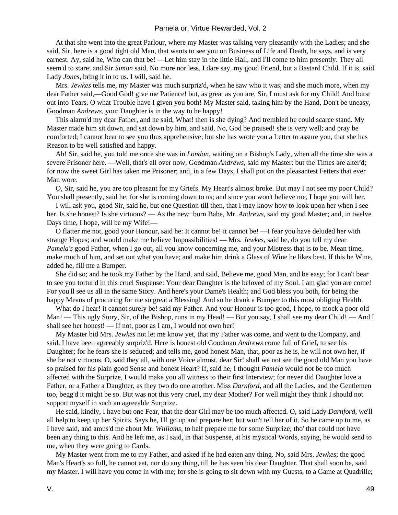At that she went into the great Parlour, where my Master was talking very pleasantly with the Ladies; and she said, Sir, here is a good tight old Man, that wants to see you on Business of Life and Death, he says, and is very earnest. Ay, said he, Who can that be! —Let him stay in the little Hall, and I'll come to him presently. They all seem'd to stare; and Sir *Simon* said, No more nor less, I dare say, my good Friend, but a Bastard Child. If it is, said Lady *Jones,* bring it in to us. I will, said he.

 Mrs. *Jewkes* tells me, my Master was much surpriz'd, when he saw who it was; and she much more, when my dear Father said,—Good God! give me Patience! but, as great as you are, Sir, I must ask for my Child! And burst out into Tears. O what Trouble have I given you both! My Master said, taking him by the Hand, Don't be uneasy, Goodman *Andrews,* your Daughter is in the way to be happy!

This alarm'd my dear Father, and he said, What! then is she dying? And trembled he could scarce stand. My Master made him sit down, and sat down by him, and said, No, God be praised! she is very well; and pray be comforted; I cannot bear to see you thus apprehensive; but she has wrote you a Letter to assure you, that she has Reason to be well satisfied and happy.

 Ah! Sir, said he, you told me once she was in *London,* waiting on a Bishop's Lady, when all the time she was a severe Prisoner here. —Well, that's all over now, Goodman *Andrews,* said my Master: but the Times are alter'd; for now the sweet Girl has taken me Prisoner; and, in a few Days, I shall put on the pleasantest Fetters that ever Man wore.

 O, Sir, said he, you are too pleasant for my Griefs. My Heart's almost broke. But may I not see my poor Child? You shall presently, said he; for she is coming down to us; and since you won't believe me, I hope you will her.

 I will ask you, good Sir, said he, but one Question till then, that I may know how to look upon her when I see her. Is she honest? Is she virtuous? — As the new−born Babe, Mr. *Andrews,* said my good Master; and, in twelve Days time, I hope, will be my Wife!—

 O flatter me not, good your Honour, said he: It cannot be! it cannot be! —I fear you have deluded her with strange Hopes; and would make me believe Impossibilities! — Mrs. *Jewkes,* said he, do you tell my dear *Pamela's* good Father, when I go out, all you know concerning me, and your Mistress that is to be. Mean time, make much of him, and set out what you have; and make him drink a Glass of Wine he likes best. If this be Wine, added he, fill me a Bumper.

 She did so; and he took my Father by the Hand, and said, Believe me, good Man, and be easy; for I can't bear to see you tortur'd in this cruel Suspense: Your dear Daughter is the beloved of my Soul. I am glad you are come! For you'll see us all in the same Story. And here's your Dame's Health; and God bless you both, for being the happy Means of procuring for me so great a Blessing! And so he drank a Bumper to this most obliging Health.

What do I hear! it cannot surely be! said my Father. And your Honour is too good, I hope, to mock a poor old Man! — This ugly Story, Sir, of the Bishop, runs in my Head! — But you say, I shall see my dear Child! — And I shall see her honest! — If not, poor as I am, I would not own her!

 My Master bid Mrs. *Jewkes* not let me know yet, that my Father was come, and went to the Company, and said, I have been agreeably surpriz'd. Here is honest old Goodman *Andrews* come full of Grief, to see his Daughter; for he fears she is seduced; and tells me, good honest Man, that, poor as he is, he will not own her, if she be not virtuous. O, said they all, with one Voice almost, dear Sir! shall we not see the good old Man you have so praised for his plain good Sense and honest Heart? If, said he, I thought *Pamela* would not be too much affected with the Surprize, I would make you all witness to their first Interview; for never did Daughter love a Father, or a Father a Daughter, as they two do one another. Miss *Darnford,* and all the Ladies, and the Gentlemen too, begg'd it might be so. But was not this very cruel, my dear Mother? For well might they think I should not support myself in such an agreeable Surprize.

 He said, kindly, I have but one Fear, that the dear Girl may be too much affected. O, said Lady *Darnford,* we'll all help to keep up her Spirits. Says he, I'll go up and prepare her; but won't tell her of it. So he came up to me, as I have said, and amus'd me about Mr. *Williams,* to half prepare me for some Surprize; tho' that could not have been any thing to this. And he left me, as I said, in that Suspense, at his mystical Words, saying, he would send to me, when they were going to Cards.

 My Master went from me to my Father, and asked if he had eaten any thing. No, said Mrs. *Jewkes*; the good Man's Heart's so full, he cannot eat, nor do any thing, till he has seen his dear Daughter. That shall soon be, said my Master. I will have you come in with me; for she is going to sit down with my Guests, to a Game at Quadrille;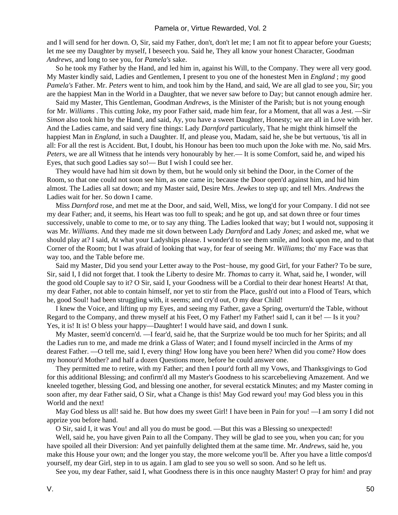and I will send for her down. O, Sir, said my Father, don't, don't let me; I am not fit to appear before your Guests; let me see my Daughter by myself, I beseech you. Said he, They all know your honest Character, Goodman *Andrews,* and long to see you, for *Pamela's* sake.

 So he took my Father by the Hand, and led him in, against his Will, to the Company. They were all very good. My Master kindly said, Ladies and Gentlemen, I present to you one of the honestest Men in *England* ; my good *Pamela's* Father. Mr. *Peters* went to him, and took him by the Hand, and said, We are all glad to see you, Sir; you are the happiest Man in the World in a Daughter, that we never saw before to Day; but cannot enough admire her.

 Said my Master, This Gentleman, Goodman *Andrews,* is the Minister of the Parish; but is not young enough for Mr. *Williams* . This cutting Joke, my poor Father said, made him fear, for a Moment, that all was a Jest. —Sir *Simon* also took him by the Hand, and said, Ay, you have a sweet Daughter, Honesty; we are all in Love with her. And the Ladies came, and said very fine things: Lady *Darnford* particularly, That he might think himself the happiest Man in *England,* in such a Daughter. If, and please you, Madam, said he, she be but vertuous, 'tis all in all: For all the rest is Accident. But, I doubt, his Honour has been too much upon the Joke with me. No, said Mrs. *Peters*, we are all Witness that he intends very honourably by her.— It is some Comfort, said he, and wiped his Eyes, that such good Ladies say so!— But I wish I could see her.

 They would have had him sit down by them, but he would only sit behind the Door, in the Corner of the Room, so that one could not soon see him, as one came in; because the Door open'd against him, and hid him almost. The Ladies all sat down; and my Master said, Desire Mrs. *Jewkes* to step up; and tell Mrs. *Andrews* the Ladies wait for her. So down I came.

 Miss *Darnford* rose, and met me at the Door, and said, Well, Miss, we long'd for your Company. I did not see my dear Father; and, it seems, his Heart was too full to speak; and he got up, and sat down three or four times successively, unable to come to me, or to say any thing. The Ladies looked that way; but I would not, supposing it was Mr. *Williams*. And they made me sit down between Lady *Darnford* and Lady *Jones*; and asked me, what we should play at? I said, At what your Ladyships please. I wonder'd to see them smile, and look upon me, and to that Corner of the Room; but I was afraid of looking that way, for fear of seeing Mr. *Williams*; tho' my Face was that way too, and the Table before me.

 Said my Master, Did you send your Letter away to the Post−house, my good Girl, for your Father? To be sure, Sir, said I, I did not forget that. I took the Liberty to desire Mr. *Thomas* to carry it. What, said he, I wonder, will the good old Couple say to it? O Sir, said I, your Goodness will be a Cordial to their dear honest Hearts! At that, my dear Father, not able to contain himself, nor yet to stir from the Place, gush'd out into a Flood of Tears, which he, good Soul! had been struggling with, it seems; and cry'd out, O my dear Child!

 I knew the Voice, and lifting up my Eyes, and seeing my Father, gave a Spring, overturn'd the Table, without Regard to the Company, and threw myself at his Feet, O my Father! my Father! said I, can it be! — Is it you? Yes, it is! It is! O bless your happy—Daughter! I would have said, and down I sunk.

 My Master, seem'd concern'd. —I fear'd, said he, that the Surprize would be too much for her Spirits; and all the Ladies run to me, and made me drink a Glass of Water; and I found myself incircled in the Arms of my dearest Father. —O tell me, said I, every thing! How long have you been here? When did you come? How does my honour'd Mother? and half a dozen Questions more, before he could answer one.

 They permitted me to retire, with my Father; and then I pour'd forth all my Vows, and Thanksgivings to God for this additional Blessing; and confirm'd all my Master's Goodness to his scarcebelieving Amazement. And we kneeled together, blessing God, and blessing one another, for several ecstatick Minutes; and my Master coming in soon after, my dear Father said, O Sir, what a Change is this! May God reward you! may God bless you in this World and the next!

 May God bless us all! said he. But how does my sweet Girl! I have been in Pain for you! —I am sorry I did not apprize you before hand.

O Sir, said I, it was You! and all you do must be good. —But this was a Blessing so unexpected!

Well, said he, you have given Pain to all the Company. They will be glad to see you, when you can; for you have spoiled all their Diversion: And yet painfully delighted them at the same time. Mr. *Andrews,* said he, you make this House your own; and the longer you stay, the more welcome you'll be. After you have a little compos'd yourself, my dear Girl, step in to us again. I am glad to see you so well so soon. And so he left us.

See you, my dear Father, said I, what Goodness there is in this once naughty Master! O pray for him! and pray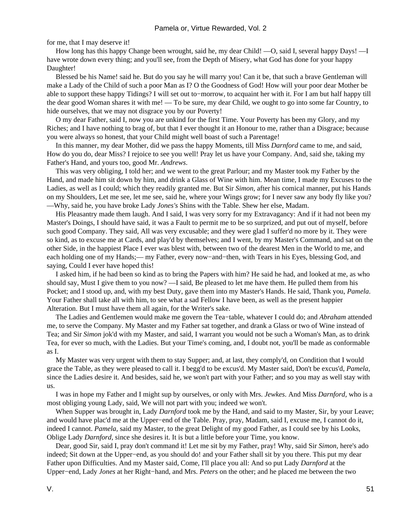for me, that I may deserve it!

 How long has this happy Change been wrought, said he, my dear Child! —O, said I, several happy Days! —I have wrote down every thing; and you'll see, from the Depth of Misery, what God has done for your happy Daughter!

 Blessed be his Name! said he. But do you say he will marry you! Can it be, that such a brave Gentleman will make a Lady of the Child of such a poor Man as I? O the Goodness of God! How will your poor dear Mother be able to support these happy Tidings? I will set out to−morrow, to acquaint her with it. For I am but half happy till the dear good Woman shares it with me! — To be sure, my dear Child, we ought to go into some far Country, to hide ourselves, that we may not disgrace you by our Poverty!

 O my dear Father, said I, now you are unkind for the first Time. Your Poverty has been my Glory, and my Riches; and I have nothing to brag of, but that I ever thought it an Honour to me, rather than a Disgrace; because you were always so honest, that your Child might well boast of such a Parentage!

 In this manner, my dear Mother, did we pass the happy Moments, till Miss *Darnford* came to me, and said, How do you do, dear Miss? I rejoice to see you well! Pray let us have your Company. And, said she, taking my Father's Hand, and yours too, good Mr. *Andrews*.

 This was very obliging, I told her; and we went to the great Parlour; and my Master took my Father by the Hand, and made him sit down by him, and drink a Glass of Wine with him. Mean time, I made my Excuses to the Ladies, as well as I could; which they readily granted me. But Sir *Simon,* after his comical manner, put his Hands on my Shoulders, Let me see, let me see, said he, where your Wings grow; for I never saw any body fly like you? —Why, said he, you have broke Lady *Jones's* Shins with the Table. Shew her else, Madam.

 His Pleasantry made them laugh. And I said, I was very sorry for my Extravagancy: And if it had not been my Master's Doings, I should have said, it was a Fault to permit me to be so surprized, and put out of myself, before such good Company. They said, All was very excusable; and they were glad I suffer'd no more by it. They were so kind, as to excuse me at Cards, and play'd by themselves; and I went, by my Master's Command, and sat on the other Side, in the happiest Place I ever was blest with, between two of the dearest Men in the World to me, and each holding one of my Hands;— my Father, every now−and−then, with Tears in his Eyes, blessing God, and saying, Could I ever have hoped this!

 I asked him, if he had been so kind as to bring the Papers with him? He said he had, and looked at me, as who should say, Must I give them to you now? —I said, Be pleased to let me have them. He pulled them from his Pocket; and I stood up, and, with my best Duty, gave them into my Master's Hands. He said, Thank you, *Pamela*. Your Father shall take all with him, to see what a sad Fellow I have been, as well as the present happier Alteration. But I must have them all again, for the Writer's sake.

 The Ladies and Gentlemen would make me govern the Tea−table, whatever I could do; and *Abraham* attended me, to serve the Company. My Master and my Father sat together, and drank a Glass or two of Wine instead of Tea; and Sir *Simon* jok'd with my Master, and said, I warrant you would not be such a Woman's Man, as to drink Tea, for ever so much, with the Ladies. But your Time's coming, and, I doubt not, you'll be made as conformable as I.

 My Master was very urgent with them to stay Supper; and, at last, they comply'd, on Condition that I would grace the Table, as they were pleased to call it. I begg'd to be excus'd. My Master said, Don't be excus'd, *Pamela,* since the Ladies desire it. And besides, said he, we won't part with your Father; and so you may as well stay with us.

 I was in hope my Father and I might sup by ourselves, or only with Mrs. *Jewkes*. And Miss *Darnford,* who is a most obliging young Lady, said, We will not part with you; indeed we won't.

 When Supper was brought in, Lady *Darnford* took me by the Hand, and said to my Master, Sir, by your Leave; and would have plac'd me at the Upper−end of the Table. Pray, pray, Madam, said I, excuse me, I cannot do it, indeed I cannot. *Pamela,* said my Master, to the great Delight of my good Father, as I could see by his Looks, Oblige Lady *Darnford,* since she desires it. It is but a little before your Time, you know.

 Dear, good Sir, said I, pray don't command it! Let me sit by my Father, pray! Why, said Sir *Simon,* here's ado indeed; Sit down at the Upper−end, as you should do! and your Father shall sit by you there. This put my dear Father upon Difficulties. And my Master said, Come, I'll place you all: And so put Lady *Darnford* at the Upper−end, Lady *Jones* at her Right−hand, and Mrs. *Peters* on the other; and he placed me between the two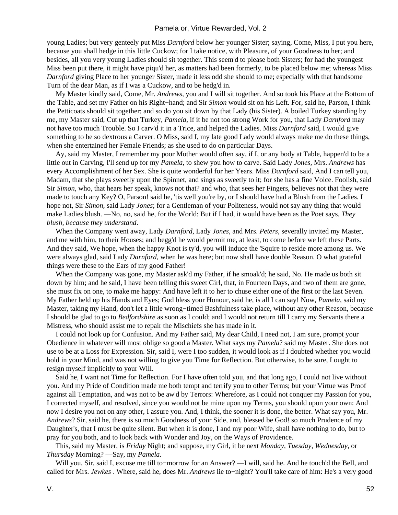young Ladies; but very genteely put Miss *Darnford* below her younger Sister; saying, Come, Miss, I put you here, because you shall hedge in this little Cuckow; for I take notice, with Pleasure, of your Goodness to her; and besides, all you very young Ladies should sit together. This seem'd to please both Sisters; for had the youngest Miss been put there, it might have piqu'd her, as matters had been formerly, to be placed below me; whereas Miss *Darnford* giving Place to her younger Sister, made it less odd she should to me; especially with that handsome Turn of the dear Man, as if I was a Cuckow, and to be hedg'd in.

 My Master kindly said, Come, Mr. *Andrews,* you and I will sit together. And so took his Place at the Bottom of the Table, and set my Father on his Right−hand; and Sir *Simon* would sit on his Left. For, said he, Parson, I think the Petticoats should sit together; and so do you sit down by that Lady (his Sister). A boiled Turkey standing by me, my Master said, Cut up that Turkey, *Pamela,* if it be not too strong Work for you, that Lady *Darnford* may not have too much Trouble. So I carv'd it in a Trice, and helped the Ladies. Miss *Darnford* said, I would give something to be so dextrous a Carver. O Miss, said I, my late good Lady would always make me do these things, when she entertained her Female Friends; as she used to do on particular Days.

 Ay, said my Master, I remember my poor Mother would often say, if I, or any body at Table, happen'd to be a little out in Carving, I'll send up for my *Pamela,* to shew you how to carve. Said Lady *Jones,* Mrs. *Andrews* has every Accomplishment of her Sex. She is quite wonderful for her Years. Miss *Darnford* said, And I can tell you, Madam, that she plays sweetly upon the Spinnet, and sings as sweetly to it; for she has a fine Voice. Foolish, said Sir *Simon,* who, that hears her speak, knows not that? and who, that sees her Fingers, believes not that they were made to touch any Key? O, Parson! said he, 'tis well you're by, or I should have had a Blush from the Ladies. I hope not, Sir *Simon,* said Lady *Jones*; for a Gentleman of your Politeness, would not say any thing that would make Ladies blush. —No, no, said he, for the World: But if I had, it would have been as the Poet says, *They blush, because they understand*.

 When the Company went away, Lady *Darnford,* Lady *Jones,* and Mrs. *Peters,* severally invited my Master, and me with him, to their Houses; and begg'd he would permit me, at least, to come before we left these Parts. And they said, We hope, when the happy Knot is ty'd, you will induce the 'Squire to reside more among us. We were always glad, said Lady *Darnford,* when he was here; but now shall have double Reason. O what grateful things were these to the Ears of my good Father!

 When the Company was gone, my Master ask'd my Father, if he smoak'd; he said, No. He made us both sit down by him; and he said, I have been telling this sweet Girl, that, in Fourteen Days, and two of them are gone, she must fix on one, to make me happy: And have left it to her to chuse either one of the first or the last Seven. My Father held up his Hands and Eyes; God bless your Honour, said he, is all I can say! Now, *Pamela,* said my Master, taking my Hand, don't let a little wrong–timed Bashfulness take place, without any other Reason, because I should be glad to go to *Bedfordshire* as soon as I could; and I would not return till I carry my Servants there a Mistress, who should assist me to repair the Mischiefs she has made in it.

 I could not look up for Confusion. And my Father said, My dear Child, I need not, I am sure, prompt your Obedience in whatever will most oblige so good a Master. What says my *Pamela*? said my Master. She does not use to be at a Loss for Expression. Sir, said I, were I too sudden, it would look as if I doubted whether you would hold in your Mind, and was not willing to give you Time for Reflection. But otherwise, to be sure, I ought to resign myself implicitly to your Will.

 Said he, I want not Time for Reflection. For I have often told you, and that long ago, I could not live without you. And my Pride of Condition made me both tempt and terrify you to other Terms; but your Virtue was Proof against all Temptation, and was not to be aw'd by Terrors: Wherefore, as I could not conquer my Passion for you, I corrected myself, and resolved, since you would not be mine upon my Terms, you should upon your own: And now I desire you not on any other, I assure you. And, I think, the sooner it is done, the better. What say you, Mr. *Andrews*? Sir, said he, there is so much Goodness of your Side, and, blessed be God! so much Prudence of my Daughter's, that I must be quite silent. But when it is done, I and my poor Wife, shall have nothing to do, but to pray for you both, and to look back with Wonder and Joy, on the Ways of Providence.

 This, said my Master, is *Friday* Night; and suppose, my Girl, it be next *Monday, Tuesday, Wednesday,* or *Thursday* Morning? —Say, my *Pamela*.

 Will you, Sir, said I, excuse me till to−morrow for an Answer? —I will, said he. And he touch'd the Bell, and called for Mrs. *Jewkes* . Where, said he, does Mr. *Andrews* lie to−night? You'll take care of him: He's a very good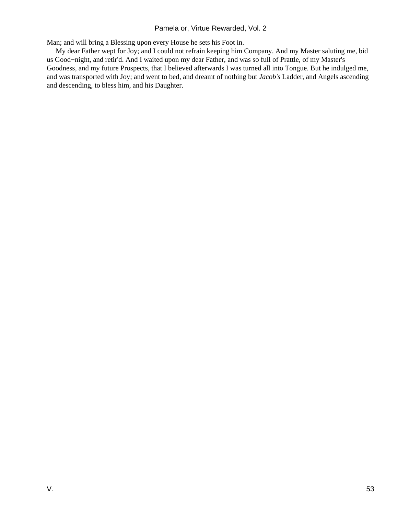Man; and will bring a Blessing upon every House he sets his Foot in.

 My dear Father wept for Joy; and I could not refrain keeping him Company. And my Master saluting me, bid us Good−night, and retir'd. And I waited upon my dear Father, and was so full of Prattle, of my Master's Goodness, and my future Prospects, that I believed afterwards I was turned all into Tongue. But he indulged me, and was transported with Joy; and went to bed, and dreamt of nothing but *Jacob's* Ladder, and Angels ascending and descending, to bless him, and his Daughter.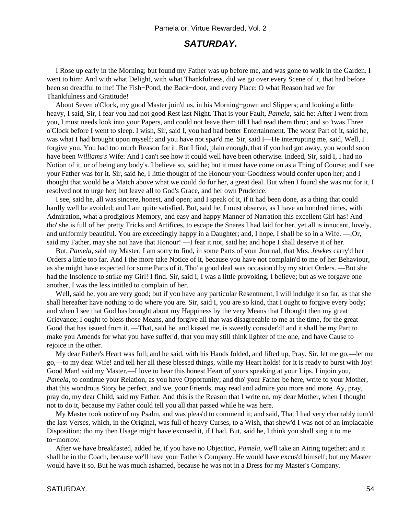## **SATURDAY.**

 I Rose up early in the Morning; but found my Father was up before me, and was gone to walk in the Garden. I went to him: And with what Delight, with what Thankfulness, did we go over every Scene of it, that had before been so dreadful to me! The Fish−Pond, the Back−door, and every Place: O what Reason had we for Thankfulness and Gratitude!

 About Seven o'Clock, my good Master join'd us, in his Morning−gown and Slippers; and looking a little heavy, I said, Sir, I fear you had not good Rest last Night. That is your Fault, *Pamela,* said he: After I went from you, I must needs look into your Papers, and could not leave them till I had read them thro'; and so 'twas Three o'Clock before I went to sleep. I wish, Sir, said I, you had had better Entertainment. The worst Part of it, said he, was what I had brought upon myself; and you have not spar'd me. Sir, said I—He interrupting me, said, Well, I forgive you. You had too much Reason for it. But I find, plain enough, that if you had got away, you would soon have been *Williams's* Wife: And I can't see how it could well have been otherwise. Indeed, Sir, said I, I had no Notion of it, or of being any body's. I believe so, said he; but it must have come on as a Thing of Course; and I see your Father was for it. Sir, said he, I little thought of the Honour your Goodness would confer upon her; and I thought that would be a Match above what we could do for her, a great deal. But when I found she was not for it, I resolved not to urge her; but leave all to God's Grace, and her own Prudence.

 I see, said he, all was sincere, honest, and open; and I speak of it, if it had been done, as a thing that could hardly well be avoided; and I am quite satisfied. But, said he, I must observe, as I have an hundred times, with Admiration, what a prodigious Memory, and easy and happy Manner of Narration this excellent Girl has! And tho' she is full of her pretty Tricks and Artifices, to escape the Snares I had laid for her, yet all is innocent, lovely, and uniformly beautiful. You are exceedingly happy in a Daughter; and, I hope, I shall be so in a Wife. —;Or, said my Father, may she not have that Honour! —I fear it not, said he; and hope I shall deserve it of her.

 But, *Pamela,* said my Master, I am sorry to find, in some Parts of your Journal, that Mrs. *Jewkes* carry'd her Orders a little too far. And I the more take Notice of it, because you have not complain'd to me of her Behaviour, as she might have expected for some Parts of it. Tho' a good deal was occasion'd by my strict Orders. —But she had the Insolence to strike my Girl! I find. Sir, said I, I was a little provoking, I believe; but as we forgave one another, I was the less intitled to complain of her.

Well, said he, you are very good; but if you have any particular Resentment, I will indulge it so far, as that she shall hereafter have nothing to do where you are. Sir, said I, you are so kind, that I ought to forgive every body; and when I see that God has brought about my Happiness by the very Means that I thought then my great Grievance; I ought to bless those Means, and forgive all that was disagreeable to me at the time, for the great Good that has issued from it. —That, said he, and kissed me, is sweetly consider'd! and it shall be my Part to make you Amends for what you have suffer'd, that you may still think lighter of the one, and have Cause to rejoice in the other.

 My dear Father's Heart was full; and he said, with his Hands folded, and lifted up, Pray, Sir, let me go,—let me go,—to my dear Wife! and tell her all these blessed things, while my Heart holds! for it is ready to burst with Joy! Good Man! said my Master,—I love to hear this honest Heart of yours speaking at your Lips. I injoin you, *Pamela,* to continue your Relation, as you have Opportunity; and tho' your Father be here, write to your Mother, that this wondrous Story be perfect, and we, your Friends, may read and admire you more and more. Ay, pray, pray do, my dear Child, said my Father. And this is the Reason that I write on, my dear Mother, when I thought not to do it, because my Father could tell you all that passed while he was here.

 My Master took notice of my Psalm, and was pleas'd to commend it; and said, That I had very charitably turn'd the last Verses, which, in the Original, was full of heavy Curses, to a Wish, that shew'd I was not of an implacable Disposition; tho my then Usage might have excused it, if I had. But, said he, I think you shall sing it to me to−morrow.

 After we have breakfasted, added he, if you have no Objection, *Pamela,* we'll take an Airing together; and it shall be in the Coach, because we'll have your Father's Company. He would have excus'd himself; but my Master would have it so. But he was much ashamed, because he was not in a Dress for my Master's Company.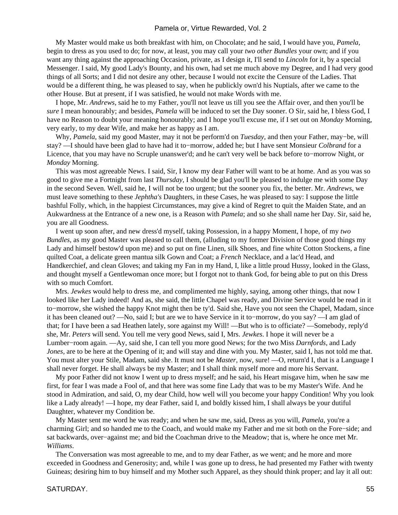My Master would make us both breakfast with him, on Chocolate; and he said, I would have you, *Pamela,* begin to dress as you used to do; for now, at least, you may call your *two other Bundles* your own; and if you want any thing against the approaching Occasion, private, as I design it, I'll send to *Lincoln* for it, by a special Messenger. I said, My good Lady's Bounty, and his own, had set me much above my Degree, and I had very good things of all Sorts; and I did not desire any other, because I would not excite the Censure of the Ladies. That would be a different thing, he was pleased to say, when he publickly own'd his Nuptials, after we came to the other House. But at present, if I was satisfied, he would not make Words with me.

 I hope, Mr. *Andrews,* said he to my Father, you'll not leave us till you see the Affair over, and then you'll be *sure* I mean honourably; and besides, *Pamela* will be induced to set the Day sooner. O Sir, said he, I bless God, I have no Reason to doubt your meaning honourably; and I hope you'll excuse me, if I set out on *Monday* Morning, very early, to my dear Wife, and make her as happy as I am.

 Why, *Pamela,* said my good Master, may it not be perform'd on *Tuesday,* and then your Father, may−be, will stay? —I should have been glad to have had it to−morrow, added he; but I have sent Monsieur *Colbrand* for a Licence, that you may have no Scruple unanswer'd; and he can't very well be back before to−morrow Night, or *Monday* Morning.

 This was most agreeable News. I said, Sir, I know my dear Father will want to be at home. And as you was so good to give me a Fortnight from last *Thursday,* I should be glad you'll be pleased to indulge me with some Day in the second Seven. Well, said he, I will not be too urgent; but the sooner you fix, the better. Mr. *Andrews,* we must leave something to these *Jephtha's* Daughters, in these Cases, he was pleased to say: I suppose the little bashful Folly, which, in the happiest Circumstances, may give a kind of Regret to quit the Maiden State, and an Aukwardness at the Entrance of a new one, is a Reason with *Pamela*; and so she shall name her Day. Sir, said he, you are all Goodness.

 I went up soon after, and new dress'd myself, taking Possession, in a happy Moment, I hope, of my *two Bundles,* as my good Master was pleased to call them, (alluding to my former Division of those good things my Lady and himself bestow'd upon me) and so put on fine Linen, silk Shoes, and fine white Cotton Stockens, a fine quilted Coat, a delicate green mantua silk Gown and Coat; a *French* Necklace, and a lac'd Head, and Handkerchief, and clean Gloves; and taking my Fan in my Hand, I, like a little proud Hussy, looked in the Glass, and thought myself a Gentlewoman once more; but I forgot not to thank God, for being able to put on this Dress with so much Comfort.

 Mrs. *Jewkes* would help to dress me, and complimented me highly, saying, among other things, that now I looked like her Lady indeed! And as, she said, the little Chapel was ready, and Divine Service would be read in it to−morrow, she wished the happy Knot might then be ty'd. Said she, Have you not seen the Chapel, Madam, since it has been cleaned out? —No, said I; but are we to have Service in it to−morrow, do you say? —I am glad of that; for I have been a sad Heathen lately, sore against my Will! —But who is to officiate? —Somebody, reply'd she, Mr. *Peters* will send. You tell me very good News, said I, Mrs. *Jewkes*. I hope it will never be a Lumber−room again. —Ay, said she, I can tell you more good News; for the two Miss *Darnfords,* and Lady *Jones*, are to be here at the Opening of it; and will stay and dine with you. My Master, said I, has not told me that. You must alter your Stile, Madam, said she. It must not be *Master,* now, sure! —O, return'd I, that is a Language I shall never forget. He shall always be my Master; and I shall think myself more and more his Servant.

 My poor Father did not know I went up to dress myself; and he said, his Heart misgave him, when he saw me first, for fear I was made a Fool of, and that here was some fine Lady that was to be my Master's Wife. And he stood in Admiration, and said, O, my dear Child, how well will you become your happy Condition! Why you look like a Lady already! —I hope, my dear Father, said I, and boldly kissed him, I shall always be your dutiful Daughter, whatever my Condition be.

 My Master sent me word he was ready; and when he saw me, said, Dress as you will, *Pamela,* you're a charming Girl; and so handed me to the Coach, and would make my Father and me sit both on the Fore−side; and sat backwards, over−against me; and bid the Coachman drive to the Meadow; that is, where he once met Mr. *Williams*.

 The Conversation was most agreeable to me, and to my dear Father, as we went; and he more and more exceeded in Goodness and Generosity; and, while I was gone up to dress, he had presented my Father with twenty Guineas; desiring him to buy himself and my Mother such Apparel, as they should think proper; and lay it all out: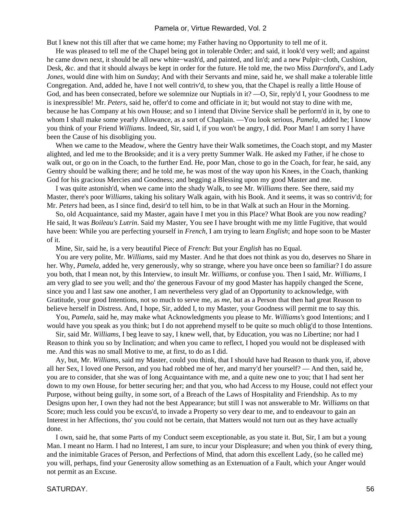But I knew not this till after that we came home; my Father having no Opportunity to tell me of it.

 He was pleased to tell me of the Chapel being got in tolerable Order; and said, it look'd very well; and against he came down next, it should be all new white−wash'd, and painted, and lin'd; and a new Pulpit−cloth, Cushion, Desk, *&c.* and that it should always be kept in order for the future. He told me, the two Miss *Darnford's,* and Lady *Jones,* would dine with him on *Sunday*; And with their Servants and mine, said he, we shall make a tolerable little Congregation. And, added he, have I not well contriv'd, to shew you, that the Chapel is really a little House of God, and has been consecrated, before we solemnize our Nuptials in it? —O, Sir, reply'd I, your Goodness to me is inexpressible! Mr. *Peters,* said he, offer'd to come and officiate in it; but would not stay to dine with me, because he has Company at his own House; and so I intend that Divine Service shall be perform'd in it, by one to whom I shall make some yearly Allowance, as a sort of Chaplain. —You look serious, *Pamela,* added he; I know you think of your Friend *Williams*. Indeed, Sir, said I, if you won't be angry, I did. Poor Man! I am sorry I have been the Cause of his disobliging you.

 When we came to the Meadow, where the Gentry have their Walk sometimes, the Coach stopt, and my Master alighted, and led me to the Brookside; and it is a very pretty Summer Walk. He asked my Father, if he chose to walk out, or go on in the Coach, to the further End. He, poor Man, chose to go in the Coach, for fear, he said, any Gentry should be walking there; and he told me, he was most of the way upon his Knees, in the Coach, thanking God for his gracious Mercies and Goodness; and begging a Blessing upon my good Master and me.

 I was quite astonish'd, when we came into the shady Walk, to see Mr. *Williams* there. See there, said my Master, there's poor *Williams,* taking his solitary Walk again, with his Book. And it seems, it was so contriv'd; for Mr. *Peters* had been, as I since find, desir'd to tell him, to be in that Walk at such an Hour in the Morning.

 So, old Acquaintance, said my Master, again have I met you in this Place? What Book are you now reading? He said, It was *Boileau's Lutrin*. Said my Master, You see I have brought with me my little Fugitive, that would have been: While you are perfecting yourself in *French,* I am trying to learn *English*; and hope soon to be Master of it.

Mine, Sir, said he, is a very beautiful Piece of *French*: But your *English* has no Equal.

 You are very polite, Mr. *Williams,* said my Master. And he that does not think as you do, deserves no Share in her. Why, *Pamela,* added he, very generously, why so strange, where you have once been so familiar? I do assure you both, that I mean not, by this Interview, to insult Mr. *Williams,* or confuse you. Then I said, Mr. *Williams,* I am very glad to see you well; and tho' the generous Favour of my good Master has happily changed the Scene, since you and I last saw one another, I am nevertheless very glad of an Opportunity to acknowledge, with Gratitude, your good Intentions, not so much to serve me, as *me,* but as a Person that then had great Reason to believe herself in Distress. And, I hope, Sir, added I, to my Master, your Goodness will permit me to say this.

 You, *Pamela,* said he, may make what Acknowledgments you please to Mr. *Williams's* good Intentions; and I would have you speak as you think; but I do not apprehend myself to be quite so much oblig'd to those Intentions.

 Sir, said Mr. *Williams,* I beg leave to say, I knew well, that, by Education, you was no Libertine; nor had I Reason to think you so by Inclination; and when you came to reflect, I hoped you would not be displeased with me. And this was no small Motive to me, at first, to do as I did.

 Ay, but, Mr. *Williams,* said my Master, could you think, that I should have had Reason to thank you, if, above all her Sex, I loved one Person, and you had robbed me of her, and marry'd her yourself? — And then, said he, you are to consider, that she was of long Acquaintance with me, and a quite new one to you; that I had sent her down to my own House, for better securing her; and that you, who had Access to my House, could not effect your Purpose, without being guilty, in some sort, of a Breach of the Laws of Hospitality and Friendship. As to my Designs upon her, I own they had not the best Appearance; but still I was not answerable to Mr. *Williams* on that Score; much less could you be excus'd, to invade a Property so very dear to me, and to endeavour to gain an Interest in her Affections, tho' you could not be certain, that Matters would not turn out as they have actually done.

 I own, said he, that some Parts of my Conduct seem exceptionable, as you state it. But, Sir, I am but a young Man. I meant no Harm. I had no Interest, I am sure, to incur your Displeasure; and when you think of every thing, and the inimitable Graces of Person, and Perfections of Mind, that adorn this excellent Lady, (so he called me) you will, perhaps, find your Generosity allow something as an Extenuation of a Fault, which your Anger would not permit as an Excuse.

#### SATURDAY. 56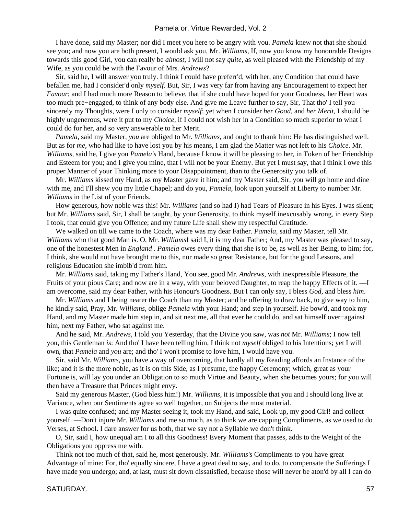I have done, said my Master; nor did I meet you here to be angry with you. *Pamela* knew not that she should see you; and now you are both present, I would ask you, Mr. *Williams,* If, now you know my honourable Designs towards this good Girl, you can really be *almost,* I will not say *quite,* as well pleased with the Friendship of my Wife, as you could be with the Favour of Mrs. *Andrews*?

 Sir, said he, I will answer you truly. I think I could have preferr'd, with her, any Condition that could have befallen me, had I consider'd only *myself*. But, Sir, I was very far from having any Encouragement to expect her *Favour*; and I had much more Reason to believe, that if she could have hoped for your Goodness, her Heart was too much pre−engaged, to think of any body else. And give me Leave further to say, Sir, That tho' I tell you sincerely my Thoughts, were I only to consider *myself*; yet when I consider *her Good,* and *her Merit,* I should be highly ungenerous, were it put to my *Choice,* if I could not wish her in a Condition so much superior to what I could do for her, and so very answerable to her Merit.

*Pamela,* said my Master, *you* are obliged to Mr. *Williams,* and ought to thank him: He has distinguished well. But as for *me,* who had like to have lost you by his means, I am glad the Matter was not left to his *Choice*. Mr. *Williams,* said he, I give you *Pamela's* Hand, because I know it will be pleasing to her, in Token of her Friendship and Esteem for you; and I give you mine, that I will not be your Enemy. But yet I must say, that I think I owe this proper Manner of your Thinking more to your Disappointment, than to the Generosity you talk of.

 Mr. *Williams* kissed my Hand, as my Master gave it him; and my Master said, Sir, you will go home and dine with me, and I'll shew you my little Chapel; and do you, *Pamela,* look upon yourself at Liberty to number Mr. *Williams* in the List of your Friends.

 How generous, how noble was this! Mr. *Williams* (and so had I) had Tears of Pleasure in his Eyes. I was silent; but Mr. *Williams* said, Sir, I shall be taught, by your Generosity, to think myself inexcusably wrong, in every Step I took, that could give you Offence; and my future Life shall shew my respectful Gratitude.

 We walked on till we came to the Coach, where was my dear Father. *Pamela,* said my Master, tell Mr. *Williams* who that good Man is. O, Mr. *Williams*! said I, it is my dear Father; And, my Master was pleased to say, one of the honestest Men in *England* . *Pamela* owes every thing that she is to be, as well as her Being, to him; for, I think, she would not have brought me to this, nor made so great Resistance, but for the good Lessons, and religious Education she imbib'd from him.

 Mr. *Williams* said, taking my Father's Hand, You see, good Mr. *Andrews,* with inexpressible Pleasure, the Fruits of your pious Care; and now are in a way, with your beloved Daughter, to reap the happy Effects of it. —I am overcome, said my dear Father, with his Honour's Goodness. But I can only say, I bless *God,* and bless *him*.

 Mr. *Williams* and I being nearer the Coach than my Master; and he offering to draw back, to give way to him, he kindly said, Pray, Mr. *Williams,* oblige *Pamela* with your Hand; and step in yourself. He bow'd, and took my Hand, and my Master made him step in, and sit next me, all that ever he could do, and sat himself over−against him, next my Father, who sat against me.

 And he said, Mr. *Andrews,* I told you Yesterday, that the Divine you saw, was *not* Mr. *Williams*; I now tell you, this Gentleman *is*: And tho' I have been telling him, I think not *myself* obliged to his Intentions; yet I will own, that *Pamela* and *you* are; and tho' I won't promise to love him, I would have you.

 Sir, said Mr. *Williams,* you have a way of overcoming, that hardly all my Reading affords an Instance of the like; and it is the more noble, as it is on this Side, as I presume, the happy Ceremony; which, great as your Fortune is, will lay you under an Obligation to so much Virtue and Beauty, when she becomes yours; for you will then have a Treasure that Princes might envy.

 Said my generous Master, (God bless him!) Mr. *Williams,* it is impossible that you and I should long live at Variance, when our Sentiments agree so well together, on Subjects the most material.

 I was quite confused; and my Master seeing it, took my Hand, and said, Look up, my good Girl! and collect yourself. —Don't injure Mr. *Williams* and me so much, as to think we are capping Compliments, as we used to do Verses, at School. I dare answer for us both, that we say not a Syllable we don't think.

 O, Sir, said I, how unequal am I to all this Goodness! Every Moment that passes, adds to the Weight of the Obligations you oppress me with.

 Think not too much of that, said he, most generously. Mr. *Williams's* Compliments to you have great Advantage of mine: For, tho' equally sincere, I have a great deal to say, and to do, to compensate the Sufferings I have made you undergo; and, at last, must sit down dissatisfied, because those will never be aton'd by all I can do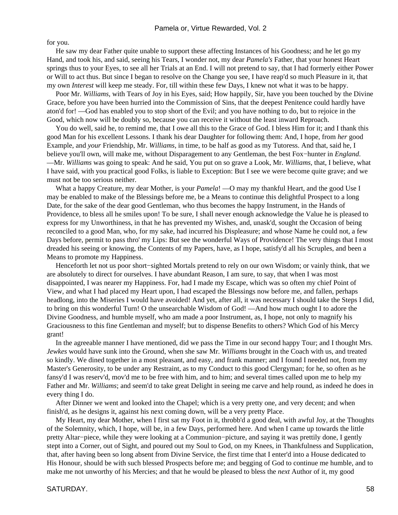for you.

 He saw my dear Father quite unable to support these affecting Instances of his Goodness; and he let go my Hand, and took his, and said, seeing his Tears, I wonder not, my dear *Pamela's* Father, that your honest Heart springs thus to your Eyes, to see all her Trials at an End. I will not pretend to say, that I had formerly either Power or Will to act thus. But since I began to resolve on the Change you see, I have reap'd so much Pleasure in it, that my own *Interest* will keep me steady. For, till within these few Days, I knew not what it was to be happy.

 Poor Mr. *Williams,* with Tears of Joy in his Eyes, said; How happily, Sir, have you been touched by the Divine Grace, before you have been hurried into the Commission of Sins, that the deepest Penitence could hardly have aton'd for! —God has enabled you to stop short of the Evil; and you have nothing to do, but to rejoice in the Good, which now will be doubly so, because you can receive it without the least inward Reproach.

 You do well, said he, to remind me, that I owe all this to the Grace of God. I bless Him for it; and I thank this good Man for his excellent Lessons. I thank his dear Daughter for following them: And, I hope, from *her* good Example, and *your* Friendship, Mr. *Williams,* in time, to be half as good as my Tutoress. And that, said he, I believe you'll own, will make me, without Disparagement to any Gentleman, the best Fox−hunter in *England*. —Mr. *Williams* was going to speak: And he said, You put on so grave a Look, Mr. *Williams,* that, I believe, what I have said, with you practical good Folks, is liable to Exception: But I see we were become quite grave; and we must not be too serious neither.

What a happy Creature, my dear Mother, is your *Pamela*! —O may my thankful Heart, and the good Use I may be enabled to make of the Blessings before me, be a Means to continue this delightful Prospect to a long Date, for the sake of the dear good Gentleman, who thus becomes the happy Instrument, in the Hands of Providence, to bless all he smiles upon! To be sure, I shall never enough acknowledge the Value he is pleased to express for my Unworthiness, in that he has prevented my Wishes, and, unask'd, sought the Occasion of being reconciled to a good Man, who, for my sake, had incurred his Displeasure; and whose Name he could not, a few Days before, permit to pass thro' my Lips: But see the wonderful Ways of Providence! The very things that I most dreaded his seeing or knowing, the Contents of my Papers, have, as I hope, satisfy'd all his Scruples, and been a Means to promote my Happiness.

 Henceforth let not us poor short−sighted Mortals pretend to rely on our own Wisdom; or vainly think, that we are absolutely to direct for ourselves. I have abundant Reason, I am sure, to say, that when I was most disappointed, I was nearer my Happiness. For, had I made my Escape, which was so often my chief Point of View, and what I had placed my Heart upon, I had escaped the Blessings now before me, and fallen, perhaps headlong, into the Miseries I would have avoided! And yet, after all, it was necessary I should take the Steps I did, to bring on this wonderful Turn! O the unsearchable Wisdom of God! —And how much ought I to adore the Divine Goodness, and humble myself, who am made a poor Instrument, as, I hope, not only to magnify his Graciousness to this fine Gentleman and myself; but to dispense Benefits to others? Which God of his Mercy grant!

 In the agreeable manner I have mentioned, did we pass the Time in our second happy Tour; and I thought Mrs. *Jewkes* would have sunk into the Ground, when she saw Mr. *Williams* brought in the Coach with us, and treated so kindly. We dined together in a most pleasant, and easy, and frank manner; and I found I needed not, from my Master's Generosity, to be under any Restraint, as to my Conduct to this good Clergyman; for he, so often as he fansy'd I was reserv'd, mov'd me to be free with him, and to him; and several times called upon me to help my Father and Mr. *Williams*; and seem'd to take great Delight in seeing me carve and help round, as indeed he does in every thing I do.

 After Dinner we went and looked into the Chapel; which is a very pretty one, and very decent; and when finish'd, as he designs it, against his next coming down, will be a very pretty Place.

 My Heart, my dear Mother, when I first sat my Foot in it, throbb'd a good deal, with awful Joy, at the Thoughts of the Solemnity, which, I hope, will be, in a few Days, performed here. And when I came up towards the little pretty Altar−piece, while they were looking at a Communion−picture, and saying it was prettily done, I gently stept into a Corner, out of Sight, and poured out my Soul to God, on my Knees, in Thankfulness and Supplication, that, after having been so long absent from Divine Service, the first time that I enter'd into a House dedicated to His Honour, should be with such blessed Prospects before me; and begging of God to continue me humble, and to make me not unworthy of his Mercies; and that he would be pleased to bless the *next* Author of it, my good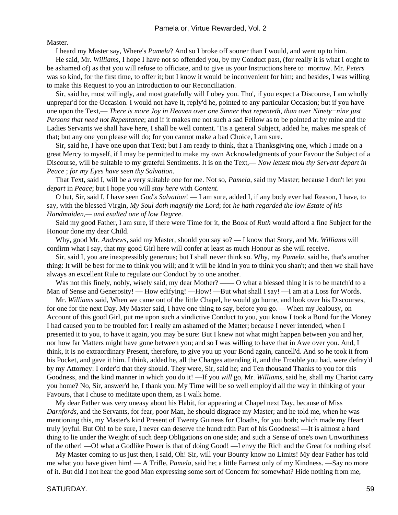#### Master.

I heard my Master say, Where's *Pamela*? And so I broke off sooner than I would, and went up to him.

 He said, Mr. *Williams,* I hope I have not so offended you, by my Conduct past, (for really it is what I ought to be ashamed of) as that you will refuse to officiate, and to give us your Instructions here to−morrow. Mr. *Peters* was so kind, for the first time, to offer it; but I know it would be inconvenient for him; and besides, I was willing to make this Request to you an Introduction to our Reconciliation.

 Sir, said he, most willingly, and most gratefully will I obey you. Tho', if you expect a Discourse, I am wholly unprepar'd for the Occasion. I would not have it, reply'd he, pointed to any particular Occasion; but if you have one upon the Text,— *There is more Joy in Heaven over one Sinner that repenteth, than over Ninety−nine just Persons that need not Repentance*; and if it makes me not such a sad Fellow as to be pointed at by mine and the Ladies Servants we shall have here, I shall be well content. 'Tis a general Subject, added he, makes me speak of that; but any one you please will do; for you cannot make a bad Choice, I am sure.

 Sir, said he, I have one upon that Text; but I am ready to think, that a Thanksgiving one, which I made on a great Mercy to myself, if I may be permitted to make my own Acknowledgments of your Favour the Subject of a Discourse, will be suitable to my grateful Sentiments. It is on the Text,— *Now lettest thou thy Servant depart in Peace* ; *for my Eyes have seen thy Salvation*.

 That Text, said I, will be a very suitable one for me. Not so, *Pamela,* said my Master; because I don't let you *depart* in *Peace*; but I hope you will *stay here* with *Content*.

 O but, Sir, said I, I have seen *God's Salvation*! — I am sure, added I, if any body ever had Reason, I have, to say, with the blessed Virgin, *My Soul doth magnify the Lord*; for *he hath regarded the low Estate of his Handmaiden,— and exalted one of low Degree*.

 Said my good Father, I am sure, if there were Time for it, the Book of *Ruth* would afford a fine Subject for the Honour done my dear Child.

 Why, good Mr. *Andrews,* said my Master, should you say so? — I know that Story, and Mr. *Williams* will confirm what I say, that my good Girl here will confer at least as much Honour as she will receive.

 Sir, said I, you are inexpressibly generous; but I shall never think so. Why, my *Pamela,* said he, that's another thing: It will be best for me to think you will; and it will be kind in you to think you shan't; and then we shall have always an excellent Rule to regulate our Conduct by to one another.

Was not this finely, nobly, wisely said, my dear Mother? —— O what a blessed thing it is to be match'd to a Man of Sense and Generosity! — How edifying! — How! — But what shall I say! —I am at a Loss for Words.

 Mr. *Williams* said, When we came out of the little Chapel, he would go home, and look over his Discourses, for one for the next Day. My Master said, I have one thing to say, before you go. —When my Jealousy, on Account of this good Girl, put me upon such a vindictive Conduct to you, you know I took a Bond for the Money I had caused you to be troubled for: I really am ashamed of the Matter; because I never intended, when I presented it to you, to have it again, you may be sure: But I knew not what might happen between you and her, nor how far Matters might have gone between you; and so I was willing to have that in Awe over you. And, I think, it is no extraordinary Present, therefore, to give you up your Bond again, cancell'd. And so he took it from his Pocket, and gave it him. I think, added he, all the Charges attending it, and the Trouble you had, were defray'd by my Attorney: I order'd that they should. They were, Sir, said he; and Ten thousand Thanks to you for this Goodness, and the kind manner in which you do it! —If you *will* go, Mr. *Williams,* said he, shall my Chariot carry you home? No, Sir, answer'd he, I thank you. My Time will be so well employ'd all the way in thinking of your Favours, that I chuse to meditate upon them, as I walk home.

 My dear Father was very uneasy about his Habit, for appearing at Chapel next Day, because of Miss *Darnfords,* and the Servants, for fear, poor Man, he should disgrace my Master; and he told me, when he was mentioning this, my Master's kind Present of Twenty Guineas for Cloaths, for you both; which made my Heart truly joyful. But Oh! to be sure, I never can deserve the hundredth Part of his Goodness! —It is almost a hard thing to lie under the Weight of such deep Obligations on one side; and such a Sense of one's own Unworthiness of the other! —O! what a Godlike Power is that of doing Good! —I envy the Rich and the Great for nothing else!

 My Master coming to us just then, I said, Oh! Sir, will your Bounty know no Limits! My dear Father has told me what you have given him! — A Trifle, *Pamela,* said he; a little Earnest only of my Kindness. —Say no more of it. But did I not hear the good Man expressing some sort of Concern for somewhat? Hide nothing from me,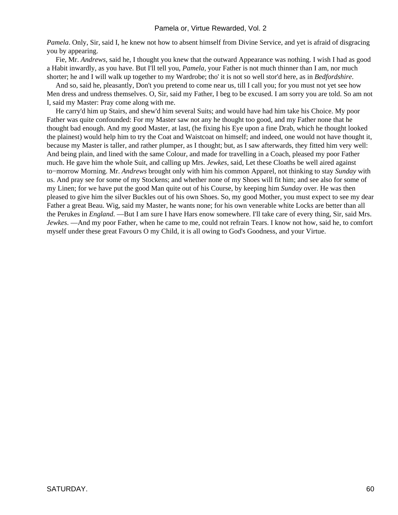*Pamela*. Only, Sir, said I, he knew not how to absent himself from Divine Service, and yet is afraid of disgracing you by appearing.

 Fie, Mr. *Andrews,* said he, I thought you knew that the outward Appearance was nothing. I wish I had as good a Habit inwardly, as you have. But I'll tell you, *Pamela,* your Father is not much thinner than I am, nor much shorter; he and I will walk up together to my Wardrobe; tho' it is not so well stor'd here, as in *Bedfordshire*.

 And so, said he, pleasantly, Don't you pretend to come near us, till I call you; for you must not yet see how Men dress and undress themselves. O, Sir, said my Father, I beg to be excused. I am sorry you are told. So am not I, said my Master: Pray come along with me.

 He carry'd him up Stairs, and shew'd him several Suits; and would have had him take his Choice. My poor Father was quite confounded: For my Master saw not any he thought too good, and my Father none that he thought bad enough. And my good Master, at last, (he fixing his Eye upon a fine Drab, which he thought looked the plainest) would help him to try the Coat and Waistcoat on himself; and indeed, one would not have thought it, because my Master is taller, and rather plumper, as I thought; but, as I saw afterwards, they fitted him very well: And being plain, and lined with the same Colour, and made for travelling in a Coach, pleased my poor Father much. He gave him the whole Suit, and calling up Mrs. *Jewkes,* said, Let these Cloaths be well aired against to−morrow Morning. Mr. *Andrews* brought only with him his common Apparel, not thinking to stay *Sunday* with us. And pray see for some of my Stockens; and whether none of my Shoes will fit him; and see also for some of my Linen; for we have put the good Man quite out of his Course, by keeping him *Sunday* over. He was then pleased to give him the silver Buckles out of his own Shoes. So, my good Mother, you must expect to see my dear Father a great Beau. Wig, said my Master, he wants none; for his own venerable white Locks are better than all the Perukes in *England*. —But I am sure I have Hars enow somewhere. I'll take care of every thing, Sir, said Mrs. *Jewkes*. —And my poor Father, when he came to me, could not refrain Tears. I know not how, said he, to comfort myself under these great Favours O my Child, it is all owing to God's Goodness, and your Virtue.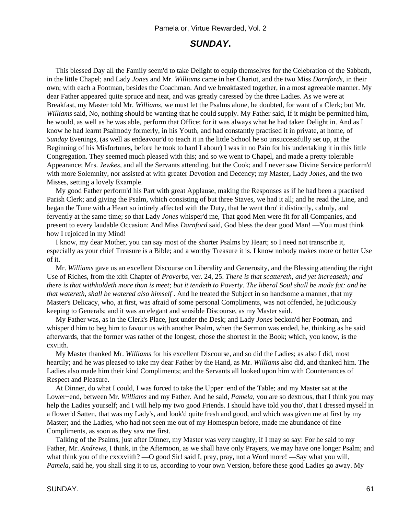## **SUNDAY.**

 This blessed Day all the Family seem'd to take Delight to equip themselves for the Celebration of the Sabbath, in the little Chapel; and Lady *Jones* and Mr. *Williams* came in her Chariot, and the two Miss *Darnfords,* in their own; with each a Footman, besides the Coachman. And we breakfasted together, in a most agreeable manner. My dear Father appeared quite spruce and neat, and was greatly caressed by the three Ladies. As we were at Breakfast, my Master told Mr. *Williams,* we must let the Psalms alone, he doubted, for want of a Clerk; but Mr. *Williams* said, No, nothing should be wanting that he could supply. My Father said, If it might be permitted him, he would, as well as he was able, perform that Office; for it was always what he had taken Delight in. And as I know he had learnt Psalmody formerly, in his Youth, and had constantly practised it in private, at home, of *Sunday* Evenings, (as well as endeavour'd to teach it in the little School he so unsuccessfully set up, at the Beginning of his Misfortunes, before he took to hard Labour) I was in no Pain for his undertaking it in this little Congregation. They seemed much pleased with this; and so we went to Chapel, and made a pretty tolerable Appearance; Mrs. *Jewkes,* and all the Servants attending, but the Cook; and I never saw Divine Service perform'd with more Solemnity, nor assisted at with greater Devotion and Decency; my Master, Lady *Jones,* and the two Misses, setting a lovely Example.

 My good Father perform'd his Part with great Applause, making the Responses as if he had been a practised Parish Clerk; and giving the Psalm, which consisting of but three Staves, we had it all; and he read the Line, and began the Tune with a Heart so intirely affected with the Duty, that he went thro' it distinctly, calmly, and fervently at the same time; so that Lady *Jones* whisper'd me, That good Men were fit for all Companies, and present to every laudable Occasion: And Miss *Darnford* said, God bless the dear good Man! —You must think how I rejoiced in my Mind!

 I know, my dear Mother, you can say most of the shorter Psalms by Heart; so I need not transcribe it, especially as your chief Treasure is a Bible; and a worthy Treasure it is. I know nobody makes more or better Use of it.

 Mr. *Williams* gave us an excellent Discourse on Liberality and Generosity, and the Blessing attending the right Use of Riches, from the xith Chapter of *Proverbs,* ver. 24, 25. *There is that scattereth, and yet increaseth; and there is that withholdeth more than is meet; but it tendeth to Poverty*. *The liberal Soul shall be made fat: and he that watereth, shall be watered also himself* . And he treated the Subject in so handsome a manner, that my Master's Delicacy, who, at first, was afraid of some personal Compliments, was not offended, he judiciously keeping to Generals; and it was an elegant and sensible Discourse, as my Master said.

 My Father was, as in the Clerk's Place, just under the Desk; and Lady *Jones* beckon'd her Footman, and whisper'd him to beg him to favour us with another Psalm, when the Sermon was ended, he, thinking as he said afterwards, that the former was rather of the longest, chose the shortest in the Book; which, you know, is the cxviith.

 My Master thanked Mr. *Williams* for his excellent Discourse, and so did the Ladies; as also I did, most heartily; and he was pleased to take my dear Father by the Hand, as Mr. *Williams* also did, and thanked him. The Ladies also made him their kind Compliments; and the Servants all looked upon him with Countenances of Respect and Pleasure.

 At Dinner, do what I could, I was forced to take the Upper−end of the Table; and my Master sat at the Lower−end, between Mr. *Williams* and my Father. And he said, *Pamela,* you are so dextrous, that I think you may help the Ladies yourself; and I will help my two good Friends. I should have told you tho', that I dressed myself in a flower'd Satten, that was my Lady's, and look'd quite fresh and good, and which was given me at first by my Master; and the Ladies, who had not seen me out of my Homespun before, made me abundance of fine Compliments, as soon as they saw me first.

 Talking of the Psalms, just after Dinner, my Master was very naughty, if I may so say: For he said to my Father, Mr. *Andrews,* I think, in the Afternoon, as we shall have only Prayers, we may have one longer Psalm; and what think you of the cxxxviith? —O good Sir! said I, pray, pray, not a Word more! —Say what you will, *Pamela,* said he, you shall sing it to us, according to your own Version, before these good Ladies go away. My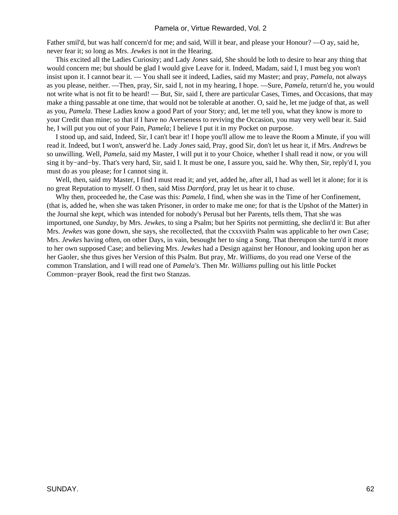Father smil'd, but was half concern'd for me; and said, Will it bear, and please your Honour? —O ay, said he, never fear it; so long as Mrs. *Jewkes* is not in the Hearing.

 This excited all the Ladies Curiosity; and Lady *Jones* said, She should be loth to desire to hear any thing that would concern me; but should be glad I would give Leave for it. Indeed, Madam, said I, I must beg you won't insist upon it. I cannot bear it. — You shall see it indeed, Ladies, said my Master; and pray, *Pamela,* not always as you please, neither. —Then, pray, Sir, said I, not in my hearing, I hope. —Sure, *Pamela,* return'd he, you would not write what is not fit to be heard! — But, Sir, said I, there are particular Cases, Times, and Occasions, that may make a thing passable at one time, that would not be tolerable at another. O, said he, let me judge of that, as well as you, *Pamela*. These Ladies know a good Part of your Story; and, let me tell you, what they know is more to your Credit than mine; so that if I have no Averseness to reviving the Occasion, you may very well bear it. Said he, I will put you out of your Pain, *Pamela*; I believe I put it in my Pocket on purpose.

 I stood up, and said, Indeed, Sir, I can't bear it! I hope you'll allow me to leave the Room a Minute, if you will read it. Indeed, but I won't, answer'd he. Lady *Jones* said, Pray, good Sir, don't let us hear it, if Mrs. *Andrews* be so unwilling. Well, *Pamela,* said my Master, I will put it to your Choice, whether I shall read it now, or you will sing it by−and−by. That's very hard, Sir, said I. It must be one, I assure you, said he. Why then, Sir, reply'd I, you must do as you please; for I cannot sing it.

 Well, then, said my Master, I find I must read it; and yet, added he, after all, I had as well let it alone; for it is no great Reputation to myself. O then, said Miss *Darnford,* pray let us hear it to chuse.

 Why then, proceeded he, the Case was this: *Pamela,* I find, when she was in the Time of her Confinement, (that is, added he, when she was taken Prisoner, in order to make me one; for that is the Upshot of the Matter) in the Journal she kept, which was intended for nobody's Perusal but her Parents, tells them, That she was importuned, one *Sunday,* by Mrs. *Jewkes,* to sing a Psalm; but her Spirits not permitting, she declin'd it: But after Mrs. *Jewkes* was gone down, she says, she recollected, that the cxxxviith Psalm was applicable to her own Case; Mrs. *Jewkes* having often, on other Days, in vain, besought her to sing a Song. That thereupon she turn'd it more to her own supposed Case; and believing Mrs. *Jewkes* had a Design against her Honour, and looking upon her as her Gaoler, she thus gives her Version of this Psalm. But pray, Mr. *Williams,* do you read one Verse of the common Translation, and I will read one of *Pamela's*. Then Mr. *Williams* pulling out his little Pocket Common−prayer Book, read the first two Stanzas.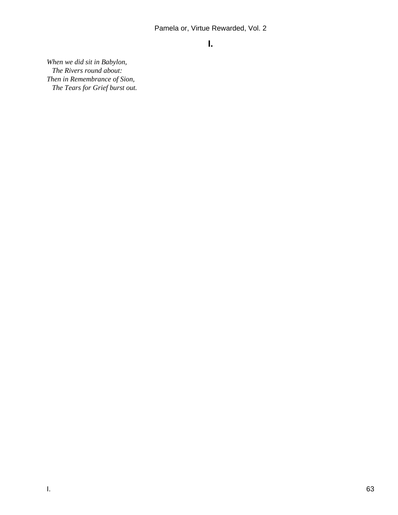**I.**

*When we did sit in Babylon, The Rivers round about: Then in Remembrance of Sion, The Tears for Grief burst out.*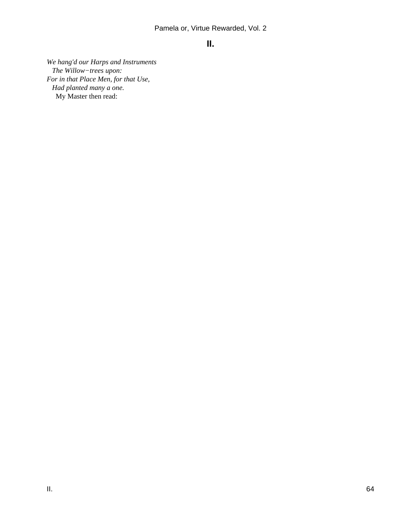# **II.**

*We hang'd our Harps and Instruments The Willow−trees upon: For in that Place Men, for that Use, Had planted many a one.* My Master then read: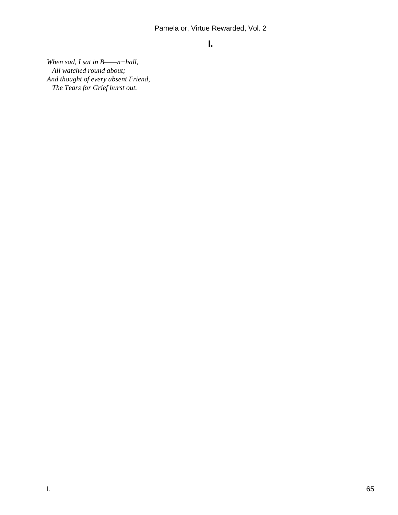**I.**

*When sad, I sat in B——n−hall, All watched round about; And thought of every absent Friend, The Tears for Grief burst out.*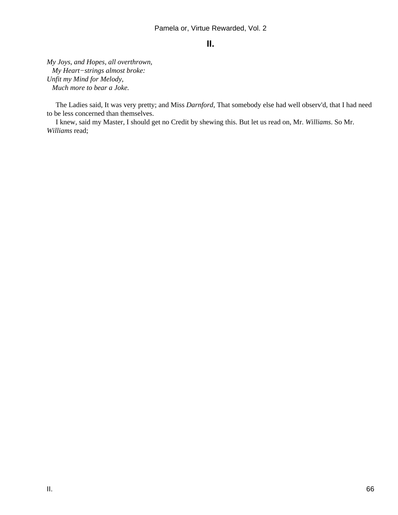## **II.**

*My Joys, and Hopes, all overthrown, My Heart−strings almost broke: Unfit my Mind for Melody, Much more to bear a Joke.*

 The Ladies said, It was very pretty; and Miss *Darnford,* That somebody else had well observ'd, that I had need to be less concerned than themselves.

 I knew, said my Master, I should get no Credit by shewing this. But let us read on, Mr. *Williams*. So Mr. *Williams* read;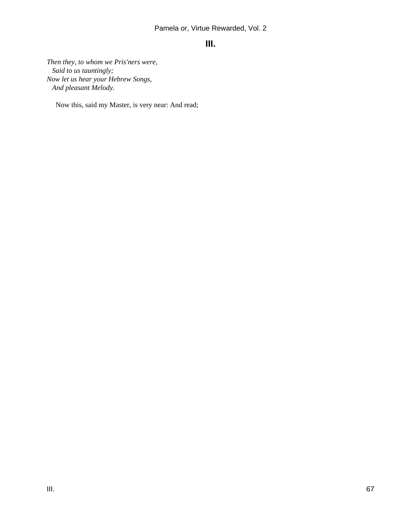## **III.**

*Then they, to whom we Pris'ners were, Said to us tauntingly; Now let us hear your Hebrew Songs, And pleasant Melody.*

Now this, said my Master, is very near: And read;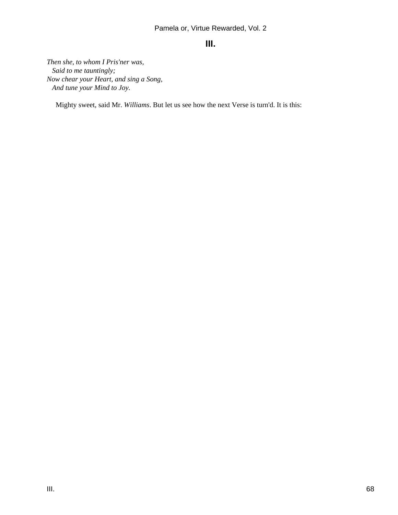## **III.**

*Then she, to whom I Pris'ner was, Said to me tauntingly; Now chear your Heart, and sing a Song, And tune your Mind to Joy.*

Mighty sweet, said Mr. *Williams*. But let us see how the next Verse is turn'd. It is this: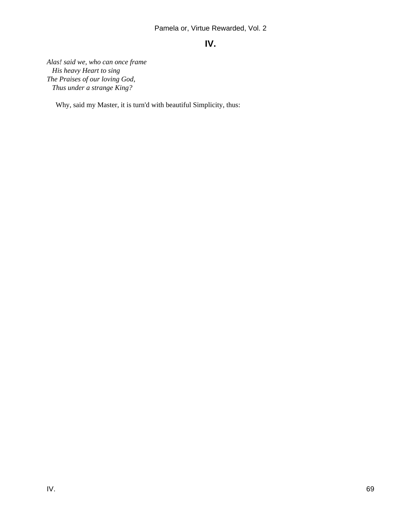### **IV.**

*Alas! said we, who can once frame His heavy Heart to sing The Praises of our loving God, Thus under a strange King?*

Why, said my Master, it is turn'd with beautiful Simplicity, thus: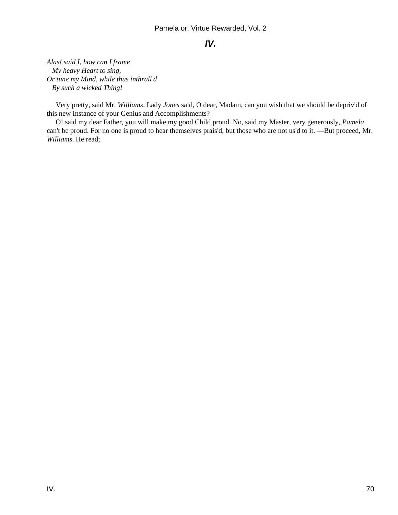### **IV.**

*Alas! said I, how can I frame My heavy Heart to sing, Or tune my Mind, while thus inthrall'd By such a wicked Thing!*

 Very pretty, said Mr. *Williams*. Lady *Jones* said, O dear, Madam, can you wish that we should be depriv'd of this new Instance of your Genius and Accomplishments?

 O! said my dear Father, you will make my good Child proud. No, said my Master, very generously, *Pamela* can't be proud. For no one is proud to hear themselves prais'd, but those who are not us'd to it. —But proceed, Mr. *Williams*. He read;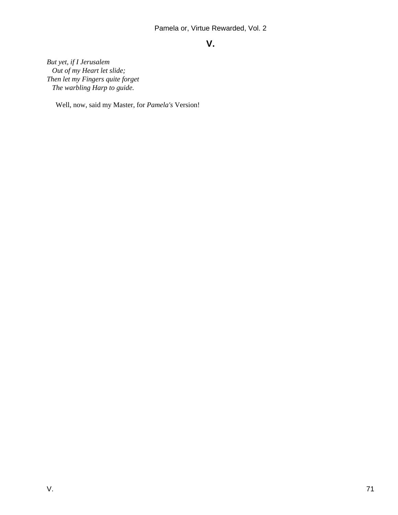# **V.**

*But yet, if I Jerusalem Out of my Heart let slide; Then let my Fingers quite forget The warbling Harp to guide.*

Well, now, said my Master, for *Pamela's* Version!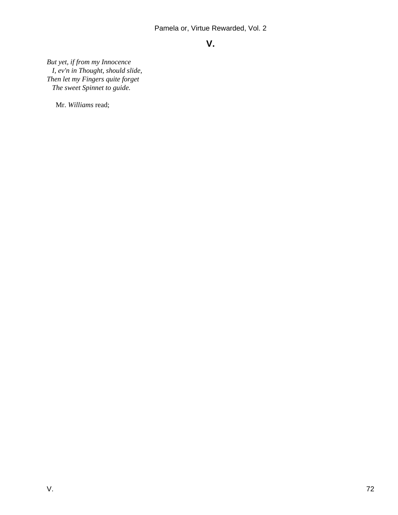# **V.**

*But yet, if from my Innocence I, ev'n in Thought, should slide, Then let my Fingers quite forget The sweet Spinnet to guide.*

Mr. *Williams* read;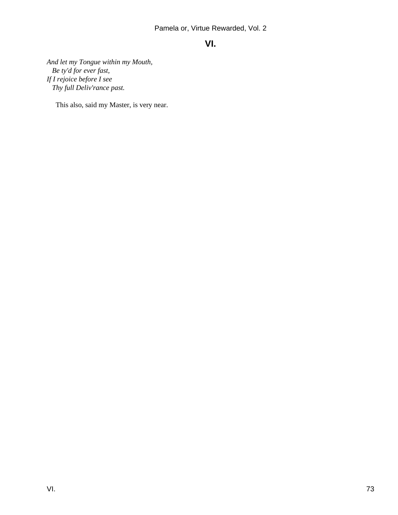## **VI.**

*And let my Tongue within my Mouth, Be ty'd for ever fast, If I rejoice before I see Thy full Deliv'rance past.*

This also, said my Master, is very near.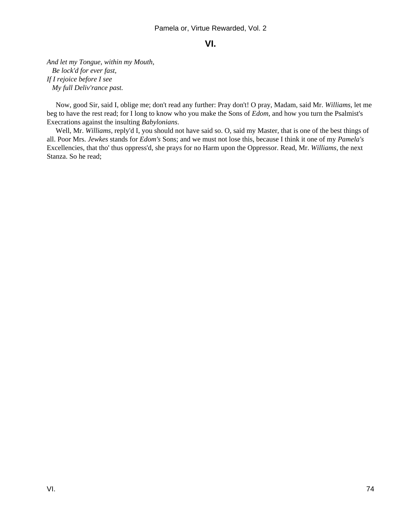#### **VI.**

*And let my Tongue, within my Mouth, Be lock'd for ever fast, If I rejoice before I see My full Deliv'rance past.*

 Now, good Sir, said I, oblige me; don't read any further: Pray don't! O pray, Madam, said Mr. *Williams,* let me beg to have the rest read; for I long to know who you make the Sons of *Edom,* and how you turn the Psalmist's Execrations against the insulting *Babylonians*.

 Well, Mr. *Williams,* reply'd I, you should not have said so. O, said my Master, that is one of the best things of all. Poor Mrs. *Jewkes* stands for *Edom's* Sons; and we must not lose this, because I think it one of my *Pamela's* Excellencies, that tho' thus oppress'd, she prays for no Harm upon the Oppressor. Read, Mr. *Williams,* the next Stanza. So he read;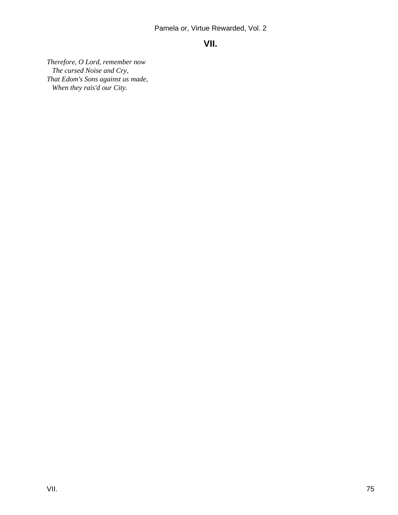# **VII.**

*Therefore, O Lord, remember now The cursed Noise and Cry, That Edom's Sons against us made, When they rais'd our City.*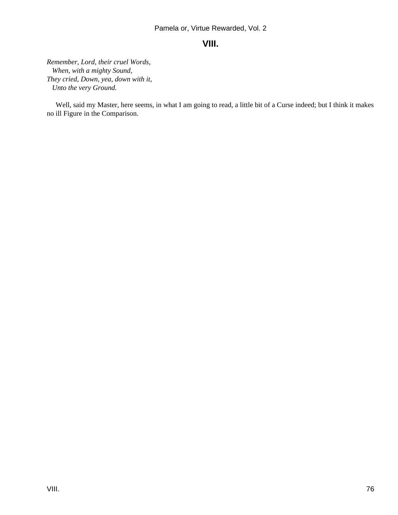#### Pamela or, Virtue Rewarded, Vol. 2

### **VIII.**

*Remember, Lord, their cruel Words, When, with a mighty Sound, They cried, Down, yea, down with it, Unto the very Ground.*

 Well, said my Master, here seems, in what I am going to read, a little bit of a Curse indeed; but I think it makes no ill Figure in the Comparison.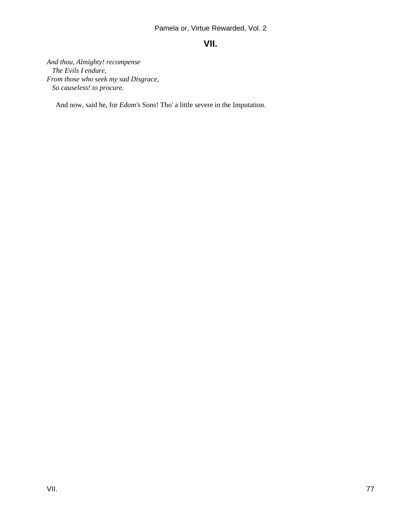## Pamela or, Virtue Rewarded, Vol. 2

### **VII.**

*And thou, Almighty! recompense The Evils I endure, From those who seek my sad Disgrace, So causeless! to procure.*

And now, said he, for *Edom's* Sons! Tho' a little severe in the Imputation.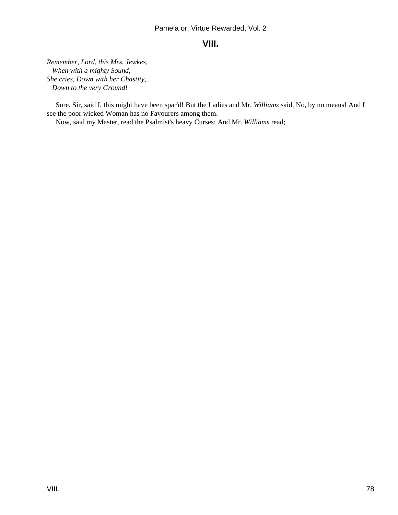### **VIII.**

*Remember, Lord, this Mrs. Jewkes, When with a mighty Sound, She cries, Down with her Chastity, Down to the very Ground!*

 Sure, Sir, said I, this might have been spar'd! But the Ladies and Mr. *Williams* said, No, by no means! And I see the poor wicked Woman has no Favourers among them.

Now, said my Master, read the Psalmist's heavy Curses: And Mr. *Williams* read;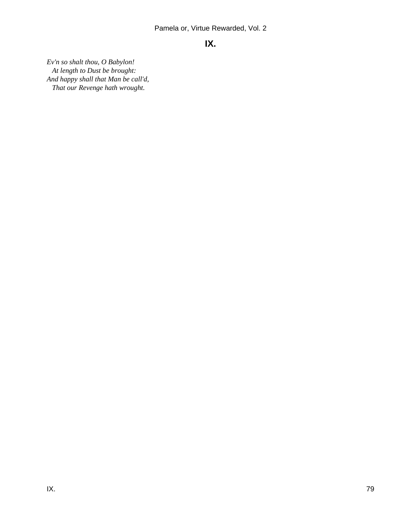## **IX.**

*Ev'n so shalt thou, O Babylon! At length to Dust be brought: And happy shall that Man be call'd, That our Revenge hath wrought.*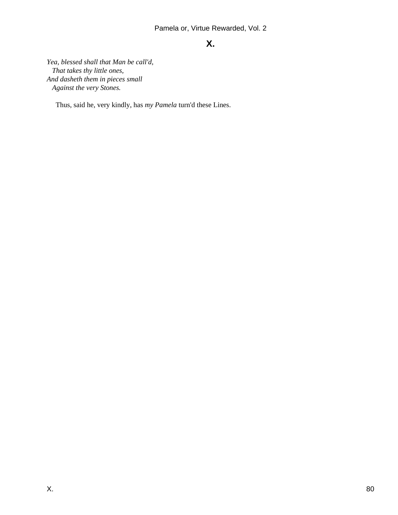# **X.**

*Yea, blessed shall that Man be call'd, That takes thy little ones, And dasheth them in pieces small Against the very Stones.*

Thus, said he, very kindly, has *my Pamela* turn'd these Lines.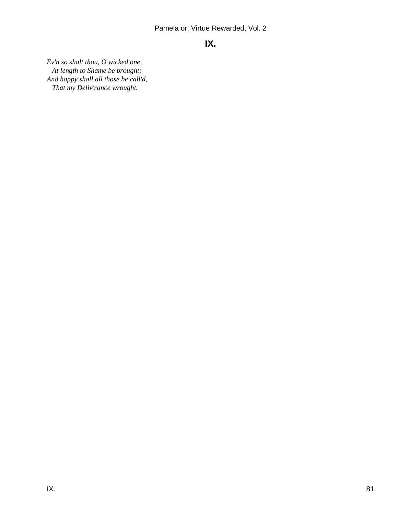## **IX.**

*Ev'n so shalt thou, O wicked one, At length to Shame be brought: And happy shall all those be call'd, That my Deliv'rance wrought.*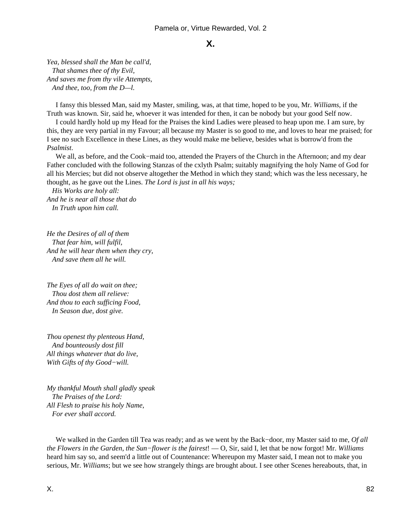#### **X.**

*Yea, blessed shall the Man be call'd, That shames thee of thy Evil, And saves me from thy vile Attempts, And thee, too, from the D—l.*

 I fansy this blessed Man, said my Master, smiling, was, at that time, hoped to be you, Mr. *Williams,* if the Truth was known. Sir, said he, whoever it was intended for then, it can be nobody but your good Self now.

 I could hardly hold up my Head for the Praises the kind Ladies were pleased to heap upon me. I am sure, by this, they are very partial in my Favour; all because my Master is so good to me, and loves to hear me praised; for I see no such Excellence in these Lines, as they would make me believe, besides what is borrow'd from the *Psalmist*.

 We all, as before, and the Cook−maid too, attended the Prayers of the Church in the Afternoon; and my dear Father concluded with the following Stanzas of the cxlyth Psalm; suitably magnifying the holy Name of God for all his Mercies; but did not observe altogether the Method in which they stand; which was the less necessary, he thought, as he gave out the Lines. *The Lord is just in all his ways;*

 *His Works are holy all: And he is near all those that do In Truth upon him call.*

*He the Desires of all of them That fear him, will fulfil, And he will hear them when they cry, And save them all he will.*

*The Eyes of all do wait on thee; Thou dost them all relieve: And thou to each sufficing Food, In Season due, dost give.*

*Thou openest thy plenteous Hand, And bounteously dost fill All things whatever that do live, With Gifts of thy Good−will.*

*My thankful Mouth shall gladly speak The Praises of the Lord: All Flesh to praise his holy Name, For ever shall accord.*

 We walked in the Garden till Tea was ready; and as we went by the Back−door, my Master said to me, *Of all the Flowers in the Garden, the Sun−flower is the fairest*! — O, Sir, said I, let that be now forgot! Mr. *Williams* heard him say so, and seem'd a little out of Countenance: Whereupon my Master said, I mean not to make you serious, Mr. *Williams*; but we see how strangely things are brought about. I see other Scenes hereabouts, that, in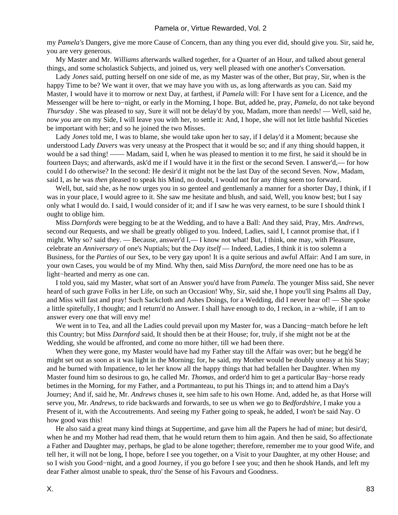my *Pamela's* Dangers, give me more Cause of Concern, than any thing you ever did, should give you. Sir, said he, you are very generous.

 My Master and Mr. *Williams* afterwards walked together, for a Quarter of an Hour, and talked about general things, and some scholastick Subjects, and joined us, very well pleased with one another's Conversation.

 Lady *Jones* said, putting herself on one side of me, as my Master was of the other, But pray, Sir, when is the happy Time to be? We want it over, that we may have you with us, as long afterwards as you can. Said my Master, I would have it to morrow or next Day, at farthest, if *Pamela* will: For I have sent for a Licence, and the Messenger will be here to−night, or early in the Morning, I hope. But, added he, pray, *Pamela,* do not take beyond *Thursday* . She was pleased to say, Sure it will not be delay'd by you, Madam, more than needs! — Well, said he, now *you* are on my Side, I will leave you with her, to settle it: And, I hope, she will not let little bashful Niceties be important with her; and so he joined the two Misses.

 Lady *Jones* told me, I was to blame, she would take upon her to say, if I delay'd it a Moment; because she understood Lady *Davers* was very uneasy at the Prospect that it would be so; and if any thing should happen, it would be a sad thing! —— Madam, said I, when he was pleased to mention it to me first, he said it should be in fourteen Days; and afterwards, ask'd me if I would have it in the first or the second Seven. I answer'd,— for how could I do otherwise? In the second: He desir'd it might not be the last Day of the second Seven. Now, Madam, said I, as he was *then* pleased to speak his Mind, no doubt, I would not for any thing seem too forward.

Well, but, said she, as he now urges you in so genteel and gentlemanly a manner for a shorter Day, I think, if I was in your place, I would agree to it. She saw me hesitate and blush, and said, Well, you know best; but I say only what I would do. I said, I would consider of it; and if I saw he was very earnest, to be sure I should think I ought to oblige him.

 Miss *Darnfords* were begging to be at the Wedding, and to have a Ball: And they said, Pray, Mrs. *Andrews,* second our Requests, and we shall be greatly obliged to you. Indeed, Ladies, said I, I cannot promise that, if I might. Why so? said they. — Because, answer'd I,— I know not what! But, I think, one may, with Pleasure, celebrate an *Anniversary* of one's Nuptials; but the *Day itself* — Indeed, Ladies, I think it is too solemn a Business, for the *Parties* of our Sex, to be very gay upon! It is a quite serious and awful Affair: And I am sure, in your own Cases, you would be of my Mind. Why then, said Miss *Darnford,* the more need one has to be as light−hearted and merry as one can.

 I told you, said my Master, what sort of an Answer you'd have from *Pamela*. The younger Miss said, She never heard of such grave Folks in her Life, on such an Occasion! Why, Sir, said she, I hope you'll sing Psalms all Day, and Miss will fast and pray! Such Sackcloth and Ashes Doings, for a Wedding, did I never hear of! — She spoke a little spitefully, I thought; and I return'd no Answer. I shall have enough to do, I reckon, in a−while, if I am to answer every one that will envy me!

 We went in to Tea, and all the Ladies could prevail upon my Master for, was a Dancing−match before he left this Country; but Miss *Darnford* said, It should then be at their House; for, truly, if she might not be at the Wedding, she would be affronted, and come no more hither, till we had been there.

 When they were gone, my Master would have had my Father stay till the Affair was over; but he begg'd he might set out as soon as it was light in the Morning; for, he said, my Mother would be doubly uneasy at his Stay; and he burned with Impatience, to let her know all the happy things that had befallen her Daughter. When my Master found him so desirous to go, he called Mr. *Thomas,* and order'd him to get a particular Bay−horse ready betimes in the Morning, for my Father, and a Portmanteau, to put his Things in; and to attend him a Day's Journey; And if, said he, Mr. *Andrews* chuses it, see him safe to his own Home. And, added he, as that Horse will serve you, Mr. *Andrews,* to ride backwards and forwards, to see us when we go to *Bedfordshire,* I make you a Present of it, with the Accoutrements. And seeing my Father going to speak, he added, I won't be said Nay. O how good was this!

 He also said a great many kind things at Suppertime, and gave him all the Papers he had of mine; but desir'd, when he and my Mother had read them, that he would return them to him again. And then he said, So affectionate a Father and Daughter may, perhaps, be glad to be alone together; therefore, remember me to your good Wife, and tell her, it will not be long, I hope, before I see you together, on a Visit to your Daughter, at my other House; and so I wish you Good−night, and a good Journey, if you go before I see you; and then he shook Hands, and left my dear Father almost unable to speak, thro' the Sense of his Favours and Goodness.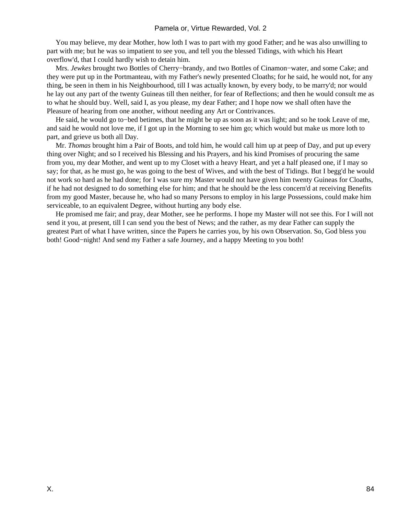You may believe, my dear Mother, how loth I was to part with my good Father; and he was also unwilling to part with me; but he was so impatient to see you, and tell you the blessed Tidings, with which his Heart overflow'd, that I could hardly wish to detain him.

 Mrs. *Jewkes* brought two Bottles of Cherry−brandy, and two Bottles of Cinamon−water, and some Cake; and they were put up in the Portmanteau, with my Father's newly presented Cloaths; for he said, he would not, for any thing, be seen in them in his Neighbourhood, till I was actually known, by every body, to be marry'd; nor would he lay out any part of the twenty Guineas till then neither, for fear of Reflections; and then he would consult me as to what he should buy. Well, said I, as you please, my dear Father; and I hope now we shall often have the Pleasure of hearing from one another, without needing any Art or Contrivances.

 He said, he would go to−bed betimes, that he might be up as soon as it was light; and so he took Leave of me, and said he would not love me, if I got up in the Morning to see him go; which would but make us more loth to part, and grieve us both all Day.

 Mr. *Thomas* brought him a Pair of Boots, and told him, he would call him up at peep of Day, and put up every thing over Night; and so I received his Blessing and his Prayers, and his kind Promises of procuring the same from you, my dear Mother, and went up to my Closet with a heavy Heart, and yet a half pleased one, if I may so say; for that, as he must go, he was going to the best of Wives, and with the best of Tidings. But I begg'd he would not work so hard as he had done; for I was sure my Master would not have given him twenty Guineas for Cloaths, if he had not designed to do something else for him; and that he should be the less concern'd at receiving Benefits from my good Master, because he, who had so many Persons to employ in his large Possessions, could make him serviceable, to an equivalent Degree, without hurting any body else.

 He promised me fair; and pray, dear Mother, see he performs. I hope my Master will not see this. For I will not send it you, at present, till I can send you the best of News; and the rather, as my dear Father can supply the greatest Part of what I have written, since the Papers he carries you, by his own Observation. So, God bless you both! Good−night! And send my Father a safe Journey, and a happy Meeting to you both!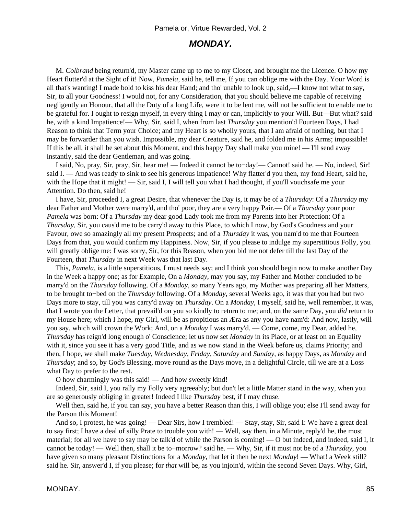#### **MONDAY.**

 M. *Colbrand* being return'd, my Master came up to me to my Closet, and brought me the Licence. O how my Heart flutter'd at the Sight of it! Now, *Pamela,* said he, tell me, If you can oblige me with the Day. Your Word is all that's wanting! I made bold to kiss his dear Hand; and tho' unable to look up, said,—I know not what to say, Sir, to all your Goodness! I would not, for any Consideration, that you should believe me capable of receiving negligently an Honour, that all the Duty of a long Life, were it to be lent me, will not be sufficient to enable me to be grateful for. I ought to resign myself, in every thing I may or can, implicitly to your Will. But—But what? said he, with a kind Impatience!— Why, Sir, said I, when from last *Thursday* you mention'd Fourteen Days, I had Reason to think that Term your Choice; and my Heart is so wholly yours, that I am afraid of nothing, but that I may be forwarder than you wish. Impossible, my dear Creature, said he, and folded me in his Arms; impossible! If this be all, it shall be set about this Moment, and this happy Day shall make you mine! — I'll send away instantly, said the dear Gentleman, and was going.

 I said, No, pray, Sir, pray, Sir, hear me! — Indeed it cannot be to−day!— Cannot! said he. — No, indeed, Sir! said I. — And was ready to sink to see his generous Impatience! Why flatter'd you then, my fond Heart, said he, with the Hope that it might! — Sir, said I, I will tell you what I had thought, if you'll vouchsafe me your Attention. Do then, said he!

 I have, Sir, proceeded I, a great Desire, that whenever the Day is, it may be of a *Thursday*: Of a *Thursday* my dear Father and Mother were marry'd, and tho' poor, they are a very happy Pair.— Of a *Thursday* your poor *Pamela* was born: Of a *Thursday* my dear good Lady took me from my Parents into her Protection: Of a *Thursday,* Sir, you caus'd me to be carry'd away to this Place, to which I now, by God's Goodness and your Favour, owe so amazingly all my present Prospects; and of a *Thursday* it was, you nam'd to me that Fourteen Days from that, you would confirm my Happiness. Now, Sir, if you please to indulge my superstitious Folly, you will greatly oblige me: I was sorry, Sir, for this Reason, when you bid me not defer till the last Day of the Fourteen, that *Thursday* in next Week was that last Day.

 This, *Pamela,* is a little superstitious, I must needs say; and I think you should begin now to make another Day in the Week a happy one; as for Example, On a *Monday,* may you say, my Father and Mother concluded to be marry'd on the *Thursday* following. Of a *Monday,* so many Years ago, my Mother was preparing all her Matters, to be brought to−bed on the *Thursday* following. Of a *Monday,* several Weeks ago, it was that you had but two Days more to stay, till you was carry'd away on *Thursday*. On a *Monday,* I myself, said he, well remember, it was, that I wrote you the Letter, that prevail'd on you so kindly to return to me; and, on the same Day, you *did* return to my House here; which I hope, my Girl, will be as propitious an Æra as any you have nam'd: And now, lastly, will you say, which will crown the Work; And, on a *Monday* I was marry'd. — Come, come, my Dear, added he, *Thursday* has reign'd long enough o' Conscience; let us now set *Monday* in its Place, or at least on an Equality with it, since you see it has a very good Title, and as we now stand in the Week before us, claims Priority; and then, I hope, we shall make *Tuesday, Wednesday, Friday, Saturday* and *Sunday,* as happy Days, as *Monday* and *Thursday*; and so, by God's Blessing, move round as the Days move, in a delightful Circle, till we are at a Loss what Day to prefer to the rest.

O how charmingly was this said! — And how sweetly kind!

 Indeed, Sir, said I, you rally my Folly very agreeably; but don't let a little Matter stand in the way, when you are so generously obliging in greater! Indeed I like *Thursday* best, if I may chuse.

Well then, said he, if you can say, you have a better Reason than this, I will oblige you; else I'll send away for the Parson this Moment!

And so, I protest, he was going! — Dear Sirs, how I trembled! — Stay, stay, Sir, said I: We have a great deal to say first; I have a deal of silly Prate to trouble you with! — Well, say then, in a Minute, reply'd he, the most material; for all we have to say may be talk'd of while the Parson is coming! — O but indeed, and indeed, said I, it cannot be today! — Well then, shall it be to−morrow? said he. — Why, Sir, if it must not be of a *Thursday,* you have given so many pleasant Distinctions for a *Monday,* that let it then be next *Monday*! — What! a Week still? said he. Sir, answer'd I, if you please; for *that* will be, as you injoin'd, within the second Seven Days. Why, Girl,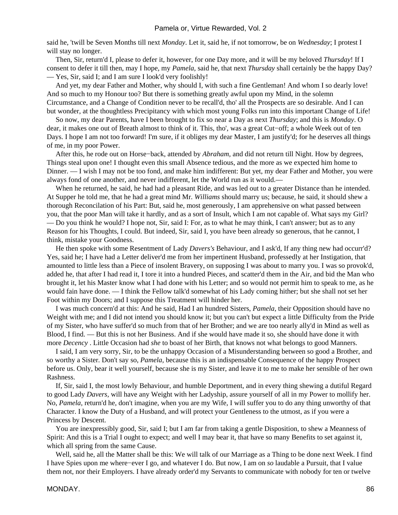said he, 'twill be Seven Months till next *Monday*. Let it, said he, if not tomorrow, be on *Wednesday*; I protest I will stay no longer.

 Then, Sir, return'd I, please to defer it, however, for one Day more, and it will be my beloved *Thursday*! If I consent to defer it till then, may I hope, my *Pamela,* said he, that next *Thursday* shall certainly be the happy Day? — Yes, Sir, said I; and I am sure I look'd very foolishly!

 And yet, my dear Father and Mother, why should I, with such a fine Gentleman! And whom I so dearly love! And so much to my Honour too? But there is something greatly awful upon my Mind, in the solemn Circumstance, and a Change of Condition never to be recall'd, tho' all the Prospects are so desirable. And I can but wonder, at the thoughtless Precipitancy with which most young Folks run into this important Change of Life!

 So now, my dear Parents, have I been brought to fix so near a Day as next *Thursday*; and this is *Monday*. O dear, it makes one out of Breath almost to think of it. This, tho', was a great Cut−off; a whole Week out of ten Days. I hope I am not too forward! I'm sure, if it obliges my dear Master, I am justify'd; for he deserves all things of me, in my poor Power.

 After this, he rode out on Horse−back, attended by *Abraham,* and did not return till Night. How by degrees, Things steal upon one! I thought even this small Absence tedious, and the more as we expected him home to Dinner. — I wish I may not be too fond, and make him indifferent: But yet, my dear Father and Mother, you were always fond of one another, and never indifferent, let the World run as it would.—

 When he returned, he said, he had had a pleasant Ride, and was led out to a greater Distance than he intended. At Supper he told me, that he had a great mind Mr. *Williams* should marry us; because, he said, it should shew a thorough Reconcilation of his Part: But, said he, most generously, I am apprehensive on what passed between you, that the poor Man will take it hardly, and as a sort of Insult, which I am not capable of. What says my Girl? — Do you think he would? I hope not, Sir, said I: For, as to what he may think, I can't answer; but as to any Reason for his Thoughts, I could. But indeed, Sir, said I, you have been already so generous, that he cannot, I think, mistake your Goodness.

 He then spoke with some Resentment of Lady *Davers's* Behaviour, and I ask'd, If any thing new had occurr'd? Yes, said he; I have had a Letter deliver'd me from her impertinent Husband, professedly at her Instigation, that amounted to little less than a Piece of insolent Bravery, on supposing I was about to marry you. I was so provok'd, added he, that after I had read it, I tore it into a hundred Pieces, and scatter'd them in the Air, and bid the Man who brought it, let his Master know what I had done with his Letter; and so would not permit him to speak to me, as he would fain have done. — I think the Fellow talk'd somewhat of his Lady coming hither; but she shall not set her Foot within my Doors; and I suppose this Treatment will hinder her.

 I was much concern'd at this: And he said, Had I an hundred Sisters, *Pamela,* their Opposition should have no Weight with me; and I did not intend you should know it; but you can't but expect a little Difficulty from the Pride of my Sister, who have suffer'd so much from that of her Brother; and we are too nearly ally'd in Mind as well as Blood, I find. — But this is not her Business. And if she would have made it so, she should have done it with more *Decency* . Little Occasion had *she* to boast of her Birth, that knows not what belongs to good Manners.

 I said, I am very sorry, Sir, to be the unhappy Occasion of a Misunderstanding between so good a Brother, and so worthy a Sister. Don't say so, *Pamela,* because this is an indispensable Consequence of the happy Prospect before us. Only, bear it well yourself, because she is my Sister, and leave it to me to make her sensible of her own Rashness.

 If, Sir, said I, the most lowly Behaviour, and humble Deportment, and in every thing shewing a dutiful Regard to good Lady *Davers,* will have any Weight with her Ladyship, assure yourself of all in my Power to mollify her. No, *Pamela,* return'd he, don't imagine, when you are my Wife, I will suffer you to do any thing unworthy of that Character. I know the Duty of a Husband, and will protect your Gentleness to the utmost, as if you were a Princess by Descent.

 You are inexpressibly good, Sir, said I; but I am far from taking a gentle Disposition, to shew a Meanness of Spirit: And this is a Trial I ought to expect; and well I may bear it, that have so many Benefits to set against it, which all spring from the same Cause.

 Well, said he, all the Matter shall be this: We will talk of our Marriage as a Thing to be done next Week. I find I have Spies upon me where−ever I go, and whatever I do. But now, I am on *so* laudable a Pursuit, that I value them not, nor their Employers. I have already order'd my Servants to communicate with nobody for ten or twelve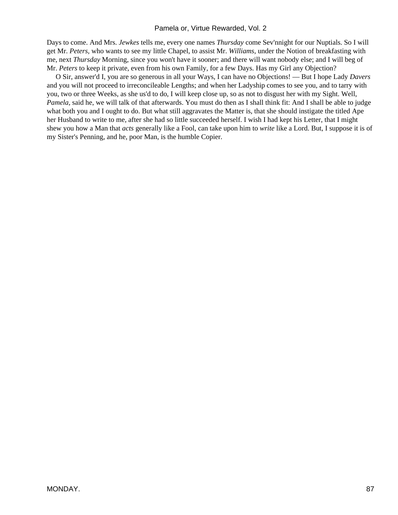Days to come. And Mrs. *Jewkes* tells me, every one names *Thursday* come Sev'nnight for our Nuptials. So I will get Mr. *Peters,* who wants to see my little Chapel, to assist Mr. *Williams,* under the Notion of breakfasting with me, next *Thursday* Morning, since you won't have it sooner; and there will want nobody else; and I will beg of Mr. *Peters* to keep it private, even from his own Family, for a few Days. Has my Girl any Objection?

 O Sir, answer'd I, you are so generous in all your Ways, I can have no Objections! — But I hope Lady *Davers* and you will not proceed to irreconcileable Lengths; and when her Ladyship comes to see you, and to tarry with you, two or three Weeks, as she us'd to do, I will keep close up, so as not to disgust her with my Sight. Well, *Pamela,* said he, we will talk of that afterwards. You must do then as I shall think fit: And I shall be able to judge what both you and I ought to do. But what still aggravates the Matter is, that she should instigate the titled Ape her Husband to write to me, after she had so little succeeded herself. I wish I had kept his Letter, that I might shew you how a Man that *acts* generally like a Fool, can take upon him to *write* like a Lord. But, I suppose it is of my Sister's Penning, and he, poor Man, is the humble Copier.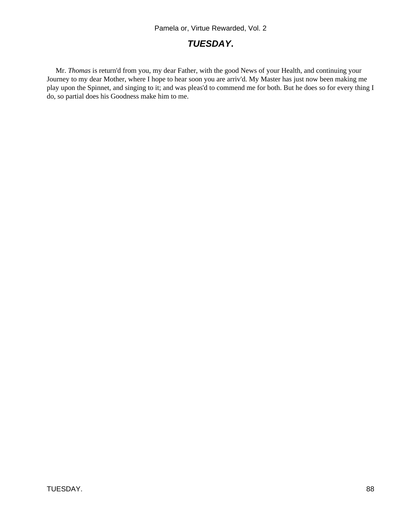# **TUESDAY.**

 Mr. *Thomas* is return'd from you, my dear Father, with the good News of your Health, and continuing your Journey to my dear Mother, where I hope to hear soon you are arriv'd. My Master has just now been making me play upon the Spinnet, and singing to it; and was pleas'd to commend me for both. But he does so for every thing I do, so partial does his Goodness make him to me.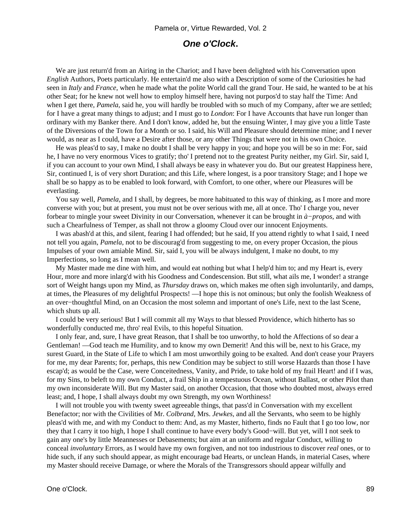#### **One o'Clock.**

 We are just return'd from an Airing in the Chariot; and I have been delighted with his Conversation upon *English* Authors, Poets particularly. He entertain'd me also with a Description of some of the Curiosities he had seen in *Italy* and *France,* when he made what the polite World call the grand Tour. He said, he wanted to be at his other Seat; for he knew not well how to employ himself here, having not purpos'd to stay half the Time: And when I get there, *Pamela*, said he, you will hardly be troubled with so much of my Company, after we are settled; for I have a great many things to adjust; and I must go to *London*: For I have Accounts that have run longer than ordinary with my Banker there. And I don't know, added he, but the ensuing Winter, I may give you a little Taste of the Diversions of the Town for a Month or so. I said, his Will and Pleasure should determine mine; and I never would, as near as I could, have a Desire after those, or any other Things that were not in his own Choice.

 He was pleas'd to say, I make no doubt I shall be very happy in you; and hope you will be so in me: For, said he, I have no very enormous Vices to gratify; tho' I pretend not to the greatest Purity neither, my Girl. Sir, said I, if you can account to your own Mind, I shall always be easy in whatever you do. But our greatest Happiness here, Sir, continued I, is of very short Duration; and this Life, where longest, is a poor transitory Stage; and I hope we shall be so happy as to be enabled to look forward, with Comfort, to one other, where our Pleasures will be everlasting.

You say well, *Pamela*, and I shall, by degrees, be more habituated to this way of thinking, as I more and more converse with you; but at present, you must not be over serious with me, all at once. Tho' I charge you, never forbear to mingle your sweet Divinity in our Conversation, whenever it can be brought in *à−propos,* and with such a Chearfulness of Temper, as shall not throw a gloomy Cloud over our innocent Enjoyments.

 I was abash'd at this, and silent, fearing I had offended; but he said, If you attend rightly to what I said, I need not tell you again, *Pamela,* not to be discourag'd from suggesting to me, on every proper Occasion, the pious Impulses of your own amiable Mind. Sir, said I, you will be always indulgent, I make no doubt, to my Imperfections, so long as I mean well.

 My Master made me dine with him, and would eat nothing but what I help'd him to; and my Heart is, every Hour, more and more inlarg'd with his Goodness and Condescension. But still, what ails me, I wonder! a strange sort of Weight hangs upon my Mind, as *Thursday* draws on, which makes me often sigh involuntarily, and damps, at times, the Pleasures of my delightful Prospects! —I hope this is not ominous; but only the foolish Weakness of an over−thoughtful Mind, on an Occasion the most solemn and important of one's Life, next to the last Scene, which shuts up all.

 I could be very serious! But I will commit all my Ways to that blessed Providence, which hitherto has so wonderfully conducted me, thro' real Evils, to this hopeful Situation.

 I only fear, and, sure, I have great Reason, that I shall be too unworthy, to hold the Affections of so dear a Gentleman! —God teach me Humility, and to know my own Demerit! And this will be, next to his Grace, my surest Guard, in the State of Life to which I am most unworthily going to be exalted. And don't cease your Prayers for me, my dear Parents; for, perhaps, this new Condition may be subject to still worse Hazards than those I have escap'd; as would be the Case, were Conceitedness, Vanity, and Pride, to take hold of my frail Heart! and if I was, for my Sins, to beleft to my own Conduct, a frail Ship in a tempestuous Ocean, without Ballast, or other Pilot than my own inconsiderate Will. But my Master said, on another Occasion, that those who doubted most, always erred least; and, I hope, I shall always doubt my own Strength, my own Worthiness!

 I will not trouble you with twenty sweet agreeable things, that pass'd in Conversation with my excellent Benefactor; nor with the Civilities of Mr. *Colbrand,* Mrs. *Jewkes,* and all the Servants, who seem to be highly pleas'd with me, and with my Conduct to them: And, as my Master, hitherto, finds no Fault that I go too low, nor they that I carry it too high, I hope I shall continue to have every body's Good−will. But yet, will I not seek to gain any one's by little Meannesses or Debasements; but aim at an uniform and regular Conduct, willing to conceal *involuntary* Errors, as I would have my own forgiven, and not too industrious to discover *real* ones, or to hide such, if any such should appear, as might encourage bad Hearts, or unclean Hands, in material Cases, where my Master should receive Damage, or where the Morals of the Transgressors should appear wilfully and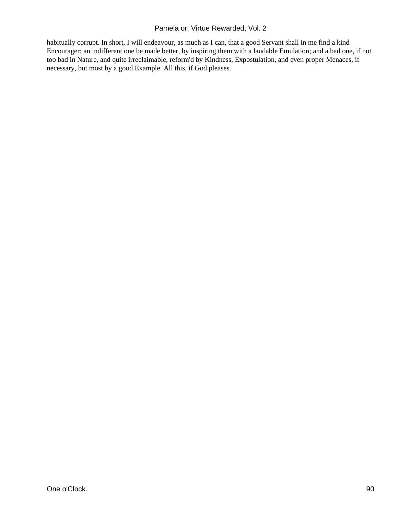habitually corrupt. In short, I will endeavour, as much as I can, that a good Servant shall in me find a kind Encourager; an indifferent one be made better, by inspiring them with a laudable Emulation; and a bad one, if not too bad in Nature, and quite irreclaimable, reform'd by Kindness, Expostulation, and even proper Menaces, if necessary, but most by a good Example. All this, if God pleases.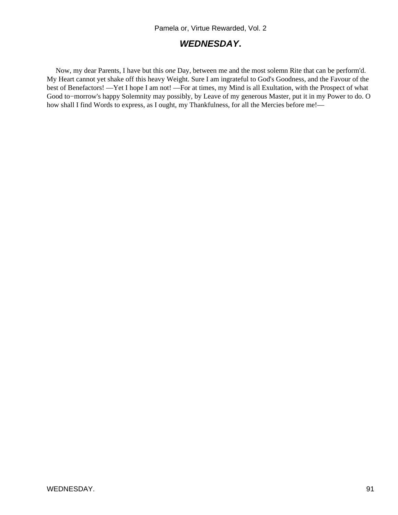### **WEDNESDAY.**

 Now, my dear Parents, I have but this *one* Day, between me and the most solemn Rite that can be perform'd. My Heart cannot yet shake off this heavy Weight. Sure I am ingrateful to God's Goodness, and the Favour of the best of Benefactors! —Yet I hope I am not! —For at times, my Mind is all Exultation, with the Prospect of what Good to−morrow's happy Solemnity may possibly, by Leave of my generous Master, put it in my Power to do. O how shall I find Words to express, as I ought, my Thankfulness, for all the Mercies before me!—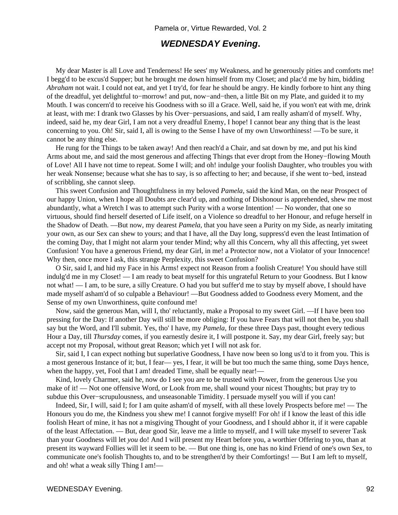#### **WEDNESDAY Evening.**

 My dear Master is all Love and Tenderness! He sees' my Weakness, and he generously pities and comforts me! I begg'd to be excus'd Supper; but he brought me down himself from my Closet; and plac'd me by him, bidding *Abraham* not wait. I could not eat, and yet I try'd, for fear he should be angry. He kindly forbore to hint any thing of the dreadful, yet delightful to−morrow! and put, now−and−then, a little Bit on my Plate, and guided it to my Mouth. I was concern'd to receive his Goodness with so ill a Grace. Well, said he, if you won't eat with me, drink at least, with me: I drank two Glasses by his Over−persuasions, and said, I am really asham'd of myself. Why, indeed, said he, my dear Girl, I am not a very dreadful Enemy, I hope! I cannot bear any thing that is the least concerning to you. Oh! Sir, said I, all is owing to the Sense I have of my own Unworthiness! —To be sure, it cannot be any thing else.

 He rung for the Things to be taken away! And then reach'd a Chair, and sat down by me, and put his kind Arms about me, and said the most generous and affecting Things that ever dropt from the Honey−flowing Mouth of Love! All I have not time to repeat. Some I will; and oh! indulge your foolish Daughter, who troubles you with her weak Nonsense; because what she has to say, is so affecting to her; and because, if she went to−bed, instead of scribbling, she cannot sleep.

 This sweet Confusion and Thoughtfulness in my beloved *Pamela,* said the kind Man, on the near Prospect of our happy Union, when I hope all Doubts are clear'd up, and nothing of Dishonour is apprehended, shew me most abundantly, what a Wretch I was to attempt such Purity with a worse Intention! — No wonder, that one so virtuous, should find herself deserted of Life itself, on a Violence so dreadful to her Honour, and refuge herself in the Shadow of Death. —But now, my dearest *Pamela,* that you have seen a Purity on my Side, as nearly imitating your own, as our Sex can shew to yours; and that I have, all the Day long, suppress'd even the least Intimation of the coming Day, that I might not alarm your tender Mind; why all this Concern, why all this affecting, yet sweet Confusion! You have a generous Friend, my dear Girl, in me! a Protector now, not a Violator of your Innocence! Why then, once more I ask, this strange Perplexity, this sweet Confusion?

 O Sir, said I, and hid my Face in his Arms! expect not Reason from a foolish Creature! You should have still indulg'd me in my Closet! — I am ready to beat myself for this ungrateful Return to your Goodness. But I know not what! — I am, to be sure, a silly Creature. O had you but suffer'd me to stay by myself above, I should have made myself asham'd of so culpable a Behaviour! —But Goodness added to Goodness every Moment, and the Sense of my own Unworthiness, quite confound me!

 Now, said the generous Man, will I, tho' reluctantly, make a Proposal to my sweet Girl. —If I have been too pressing for the Day: If another Day will still be more obliging: If you have Fears that will not then be, you shall say but the Word, and I'll submit. Yes, tho' I have, my *Pamela,* for these three Days past, thought every tedious Hour a Day, till *Thursday* comes, if you earnestly desire it, I will postpone it. Say, my dear Girl, freely say; but accept not my Proposal, without great Reason; which yet I will not ask for.

 Sir, said I, I can expect nothing but superlative Goodness, I have now been so long us'd to it from you. This is a most generous Instance of it; but, I fear— yes, I fear, it will be but too much the same thing, some Days hence, when the happy, yet, Fool that I am! dreaded Time, shall be equally near!—

 Kind, lovely Charmer, said he, now do I see you are to be trusted with Power, from the generous Use you make of it! — Not one offensive Word, or Look from me, shall wound your nicest Thoughts; but pray try to subdue this Over−scrupulousness, and unseasonable Timidity. I persuade myself you will if you can!

 Indeed, Sir, I will, said I; for I am quite asham'd of myself, with all these lovely Prospects before me! — The Honours you do me, the Kindness you shew me! I cannot forgive myself! For oh! if I know the least of this idle foolish Heart of mine, it has not a misgiving Thought of your Goodness, and I should abhor it, if it were capable of the least Affectation. — But, dear good Sir, leave me a little to myself, and I will take myself to severer Task than your Goodness will let *you* do! And I will present my Heart before you, a worthier Offering to you, than at present its wayward Follies will let it seem to be. — But one thing is, one has no kind Friend of one's own Sex, to communicate one's foolish Thoughts to, and to be strengthen'd by their Comfortings! — But I am left to myself, and oh! what a weak silly Thing I am!—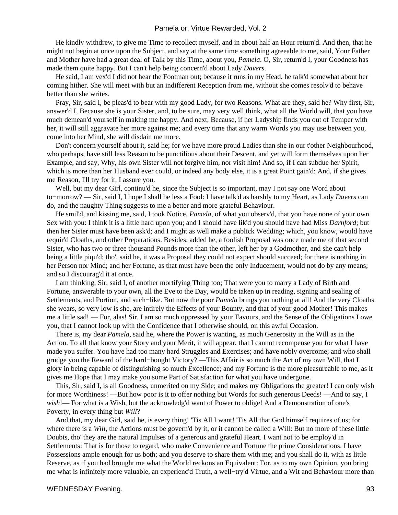He kindly withdrew, to give me Time to recollect myself, and in about half an Hour return'd. And then, that he might not begin at once upon the Subject, and say at the same time something agreeable to me, said, Your Father and Mother have had a great deal of Talk by this Time, about you, *Pamela*. O, Sir, return'd I, your Goodness has made them quite happy. But I can't help being concern'd about Lady *Davers*.

 He said, I am vex'd I did not hear the Footman out; because it runs in my Head, he talk'd somewhat about her coming hither. She will meet with but an indifferent Reception from me, without she comes resolv'd to behave better than she writes.

 Pray, Sir, said I, be pleas'd to bear with my good Lady, for two Reasons. What are they, said he? Why first, Sir, answer'd I, Because she is your Sister, and, to be sure, may very well think, what all the World will, that you have much demean'd yourself in making me happy. And next, Because, if her Ladyship finds you out of Temper with her, it will still aggravate her more against me; and every time that any warm Words you may use between you, come into her Mind, she will disdain me more.

 Don't concern yourself about it, said he; for we have more proud Ladies than she in our t'other Neighbourhood, who perhaps, have still less Reason to be punctilious about their Descent, and yet will form themselves upon her Example, and say, Why, his own Sister will not forgive him, nor visit him! And so, if I can subdue her Spirit, which is more than her Husband ever could, or indeed any body else, it is a great Point gain'd: And, if she gives me Reason, I'll try for it, I assure you.

 Well, but my dear Girl, continu'd he, since the Subject is so important, may I not say one Word about to−morrow? — Sir, said I, I hope I shall be less a Fool: I have talk'd as harshly to my Heart, as Lady *Davers* can do, and the naughty Thing suggests to me a better and more grateful Behaviour.

 He smil'd, and kissing me, said, I took Notice, *Pamela,* of what you observ'd, that you have none of your own Sex with you: I think it is a little hard upon you; and I should have lik'd you should have had Miss *Darnford*; but then her Sister must have been ask'd; and I might as well make a publick Wedding; which, you know, would have requir'd Cloaths, and other Preparations. Besides, added he, a foolish Proposal was once made me of that second Sister, who has two or three thousand Pounds more than the other, left her by a Godmother, and she can't help being a little piqu'd; tho', said he, it was a Proposal they could not expect should succeed; for there is nothing in her Person nor Mind; and her Fortune, as that must have been the only Inducement, would not do by any means; and so I discourag'd it at once.

 I am thinking, Sir, said I, of another mortifying Thing too; That were you to marry a Lady of Birth and Fortune, answerable to your own, all the Eve to the Day, would be taken up in reading, signing and sealing of Settlements, and Portion, and such−like. But now the poor *Pamela* brings you nothing at all! And the very Cloaths she wears, so very low is she, are intirely the Effects of your Bounty, and that of your good Mother! This makes me a little sad! — For, alas! Sir, I am so much oppressed by your Favours, and the Sense of the Obligations I owe you, that I cannot look up with the Confidence that I otherwise should, on this awful Occasion.

 There is, my dear *Pamela,* said he, where the Power is wanting, as much Generosity in the Will as in the Action. To all that know your Story and your Merit, it will appear, that I cannot recompense you for what I have made you suffer. You have had too many hard Struggles and Exercises; and have nobly overcome; and who shall grudge you the Reward of the hard−bought Victory? —This Affair is so much the Act of my own Will, that I glory in being capable of distinguishing so much Excellence; and my Fortune is the more pleasureable to me, as it gives me Hope that I may make you some Part of Satisfaction for what you have undergone.

 This, Sir, said I, is all Goodness, unmerited on my Side; and makes my Obligations the greater! I can only wish for more Worthiness! —But how poor is it to offer nothing but Words for such generous Deeds! —And to say, I *wish*!— For what is a Wish, but the acknowledg'd want of Power to oblige! And a Demonstration of one's Poverty, in every thing but *Will*?

 And that, my dear Girl, said he, is every thing! 'Tis All I want! 'Tis All that God himself requires of us; for where there is a *Will,* the Actions must be govern'd by it, or it cannot be called a Will: But no more of these little Doubts, tho' they are the natural Impulses of a generous and grateful Heart. I want not to be employ'd in Settlements: That is for those to regard, who make Convenience and Fortune the prime Considerations. I have Possessions ample enough for us both; and you deserve to share them with me; and you shall do it, with as little Reserve, as if you had brought me what the World reckons an Equivalent: For, as to my own Opinion, you bring me what is infinitely more valuable, an experienc'd Truth, a well−try'd Virtue, and a Wit and Behaviour more than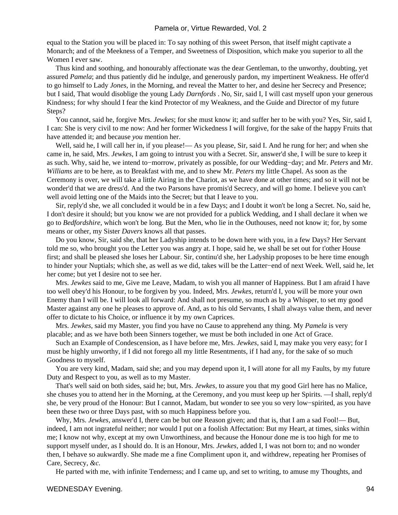equal to the Station you will be placed in: To say nothing of this sweet Person, that itself might captivate a Monarch; and of the Meekness of a Temper, and Sweetness of Disposition, which make you superior to all the Women I ever saw.

 Thus kind and soothing, and honourably affectionate was the dear Gentleman, to the unworthy, doubting, yet assured *Pamela*; and thus patiently did he indulge, and generously pardon, my impertinent Weakness. He offer'd to go himself to Lady *Jones,* in the Morning, and reveal the Matter to her, and desine her Secrecy and Presence; but I said, That would disoblige the young Lady *Darnfords* . No, Sir, said I, I will cast myself upon your generous Kindness; for why should I fear the kind Protector of my Weakness, and the Guide and Director of my future Steps?

You cannot, said he, forgive Mrs. *Jewkes*; for she must know it; and suffer her to be with you? Yes, Sir, said I, I can: She is very civil to me now: And her former Wickedness I will forgive, for the sake of the happy Fruits that have attended it; and because *you* mention her.

Well, said he, I will call her in, if you please!— As you please, Sir, said I. And he rung for her; and when she came in, he said, Mrs. *Jewkes,* I am going to intrust you with a Secret. Sir, answer'd she, I will be sure to keep it as such. Why, said he, we intend to−morrow, privately as possible, for our Wedding−day; and Mr. *Peters* and Mr. *Williams* are to be here, as to Breakfast with me, and to shew Mr. *Peters* my little Chapel. As soon as the Ceremony is over, we will take a little Airing in the Chariot, as we have done at other times; and so it will not be wonder'd that we are dress'd. And the two Parsons have promis'd Secrecy, and will go home. I believe you can't well avoid letting one of the Maids into the Secret; but that I leave to you.

 Sir, reply'd she, we all concluded it would be in a few Days; and I doubt it won't be long a Secret. No, said he, I don't desire it should; but you know we are not provided for a publick Wedding, and I shall declare it when we go to *Bedfordshire,* which won't be long. But the Men, who lie in the Outhouses, need not know it; for, by some means or other, my Sister *Davers* knows all that passes.

 Do you know, Sir, said she, that her Ladyship intends to be down here with you, in a few Days? Her Servant told me so, who brought you the Letter you was angry at. I hope, said he, we shall be set out for t'other House first; and shall be pleased she loses her Labour. Sir, continu'd she, her Ladyship proposes to be here time enough to hinder your Nuptials; which she, as well as we did, takes will be the Latter−end of next Week. Well, said he, let her come; but yet I desire not to see her.

 Mrs. *Jewkes* said to me, Give me Leave, Madam, to wish you all manner of Happiness. But I am afraid I have too well obey'd his Honour, to be forgiven by you. Indeed, Mrs. *Jewkes,* return'd I, you will be more your own Enemy than I will be. I will look all forward: And shall not presume, so much as by a Whisper, to set my good Master against any one he pleases to approve of. And, as to his old Servants, I shall always value them, and never offer to dictate to his Choice, or influence it by my own Caprices.

 Mrs. *Jewkes,* said my Master, you find you have no Cause to apprehend any thing. My *Pamela* is very placable; and as we have both been Sinners together, we must be both included in one Act of Grace.

 Such an Example of Condescension, as I have before me, Mrs. *Jewkes,* said I, may make you very easy; for I must be highly unworthy, if I did not forego all my little Resentments, if I had any, for the sake of so much Goodness to myself.

 You are very kind, Madam, said she; and you may depend upon it, I will atone for all my Faults, by my future Duty and Respect to you, as well as to my Master.

 That's well said on both sides, said he; but, Mrs. *Jewkes,* to assure you that my good Girl here has no Malice, she chuses you to attend her in the Morning, at the Ceremony, and you must keep up her Spirits. —I shall, reply'd she, be very proud of the Honour: But I cannot, Madam, but wonder to see you so very low−spirited, as you have been these two or three Days past, with so much Happiness before you.

Why, Mrs. *Jewkes*, answer'd I, there can be but one Reason given; and that is, that I am a sad Fool!— But, indeed, I am not ingrateful neither; nor would I put on a foolish Affectation: But my Heart, at times, sinks within me; I know not why, except at my own Unworthiness, and because the Honour done me is too high for me to support myself under, as I should do. It is an Honour, Mrs. *Jewkes,* added I, I was not born to; and no wonder then, I behave so aukwardly. She made me a fine Compliment upon it, and withdrew, repeating her Promises of Care, Secrecy, *&c.*

He parted with me, with infinite Tenderness; and I came up, and set to writing, to amuse my Thoughts, and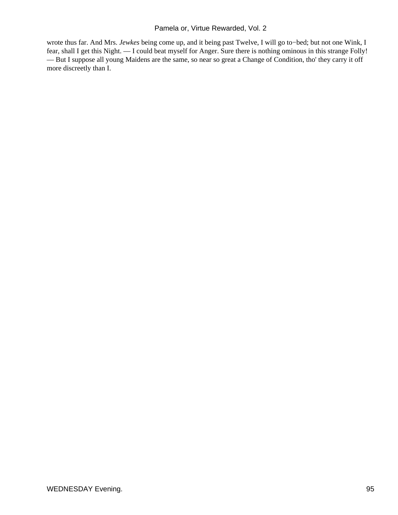#### Pamela or, Virtue Rewarded, Vol. 2

wrote thus far. And Mrs. *Jewkes* being come up, and it being past Twelve, I will go to−bed; but not one Wink, I fear, shall I get this Night. — I could beat myself for Anger. Sure there is nothing ominous in this strange Folly! — But I suppose all young Maidens are the same, so near so great a Change of Condition, tho' they carry it off more discreetly than I.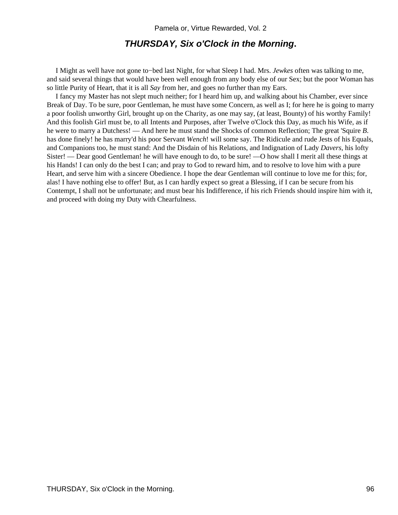#### **THURSDAY, Six o'Clock in the Morning.**

 I Might as well have not gone to−bed last Night, for what Sleep I had. Mrs. *Jewkes* often was talking to me, and said several things that would have been well enough from any body else of our Sex; but the poor Woman has so little Purity of Heart, that it is all *Say* from her, and goes no further than my Ears.

 I fancy my Master has not slept much neither; for I heard him up, and walking about his Chamber, ever since Break of Day. To be sure, poor Gentleman, he must have some Concern, as well as I; for here he is going to marry a poor foolish unworthy Girl, brought up on the Charity, as one may say, (at least, Bounty) of his worthy Family! And this foolish Girl must be, to all Intents and Purposes, after Twelve o'Clock this Day, as much his Wife, as if he were to marry a Dutchess! — And here he must stand the Shocks of common Reflection; The great 'Squire *B*. has done finely! he has marry'd his poor Servant *Wench*! will some say. The Ridicule and rude Jests of his Equals, and Companions too, he must stand: And the Disdain of his Relations, and Indignation of Lady *Davers,* his lofty Sister! — Dear good Gentleman! he will have enough to do, to be sure! —O how shall I merit all these things at his Hands! I can only do the best I can; and pray to God to reward him, and to resolve to love him with a pure Heart, and serve him with a sincere Obedience. I hope the dear Gentleman will continue to love me for this; for, alas! I have nothing else to offer! But, as I can hardly expect so great a Blessing, if I can be secure from his Contempt, I shall not be unfortunate; and must bear his Indifference, if his rich Friends should inspire him with it, and proceed with doing my Duty with Chearfulness.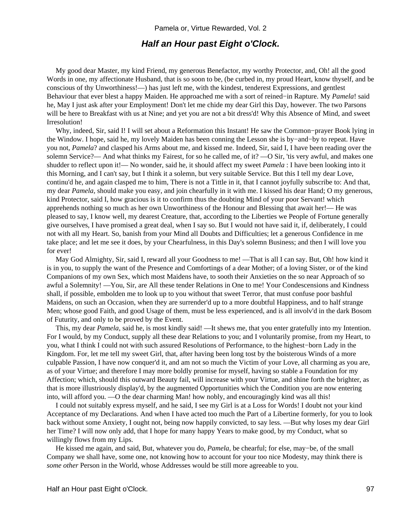### **Half an Hour past Eight o'Clock.**

 My good dear Master, my kind Friend, my generous Benefactor, my worthy Protector, and, Oh! all the good Words in one, my affectionate Husband, that is so soon to be, (be curbed in, my proud Heart, know thyself, and be conscious of thy Unworthiness!—) has just left me, with the kindest, tenderest Expressions, and gentlest Behaviour that ever blest a happy Maiden. He approached me with a sort of reined−in Rapture. My *Pamela*! said he, May I just ask after your Employment! Don't let me chide my dear Girl this Day, however. The two Parsons will be here to Breakfast with us at Nine; and yet you are not a bit dress'd! Why this Absence of Mind, and sweet Irresolution!

 Why, indeed, Sir, said I! I will set about a Reformation this Instant! He saw the Common−prayer Book lying in the Window. I hope, said he, my lovely Maiden has been conning the Lesson she is by−and−by to repeat. Have you not, *Pamela*? and clasped his Arms about me, and kissed me. Indeed, Sir, said I, I have been reading over the solemn Service?— And what thinks my Fairest, for so he called me, of it? —O Sir, 'tis very awful, and makes one shudder to reflect upon it!— No wonder, said he, it should affect my sweet *Pamela* : I have been looking into it this Morning, and I can't say, but I think it a solemn, but very suitable Service. But this I tell my dear Love, continu'd he, and again clasped me to him, There is not a Tittle in it, that I cannot joyfully subscribe to: And that, my dear *Pamela,* should make you easy, and join chearfully in it with me. I kissed his dear Hand; O my generous, kind Protector, said I, how gracious is it to confirm thus the doubting Mind of your poor Servant! which apprehends nothing so much as her own Unworthiness of the Honour and Blessing that await her!— He was pleased to say, I know well, my dearest Creature, that, according to the Liberties we People of Fortune generally give ourselves, I have promised a great deal, when I say so. But I would not have said it, if, deliberately, I could not with all my Heart. So, banish from your Mind all Doubts and Difficulties; let a generous Confidence in me take place; and let me see it does, by your Chearfulness, in this Day's solemn Business; and then I will love you for ever!

 May God Almighty, Sir, said I, reward all your Goodness to me! —That is all I can say. But, Oh! how kind it is in you, to supply the want of the Presence and Comfortings of a dear Mother; of a loving Sister, or of the kind Companions of my own Sex, which most Maidens have, to sooth their Anxieties on the so near Approach of so awful a Solemnity! —You, Sir, are All these tender Relations in One to me! Your Condescensions and Kindness shall, if possible, embolden me to look up to you without that sweet Terror, that must confuse poor bashful Maidens, on such an Occasion, when they are surrender'd up to a more doubtful Happiness, and to half strange Men; whose good Faith, and good Usage of them, must be less experienced, and is all involv'd in the dark Bosom of Futurity, and only to be proved by the Event.

 This, my dear *Pamela,* said he, is most kindly said! —It shews me, that you enter gratefully into my Intention. For I would, by my Conduct, supply all these dear Relations to you; and I voluntarily promise, from my Heart, to you, what I think I could not with such assured Resolutions of Performance, to the highest−born Lady in the Kingdom. For, let me tell my sweet Girl, that, after having been long tost by the boisterous Winds of a more culpable Passion, I have now conquer'd it, and am not so much the Victim of your Love, all charming as you are, as of your Virtue; and therefore I may more boldly promise for myself, having so stable a Foundation for my Affection; which, should this outward Beauty fail, will increase with your Virtue, and shine forth the brighter, as that is more illustriously display'd, by the augmented Opportunities which the Condition you are now entering into, will afford you. —O the dear charming Man! how nobly, and encouragingly kind was all this!

 I could not suitably express myself, and he said, I see my Girl is at a Loss for Words! I doubt not your kind Acceptance of my Declarations. And when I have acted too much the Part of a Libertine formerly, for you to look back without some Anxiety, I ought not, being now happily convicted, to say less. —But why loses my dear Girl her Time? I will now only add, that I hope for many happy Years to make good, by my Conduct, what so willingly flows from my Lips.

 He kissed me again, and said, But, whatever you do, *Pamela,* be chearful; for else, may−be, of the small Company we shall have, some one, not knowing how to account for your too nice Modesty, may think there is *some other* Person in the World, whose Addresses would be still more agreeable to you.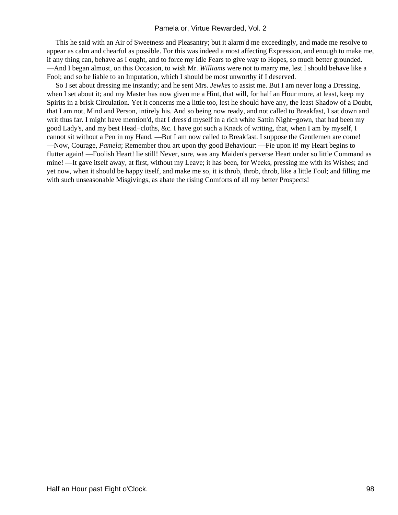This he said with an Air of Sweetness and Pleasantry; but it alarm'd me exceedingly, and made me resolve to appear as calm and chearful as possible. For this was indeed a most affecting Expression, and enough to make me, if any thing can, behave as I ought, and to force my idle Fears to give way to Hopes, so much better grounded. —And I began almost, on this Occasion, to wish Mr. *Williams* were not to marry me, lest I should behave like a Fool; and so be liable to an Imputation, which I should be most unworthy if I deserved.

 So I set about dressing me instantly; and he sent Mrs. *Jewkes* to assist me. But I am never long a Dressing, when I set about it; and my Master has now given me a Hint, that will, for half an Hour more, at least, keep my Spirits in a brisk Circulation. Yet it concerns me a little too, lest he should have any, the least Shadow of a Doubt, that I am not, Mind and Person, intirely his. And so being now ready, and not called to Breakfast, I sat down and writ thus far. I might have mention'd, that I dress'd myself in a rich white Sattin Night−gown, that had been my good Lady's, and my best Head−cloths, &c. I have got such a Knack of writing, that, when I am by myself, I cannot sit without a Pen in my Hand. —But I am now called to Breakfast. I suppose the Gentlemen are come! —Now, Courage, *Pamela*; Remember thou art upon thy good Behaviour: —Fie upon it! my Heart begins to flutter again! —Foolish Heart! lie still! Never, sure, was any Maiden's perverse Heart under so little Command as mine! —It gave itself away, at first, without my Leave; it has been, for Weeks, pressing me with its Wishes; and yet now, when it should be happy itself, and make me so, it is throb, throb, throb, like a little Fool; and filling me with such unseasonable Misgivings, as abate the rising Comforts of all my better Prospects!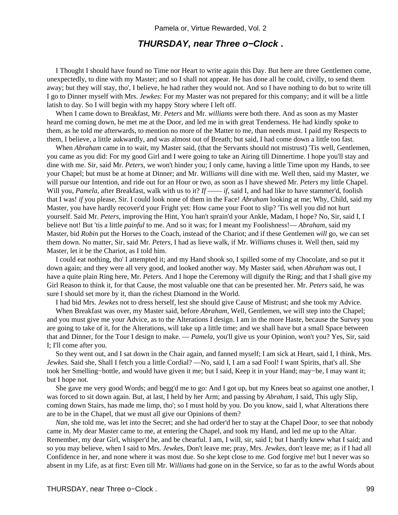### **THURSDAY, near Three o−Clock .**

 I Thought I should have found no Time nor Heart to write again this Day. But here are three Gentlemen come, unexpectedly, to dine with my Master; and so I shall not appear. He has done all he could, civilly, to send them away; but they will stay, tho', I believe, he had rather they would not. And so I have nothing to do but to write till I go to Dinner myself with Mrs. *Jewkes*: For my Master was not prepared for this company; and it will be a little latish to day. So I will begin with my happy Story where I left off.

 When I came down to Breakfast, Mr. *Peters* and Mr. *williams* were both there. And as soon as my Master heard me coming down, he met me at the Door, and led me in with great Tenderness. He had kindly spoke to them, as he told me afterwards, to mention no more of the Matter to me, than needs must. I paid my Respects to them, I believe, a little aukwardly, and was almost out of Breath; but said, I had come down a little too fast.

When *Abraham* came in to wait, my Master said, (that the Servants should not mistrust) 'Tis well, Gentlemen, you came as you did: For my good Girl and I were going to take an Airing till Dinnertime. I hope you'll stay and dine with me. Sir, said Mr. *Peters,* we won't hinder you; I only came, having a little Time upon my Hands, to see your Chapel; but must be at home at Dinner; and Mr. *Williams* will dine with me. Well then, said my Master, we will pursue our Intention, and ride out for an Hour or two, as soon as I have shewed Mr. *Peters* my little Chapel. Will you, *Pamela*, after Breakfast, walk with us to it? *If* ——*if*, said I, and had like to have stammer'd, foolish that I was! *if* you please, Sir. I could look none of them in the Face! *Abraham* looking at me; Why, Child, said my Master, you have hardly recover'd your Fright yet: How came your Foot to slip? 'Tis well you did not hurt yourself. Said Mr. *Peters,* improving the Hint, You han't sprain'd your Ankle, Madam, I hope? No, Sir, said I, I believe not! But 'tis a little *painful* to me. And so it was; for I meant my Foolishness!— *Abraham,* said my Master, bid *Robin* put the Horses to the Coach, instead of the Chariot; and if these Gentlemen *will* go, we can set them down. No matter, Sir, said Mr. *Peters,* I had as lieve walk, if Mr. *Williams* chuses it. Well then, said my Master, let it be the Chariot, as I told him.

 I could eat nothing, tho' I attempted it; and my Hand shook so, I spilled some of my Chocolate, and so put it down again; and they were all very good, and looked another way. My Master said, when *Abraham* was out, I have a quite plain Ring here, Mr. *Peters*. And I hope the Ceremony will dignify the Ring; and that I shall give my Girl Reason to think it, for that Cause, the most valuable one that can be presented her. Mr. *Peters* said, he was sure I should set more by it, than the richest Diamond in the World.

I had bid Mrs. *Jewkes* not to dress herself, lest she should give Cause of Mistrust; and she took my Advice.

 When Breakfast was over, my Master said, before *Abraham,* Well, Gentlemen, we will step into the Chapel; and you must give me your Advice, as to the Alterations I design. I am in the more Haste, because the Survey you are going to take of it, for the Alterations, will take up a little time; and we shall have but a small Space between that and Dinner, for the Tour I design to make. — *Pamela,* you'll give us your Opinion, won't you? Yes, Sir, said I; I'll come after you.

 So they went out, and I sat down in the Chair again, and fanned myself; I am sick at Heart, said I, I think, Mrs. *Jewkes*. Said she, Shall I fetch you a little Cordial? —No, said I, I am a sad Fool! I want Spirits, that's all. She took her Smelling−bottle, and would have given it me; but I said, Keep it in your Hand; may−be, I may want it; but I hope not.

 She gave me very good Words; and begg'd me to go: And I got up, but my Knees beat so against one another, I was forced to sit down again. But, at last, I held by her Arm; and passing by *Abraham,* I said, This ugly Slip, coming down Stairs, has made me limp, tho'; so I must hold by you. Do you know, said I, what Alterations there are to be in the Chapel, that we must all give our Opinions of them?

*Nan,* she told me, was let into the Secret; and she had order'd her to stay at the Chapel Door, to see that nobody came in. My dear Master came to me, at entering the Chapel, and took my Hand, and led me up to the Altar. Remember, my dear Girl, whisper'd he, and be chearful. I am, I will, sir, said I; but I hardly knew what I said; and so you may believe, when I said to Mrs. *Jewkes,* Don't leave me; pray, Mrs. *Jewkes,* don't leave me; as if I had all Confidence in her, and none where it was most due. So she kept close to me. God forgive me! but I never was so absent in my Life, as at first: Even till Mr. *Williams* had gone on in the Service, so far as to the awful Words about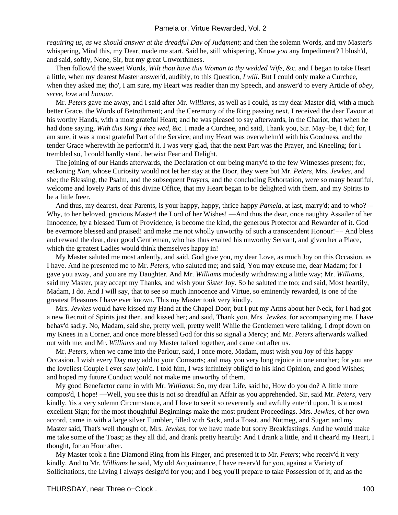*requiring us, as we should answer at the dreadful Day of Judgment*; and then the solemn Words, and my Master's whispering, Mind this, my Dear, made me start. Said he, still whispering, Know *you* any Impediment? I blush'd, and said, softly, None, Sir, but my great Unworthiness.

 Then follow'd the sweet Words, *Wilt thou have this Woman to thy wedded Wife,* &c. and I began to take Heart a little, when my dearest Master answer'd, audibly, to this Question, *I will*. But I could only make a Curchee, when they asked me; tho', I am sure, my Heart was readier than my Speech, and answer'd to every Article of *obey, serve, love* and *honour*.

 Mr. *Peters* gave me away, and I said after Mr. *Williams,* as well as I could, as my dear Master did, with a much better Grace, the Words of Betrothment; and the Ceremony of the Ring passing next, I received the dear Favour at his worthy Hands, with a most grateful Heart; and he was pleased to say afterwards, in the Chariot, that when he had done saying, *With this Ring I thee wed,* &c. I made a Curchee, and said, Thank you, Sir. May−be, I did; for, I am sure, it was a most grateful Part of the Service; and my Heart was overwhelm'd with his Goodness, and the tender Grace wherewith he perform'd it. I was very glad, that the next Part was the Prayer, and Kneeling; for I trembled so, I could hardly stand, betwixt Fear and Delight.

 The joining of our Hands afterwards, the Declaration of our being marry'd to the few Witnesses present; for, reckoning *Nan,* whose Curiosity would not let her stay at the Door, they were but Mr. *Peters,* Mrs. *Jewkes,* and she; the Blessing, the Psalm, and the subsequent Prayers, and the concluding Exhortation, were so many beautiful, welcome and lovely Parts of this divine Office, that my Heart began to be delighted with them, and my Spirits to be a little freer.

 And thus, my dearest, dear Parents, is your happy, happy, thrice happy *Pamela,* at last, marry'd; and to who?— Why, to her beloved, gracious Master! the Lord of her Wishes! —And thus the dear, once naughty Assailer of her Innocence, by a blessed Turn of Providence, is become the kind, the generous Protector and Rewarder of it. God be evermore blessed and praised! and make me not wholly unworthy of such a transcendent Honour!−− And bless and reward the dear, dear good Gentleman, who has thus exalted his unworthy Servant, and given her a Place, which the greatest Ladies would think themselves happy in!

 My Master saluted me most ardently, and said, God give you, my dear Love, as much Joy on this Occasion, as I have. And he presented me to Mr. *Peters,* who saluted me; and said, You may excuse me, dear Madam; for I gave you away, and you are my Daughter. And Mr. *Williams* modestly withdrawing a little way; Mr. *Williams,* said my Master, pray accept my Thanks, and wish your *Sister* Joy. So he saluted me too; and said, Most heartily, Madam, I do. And I will say, that to see so much Innocence and Virtue, so eminently rewarded, is one of the greatest Pleasures I have ever known. This my Master took very kindly.

 Mrs. *Jewkes* would have kissed my Hand at the Chapel Door; but I put my Arms about her Neck, for I had got a new Recruit of Spirits just then, and kissed her; and said, Thank you, Mrs. *Jewkes,* for accompanying me. I have behav'd sadly. No, Madam, said she, pretty well, pretty well! While the Gentlemen were talking, I dropt down on my Knees in a Corner, and once more blessed God for this so signal a Mercy; and Mr. *Peters* afterwards walked out with me; and Mr. *Williams* and my Master talked together, and came out after us.

 Mr. *Peters,* when we came into the Parlour, said, I once more, Madam, must wish you Joy of this happy Occasion. I wish every Day may add to your Comsorts; and may you very long rejoice in one another; for you are the loveliest Couple I ever saw join'd. I told him, I was infinitely oblig'd to his kind Opinion, and good Wishes; and hoped my future Conduct would not make me unworthy of them.

 My good Benefactor came in with Mr. *Williams*: So, my dear Life, said he, How do you do? A little more compos'd, I hope! —Well, you see this is not so dreadful an Affair as you apprehended. Sir, said Mr. *Peters,* very kindly, 'tis a very solemn Circumstance, and I love to see it so reverently and awfully enter'd upon. It is a most excellent Sign; for the most thoughtful Beginnings make the most prudent Proceedings. Mrs. *Jewkes,* of her own accord, came in with a large silver Tumbler, filled with Sack, and a Toast, and Nutmeg, and Sugar; and my Master said, That's well thought of, Mrs. *Jewkes*; for we have made but sorry Breakfastings. And he would make me take some of the Toast; as they all did, and drank pretty heartily: And I drank a little, and it chear'd my Heart, I thought, for an Hour after.

 My Master took a fine Diamond Ring from his Finger, and presented it to Mr. *Peters*; who receiv'd it very kindly. And to Mr. *Williams* he said, My old Acquaintance, I have reserv'd for you, against a Variety of Sollicitations, the Living I always design'd for you; and I beg you'll prepare to take Possession of it; and as the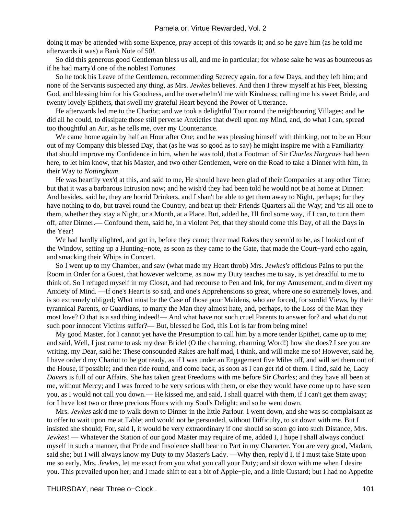doing it may be attended with some Expence, pray accept of this towards it; and so he gave him (as he told me afterwards it was) a Bank Note of 50*l.*

 So did this generous good Gentleman bless us all, and me in particular; for whose sake he was as bounteous as if he had marry'd one of the noblest Fortunes.

 So he took his Leave of the Gentlemen, recommending Secrecy again, for a few Days, and they left him; and none of the Servants suspected any thing, as Mrs. *Jewkes* believes. And then I threw myself at his Feet, blessing God, and blessing him for his Goodness, and he overwhelm'd me with Kindness; calling me his sweet Bride, and twenty lovely Epithets, that swell my grateful Heart beyond the Power of Utterance.

 He afterwards led me to the Chariot; and we took a delightful Tour round the neighbouring Villages; and he did all he could, to dissipate those still perverse Anxieties that dwell upon my Mind, and, do what I can, spread too thoughtful an Air, as he tells me, over my Countenance.

 We came home again by half an Hour after One; and he was pleasing himself with thinking, not to be an Hour out of my Company this blessed Day, that (as he was so good as to say) he might inspire me with a Familiarity that should improve my Confidence in him, when he was told, that a Footman of Sir *Charles Hargrave* had been here, to let him know, that his Master, and two other Gentlemen, were on the Road to take a Dinner with him, in their Way to *Nottingham*.

 He was heartily vex'd at this, and said to me, He should have been glad of their Companies at any other Time; but that it was a barbarous Intrusion now; and he wish'd they had been told he would not be at home at Dinner: And besides, said he, they are horrid Drinkers, and I shan't be able to get them away to Night, perhaps; for they have nothing to do, but travel round the Country, and beat up their Friends Quarters all the Way; and 'tis all one to them, whether they stay a Night, or a Month, at a Place. But, added he, I'll find some way, if I can, to turn them off, after Dinner.— Confound them, said he, in a violent Pet, that they should come this Day, of all the Days in the Year!

 We had hardly alighted, and got in, before they came; three mad Rakes they seem'd to be, as I looked out of the Window, setting up a Hunting−note, as soon as they came to the Gate, that made the Court−yard echo again, and smacking their Whips in Concert.

 So I went up to my Chamber, and saw (what made my Heart throb) Mrs. *Jewkes's* officious Pains to put the Room in Order for a Guest, that however welcome, as now my Duty teaches me to say, is yet dreadful to me to think of. So I refuged myself in my Closet, and had recourse to Pen and Ink, for my Amusement, and to divert my Anxiety of Mind. —If one's Heart is so sad, and one's Apprehensions so great, where one so extremely loves, and is so extremely obliged; What must be the Case of those poor Maidens, who are forced, for sordid Views, by their tyrannical Parents, or Guardians, to marry the Man they almost hate, and, perhaps, to the Loss of the Man they most love? O that is a sad thing indeed!— And what have not such cruel Parents to answer for? and what do not such poor innocent Victims suffer?— But, blessed be God, this Lot is far from being mine!

 My good Master, for I cannot yet have the Presumption to call him by a more tender Epithet, came up to me; and said, Well, I just came to ask my dear Bride! (O the charming, charming Word!) how she does? I see you are writing, my Dear, said he: These consounded Rakes are half mad, I think, and will make me so! However, said he, I have order'd my Chariot to be got ready, as if I was under an Engagement five Miles off, and will set them out of the House, if possible; and then ride round, and come back, as soon as I can get rid of them. I find, said he, Lady *Davers* is full of our Affairs. She has taken great Freedoms with me before Sir *Charles*; and they have all been at me, without Mercy; and I was forced to be very serious with them, or else they would have come up to have seen you, as I would not call you down.— He kissed me, and said, I shall quarrel with them, if I can't get them away; for I have lost two or three precious Hours with my Soul's Delight; and so he went down.

 Mrs. *Jewkes* ask'd me to walk down to Dinner in the little Parlour. I went down, and she was so complaisant as to offer to wait upon me at Table; and would not be persuaded, without Difficulty, to sit down with me. But I insisted she should; For, said I, it would be very extraordinary if one should so soon go into such Distance, Mrs. *Jewkes*! — Whatever the Station of our good Master may require of me, added I, I hope I shall always conduct myself in such a manner, that Pride and Insolence shall bear no Part in my Character. You are very good, Madam, said she; but I will always know my Duty to my Master's Lady. —Why then, reply'd I, if I must take State upon me so early, Mrs. *Jewkes,* let me exact from you what you call your Duty; and sit down with me when I desire you. This prevailed upon her; and I made shift to eat a bit of Apple−pie, and a little Custard; but I had no Appetite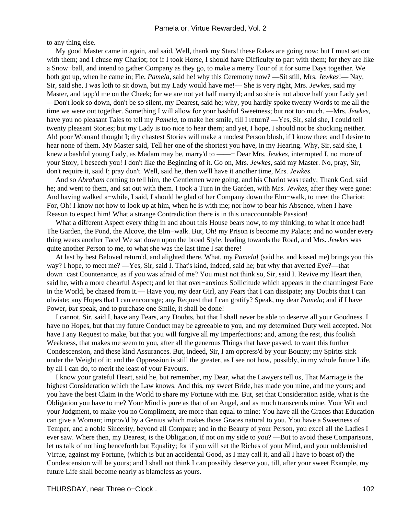to any thing else.

 My good Master came in again, and said, Well, thank my Stars! these Rakes are going now; but I must set out with them; and I chuse my Chariot; for if I took Horse, I should have Difficulty to part with them; for they are like a Snow−ball, and intend to gather Company as they go, to make a merry Tour of it for some Days together. We both got up, when he came in; Fie, *Pamela,* said he! why this Ceremony now? —Sit still, Mrs. *Jewkes*!— Nay, Sir, said she, I was loth to sit down, but my Lady would have me!— She is very right, Mrs. *Jewkes,* said my Master, and tapp'd me on the Cheek; for we are not yet half marry'd; and so she is not above half your Lady yet! —Don't look so down, don't be so silent, my Dearest, said he; why, you hardly spoke twenty Words to me all the time we were out together. Something I will allow for your bashful Sweetness; but not too much. —Mrs. *Jewkes,* have you no pleasant Tales to tell my *Pamela,* to make her smile, till I return? —Yes, Sir, said she, I could tell twenty pleasant Stories; but my Lady is too nice to hear them; and yet, I hope, I should not be shocking neither. Ah! poor Woman! thought I; thy chastest Stories will make a modest Person blush, if I know thee; and I desire to hear none of them. My Master said, Tell her one of the shortest you have, in my Hearing. Why, Sir, said she, I knew a bashful young Lady, as Madam may be, marry'd to ——− Dear Mrs. *Jewkes,* interrupted I, no more of your Story, I beseech you! I don't like the Beginning of it. Go on, Mrs. *Jewkes,* said my Master. No, pray, Sir, don't require it, said I; pray don't. Well, said he, then we'll have it another time, Mrs. *Jewkes*.

 And so *Abraham* coming to tell him, the Gentlemen were going, and his Chariot was ready; Thank God, said he; and went to them, and sat out with them. I took a Turn in the Garden, with Mrs. *Jewkes,* after they were gone: And having walked a−while, I said, I should be glad of her Company down the Elm−walk, to meet the Chariot: For, Oh! I know not how to look up at him, when he is with me; nor how to bear his Absence, when I have Reason to expect him! What a strange Contradiction there is in this unaccountable Passion!

What a different Aspect every thing in and about this House bears now, to my thinking, to what it once had! The Garden, the Pond, the Alcove, the Elm−walk. But, Oh! my Prison is become my Palace; and no wonder every thing wears another Face! We sat down upon the broad Style, leading towards the Road, and Mrs. *Jewkes* was quite another Person to me, to what she was the last time I sat there!

 At last by best Beloved return'd, and alighted there. What, my *Pamela*! (said he, and kissed me) brings you this way? I hope, to meet me? —Yes, Sir, said I. That's kind, indeed, said he; but why that averted Eye?—that down−cast Countenance, as if you was afraid of me? You must not think so, Sir, said I. Revive my Heart then, said he, with a more chearful Aspect; and let that over−anxious Sollicitude which appears in the charmingest Face in the World, be chased from it.— Have you, my dear Girl, any Fears that I can dissipate; any Doubts that I can obviate; any Hopes that I can encourage; any Request that I can gratify? Speak, my dear *Pamela*; and if I have Power, *but* speak, and to purchase one Smile, it shall be done!

 I cannot, Sir, said I, have any Fears, any Doubts, but that I shall never be able to deserve all your Goodness. I have no Hopes, but that my future Conduct may be agreeable to you, and my determined Duty well accepted. Nor have I any Request to make, but that you will forgive all my Imperfections; and, among the rest, this foolish Weakness, that makes me seem to you, after all the generous Things that have passed, to want this further Condescension, and these kind Assurances. But, indeed, Sir, I am oppress'd by your Bounty; my Spirits sink under the Weight of it; and the Oppression is still the greater, as I see not how, possibly, in my whole future Life, by all I can do, to merit the least of your Favours.

 I know your grateful Heart, said he, but remember, my Dear, what the Lawyers tell us, That Marriage is the highest Consideration which the Law knows. And this, my sweet Bride, has made you mine, and me yours; and you have the best Claim in the World to share my Fortune with me. But, set that Consideration aside, what is the Obligation you have to me? Your Mind is pure as that of an Angel, and as much transcends mine. Your Wit and your Judgment, to make you no Compliment, are more than equal to mine: You have all the Graces that Education can give a Woman; improv'd by a Genius which makes those Graces natural to you. You have a Sweetness of Temper, and a noble Sincerity, beyond all Compare; and in the Beauty of your Person, you excel all the Ladies I ever saw. Where then, my Dearest, is the Obligation, if not on my side to you? —But to avoid these Comparisons, let us talk of nothing henceforth but Equality; for if you will set the Riches of your Mind, and your unblemished Virtue, against my Fortune, (which is but an accidental Good, as I may call it, and all I have to boast of) the Condescension will be yours; and I shall not think I can possibly deserve you, till, after your sweet Example, my future Life shall become nearly as blameless as yours.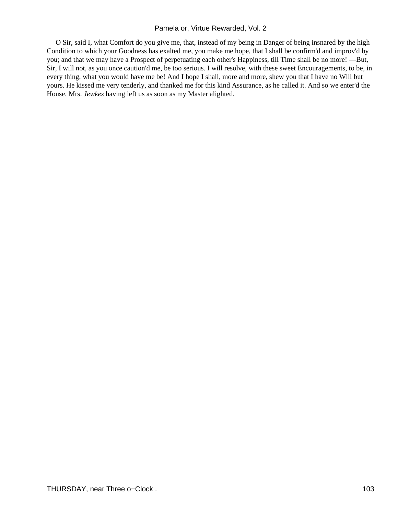#### Pamela or, Virtue Rewarded, Vol. 2

 O Sir, said I, what Comfort do you give me, that, instead of my being in Danger of being insnared by the high Condition to which your Goodness has exalted me, you make me hope, that I shall be confirm'd and improv'd by you; and that we may have a Prospect of perpetuating each other's Happiness, till Time shall be no more! —But, Sir, I will not, as you once caution'd me, be too serious. I will resolve, with these sweet Encouragements, to be, in every thing, what you would have me be! And I hope I shall, more and more, shew you that I have no Will but yours. He kissed me very tenderly, and thanked me for this kind Assurance, as he called it. And so we enter'd the House, Mrs. *Jewkes* having left us as soon as my Master alighted.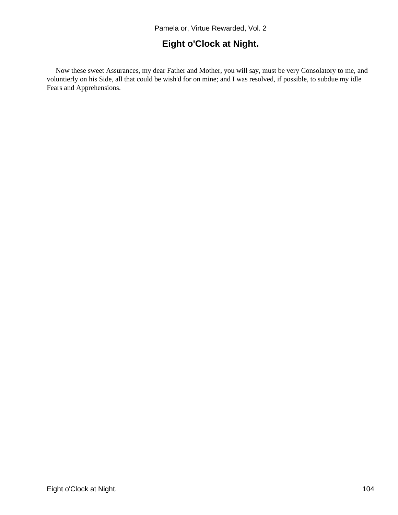## **Eight o'Clock at Night.**

 Now these sweet Assurances, my dear Father and Mother, you will say, must be very Consolatory to me, and voluntierly on his Side, all that could be wish'd for on mine; and I was resolved, if possible, to subdue my idle Fears and Apprehensions.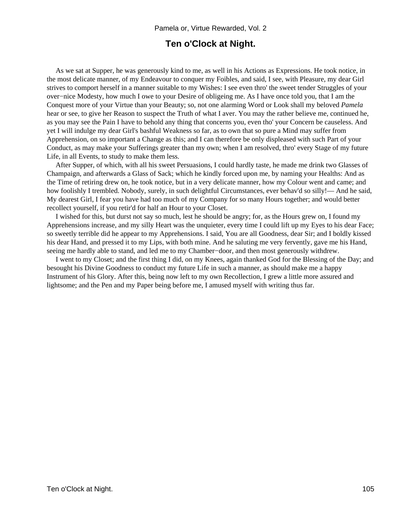## **Ten o'Clock at Night.**

 As we sat at Supper, he was generously kind to me, as well in his Actions as Expressions. He took notice, in the most delicate manner, of my Endeavour to conquer my Foibles, and said, I see, with Pleasure, my dear Girl strives to comport herself in a manner suitable to my Wishes: I see even thro' the sweet tender Struggles of your over−nice Modesty, how much I owe to your Desire of obligeing me. As I have once told you, that I am the Conquest more of your Virtue than your Beauty; so, not one alarming Word or Look shall my beloved *Pamela* hear or see, to give her Reason to suspect the Truth of what I aver. You may the rather believe me, continued he, as you may see the Pain I have to behold any thing that concerns you, even tho' your Concern be causeless. And yet I will indulge my dear Girl's bashful Weakness so far, as to own that so pure a Mind may suffer from Apprehension, on so important a Change as this; and I can therefore be only displeased with such Part of your Conduct, as may make your Sufferings greater than my own; when I am resolved, thro' every Stage of my future Life, in all Events, to study to make them less.

 After Supper, of which, with all his sweet Persuasions, I could hardly taste, he made me drink two Glasses of Champaign, and afterwards a Glass of Sack; which he kindly forced upon me, by naming your Healths: And as the Time of retiring drew on, he took notice, but in a very delicate manner, how my Colour went and came; and how foolishly I trembled. Nobody, surely, in such delightful Circumstances, ever behav'd so silly!— And he said, My dearest Girl, I fear you have had too much of my Company for so many Hours together; and would better recollect yourself, if you retir'd for half an Hour to your Closet.

 I wished for this, but durst not say so much, lest he should be angry; for, as the Hours grew on, I found my Apprehensions increase, and my silly Heart was the unquieter, every time I could lift up my Eyes to his dear Face; so sweetly terrible did he appear to my Apprehensions. I said, You are all Goodness, dear Sir; and I boldly kissed his dear Hand, and pressed it to my Lips, with both mine. And he saluting me very fervently, gave me his Hand, seeing me hardly able to stand, and led me to my Chamber−door, and then most generously withdrew.

 I went to my Closet; and the first thing I did, on my Knees, again thanked God for the Blessing of the Day; and besought his Divine Goodness to conduct my future Life in such a manner, as should make me a happy Instrument of his Glory. After this, being now left to my own Recollection, I grew a little more assured and lightsome; and the Pen and my Paper being before me, I amused myself with writing thus far.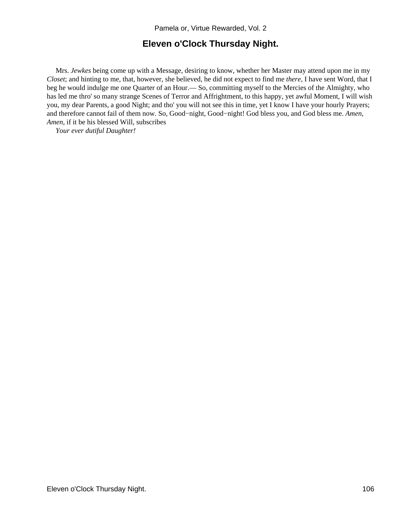# **Eleven o'Clock Thursday Night.**

 Mrs. *Jewkes* being come up with a Message, desiring to know, whether her Master may attend upon me in my *Closet*; and hinting to me, that, however, she believed, he did not expect to find me *there,* I have sent Word, that I beg he would indulge me one Quarter of an Hour.— So, committing myself to the Mercies of the Almighty, who has led me thro' so many strange Scenes of Terror and Affrightment, to this happy, yet awful Moment, I will wish you, my dear Parents, a good Night; and tho' you will not see this in time, yet I know I have your hourly Prayers; and therefore cannot fail of them now. So, Good−night, Good−night! God bless you, and God bless me. *Amen, Amen,* if it be his blessed Will, subscribes

*Your ever dutiful Daughter!*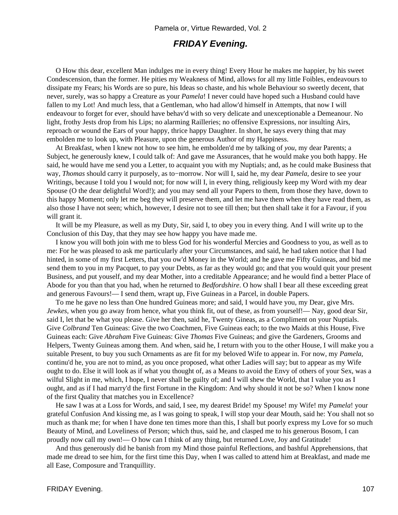# **FRIDAY Evening.**

 O How this dear, excellent Man indulges me in every thing! Every Hour he makes me happier, by his sweet Condescension, than the former. He pities my Weakness of Mind, allows for all my little Foibles, endeavours to dissipate my Fears; his Words are so pure, his Ideas so chaste, and his whole Behaviour so sweetly decent, that never, surely, was so happy a Creature as your *Pamela*! I never could have hoped such a Husband could have fallen to my Lot! And much less, that a Gentleman, who had allow'd himself in Attempts, that now I will endeavour to forget for ever, should have behav'd with so very delicate and unexceptionable a Demeanour. No light, frothy Jests drop from his Lips; no alarming Railleries; no offensive Expressions, nor insulting Airs, reproach or wound the Ears of your happy, thrice happy Daughter. In short, he says every thing that may embolden me to look up, with Pleasure, upon the generous Author of my Happiness.

 At Breakfast, when I knew not how to see him, he embolden'd me by talking of *you,* my dear Parents; a Subject, he generously knew, I could talk of: And gave me Assurances, that he would make you both happy. He said, he would have me send you a Letter, to acquaint you with my Nuptials; and, as he could make Business that way, *Thomas* should carry it purposely, as to−morrow. Nor will I, said he, my dear *Pamela,* desire to see your Writings, because I told you I would not; for now will I, in every thing, religiously keep my Word with my dear Spouse (O the dear delightful Word!); and you may send all your Papers to them, from those they have, down to this happy Moment; only let me beg they will preserve them, and let me have them when they have read them, as also those I have not seen; which, however, I desire not to see till then; but then shall take it for a Favour, if you will grant it.

 It will be my Pleasure, as well as my Duty, Sir, said I, to obey you in every thing. And I will write up to the Conclusion of this Day, that they may see how happy you have made me.

 I know you will both join with me to bless God for his wonderful Mercies and Goodness to you, as well as to me: For he was pleased to ask me particularly after your Circumstances, and said, he had taken notice that I had hinted, in some of my first Letters, that you ow'd Money in the World; and he gave me Fifty Guineas, and bid me send them to you in my Pacquet, to pay your Debts, as far as they would go; and that you would quit your present Business, and put youself, and my dear Mother, into a creditable Appearance; and he would find a better Place of Abode for you than that you had, when he returned to *Bedfordshire*. O how shall I bear all these exceeding great and generous Favours!— I send them, wrapt up, Five Guineas in a Parcel, in double Papers.

 To me he gave no less than One hundred Guineas more; and said, I would have you, my Dear, give Mrs. *Jewkes*, when you go away from hence, what you think fit, out of these, as from yourself!— Nay, good dear Sir, said I, let that be what you please. Give her then, said he, Twenty Gineas, as a Compliment on your Nuptials. Give *Colbrand* Ten Guineas: Give the two Coachmen, Five Guineas each; to the two Maids at this House, Five Guineas each: Give *Abraham* Five Guineas: Give *Thomas* Five Guineas; and give the Gardeners, Grooms and Helpers, Twenty Guineas among them. And when, said he, I return with you to the other House, I will make you a suitable Present, to buy you such Ornaments as are fit for my beloved Wife to appear in. For now, my *Pamela,* continu'd he, you are not to mind, as you once proposed, what other Ladies will say; but to appear as my Wife ought to do. Else it will look as if what you thought of, as a Means to avoid the Envy of others of your Sex, was a wilful Slight in me, which, I hope, I never shall be guilty of; and I will shew the World, that I value you as I ought, and as if I had marry'd the first Fortune in the Kingdom: And why should it not be so? When I know none of the first Quality that matches you in Excellence?

 He saw I was at a Loss for Words, and said, I see, my dearest Bride! my Spouse! my Wife! my *Pamela*! your grateful Confusion And kissing me, as I was going to speak, I will stop your dear Mouth, said he: You shall not so much as thank me; for when I have done ten times more than this, I shall but poorly express my Love for so much Beauty of Mind, and Loveliness of Person; which thus, said he, and clasped me to his generous Bosom, I can proudly now call my own!— O how can I think of any thing, but returned Love, Joy and Gratitude!

 And thus generously did he banish from my Mind those painful Reflections, and bashful Apprehensions, that made me dread to see him, for the first time this Day, when I was called to attend him at Breakfast, and made me all Ease, Composure and Tranquillity.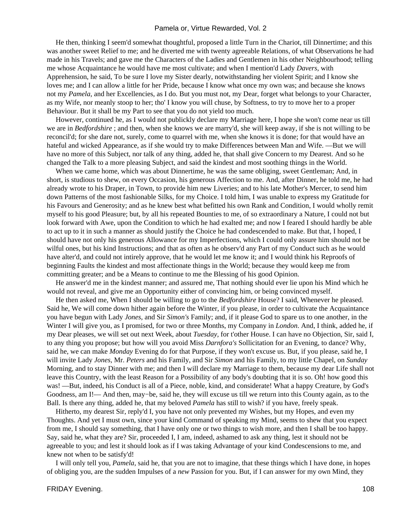### Pamela or, Virtue Rewarded, Vol. 2

 He then, thinking I seem'd somewhat thoughtful, proposed a little Turn in the Chariot, till Dinnertime; and this was another sweet Relief to me; and he diverted me with twenty agreeable Relations, of what Observations he had made in his Travels; and gave me the Characters of the Ladies and Gentlemen in his other Neighbourhood; telling me whose Acquaintance he would have me most cultivate; and when I mention'd Lady *Davers,* with Apprehension, he said, To be sure I love my Sister dearly, notwithstanding her violent Spirit; and I know she loves me; and I can allow a little for her Pride, because I know what once my own was; and because she knows not my *Pamela,* and her Excellencies, as I do. But you must not, my Dear, forget what belongs to your Character, as my Wife, nor meanly stoop to her; tho' I know you will chuse, by Softness, to try to move her to a proper Behaviour. But it shall be my Part to see that you do not yield too much.

 However, continued he, as I would not publickly declare my Marriage here, I hope she won't come near us till we are in *Bedfordshire* ; and then, when she knows we are marry'd, she will keep away, if she is not willing to be reconcil'd; for she dare not, surely, come to quarrel with me, when she knows it is done; for that would have an hateful and wicked Appearance, as if she would try to make Differences between Man and Wife. —But we will have no more of this Subject, nor talk of any thing, added he, that shall give Concern to my Dearest. And so he changed the Talk to a more pleasing Subject, and said the kindest and most soothing things in the World.

 When we came home, which was about Dinnertime, he was the same obliging, sweet Gentleman; And, in short, is studious to shew, on every Occasion, his generous Affection to me. And, after Dinner, he told me, he had already wrote to his Draper, in Town, to provide him new Liveries; and to his late Mother's Mercer, to send him down Patterns of the most fashionable Silks, for my Choice. I told him, I was unable to express my Gratitude for his Favours and Generosity; and as he knew best what befitted his own Rank and Condition, I would wholly remit myself to his good Pleasure; but, by all his repeated Bounties to me, of so extraordinary a Nature, I could not but look forward with Awe, upon the Condition to which he had exalted me; and now I feared I should hardly be able to act up to it in such a manner as should justify the Choice he had condescended to make. But that, I hoped, I should have not only his generous Allowance for my Imperfections, which I could only assure him should not be wilful ones, but his kind Instructions; and that as often as he observ'd any Part of my Conduct such as he would have alter'd, and could not intirely approve, that he would let me know it; and I would think his Reproofs of beginning Faults the kindest and most affectionate things in the World; because they would keep me from committing greater; and be a Means to continue to me the Blessing of his good Opinion.

 He answer'd me in the kindest manner; and assured me, That nothing should ever lie upon his Mind which he would not reveal, and give me an Opportunity either of convincing him, or being convinced myself.

 He then asked me, When I should be willing to go to the *Bedfordshire* House? I said, Whenever he pleased. Said he, We will come down hither again before the Winter, if you please, in order to cultivate the Acquaintance you have begun with Lady *Jones,* and Sir *Simon's* Family; and, if it please God to spare us to one another, in the Winter I will give you, as I promised, for two or three Months, my Company in *London*. And, I think, added he, if my Dear pleases, we will set out next Week, about *Tuesday,* for t'other House. I can have no Objection, Sir, said I, to any thing you propose; but how will you avoid Miss *Darnfora's* Sollicitation for an Evening, to dance? Why, said he, we can make *Monday* Evening do for that Purpose, if they won't excuse us. But, if you please, said he, I will invite Lady *Jones,* Mr. *Peters* and his Family, and Sir *Simon* and his Family, to my little Chapel, on *Sunday* Morning, and to stay Dinner with me; and then I will declare my Marriage to them, because my dear Life shall not leave this Country, with the least Reason for a Possibility of any body's doubting that it is so. Oh! how good this was! —But, indeed, his Conduct is all of a Piece, noble, kind, and considerate! What a happy Creature, by God's Goodness, am I!— And then, may−be, said he, they will excuse us till we return into this County again, as to the Ball. Is there any thing, added he, that my beloved *Pamela* has still to wish? if you have, freely speak.

 Hitherto, my dearest Sir, reply'd I, you have not only prevented my Wishes, but my Hopes, and even my Thoughts. And yet I must own, since your kind Command of speaking my Mind, seems to shew that you expect from me, I should say something, that I have only one or two things to wish more, and then I shall be too happy. Say, said he, what they are? Sir, proceeded I, I am, indeed, ashamed to ask any thing, lest it should not be agreeable to you; and lest it should look as if I was taking Advantage of your kind Condescensions to me, and knew not when to be satisfy'd!

 I will only tell you, *Pamela,* said he, that you are not to imagine, that these things which I have done, in hopes of obliging you, are the sudden Impulses of a *new* Passion for you. But, if I can answer for my own Mind, they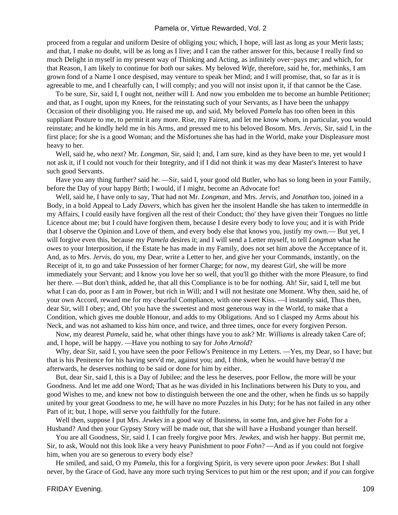proceed from a regular and uniform Desire of obliging you; which, I hope, will last as long as your Merit lasts; and that, I make no doubt, will be as long as I live; and I can the rather answer for this, because I really find so much Delight in myself in my present way of Thinking and Acting, as infinitely over−pays me; and which, for that Reason, I am likely to continue for *both* our sakes. My beloved *Wife,* therefore, said he, for, methinks, I am grown fond of a Name I once despised, may venture to speak her Mind; and I will promise, that, so far as it is agreeable to me, and I chearfully can, I will comply; and you will not insist upon it, if that cannot be the Case.

 To be sure, Sir, said I, I ought not, neither will I. And now you embolden me to become an humble Petitioner; and that, as I ought, upon my Knees, for the reinstating such of your Servants, as I have been the unhappy Occasion of their disobliging you. He raised me up, and said, My beloved *Pamela* has too often been in this suppliant Posture to me, to permit it any more. Rise, my Fairest, and let me know whom, in particular, you would reinstate; and he kindly held me in his Arms, and pressed me to his beloved Bosom. Mrs. *Jervis,* Sir, said I, in the first place; for she is a good Woman; and the Misfortunes she has had in the World, make your Displeasure most heavy to her.

 Well, said he, who next? Mr. *Longman,* Sir, said I; and, I am sure, kind as they have been to me, yet would I not ask it, if I could not vouch for their Integrity, and if I did not think it was my dear Master's Interest to have such good Servants.

 Have you any thing further? said he. —Sir, said I, your good old Butler, who has so long been in your Family, before the Day of your happy Birth; I would, if I might, become an Advocate for!

 Well, said he, I have only to say, That had not Mr. *Longman,* and Mrs. *Jervis,* and *Jonathan* too, joined in a Body, in a bold Appeal to Lady *Davers,* which has given her the insolent Handle she has taken to intermeddle in my Affairs, I could easily have forgiven all the rest of their Conduct; tho' they have given their Tongues no little Licence about me; but I could have forgiven them, because I desire every body to love you; and it is with Pride that I observe the Opinion and Love of them, and every body else that knows you, justify my own.— But yet, I will forgive even this, because my *Pamela* desires it; and I will send a Letter myself, to tell *Longman* what he owes to your Interposition, if the Estate he has made in my Family, does not set him above the Acceptance of it. And, as to Mrs. *Jervis,* do you, my Dear, write a Letter to her, and give her your Commands, instantly, on the Receipt of it, to go and take Possession of her former Charge; for now, my dearest Girl, she will be more immediately your Servant; and I know you love her so well, that you'll go thither with the more Pleasure, to find her there. —But don't think, added he, that all this Compliance is to be for nothing. Ah! Sir, said I, tell me but what I can do, poor as I am in Power, but rich in Will; and I will not hesitate one Moment. Why then, said he, of your own Accord, reward me for my chearful Compliance, with one sweet Kiss. —I instantly said, Thus then, dear Sir, will I obey; and, Oh! you have the sweetest and most generous way in the World, to make that a Condition, which gives me double Honour, and adds to my Obligations. And so I clasped my Arms about his Neck, and was not ashamed to kiss him once, and twice, and three times, once for every forgiven Person.

 Now, my dearest *Pamela,* said he, what other things have you to ask? Mr. *Williams* is already taken Care of; and, I hope, will be happy. —Have you nothing to say for *John Arnold*?

Why, dear Sir, said I, you have seen the poor Fellow's Penitence in my Letters. —Yes, my Dear, so I have; but that is his Penitence for his having serv'd me, against you; and, I think, when he would have betray'd me afterwards, he deserves nothing to be said or done for him by either.

 But, dear Sir, said I, this is a Day of Jubilee; and the less he deserves, poor Fellow, the more will be your Goodness. And let me add one Word; That as he was divided in his Inclinations between his Duty to you, and good Wishes to me, and knew not how to distinguish between the one and the other, when he finds us so happily united by your great Goodness to me, he will have no more Puzzles in his Duty; for he has not failed in any other Part of it; but, I hope, will serve you faithfully for the future.

 Well then, suppose I put Mrs. *Jewkes* in a good way of Business, in some Inn, and give her *Fohn* for a Husband? And then your Gypsey Story will be made out, that she will have a Husband younger than herself.

 You are all Goodness, Sir, said I. I can freely forgive poor Mrs. *Jewkes,* and wish her happy. But permit me, Sir, to ask, Would not this look like a very heavy Punishment to poor *Fohn*? —And as if you could not forgive him, when you are so generous to every body else?

 He smiled, and said, O my *Pamela,* this for a forgiving Spirit, is very severe upon poor *Jewkes*: But I shall never, by the Grace of God, have any more such trying Services to put him or the rest upon; and if *you* can forgive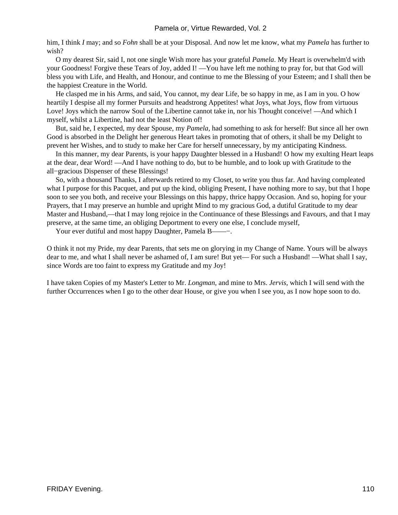him, I think *I* may; and so *Fohn* shall be at your Disposal. And now let me know, what my *Pamela* has further to wish?

 O my dearest Sir, said I, not one single Wish more has your grateful *Pamela*. My Heart is overwhelm'd with your Goodness! Forgive these Tears of Joy, added I! —You have left me nothing to pray for, but that God will bless you with Life, and Health, and Honour, and continue to me the Blessing of your Esteem; and I shall then be the happiest Creature in the World.

 He clasped me in his Arms, and said, You cannot, my dear Life, be so happy in me, as I am in you. O how heartily I despise all my former Pursuits and headstrong Appetites! what Joys, what Joys, flow from virtuous Love! Joys which the narrow Soul of the Libertine cannot take in, nor his Thought conceive! —And which I myself, whilst a Libertine, had not the least Notion of!

 But, said he, I expected, my dear Spouse, my *Pamela,* had something to ask for herself: But since all her own Good is absorbed in the Delight her generous Heart takes in promoting that of others, it shall be my Delight to prevent her Wishes, and to study to make her Care for herself unnecessary, by my anticipating Kindness.

 In this manner, my dear Parents, is your happy Daughter blessed in a Husband! O how my exulting Heart leaps at the dear, dear Word! —And I have nothing to do, but to be humble, and to look up with Gratitude to the all−gracious Dispenser of these Blessings!

 So, with a thousand Thanks, I afterwards retired to my Closet, to write you thus far. And having compleated what I purpose for this Pacquet, and put up the kind, obliging Present, I have nothing more to say, but that I hope soon to see you both, and receive your Blessings on this happy, thrice happy Occasion. And so, hoping for your Prayers, that I may preserve an humble and upright Mind to my gracious God, a dutiful Gratitude to my dear Master and Husband,—that I may long rejoice in the Continuance of these Blessings and Favours, and that I may preserve, at the same time, an obliging Deportment to every one else, I conclude myself,

Your ever dutiful and most happy Daughter, Pamela B——−.

O think it not my Pride, my dear Parents, that sets me on glorying in my Change of Name. Yours will be always dear to me, and what I shall never be ashamed of, I am sure! But yet— For such a Husband! —What shall I say, since Words are too faint to express my Gratitude and my Joy!

I have taken Copies of my Master's Letter to Mr. *Longman,* and mine to Mrs. *Jervis,* which I will send with the further Occurrences when I go to the other dear House, or give you when I see you, as I now hope soon to do.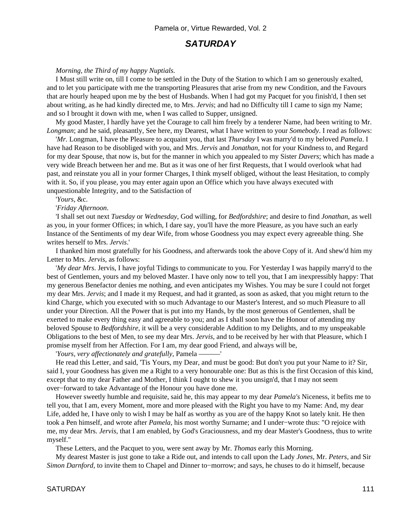## **SATURDAY**

#### *Morning, the Third of my happy Nuptials.*

 I Must still write on, till I come to be settled in the Duty of the Station to which I am so generously exalted, and to let you participate with me the transporting Pleasures that arise from my new Condition, and the Favours that are hourly heaped upon me by the best of Husbands. When I had got my Pacquet for you finish'd, I then set about writing, as he had kindly directed me, to Mrs. *Jervis*; and had no Difficulty till I came to sign my Name; and so I brought it down with me, when I was called to Supper, unsigned.

 My good Master, I hardly have yet the Courage to call him freely by a tenderer Name, had been writing to Mr. *Longman*; and he said, pleasantly, See here, my Dearest, what I have written to your *Somebody*. I read as follows:

 '*Mr.* Longman, I have the Pleasure to acquaint you, that last *Thursday* I was marry'd to my beloved *Pamela*. I have had Reason to be disobliged with you, and Mrs. *Jervis* and *Jonathan,* not for your Kindness to, and Regard for my dear Spouse, that now is, but for the manner in which you appealed to my Sister *Davers*; which has made a very wide Breach between her and me. But as it was one of her first Requests, that I would overlook what had past, and reinstate you all in your former Charges, I think myself obliged, without the least Hesitation, to comply with it. So, if you please, you may enter again upon an Office which you have always executed with unquestionable Integrity, and to the Satisfaction of

'*Yours,* &c.

'*Friday Afternoon*.

 'I shall set out next *Tuesday* or *Wednesday,* God willing, for *Bedfordshire*; and desire to find *Jonathan,* as well as you, in your former Offices; in which, I dare say, you'll have the more Pleasure, as you have such an early Instance of the Sentiments of my dear Wife, from whose Goodness you may expect every agreeable thing. She writes herself to Mrs. *Jervis*.'

 I thanked him most gratefully for his Goodness, and afterwards took the above Copy of it. And shew'd him my Letter to Mrs. *Jervis,* as follows:

 '*My dear Mrs*. Jervis, I have joyful Tidings to communicate to you. For Yesterday I was happily marry'd to the best of Gentlemen, yours and my beloved Master. I have only now to tell you, that I am inexpressibly happy: That my generous Benefactor denies me nothing, and even anticipates my Wishes. You may be sure I could not forget my dear Mrs. *Jervis*; and I made it my Request, and had it granted, as soon as asked, that you might return to the kind Charge, which you executed with so much Advantage to our Master's Interest, and so much Pleasure to all under your Direction. All the Power that is put into my Hands, by the most generous of Gentlemen, shall be exerted to make every thing easy and agreeable to you; and as I shall soon have the Honour of attending my beloved Spouse to *Bedfordshire,* it will be a very considerable Addition to my Delights, and to my unspeakable Obligations to the best of Men, to see my dear Mrs. *Jervis,* and to be received by her with that Pleasure, which I promise myself from her Affection. For I am, my dear good Friend, and always will be,

'*Yours, very affectionately and gratefully,* Pamela ———'

 He read this Letter, and said, 'Tis Yours, my Dear, and must be good: But don't you put your Name to it? Sir, said I, your Goodness has given me a Right to a very honourable one: But as this is the first Occasion of this kind, except that to my dear Father and Mother, I think I ought to shew it you unsign'd, that I may not seem over−forward to take Advantage of the Honour you have done me.

 However sweetly humble and requisite, said he, this may appear to my dear *Pamela's* Niceness, it befits me to tell you, that I am, every Moment, more and more pleased with the Right you have to my Name: And, my dear Life, added he, I have only to wish I may be half as worthy as you are of the happy Knot so lately knit. He then took a Pen himself, and wrote after *Pamela,* his most worthy Surname; and I under−wrote thus: "O rejoice with me, my dear Mrs. *Jervis,* that I am enabled, by God's Graciousness, and my dear Master's Goodness, thus to write myself."

These Letters, and the Pacquet to you, were sent away by Mr. *Thomas* early this Morning.

 My dearest Master is just gone to take a Ride out, and intends to call upon the Lady *Jones,* Mr. *Peters,* and Sir *Simon Darnford,* to invite them to Chapel and Dinner to−morrow; and says, he chuses to do it himself, because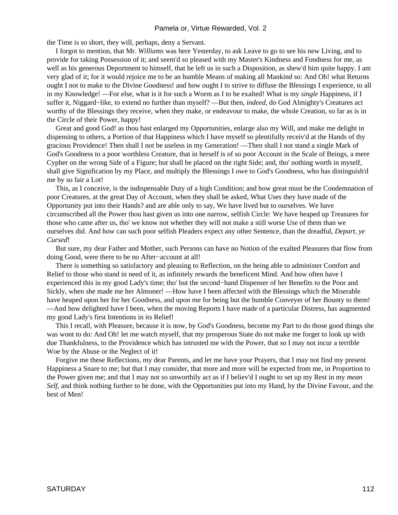the Time is so short, they will, perhaps, deny a Servant.

 I forgot to mention, that Mr. *Williams* was here Yesterday, to ask Leave to go to see his new Living, and to provide for taking Possession of it; and seem'd so pleased with my Master's Kindness and Fondness for me, as well as his generous Deportment to himself, that he left us in such a Disposition, as shew'd him quite happy. I am very glad of it; for it would rejoice me to be an humble Means of making all Mankind so: And Oh! what Returns ought I not to make to the Divine Goodness! and how ought I to strive to diffuse the Blessings I experience, to all in my Knowledge! —For else, what is it for such a Worm as I to be exalted! What is my *single* Happiness, if I suffer it, Niggard−like, to extend no further than myself? —But then, *indeed,* do God Almighty's Creatures act worthy of the Blessings they receive, when they make, or endeavour to make, the whole Creation, so far as is in the Circle of their Power, happy!

 Great and good God! as thou hast enlarged my Opportunities, enlarge also my Will, and make me delight in dispensing to others, a Portion of that Happiness which I have myself so plentifully receiv'd at the Hands of thy gracious Providence! Then shall I not be useless in my Generation! —Then shall I not stand a single Mark of God's Goodness to a poor worthless Creature, that in herself is of so poor Account in the Scale of Beings, a mere Cypher on the wrong Side of a Figure; but shall be placed on the right Side; and, tho' nothing worth in myself, shall give Signification by my Place, and multiply the Blessings I owe to God's Goodness, who has distinguish'd me by so fair a Lot!

 This, as I conceive, is the indispensable Duty of a high Condition; and how great must be the Condemnation of poor Creatures, at the great Day of Account, when they shall be asked, What Uses they have made of the Opportunity put into their Hands? and are able only to say, We have lived but to ourselves. We have circumscribed all the Power thou hast given us into one narrow, selfish Circle: We have heaped up Treasures for those who came after us, tho' we know not whether they will not make a still worse Use of them than we ourselves did. And how can such poor selfish Pleaders expect any other Sentence, than the dreadful, *Depart, ye Cursed*!

 But sure, my dear Father and Mother, such Persons can have no Notion of the exalted Pleasures that flow from doing Good, were there to be no After−account at all!

 There is something so satisfactory and pleasing to Reflection, on the being able to administer Comfort and Relief to those who stand in need of it, as infinitely rewards the beneficent Mind. And how often have I experienced this in my good Lady's time; tho' but the second−hand Dispenser of her Benefits to the Poor and Sickly, when she made me her Almoner! —How have I been affected with the Blessings which the Miserable have heaped upon her for her Goodness, and upon me for being but the humble Conveyer of her Bounty to them! —And how delighted have I been, when the moving Reports I have made of a particular Distress, has augmented my good Lady's first Intentions in its Relief!

 This I recall, with Pleasure, because it is now, by God's Goodness, become my Part to do those good things she was wont to do: And Oh! let me watch myself, that my prosperous State do not make me forget to look up with due Thankfulness, to the Providence which has intrusted me with the Power, that so I may not incur a terrible Woe by the Abuse or the Neglect of it!

 Forgive me these Reflections, my dear Parents, and let me have your Prayers, that I may not find my present Happiness a Snare to me; but that I may consider, that more and more will be expected from me, in Proportion to the Power given me; and that I may not so unworthily act as if I believ'd I ought to set up my Rest in my *mean Self,* and think nothing further to be done, with the Opportunities put into my Hand, by the Divine Favour, and the best of Men!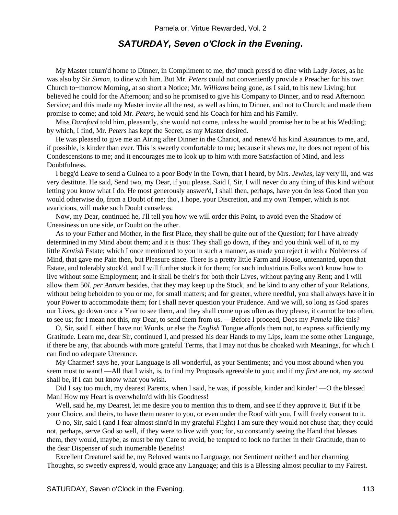## **SATURDAY, Seven o'Clock in the Evening.**

 My Master return'd home to Dinner, in Compliment to me, tho' much press'd to dine with Lady *Jones,* as he was also by Sir *Simon,* to dine with him. But Mr. *Peters* could not conveniently provide a Preacher for his own Church to−morrow Morning, at so short a Notice; Mr. *Williams* being gone, as I said, to his new Living; but believed he could for the Afternoon; and so he promised to give his Company to Dinner, and to read Afternoon Service; and this made my Master invite all the rest, as well as him, to Dinner, and not to Church; and made them promise to come; and told Mr. *Peters,* he would send his Coach for him and his Family.

 Miss *Darnford* told him, pleasantly, she would not come, unless he would promise her to be at his Wedding; by which, I find, Mr. *Peters* has kept the Secret, as my Master desired.

 He was pleased to give me an Airing after Dinner in the Chariot, and renew'd his kind Assurances to me, and, if possible, is kinder than ever. This is sweetly comfortable to me; because it shews me, he does not repent of his Condescensions to me; and it encourages me to look up to him with more Satisfaction of Mind, and less Doubtfulness.

 I begg'd Leave to send a Guinea to a poor Body in the Town, that I heard, by Mrs. *Jewkes,* lay very ill, and was very destitute. He said, Send two, my Dear, if you please. Said I, Sir, I will never do any thing of this kind without letting you know what I do. He most generously answer'd, I shall then, perhaps, have you do less Good than you would otherwise do, from a Doubt of me; tho', I hope, your Discretion, and my own Temper, which is not avaricious, will make such Doubt causeless.

 Now, my Dear, continued he, I'll tell you how we will order this Point, to avoid even the Shadow of Uneasiness on one side, or Doubt on the other.

 As to your Father and Mother, in the first Place, they shall be quite out of the Question; for I have already determined in my Mind about them; and it is thus: They shall go down, if they and you think well of it, to my little *Kentish* Estate; which I once mentioned to you in such a manner, as made you reject it with a Nobleness of Mind, that gave me Pain then, but Pleasure since. There is a pretty little Farm and House, untenanted, upon that Estate, and tolerably stock'd, and I will further stock it for them; for such industrious Folks won't know how to live without some Employment; and it shall be their's for both their Lives, without paying any Rent; and I will allow them 50*l. per Annum* besides, that they may keep up the Stock, and be kind to any other of your Relations, without being beholden to you or me, for small matters; and for greater, where needful, you shall always have it in your Power to accommodate them; for I shall never question your Prudence. And we will, so long as God spares our Lives, go down once a Year to see them, and they shall come up as often as they please, it cannot be too often, to see us; for I mean not this, my Dear, to send them from us. —Before I proceed, Does my *Pamela* like this?

 O, Sir, said I, either I have not Words, or else the *English* Tongue affords them not, to express sufficiently my Gratitude. Learn me, dear Sir, continued I, and pressed his dear Hands to my Lips, learn me some other Language, if there be any, that abounds with more grateful Terms, that I may not thus be choaked with Meanings, for which I can find no adequate Utterance.

 My Charmer! says he, your Language is all wonderful, as your Sentiments; and you most abound when you seem most to want! —All that I wish, is, to find my Proposals agreeable to you; and if my *first* are not, my *second* shall be, if I can but know what you wish.

 Did I say too much, my dearest Parents, when I said, he was, if possible, kinder and kinder! —O the blessed Man! How my Heart is overwhelm'd with his Goodness!

 Well, said he, my Dearest, let me desire you to mention this to them, and see if they approve it. But if it be your Choice, and theirs, to have them nearer to you, or even under the Roof with you, I will freely consent to it.

 O no, Sir, said I (and I fear almost sinn'd in my grateful Flight) I am sure they would not chuse that; they could not, perhaps, serve God so well, if they were to live with you; for, so constantly seeing the Hand that blesses them, they would, maybe, as must be my Care to avoid, be tempted to look no further in their Gratitude, than to the dear Dispenser of such inumerable Benefits!

 Excellent Creature! said he, my Beloved wants no Language, nor Sentiment neither! and her charming Thoughts, so sweetly express'd, would grace any Language; and this is a Blessing almost peculiar to my Fairest.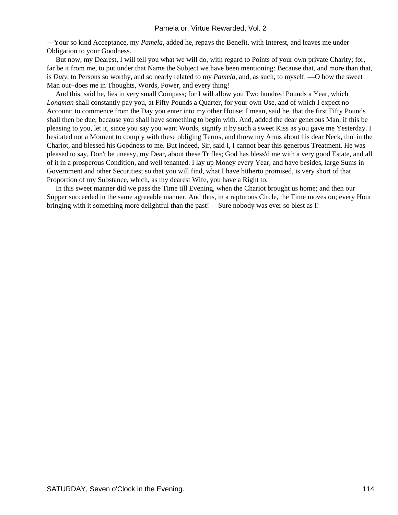—Your so kind Acceptance, my *Pamela,* added he, repays the Benefit, with Interest, and leaves me under Obligation to your Goodness.

 But now, my Dearest, I will tell you what we will do, with regard to Points of your own private Charity; for, far be it from me, to put under that Name the Subject we have been mentioning: Because that, and more than that, is *Duty,* to Persons so worthy, and so nearly related to my *Pamela,* and, as such, to myself. —O how the sweet Man out−does me in Thoughts, Words, Power, and every thing!

 And this, said he, lies in very small Compass; for I will allow you Two hundred Pounds a Year, which *Longman* shall constantly pay you, at Fifty Pounds a Quarter, for your own Use, and of which I expect no Account; to commence from the Day you enter into my other House; I mean, said he, that the first Fifty Pounds shall then be due; because you shall have something to begin with. And, added the dear generous Man, if this be pleasing to you, let it, since you say you want Words, signify it by such a sweet Kiss as you gave me Yesterday. I hesitated not a Moment to comply with these obliging Terms, and threw my Arms about his dear Neck, tho' in the Chariot, and blessed his Goodness to me. But indeed, Sir, said I, I cannot bear this generous Treatment. He was pleased to say, Don't be uneasy, my Dear, about these Trifles; God has bless'd me with a very good Estate, and all of it in a prosperous Condition, and well tenanted. I lay up Money every Year, and have besides, large Sums in Government and other Securities; so that you will find, what I have hitherto promised, is very short of that Proportion of my Substance, which, as my dearest Wife, you have a Right to.

 In this sweet manner did we pass the Time till Evening, when the Chariot brought us home; and then our Supper succeeded in the same agreeable manner. And thus, in a rapturous Circle, the Time moves on; every Hour bringing with it something more delightful than the past! —Sure nobody was ever so blest as I!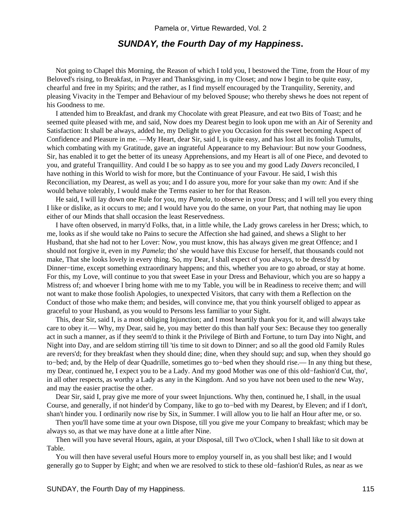## **SUNDAY, the Fourth Day of my Happiness.**

 Not going to Chapel this Morning, the Reason of which I told you, I bestowed the Time, from the Hour of my Beloved's rising, to Breakfast, in Prayer and Thanksgiving, in my Closet; and now I begin to be quite easy, chearful and free in my Spirits; and the rather, as I find myself encouraged by the Tranquility, Serenity, and pleasing Vivacity in the Temper and Behaviour of my beloved Spouse; who thereby shews he does not repent of his Goodness to me.

 I attended him to Breakfast, and drank my Chocolate with great Pleasure, and eat two Bits of Toast; and he seemed quite pleased with me, and said, Now does my Dearest begin to look upon me with an Air of Serenity and Satisfaction: It shall be always, added he, my Delight to give you Occasion for this sweet becoming Aspect of Confidence and Pleasure in me. —My Heart, dear Sir, said I, is quite easy, and has lost all its foolish Tumults, which combating with my Gratitude, gave an ingrateful Appearance to my Behaviour: But now your Goodness, Sir, has enabled it to get the better of its uneasy Apprehensions, and my Heart is all of one Piece, and devoted to you, and grateful Tranquillity. And could I be so happy as to see you and my good Lady *Davers* reconciled, I have nothing in this World to wish for more, but the Continuance of your Favour. He said, I wish this Reconciliation, my Dearest, as well as you; and I do assure you, more for your sake than my own: And if she would behave tolerably, I would make the Terms easier to her for that Reason.

 He said, I will lay down one Rule for you, my *Pamela,* to observe in your Dress; and I will tell you every thing I like or dislike, as it occurs to me; and I would have you do the same, on your Part, that nothing may lie upon either of our Minds that shall occasion the least Reservedness.

 I have often observed, in marry'd Folks, that, in a little while, the Lady grows careless in her Dress; which, to me, looks as if she would take no Pains to secure the Affection she had gained, and shews a Slight to her Husband, that she had not to her Lover: Now, you must know, this has always given me great Offence; and I should not forgive it, even in my *Pamela*; tho' she would have this Excuse for herself, that thousands could not make, That she looks lovely in every thing. So, my Dear, I shall expect of you always, to be dress'd by Dinner−time, except something extraordinary happens; and this, whether you are to go abroad, or stay at home. For this, my Love, will continue to you that sweet Ease in your Dress and Behaviour, which you are so happy a Mistress of; and whoever I bring home with me to my Table, you will be in Readiness to receive them; and will not want to make those foolish Apologies, to unexpected Visitors, that carry with them a Reflection on the Conduct of those who make them; and besides, will convince me, that you think yourself obliged to appear as graceful to your Husband, as you would to Persons less familiar to your Sight.

 This, dear Sir, said I, is a most obliging Injunction; and I most heartily thank you for it, and will always take care to obey it.— Why, my Dear, said he, you may better do this than half your Sex: Because they too generally act in such a manner, as if they seem'd to think it the Privilege of Birth and Fortune, to turn Day into Night, and Night into Day, and are seldom stirring till 'tis time to sit down to Dinner; and so all the good old Family Rules are revers'd; for they breakfast when they should dine; dine, when they should sup; and sup, when they should go to−bed; and, by the Help of dear Quadrille, sometimes go to−bed when they should rise.— In any thing but these, my Dear, continued he, I expect you to be a Lady. And my good Mother was one of this old−fashion'd Cut, tho', in all other respects, as worthy a Lady as any in the Kingdom. And so you have not been used to the new Way, and may the easier practise the other.

 Dear Sir, said I, pray give me more of your sweet Injunctions. Why then, continued he, I shall, in the usual Course, and generally, if not hinder'd by Company, like to go to−bed with my Dearest, by Eleven; and if I don't, shan't hinder you. I ordinarily now rise by Six, in Summer. I will allow you to lie half an Hour after me, or so.

 Then you'll have some time at your own Dispose, till you give me your Company to breakfast; which may be always so, as that we may have done at a little after Nine.

 Then will you have several Hours, again, at your Disposal, till Two o'Clock, when I shall like to sit down at Table.

 You will then have several useful Hours more to employ yourself in, as you shall best like; and I would generally go to Supper by Eight; and when we are resolved to stick to these old−fashion'd Rules, as near as we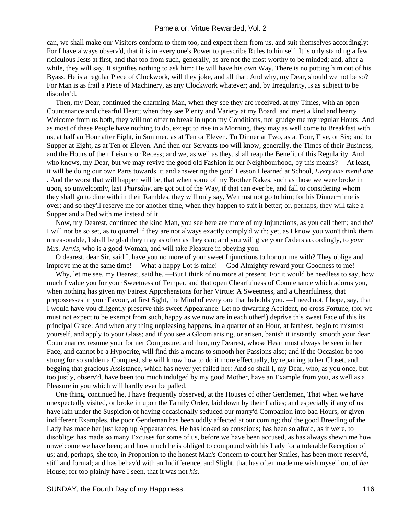can, we shall make our Visitors conform to them too, and expect them from us, and suit themselves accordingly: For I have always observ'd, that it is in every one's Power to prescribe Rules to himself. It is only standing a few ridiculous Jests at first, and that too from such, generally, as are not the most worthy to be minded; and, after a while, they will say, It signifies nothing to ask him: He will have his own Way. There is no putting him out of his Byass. He is a regular Piece of Clockwork, will they joke, and all that: And why, my Dear, should we not be so? For Man is as frail a Piece of Machinery, as any Clockwork whatever; and, by Irregularity, is as subject to be disorder'd.

 Then, my Dear, continued the charming Man, when they see they are received, at my Times, with an open Countenance and chearful Heart; when they see Plenty and Variety at my Board, and meet a kind and hearty Welcome from us both, they will not offer to break in upon my Conditions, nor grudge me my regular Hours: And as most of these People have nothing to do, except to rise in a Morning, they may as well come to Breakfast with us, at half an Hour after Eight, in Summer, as at Ten or Eleven. To Dinner at Two, as at Four, Five, or Six; and to Supper at Eight, as at Ten or Eleven. And then our Servants too will know, generally, the Times of their Business, and the Hours of their Leisure or Recess; and we, as well as they, shall reap the Benefit of this Regularity. And who knows, my Dear, but we may revive the good old Fashion in our Neighbourhood, by this means?— At least, it will be doing our own Parts towards it; and answering the good Lesson I learned at School, *Every one mend one* . And the worst that will happen will be, that when some of my Brother Rakes, such as those we were broke in upon, so unwelcomly, last *Thursday,* are got out of the Way, if that can ever be, and fall to considering whom they shall go to dine with in their Rambles, they will only say, We must not go to him; for his Dinner−time is over; and so they'll reserve me for another time, when they happen to suit it better; or, perhaps, they will take a Supper and a Bed with me instead of it.

 Now, my Dearest, continued the kind Man, you see here are more of my Injunctions, as you call them; and tho' I will not be so set, as to quarrel if they are not always exactly comply'd with; yet, as I know you won't think them unreasonable, I shall be glad they may as often as they can; and you will give your Orders accordingly, to *your* Mrs. *Jervis,* who is a good Woman, and will take Pleasure in obeying you.

 O dearest, dear Sir, said I, have you no more of your sweet Injunctions to honour me with? They oblige and improve me at the same time! —What a happy Lot is mine!— God Almighty reward your Goodness to me!

Why, let me see, my Dearest, said he. —But I think of no more at present. For it would be needless to say, how much I value you for your Sweetness of Temper, and that open Chearfulness of Countenance which adorns you, when nothing has given my Fairest Apprehensions for her Virtue: A Sweetness, and a Chearfulness, that prepossesses in your Favour, at first Sight, the Mind of every one that beholds you. —I need not, I hope, say, that I would have you diligently preserve this sweet Appearance: Let no thwarting Accident, no cross Fortune, (for we must not expect to be exempt from such, happy as we now are in each other!) deprive this sweet Face of this its principal Grace: And when any thing unpleasing happens, in a quarter of an Hour, at farthest, begin to mistrust yourself, and apply to your Glass; and if you see a Gloom arising, or arisen, banish it instantly, smooth your dear Countenance, resume your former Composure; and then, my Dearest, whose Heart must always be seen in her Face, and cannot be a Hypocrite, will find this a means to smooth her Passions also; and if the Occasion be too strong for so sudden a Conquest, she will know how to do it more effectually, by repairing to her Closet, and begging that gracious Assistance, which has never yet failed her: And so shall I, my Dear, who, as you once, but too justly, observ'd, have been too much indulged by my good Mother, have an Example from you, as well as a Pleasure in you which will hardly ever be palled.

 One thing, continued he, I have frequently observed, at the Houses of other Gentlemen, That when we have unexpectedly visited, or broke in upon the Family Order, laid down by their Ladies; and especially if any of us have lain under the Suspicion of having occasionally seduced our marry'd Companion into bad Hours, or given indifferent Examples, the poor Gentleman has been oddly affected at our coming; tho' the good Breeding of the Lady has made her just keep up Appearances. He has looked so conscious; has been so afraid, as it were, to disoblige; has made so many Excuses for some of us, before we have been accused, as has always shewn me how unwelcome we have been; and how much he is obliged to compound with his Lady for a tolerable Reception of us; and, perhaps, she too, in Proportion to the honest Man's Concern to court her Smiles, has been more reserv'd, stiff and formal; and has behav'd with an Indifference, and Slight, that has often made me wish myself out of *her* House; for too plainly have I seen, that it was not *his*.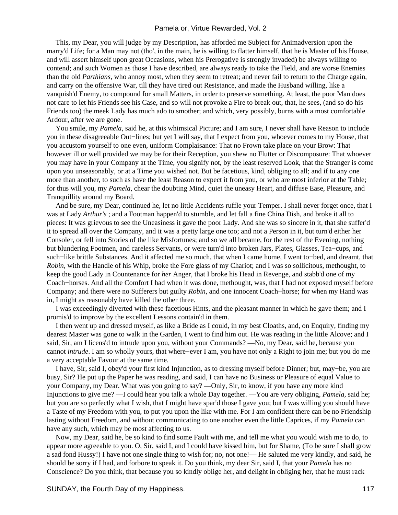### Pamela or, Virtue Rewarded, Vol. 2

 This, my Dear, you will judge by my Description, has afforded me Subject for Animadversion upon the marry'd Life; for a Man may not (tho', in the main, he is willing to flatter himself, that he is Master of his House, and will assert himself upon great Occasions, when his Prerogative is strongly invaded) be always willing to contend; and such Women as those I have described, are always ready to take the Field, and are worse Enemies than the old *Parthians,* who annoy most, when they seem to retreat; and never fail to return to the Charge again, and carry on the offensive War, till they have tired out Resistance, and made the Husband willing, like a vanquish'd Enemy, to compound for small Matters, in order to preserve something. At least, the poor Man does not care to let his Friends see his Case, and so will not provoke a Fire to break out, that, he sees, (and so do his Friends too) the meek Lady has much ado to smother; and which, very possibly, burns with a most comfortable Ardour, after we are gone.

 You smile, my *Pamela,* said he, at this whimsical Picture; and I am sure, I never shall have Reason to include you in these disagreeable Out−lines; but yet I will say, that I expect from you, whoever comes to my House, that you accustom yourself to one even, uniform Complaisance: That no Frown take place on your Brow: That however ill or well provided we may be for their Reception, you shew no Flutter or Discomposure: That whoever you may have in your Company at the Time, you signify not, by the least reserved Look, that the Stranger is come upon you unseasonably, or at a Time you wished not. But be facetious, kind, obliging to all; and if to any one more than another, to such as have the least Reason to expect it from you, or who are most inferior at the Table; for thus will you, my *Pamela,* chear the doubting Mind, quiet the uneasy Heart, and diffuse Ease, Pleasure, and Tranquillity around my Board.

 And be sure, my Dear, continued he, let no little Accidents ruffle your Temper. I shall never forget once, that I was at Lady *Arthur's* ; and a Footman happen'd to stumble, and let fall a fine China Dish, and broke it all to pieces: It was grievous to see the Uneasiness it gave the poor Lady. And she was so sincere in it, that she suffer'd it to spread all over the Company, and it was a pretty large one too; and not a Person in it, but turn'd either her Consoler, or fell into Stories of the like Misfortunes; and so we all became, for the rest of the Evening, nothing but blundering Footmen, and careless Servants, or were turn'd into broken Jars, Plates, Glasses, Tea−cups, and such−like brittle Substances. And it affected me so much, that when I came home, I went to−bed, and dreamt, that *Robin,* with the Handle of his Whip, broke the Fore glass of my Chariot; and I was so sollicitous, methought, to keep the good Lady in Countenance for *her* Anger, that I broke his Head in Revenge, and stabb'd one of my Coach−horses. And all the Comfort I had when it was done, methought, was, that I had not exposed myself before Company; and there were no Sufferers but guilty *Robin,* and one innocent Coach−horse; for when my Hand was in, I might as reasonably have killed the other three.

 I was exceedingly diverted with these facetious Hints, and the pleasant manner in which he gave them; and I promis'd to improve by the excellent Lessons contain'd in them.

 I then went up and dressed myself, as like a Bride as I could, in my best Cloaths, and, on Enquiry, finding my dearest Master was gone to walk in the Garden, I went to find him out. He was reading in the little Alcove; and I said, Sir, am I licens'd to intrude upon you, without your Commands? —No, my Dear, said he, because you cannot *intrude*. I am so wholly yours, that where−ever I am, you have not only a Right to join me; but you do me a very acceptable Favour at the same time.

 I have, Sir, said I, obey'd your first kind Injunction, as to dressing myself before Dinner; but, may−be, you are busy, Sir? He put up the Paper he was reading, and said, I can have no Business or Pleasure of equal Value to your Company, my Dear. What was you going to say? —Only, Sir, to know, if you have any more kind Injunctions to give me? —I could hear you talk a whole Day together. —You are very obliging, *Pamela,* said he; but you are so perfectly what I wish, that I might have spar'd those I gave you; but I was willing you should have a Taste of my Freedom with you, to put you upon the like with me. For I am confident there can be no Friendship lasting without Freedom, and without communicating to one another even the little Caprices, if my *Pamela* can have any such, which may be most affecting to us.

 Now, my Dear, said he, be so kind to find some Fault with me, and tell me what you would wish me to do, to appear more agreeable to you. O, Sir, said I, and I could have kissed him, but for Shame, (To be sure I shall grow a sad fond Hussy!) I have not one single thing to wish for; no, not one!— He saluted me very kindly, and said, he should be sorry if I had, and forbore to speak it. Do you think, my dear Sir, said I, that your *Pamela* has no Conscience? Do you think, that because you so kindly oblige her, and delight in obliging her, that he must rack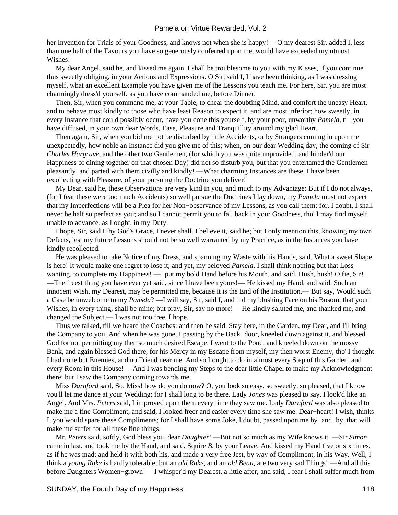her Invention for Trials of your Goodness, and knows not when she is happy!— O my dearest Sir, added I, less than one half of the Favours you have so generously conferred upon me, would have exceeded my utmost Wishes!

 My dear Angel, said he, and kissed me again, I shall be troublesome to you with my Kisses, if you continue thus sweetly obliging, in your Actions and Expressions. O Sir, said I, I have been thinking, as I was dressing myself, what an excellent Example you have given me of the Lessons you teach me. For here, Sir, you are most charmingly dress'd yourself, as you have commanded me, before Dinner.

 Then, Sir, when you command me, at your Table, to chear the doubting Mind, and comfort the uneasy Heart, and to behave most kindly to those who have least Reason to expect it, and are most inferior; how sweetly, in every Instance that could possibly occur, have you done this yourself, by your poor, unworthy *Pamela,* till you have diffused, in your own dear Words, Ease, Pleasure and Tranquillity around my glad Heart.

 Then again, Sir, when you bid me not be disturbed by little Accidents, or by Strangers coming in upon me unexpectedly, how noble an Instance did you give me of this; when, on our dear Wedding day, the coming of Sir *Charles Hargrave,* and the other two Gentlemen, (for which you was quite unprovided, and hinder'd our Happiness of dining together on that chosen Day) did not so disturb you, but that you entertamed the Gentlemen pleasantly, and parted with them civilly and kindly! —What charming Instances are these, I have been recollecting with Pleasure, of your pursuing the Doctrine you deliver!

 My Dear, said he, these Observations are very kind in you, and much to my Advantage: But if I do not always, (for I fear these were too much Accidents) so well pursue the Doctrines I lay down, my *Pamela* must not expect that my Imperfections will be a Plea for her Non−observance of my Lessons, as you call them; for, I doubt, I shall never be half so perfect as you; and so I cannot permit you to fall back in your Goodness, tho' I may find myself unable to advance, as I ought, in my Duty.

 I hope, Sir, said I, by God's Grace, I never shall. I believe it, said he; but I only mention this, knowing my own Defects, lest my future Lessons should not be so well warranted by my Practice, as in the Instances you have kindly recollected.

 He was pleased to take Notice of my Dress, and spanning my Waste with his Hands, said, What a sweet Shape is here! It would make one regret to lose it; and yet, my beloved *Pamela,* I shall think nothing but that Loss wanting, to complete my Happiness! —I put my bold Hand before his Mouth, and said, Hush, hush! O fie, Sir! —The freest thing you have ever yet said, since I have been yours!— He kissed my Hand, and said, Such an innocent Wish, my Dearest, may be permitted me, because it is the End of the Institution.— But say, Would such a Case be unwelcome to my *Pamela*? —I will say, Sir, said I, and hid my blushing Face on his Bosom, that your Wishes, in every thing, shall be mine; but pray, Sir, say no more! —He kindly saluted me, and thanked me, and changed the Subject.— I was not too free, I hope.

 Thus we talked, till we heard the Coaches; and then he said, Stay here, in the Garden, my Dear, and I'll bring the Company to you. And when he was gone, I passing by the Back−door, kneeled down against it, and blessed God for not permitting my then so much desired Escape. I went to the Pond, and kneeled down on the mossy Bank, and again blessed God there, for his Mercy in my Escape from myself, my then worst Enemy, tho' I thought I had none but Enemies, and no Friend near me. And so I ought to do in almost every Step of this Garden, and every Room in this House!— And I was bending my Steps to the dear little Chapel to make my Acknowledgment there; but I saw the Company coming towards me.

 Miss *Darnford* said, So, Miss! how do you do now? O, you look so easy, so sweetly, so pleased, that I know you'll let me dance at your Wedding; for I shall long to be there. Lady *Jones* was pleased to say, I look'd like an Angel. And Mrs. *Peters* said, I improved upon them every time they saw me. Lady *Darnford* was also pleased to make me a fine Compliment, and said, I looked freer and easier every time she saw me. Dear−heart! I wish, thinks I, you would spare these Compliments; for I shall have some Joke, I doubt, passed upon me by−and−by, that will make me suffer for all these fine things.

 Mr. *Peters* said, softly, God bless you, dear *Daughter*! —But not so much as my Wife knows it. —Sir *Simon* came in last, and took me by the Hand, and said, Squire *B.* by your Leave. And kissed my Hand five or six times, as if he was mad; and held it with both his, and made a very free Jest, by way of Compliment, in his Way. Well, I think a *young Rake* is hardly tolerable; but an *old Rake,* and an *old Beau,* are two very sad Things! —And all this before Daughters Women−grown! —I whisper'd my Dearest, a little after, and said, I fear I shall suffer much from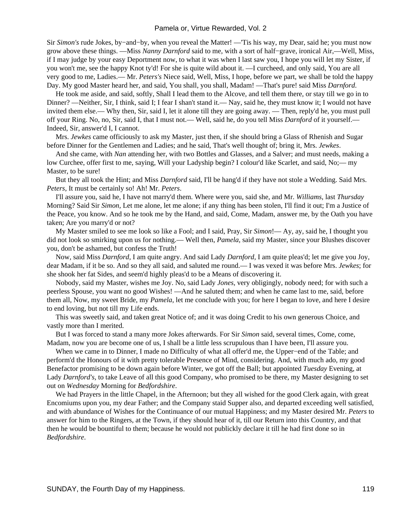Sir *Simon's* rude Jokes, by−and−by, when you reveal the Matter! —'Tis his way, my Dear, said he; you must now grow above these things. —Miss *Nanny Darnford* said to me, with a sort of half−grave, ironical Air,—Well, Miss, if I may judge by your easy Deportment now, to what it was when I last saw you, I hope you will let my Sister, if you won't me, see the happy Knot ty'd! For she is quite wild about it. —I curcheed, and only said, You are all very good to me, Ladies.— Mr. *Peters's* Niece said, Well, Miss, I hope, before we part, we shall be told the happy Day. My good Master heard her, and said, You shall, you shall, Madam! —That's pure! said Miss *Darnford*.

 He took me aside, and said, softly, Shall I lead them to the Alcove, and tell them there, or stay till we go in to Dinner? —Neither, Sir, I think, said I; I fear I shan't stand it.— Nay, said he, they must know it; I would not have invited them else.— Why then, Sir, said I, let it alone till they are going away. — Then, reply'd he, you must pull off your Ring. No, no, Sir, said I, that I must not.— Well, said he, do you tell Miss *Darnford* of it yourself.— Indeed, Sir, answer'd I, I cannot.

 Mrs. *Jewkes* came officiously to ask my Master, just then, if she should bring a Glass of Rhenish and Sugar before Dinner for the Gentlemen and Ladies; and he said, That's well thought of; bring it, Mrs. *Jewkes*.

 And she came, with *Nan* attending her, with two Bottles and Glasses, and a Salver; and must needs, making a low Curchee, offer first to me, saying, Will your Ladyship begin? I colour'd like Scarlet, and said, No;— my Master, to be sure!

 But they all took the Hint; and Miss *Darnford* said, I'll be hang'd if they have not stole a Wedding. Said Mrs. *Peters,* It must be certainly so! Ah! Mr. *Peters*.

 I'll assure you, said he, I have not marry'd them. Where were you, said she, and Mr. *Williams,* last *Thursday* Morning? Said Sir *Simon,* Let me alone, let me alone; if any thing has been stolen, I'll find it out; I'm a Justice of the Peace, you know. And so he took me by the Hand, and said, Come, Madam, answer me, by the Oath you have taken; Are you marry'd or not?

 My Master smiled to see me look so like a Fool; and I said, Pray, Sir *Simon*!— Ay, ay, said he, I thought you did not look so smirking upon us for nothing.— Well then, *Pamela,* said my Master, since your Blushes discover you, don't be ashamed, but confess the Truth!

 Now, said Miss *Darnford,* I am quite angry. And said Lady *Darnford,* I am quite pleas'd; let me give you Joy, dear Madam, if it be so. And so they all said, and saluted me round.— I was vexed it was before Mrs. *Jewkes*; for she shook her fat Sides, and seem'd highly pleas'd to be a Means of discovering it.

 Nobody, said my Master, wishes me Joy. No, said Lady *Jones,* very obligingly, nobody need; for with such a peerless Spouse, you want no good Wishes! —And he saluted them; and when he came last to me, said, before them all, Now, my sweet Bride, my *Pamela,* let me conclude with you; for here I began to love, and here I desire to end loving, but not till my Life ends.

 This was sweetly said, and taken great Notice of; and it was doing Credit to his own generous Choice, and vastly more than I merited.

 But I was forced to stand a many more Jokes afterwards. For Sir *Simon* said, several times, Come, come, Madam, now you are become one of us, I shall be a little less scrupulous than I have been, I'll assure you.

 When we came in to Dinner, I made no Difficulty of what all offer'd me, the Upper−end of the Table; and perform'd the Honours of it with pretty tolerable Presence of Mind, considering. And, with much ado, my good Benefactor promising to be down again before Winter, we got off the Ball; but appointed *Tuesday* Evening, at Lady *Darnford's,* to take Leave of all this good Company, who promised to be there, my Master designing to set out on *Wednesday* Morning for *Bedfordshire*.

 We had Prayers in the little Chapel, in the Afternoon; but they all wished for the good Clerk again, with great Encomiums upon you, my dear Father; and the Company staid Supper also, and departed exceeding well satisfied, and with abundance of Wishes for the Continuance of our mutual Happiness; and my Master desired Mr. *Peters* to answer for him to the Ringers, at the Town, if they should hear of it, till our Return into this Country, and that then he would be bountiful to them; because he would not publickly declare it till he had first done so in *Bedfordshire*.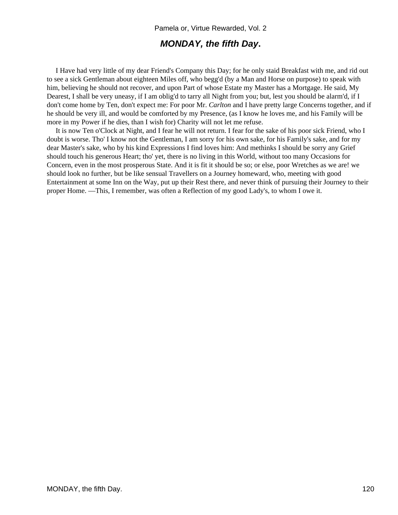### **MONDAY, the fifth Day.**

 I Have had very little of my dear Friend's Company this Day; for he only staid Breakfast with me, and rid out to see a sick Gentleman about eighteen Miles off, who begg'd (by a Man and Horse on purpose) to speak with him, believing he should not recover, and upon Part of whose Estate my Master has a Mortgage. He said, My Dearest, I shall be very uneasy, if I am oblig'd to tarry all Night from you; but, lest you should be alarm'd, if I don't come home by Ten, don't expect me: For poor Mr. *Carlton* and I have pretty large Concerns together, and if he should be very ill, and would be comforted by my Presence, (as I know he loves me, and his Family will be more in my Power if he dies, than I wish for) Charity will not let me refuse.

 It is now Ten o'Clock at Night, and I fear he will not return. I fear for the sake of his poor sick Friend, who I doubt is worse. Tho' I know not the Gentleman, I am sorry for his own sake, for his Family's sake, and for my dear Master's sake, who by his kind Expressions I find loves him: And methinks I should be sorry any Grief should touch his generous Heart; tho' yet, there is no living in this World, without too many Occasions for Concern, even in the most prosperous State. And it is fit it should be so; or else, poor Wretches as we are! we should look no further, but be like sensual Travellers on a Journey homeward, who, meeting with good Entertainment at some Inn on the Way, put up their Rest there, and never think of pursuing their Journey to their proper Home. —This, I remember, was often a Reflection of my good Lady's, to whom I owe it.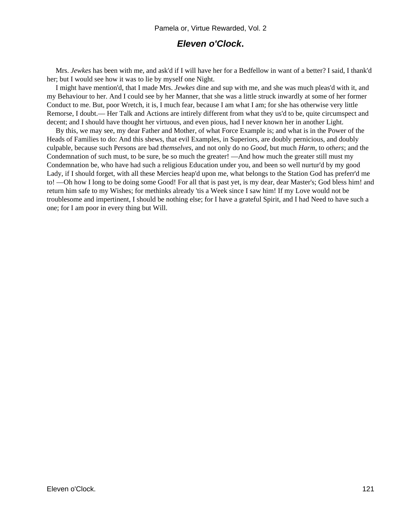### **Eleven o'Clock.**

 Mrs. *Jewkes* has been with me, and ask'd if I will have her for a Bedfellow in want of a better? I said, I thank'd her; but I would see how it was to lie by myself one Night.

 I might have mention'd, that I made Mrs. *Jewkes* dine and sup with me, and she was much pleas'd with it, and my Behaviour to her. And I could see by her Manner, that she was a little struck inwardly at some of her former Conduct to me. But, poor Wretch, it is, I much fear, because I am what I am; for she has otherwise very little Remorse, I doubt.— Her Talk and Actions are intirely different from what they us'd to be, quite circumspect and decent; and I should have thought her virtuous, and even pious, had I never known her in another Light.

 By this, we may see, my dear Father and Mother, of what Force Example is; and what is in the Power of the Heads of Families to do: And this shews, that evil Examples, in Superiors, are doubly pernicious, and doubly culpable, because such Persons are bad *themselves,* and not only do no *Good,* but much *Harm,* to *others*; and the Condemnation of such must, to be sure, be so much the greater! —And how much the greater still must my Condemnation be, who have had such a religious Education under you, and been so well nurtur'd by my good Lady, if I should forget, with all these Mercies heap'd upon me, what belongs to the Station God has preferr'd me to! —Oh how I long to be doing some Good! For all that is past yet, is my dear, dear Master's; God bless him! and return him safe to my Wishes; for methinks already 'tis a Week since I saw him! If my Love would not be troublesome and impertinent, I should be nothing else; for I have a grateful Spirit, and I had Need to have such a one; for I am poor in every thing but Will.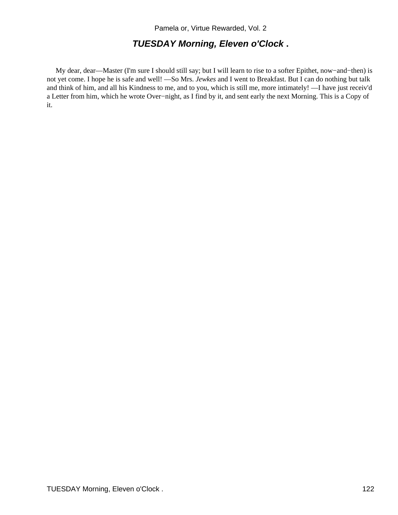## **TUESDAY Morning, Eleven o'Clock .**

 My dear, dear—Master (I'm sure I should still say; but I will learn to rise to a softer Epithet, now−and−then) is not yet come. I hope he is safe and well! —So Mrs. *Jewkes* and I went to Breakfast. But I can do nothing but talk and think of him, and all his Kindness to me, and to you, which is still me, more intimately! —I have just receiv'd a Letter from him, which he wrote Over−night, as I find by it, and sent early the next Morning. This is a Copy of it.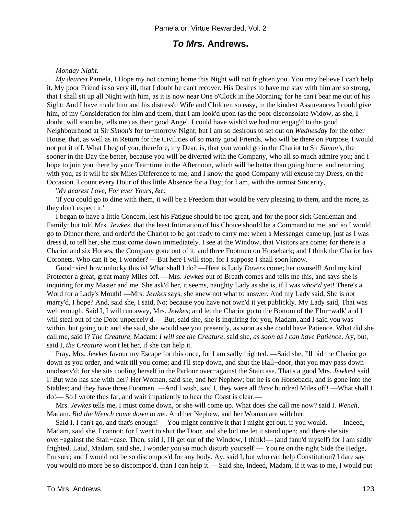### **To Mrs. Andrews.**

#### *Monday Night*.

*My dearest* Pamela, I Hope my not coming home this Night will not frighten you. You may believe I can't help it. My poor Friend is so very ill, that I doubt he can't recover. His Desires to have me stay with him are so strong, that I shall sit up all Night with him, as it is now near One o'Clock in the Morning; for he can't bear me out of his Sight: And I have made him and his distress'd Wife and Children so easy, in the kindest Assureances I could give him, of my Consideration for him and them, that I am look'd upon (as the poor disconsolate Widow, as she, I doubt, will soon be, tells me) as their good Angel. I could have wish'd we had not engag'd to the good Neighbourhood at Sir *Simon's* for to−morrow Night; but I am so desirous to set out on *Wednesday* for the other House, that, as well as in Return for the Civilities of so many good Friends, who will be there on Purpose, I would not put it off. What I beg of you, therefore, my Dear, is, that you would go in the Chariot to Sir *Simon's,* the sooner in the Day the better, because you will be diverted with the Company, who all so much admire you; and I hope to join you there by your Tea−time in the Afternoon, which will be better than going home, and returning with you, as it will be six Miles Difference to me; and I know the good Company will excuse my Dress, on the Occasion. I count every Hour of this little Absence for a Day; for I am, with the utmost Sincerity,

'*My dearest Love, For ever Yours,* &c.

 'If you could go to dine with them, it will be a Freedom that would be very pleasing to them, and the more, as they don't expect it.'

 I began to have a little Concern, lest his Fatigue should be too great, and for the poor sick Gentleman and Family; but told Mrs. *Jewkes,* that the least Intimation of his Choice should be a Command to me, and so I would go to Dinner there; and order'd the Chariot to be got ready to carry me: when a Messenger came up, just as I was dress'd, to tell her, she must come down immediately. I see at the Window, that Visitors are come; for there is a Chariot and six Horses, the Company gone out of it, and three Footmen on Horseback; and I think the Chariot has Coronets. Who can it be, I wonder? —But here I will stop, for I suppose I shall soon know.

 Good−sirs! how unlucky this is! What shall I do? —Here is Lady *Davers* come; her ownself! And my kind Protector a great, great many Miles off. —Mrs. *Jewkes* out of Breath comes and tells me this, and says she is inquiring for my Master and me. She ask'd her, it seems, naughty Lady as she is, if I was *whor'd* yet! There's a Word for a Lady's Mouth! —Mrs. *Jewkes* says, she knew not what to answer. And my Lady said, She is not marry'd, I hope? And, said she, I said, No; because you have not own'd it yet publickly. My Lady said, That was well enough. Said I, I will run away, Mrs. *Jewkes*; and let the Chariot go to the Bottom of the Elm−walk' and I will steal out of the Door unperceiv'd.— But, said she, she is inquiring for you, Madam, and I said you was within, but going out; and she said, she would see you presently, as soon as she could have Patience. What did she call me, said I? *The Creature,* Madam: *I will see the Creature,* said she, *as soon as I can have Patience*. Ay, but, said I, *the Creature* won't let her, if she can help it.

 Pray, Mrs. *Jewkes* favour my Escape for this once, for I am sadly frighted. —Said she, I'll bid the Chariot go down as you order, and wait till you come; and I'll step down, and shut the Hall−door, that you may pass down unobserv'd; for she sits cooling herself in the Parlour over−against the Staircase. That's a good Mrs. *Jewkes*! said I: But who has she with her? Her Woman, said she, and her Nephew; but he is on Horseback, and is gone into the Stables; and they have three Footmen. —And I wish, said I, they were all *three* hundred Miles off! —What shall I do!— So I wrote thus far, and wait impatiently to hear the Coast is clear.—

 Mrs. *Jewkes* tells me, I must come down, or she will come up. What does she call me now? said I. *Wench,* Madam. *Bid the Wench come down to me*. And her Nephew, and her Woman are with her.

Said I, I can't go, and that's enough! —You might contrive it that I might get out, if you would.—— Indeed, Madam, said she, I cannot; for I went to shut the Door, and she bid me let it stand open; and there she sits over−against the Stair−case. Then, said I, I'll get out of the Window, I think!— (and fann'd myself) for I am sadly frighted. Laud, Madam, said she, I wonder you so much disturb yourself!— You're on the right Side the Hedge, I'm sure; and I would not be so discompos'd for any body. Ay, said I, but who can help Constitution? I dare say you would no more be so discompos'd, than I can help it.— Said she, Indeed, Madam, if it was to me, I would put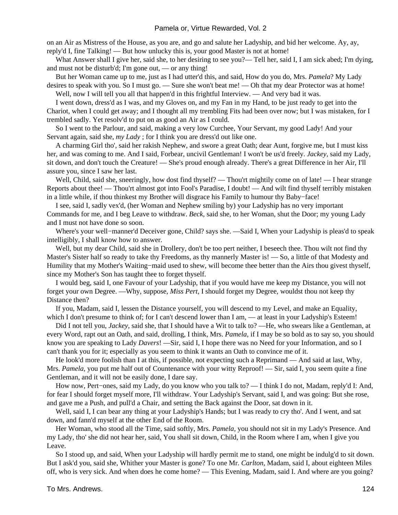on an Air as Mistress of the House, as you are, and go and salute her Ladyship, and bid her welcome. Ay, ay, reply'd I, fine Talking! — But how unlucky this is, your good Master is not at home!

What Answer shall I give her, said she, to her desiring to see you?— Tell her, said I, I am sick abed; I'm dying, and must not be disturb'd; I'm gone out, — or any thing!

 But her Woman came up to me, just as I had utter'd this, and said, How do you do, Mrs. *Pamela*? My Lady desires to speak with you. So I must go. — Sure she won't beat me! — Oh that my dear Protector was at home!

Well, now I will tell you all that happen'd in this frightful Interview. — And very bad it was.

 I went down, dress'd as I was, and my Gloves on, and my Fan in my Hand, to be just ready to get into the Chariot, when I could get away; and I thought all my trembling Fits had been over now; but I was mistaken, for I trembled sadly. Yet resolv'd to put on as good an Air as I could.

 So I went to the Parlour, and said, making a very low Curchee, Your Servant, my good Lady! And your Servant again, said she, *my Lady* ; for I think you are dress'd out like one.

 A charming Girl tho', said her rakish Nephew, and swore a great Oath; dear Aunt, forgive me, but I must kiss her, and was coming to me. And I said, Forbear, uncivil Gentleman! I won't be us'd freely. *Jackey,* said my Lady, sit down, and don't touch the Creature! — She's proud enough already. There's a great Difference in her Air, I'll assure you, since I saw her last.

Well, Child, said she, sneeringly, how dost find thyself? — Thou'rt mightily come on of late! — I hear strange Reports about thee! — Thou'rt almost got into Fool's Paradise, I doubt! — And wilt find thyself terribly mistaken in a little while, if thou thinkest my Brother will disgrace his Family to humour thy Baby−face!

 I see, said I, sadly vex'd, (her Woman and Nephew smiling by) your Ladyship has no very important Commands for me, and I beg Leave to withdraw. *Beck,* said she, to her Woman, shut the Door; my young Lady and I must not have done so soon.

 Where's your well−manner'd Deceiver gone, Child? says she. —Said I, When your Ladyship is pleas'd to speak intelligibly, I shall know how to answer.

Well, but my dear Child, said she in Drollery, don't be too pert neither, I beseech thee. Thou wilt not find thy Master's Sister half so ready to take thy Freedoms, as thy mannerly Master is! — So, a little of that Modesty and Humility that my Mother's Waiting−maid used to shew, will become thee better than the Airs thou givest thyself, since my Mother's Son has taught thee to forget thyself.

 I would beg, said I, one Favour of your Ladyship, that if you would have me keep my Distance, you will not forget your own Degree. —Why, suppose, *Miss Pert,* I should forget my Degree, wouldst thou not keep thy Distance then?

 If you, Madam, said I, lessen the Distance yourself, you will descend to my Level, and make an Equality, which I don't presume to think of; for I can't descend lower than I am, — at least in your Ladyship's Esteem!

Did I not tell you, *Jackey*, said she, that I should have a Wit to talk to? —He, who swears like a Gentleman, at every Word, rapt out an Oath, and said, drolling, I think, Mrs. *Pamela,* if I may be so bold as to say so, you should know you are speaking to Lady *Davers*! —Sir, said I, I hope there was no Need for your Information, and so I can't thank you for it; especially as you seem to think it wants an Oath to convince me of it.

 He look'd more foolish than I at this, if possible, not expecting such a Reprimand — And said at last, Why, Mrs. *Pamela,* you put me half out of Countenance with your witty Reproof! — Sir, said I, you seem quite a fine Gentleman, and it will not be easily done, I dare say.

 How now, Pert−ones, said my Lady, do you know who you talk to? — I think I do not, Madam, reply'd I: And, for fear I should forget myself more, I'll withdraw. Your Ladyship's Servant, said I, and was going: But she rose, and gave me a Push, and pull'd a Chair, and setting the Back against the Door, sat down in it.

Well, said I, I can bear any thing at your Ladyship's Hands; but I was ready to cry tho'. And I went, and sat down, and fann'd myself at the other End of the Room.

 Her Woman, who stood all the Time, said softly, Mrs. *Pamela,* you should not sit in my Lady's Presence. And my Lady, tho' she did not hear her, said, You shall sit down, Child, in the Room where I am, when I give you Leave.

 So I stood up, and said, When your Ladyship will hardly permit me to stand, one might be indulg'd to sit down. But I ask'd you, said she, Whither your Master is gone? To one Mr. *Carlton,* Madam, said I, about eighteen Miles off, who is very sick. And when does he come home? — This Evening, Madam, said I. And where are you going?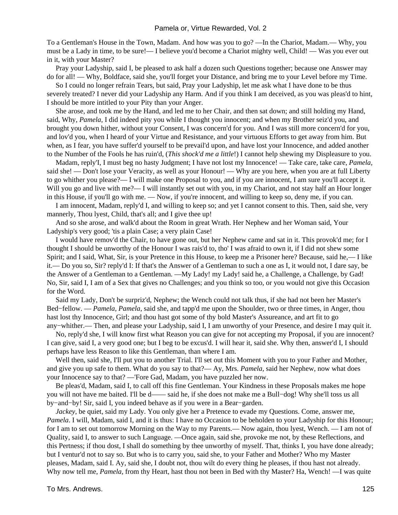To a Gentleman's House in the Town, Madam. And how was you to go? —In the Chariot, Madam.— Why, you must be a Lady in time, to be sure!— I believe you'd become a Chariot mighty well, Child! — Was you ever out in it, with your Master?

 Pray your Ladyship, said I, be pleased to ask half a dozen such Questions together; because one Answer may do for all! — Why, Boldface, said she, you'll forget your Distance, and bring me to your Level before my Time.

 So I could no longer refrain Tears, but said, Pray your Ladyship, let me ask what I have done to be thus severely treated? I never did your Ladyship any Harm. And if you think I am deceived, as you was pleas'd to hint, I should be more intitled to your Pity than your Anger.

 She arose, and took me by the Hand, and led me to her Chair, and then sat down; and still holding my Hand, said, Why, *Pamela,* I did indeed pity you while I thought you innocent; and when my Brother seiz'd you, and brought you down hither, without your Consent, I was concern'd for you. And I was still more concern'd for you, and lov'd you, when I heard of your Virtue and Resistance, and your virtuous Efforts to get away from him. But when, as I fear, you have suffer'd yourself to be prevail'd upon, and have lost your Innocence, and added another to the Number of the Fools he has ruin'd, (*This shock'd me a little*!) I cannot help shewing my Displeasure to you.

 Madam, reply'I, I must beg no hasty Judgment; I have not lost my Innocence! — Take care, take care, *Pamela,* said she! — Don't lose your Veracity, as well as your Honour! — Why are you here, when you are at full Liberty to go whither you please?— I will make one Proposal to you, and if you are innocent, I am sure you'll accept it. Will you go and live with me?— I will instantly set out with you, in my Chariot, and not stay half an Hour longer in this House, if you'll go with me. — Now, if you're innocent, and willing to keep so, deny me, if you can.

 I am innocent, Madam, reply'd I, and willing to keep so; and yet I cannot consent to this. Then, said she, very mannerly, Thou lyest, Child, that's all; and I give thee up!

 And so she arose, and walk'd about the Room in great Wrath. Her Nephew and her Woman said, Your Ladyship's very good; 'tis a plain Case; a very plain Case!

 I would have remov'd the Chair, to have gone out, but her Nephew came and sat in it. This provok'd me; for I thought I should be unworthy of the Honour I was rais'd to, tho' I was afraid to own it, if I did not shew some Spirit; and I said, What, Sir, is your Pretence in this House, to keep me a Prisoner here? Because, said he,— I like it.— Do you so, Sir? reply'd I: If that's the Answer of a Gentleman to such a one as I, it would not, I dare say, be the Answer of a Gentleman to a Gentleman. —My Lady! my Lady! said he, a Challenge, a Challenge, by Gad! No, Sir, said I, I am of a Sex that gives no Challenges; and you think so too, or you would not give this Occasion for the Word.

 Said my Lady, Don't be surpriz'd, Nephew; the Wench could not talk thus, if she had not been her Master's Bed−fellow. — *Pamela, Pamela,* said she, and tapp'd me upon the Shoulder, two or three times, in Anger, thou hast lost thy Innocence, Girl; and thou hast got some of thy bold Master's Assureance, and art fit to go any−whither.— Then, and please your Ladyship, said I, I am unworthy of your Presence, and desire I may quit it.

No, reply'd she, I will know first what Reason you can give for not accepting my Proposal, if you are innocent? I can give, said I, a very good one; but I beg to be excus'd. I will hear it, said she. Why then, answer'd I, I should perhaps have less Reason to like this Gentleman, than where I am.

 Well then, said she, I'll put you to another Trial. I'll set out this Moment with you to your Father and Mother, and give you up safe to them. What do you say to that?— Ay, Mrs. *Pamela,* said her Nephew, now what does your Innocence say to that? —'Fore Gad, Madam, you have puzzled her now.

 Be pleas'd, Madam, said I, to call off this fine Gentleman. Your Kindness in these Proposals makes me hope you will not have me baited. I'll be d—— said he, if she does not make me a Bull−dog! Why she'll toss us all by−and−by! Sir, said I, you indeed behave as if you were in a Bear−garden.

*Jackey,* be quiet, said my Lady. You only give her a Pretence to evade my Questions. Come, answer me, *Pamela*. I will, Madam, said I, and it is thus: I have no Occasion to be beholden to your Ladyship for this Honour; for I am to set out tomorrow Morning on the Way to my Parents.— Now again, thou lyest, Wench. — I am not of Quality, said I, to answer to such Language. —Once again, said she, provoke me not, by these Reflections, and this Pertness; if thou dost, I shall do something by thee unworthy of myself. That, thinks I, you have done already; but I ventur'd not to say so. But who is to carry you, said she, to your Father and Mother? Who my Master pleases, Madam, said I. Ay, said she, I doubt not, thou wilt do every thing he pleases, if thou hast not already. Why now tell me, *Pamela,* from thy Heart, hast thou not been in Bed with thy Master? Ha, Wench! —I was quite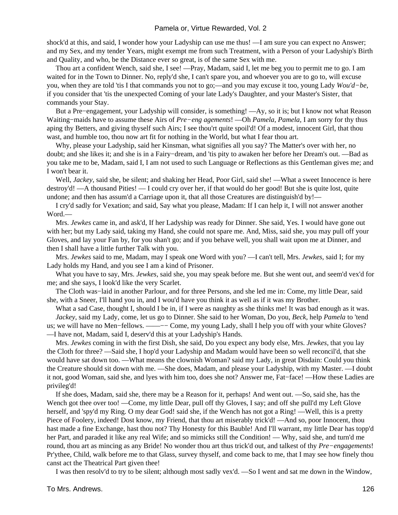#### Pamela or, Virtue Rewarded, Vol. 2

shock'd at this, and said, I wonder how your Ladyship can use me thus! —I am sure you can expect no Answer; and my Sex, and my tender Years, might exempt me from such Treatment, with a Person of your Ladyship's Birth and Quality, and who, be the Distance ever so great, is of the same Sex with me.

 Thou art a confident Wench, said she, I see! —Pray, Madam, said I, let me beg you to permit me to go. I am waited for in the Town to Dinner. No, reply'd she, I can't spare you, and whoever you are to go to, will excuse you, when they are told 'tis I that commands you not to go;—and you may excuse it too, young Lady *Wou'd−be,* if you consider that 'tis the unexpected Coming of your late Lady's Daughter, and your Master's Sister, that commands your Stay.

 But a Pre−engagement, your Ladyship will consider, is something! —Ay, so it is; but I know not what Reason Waiting−maids have to assume these Airs of *Pre−eng agements*! —Oh *Pamela, Pamela,* I am sorry for thy thus aping thy Betters, and giving thyself such Airs; I see thou'rt quite spoil'd! Of a modest, innocent Girl, that thou wast, and humble too, thou now art fit for nothing in the World, but what I fear thou art.

 Why, please your Ladyship, said her Kinsman, what signifies all you say? The Matter's over with her, no doubt; and she likes it; and she is in a Fairy−dream, and 'tis pity to awaken her before her Dream's out. —Bad as you take me to be, Madam, said I, I am not used to such Language or Reflections as this Gentleman gives me; and I won't bear it.

Well, *Jackey*, said she, be silent; and shaking her Head, Poor Girl, said she! —What a sweet Innocence is here destroy'd! —A thousand Pities! — I could cry over her, if that would do her good! But she is quite lost, quite undone; and then has assum'd a Carriage upon it, that all those Creatures are distinguish'd by!—

 I cry'd sadly for Vexation; and said, Say what you please, Madam: If I can help it, I will not answer another Word.—

 Mrs. *Jewkes* came in, and ask'd, If her Ladyship was ready for Dinner. She said, Yes. I would have gone out with her; but my Lady said, taking my Hand, she could not spare me. And, Miss, said she, you may pull off your Gloves, and lay your Fan by, for you shan't go; and if you behave well, you shall wait upon me at Dinner, and then I shall have a little further Talk with you.

 Mrs. *Jewkes* said to me, Madam, may I speak one Word with you? —I can't tell, Mrs. *Jewkes,* said I; for my Lady holds my Hand, and you see I am a kind of Prisoner.

 What you have to say, Mrs. *Jewkes,* said she, you may speak before me. But she went out, and seem'd vex'd for me; and she says, I look'd like the very Scarlet.

 The Cloth was−laid in another Parlour, and for three Persons, and she led me in: Come, my little Dear, said she, with a Sneer, I'll hand you in, and I wou'd have you think it as well as if it was my Brother.

What a sad Case, thought I, should I be in, if I were as naughty as she thinks me! It was bad enough as it was. *Jackey,* said my Lady, come, let us go to Dinner. She said to her Woman, Do you, *Beck,* help *Pamela* to 'tend us; we will have no Men-fellows. ——− Come, my young Lady, shall I help you off with your white Gloves? —I have not, Madam, said I, deserv'd this at your Ladyship's Hands.

 Mrs. *Jewkes* coming in with the first Dish, she said, Do you expect any body else, Mrs. *Jewkes,* that you lay the Cloth for three? —Said she, I hop'd your Ladyship and Madam would have been so well reconcil'd, that she would have sat down too. —What means the clownish Woman? said my Lady, in great Disdain: Could you think the Creature should sit down with me. —She does, Madam, and please your Ladyship, with my Master. —I doubt it not, good Woman, said she, and lyes with him too, does she not? Answer me, Fat−face! —How these Ladies are privileg'd!

 If she does, Madam, said she, there may be a Reason for it, perhaps! And went out. —So, said she, has the Wench got thee over too! —Come, my little Dear, pull off thy Gloves, I say; and off she pull'd my Left Glove herself, and 'spy'd my Ring. O my dear God! said she, if the Wench has not got a Ring! —Well, this is a pretty Piece of Foolery, indeed! Dost know, my Friend, that thou art miserably trick'd! —And so, poor Innocent, thou hast made a fine Exchange, hast thou not? Thy Honesty for this Bauble! And I'll warrant, my little Dear has topp'd her Part, and paraded it like any real Wife; and so mimicks still the Condition! — Why, said she, and turn'd me round, thou art as mincing as any Bride! No wonder thou art thus trick'd out, and talkest of thy *Pre−engagements*! Pr'ythee, Child, walk before me to that Glass, survey thyself, and come back to me, that I may see how finely thou canst act the Theatrical Part given thee!

I was then resolv'd to try to be silent; although most sadly vex'd. —So I went and sat me down in the Window,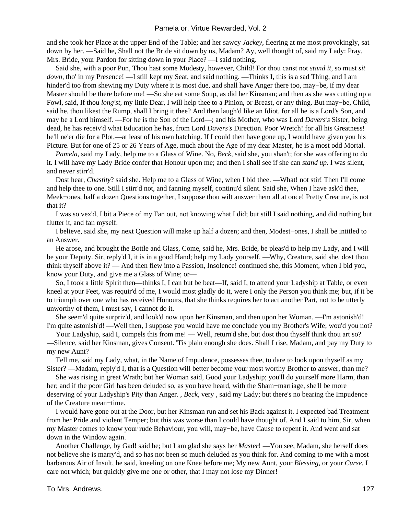and she took her Place at the upper End of the Table; and her sawcy *Jackey,* fleering at me most provokingly, sat down by her. —Said he, Shall not the Bride sit down by us, Madam? Ay, well thought of, said my Lady: Pray, Mrs. Bride, your Pardon for sitting down in your Place? —I said nothing.

 Said she, with a poor Pun, Thou hast some Modesty, however, Child! For thou canst not *stand it,* so must *sit down*, tho' in my Presence! —I still kept my Seat, and said nothing. —Thinks I, this is a sad Thing, and I am hinder'd too from shewing my Duty where it is most due, and shall have Anger there too, may−be, if my dear Master should be there before me! —So she eat some Soup, as did her Kinsman; and then as she was cutting up a Fowl, said, If thou *long'st,* my little Dear, I will help thee to a Pinion, or Breast, or any thing. But may−be, Child, said he, thou likest the Rump, shall I bring it thee? And then laugh'd like an Idiot, for all he is a Lord's Son, and may be a Lord himself. —For he is the Son of the Lord—; and his Mother, who was Lord *Davers's* Sister, being dead, he has receiv'd what Education he has, from Lord *Davers's* Direction. Poor Wretch! for all his Greatness! he'll ne'er die for a Plot,—at least of his own hatching. If I could then have gone up, I would have given you his Picture. But for one of 25 or 26 Years of Age, much about the Age of my dear Master, he is a most odd Mortal.

*Pamela,* said my Lady, help me to a Glass of Wine. No, *Beck,* said she, you shan't; for she was offering to do it. I will have my Lady Bride confer that Honour upon me; and then I shall see if she can *stand up*. I was silent, and never stirr'd.

 Dost hear, *Chastity*? said she. Help me to a Glass of Wine, when I bid thee. —What! not stir! Then I'll come and help thee to one. Still I stirr'd not, and fanning myself, continu'd silent. Said she, When I have ask'd thee, Meek−ones, half a dozen Questions together, I suppose thou wilt answer them all at once! Pretty Creature, is not that it?

 I was so vex'd, I bit a Piece of my Fan out, not knowing what I did; but still I said nothing, and did nothing but flutter it, and fan myself.

 I believe, said she, my next Question will make up half a dozen; and then, Modest−ones, I shall be intitled to an Answer.

 He arose, and brought the Bottle and Glass, Come, said he, Mrs. Bride, be pleas'd to help my Lady, and I will be your Deputy. Sir, reply'd I, it is in a good Hand; help my Lady yourself. —Why, Creature, said she, dost thou think thyself above it? — And then flew into a Passion, Insolence! continued she, this Moment, when I bid you, know your Duty, and give me a Glass of Wine; or—

 So, I took a little Spirit then—thinks I, I can but be beat—If, said I, to attend your Ladyship at Table, or even kneel at your Feet, was requir'd of me, I would most gladly do it, were I only the Person you think me; but, if it be to triumph over one who has received Honours, that she thinks requires her to act another Part, not to be utterly unworthy of them, I must say, I cannot do it.

 She seem'd quite surpriz'd, and look'd now upon her Kinsman, and then upon her Woman. —I'm astonish'd! I'm quite astonish'd! —Well then, I suppose you would have me conclude you my Brother's Wife; wou'd you not?

Your Ladyship, said I, compels this from me! — Well, return'd she, but dost thou thyself think thou art so? —Silence, said her Kinsman, gives Consent. 'Tis plain enough she does. Shall I rise, Madam, and pay my Duty to my new Aunt?

 Tell me, said my Lady, what, in the Name of Impudence, possesses thee, to dare to look upon thyself as my Sister? —Madam, reply'd I, that is a Question will better become your most worthy Brother to answer, than me?

 She was rising in great Wrath; but her Woman said, Good your Ladyship; you'll do yourself more Harm, than her; and if the poor Girl has been deluded so, as you have heard, with the Sham−marriage, she'll be more deserving of your Ladyship's Pity than Anger. , *Beck,* very , said my Lady; but there's no bearing the Impudence of the Creature mean−time.

 I would have gone out at the Door, but her Kinsman run and set his Back against it. I expected bad Treatment from her Pride and violent Temper; but this was worse than I could have thought of. And I said to him, Sir, when my Master comes to know your rude Behaviour, you will, may−be, have Cause to repent it. And went and sat down in the Window again.

 Another Challenge, by Gad! said he; but I am glad she says her *Master*! —You see, Madam, she herself does not believe she is marry'd, and so has not been so much deluded as you think for. And coming to me with a most barbarous Air of Insult, he said, kneeling on one Knee before me; My new Aunt, your *Blessing,* or your *Curse,* I care not which; but quickly give me one or other, that I may not lose my Dinner!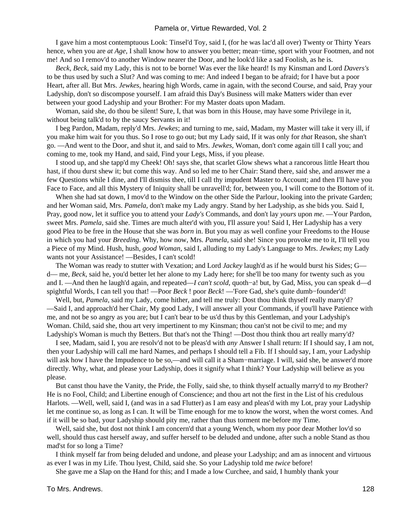### Pamela or, Virtue Rewarded, Vol. 2

 I gave him a most contemptuous Look: Tinsel'd Toy, said I, (for he was lac'd all over) Twenty or Thirty Years hence, when you are *at Age,* I shall know how to answer you better; mean−time, sport with your Footmen, and not me! And so I remov'd to another Window nearer the Door, and he look'd like a sad Foolish, as he is.

*Beck, Beck,* said my Lady, this is not to be borne! Was ever the like heard! Is my Kinsman and Lord *Davers's* to be thus used by such a Slut? And was coming to me: And indeed I began to be afraid; for I have but a poor Heart, after all. But Mrs. *Jewkes,* hearing high Words, came in again, with the second Course, and said, Pray your Ladyship, don't so discompose yourself. I am afraid this Day's Business will make Matters wider than ever between your good Ladyship and your Brother: For my Master doats upon Madam.

 Woman, said she, do thou be silent! Sure, I, that was born in this House, may have some Privilege in it, without being talk'd to by the saucy Servants in it!

 I beg Pardon, Madam, reply'd Mrs. *Jewkes*; and turning to me, said, Madam, my Master will take it very ill, if you make him wait for you thus. So I rose to go out; but my Lady said, If it was only for *that* Reason, she shan't go. —And went to the Door, and shut it, and said to Mrs. *Jewkes,* Woman, don't come again till I call you; and coming to me, took my Hand, and said, Find your Legs, Miss, if you please.

 I stood up, and she tapp'd my Cheek! Oh! says she, that scarlet Glow shews what a rancorous little Heart thou hast, if thou durst shew it; but come this way. And so led me to her Chair: Stand there, said she, and answer me a few Questions while I dine, and I'll dismiss thee, till I call thy impudent Master to Account; and then I'll have you Face to Face, and all this Mystery of Iniquity shall be unravell'd; for, between you, I will come to the Bottom of it.

When she had sat down, I mov'd to the Window on the other Side the Parlour, looking into the private Garden; and her Woman said, Mrs. *Pamela,* don't make my Lady angry. Stand by her Ladyship, as she bids you. Said I, Pray, good now, let it suffice you to attend your *Lady's* Commands, and don't lay *yours* upon *me*. —Your Pardon, sweet Mrs. *Pamela,* said she. Times are much alter'd with you, I'll assure you! Said I, Her Ladyship has a very good Plea to be free in the House that she was *born* in. But you may as well confine your Freedoms to the House in which you had your *Breeding*. Why, how now, Mrs. *Pamela,* said she! Since you provoke me to it, I'll tell you a Piece of my Mind. Hush, hush, *good Woman,* said I, alluding to my Lady's Language to Mrs. *Jewkes*; my Lady wants not your Assistance! —Besides, I can't scold!

 The Woman was ready to stutter with Vexation; and Lord *Jackey* laugh'd as if he would burst his Sides; G d— me, *Beck,* said he, you'd better let her alone to my Lady here; for she'll be too many for twenty such as you and I. —And then he laugh'd again, and repeated—*I can't scold,* quoth−a! but, by Gad, Miss, you can speak d—d spightful Words, I can tell you that! —Poor *Beck* ! poor *Beck*! —'Fore Gad, she's quite dumb−founder'd!

Well, but, *Pamela*, said my Lady, come hither, and tell me truly: Dost thou think thyself really marry'd? —Said I, and approach'd her Chair, My good Lady, I will answer all your Commands, if you'll have Patience with me, and not be so angry as you are; but I can't bear to be us'd thus by this Gentleman, and your Ladyship's Woman. Child, said she, thou art very impertinent to my Kinsman; thou can'st not be civil to me; and my Ladyship's Woman is much thy Betters. But that's not the Thing! —Dost thou think thou art really marry'd?

 I see, Madam, said I, you are resolv'd not to be pleas'd with *any* Answer I shall return: If I should say, I am not, then your Ladyship will call me hard Names, and perhaps I should tell a Fib. If I should say, I am, your Ladyship will ask how I have the Impudence to be so,—and will call it a Sham–marriage. I will, said she, be answer'd more directly. Why, what, and please your Ladyship, does it signify what I think? Your Ladyship will believe as you please.

 But canst thou have the Vanity, the Pride, the Folly, said she, to think thyself actually marry'd to *my* Brother? He is no Fool, Child; and Libertine enough of Conscience; and thou art not the first in the List of his credulous Harlots. —Well, well, said I, (and was in a sad Flutter) as I am easy and pleas'd with my Lot, pray your Ladyship let me continue so, as long as I can. It will be Time enough for me to know the worst, when the worst comes. And if it will be so bad, your Ladyship should pity me, rather than thus torment me before my Time.

 Well, said she, but dost not think I am concern'd that a young Wench, whom my poor dear Mother lov'd so well, should thus cast herself away, and suffer herself to be deluded and undone, after such a noble Stand as thou mad'st for so long a Time?

 I think myself far from being deluded and undone, and please your Ladyship; and am as innocent and virtuous as ever I was in my Life. Thou lyest, Child, said she. So your Ladyship told me *twice* before!

She gave me a Slap on the Hand for this; and I made a low Curchee, and said, I humbly thank your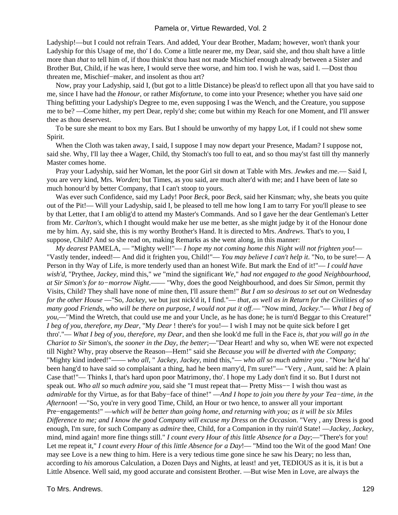Ladyship!—but I could not refrain Tears. And added, Your dear Brother, Madam; however, won't thank your Ladyship for this Usage of me, tho' I do. Come a little nearer me, my Dear, said she, and thou shalt have a little more than *that* to tell him of, if thou think'st thou hast not made Mischief enough already between a Sister and Brother But, Child, if he was here, I would serve thee worse, and him too. I wish he was, said I. —Dost thou threaten me, Mischief−maker, and insolent as thou art?

 Now, pray your Ladyship, said I, (but got to a little Distance) be pleas'd to reflect upon all that you have said to me, since I have had the *Honour,* or rather *Misfortune,* to come into your Presence; whether you have said *one* Thing befitting your Ladyship's Degree to me, even supposing I was the Wench, and the Creature, you suppose me to be? —Come hither, my pert Dear, reply'd she; come but within my Reach for one Moment, and I'll answer thee as thou deservest.

 To be sure she meant to box my Ears. But I should be unworthy of my happy Lot, if I could not shew some Spirit.

When the Cloth was taken away, I said, I suppose I may now depart your Presence, Madam? I suppose not, said she. Why, I'll lay thee a Wager, Child, thy Stomach's too full to eat, and so thou may'st fast till thy mannerly Master comes home.

 Pray your Ladyship, said her Woman, let the poor Girl sit down at Table with Mrs. *Jewkes* and me.— Said I, you are very kind, Mrs. *Worden*; but Times, as you said, are much alter'd with me; and I have been of late so much honour'd by better Company, that I can't stoop to yours.

 Was ever such Confidence, said my Lady! Poor *Beck,* poor *Beck,* said her Kinsman; why, she beats you quite out of the Pit!— Will your Ladyship, said I, be pleased to tell me how long I am to tarry For you'll please to see by that Letter, that I am oblig'd to attend my Master's Commands. And so I gave her the dear Gentleman's Letter from Mr. *Carlton's,* which I thought would make her use me better, as she might judge by it of the Honour done me by him. Ay, said she, this is my worthy Brother's Hand. It is directed to Mrs. *Andrews*. That's to you, I suppose, Child? And so she read on, making Remarks as she went along, in this manner:

*My dearest* PAMELA, — "Mighty well!"— *I hope my not coming home this Night will not frighten you*!— "Vastly tender, indeed!— And did it frighten you, Child!"— *You may believe I can't help it*. "No, to be sure!— A Person in thy Way of Life, is more tenderly used than an honest Wife. But mark the End of it!"— *I could have wish'd,* "Prythee, *Jackey,* mind this," *we* "mind the significant *We,*" *had not engaged to the good Neighbourhood, at Sir Simon's for to−morrow Night*.—— "Why, does the good Neighbourhood, and does Sir *Simon,* permit thy Visits, Child? They shall have none of mine then, I'll assure them!" *But I am so desirous to set out on* Wednesday *for the other House* —"So, *Jackey,* we but just nick'd it, I find."— *that, as well as in Return for the Civilities of so many good Friends, who will be there on purpose, I would not put it off*.— "Now mind, *Jackey*."— *What I beg of you,*—"Mind the Wretch, that could use me and your Uncle, as he has done; he is turn'd Beggar to this Creature!" *I beg of you, therefore, my Dear,* "My *Dear* ! there's for you!— I wish I may not be quite sick before I get thro'."— *What I beg of you, therefore, my Dear,* and then she look'd me full in the Face *is, that you will go in the Chariot to Sir* Simon's, *the sooner in the Day, the better*;—"Dear Heart! and why so, when WE were not expected till Night? Why, pray observe the Reason—Hem!" said she *Because you will be diverted with the Company*; "Mighty kind indeed!"—— *who all,* " *Jackey, Jackey,* mind this,"— *who all so much admire you* . "Now he'd ha' been hang'd to have said so complaisant a thing, had he been marry'd, I'm sure!"— "Very , Aunt, said he: A plain Case that!"— Thinks I, that's hard upon poor Matrimony, tho'. I hope my Lady don't find it so. But I durst not speak out. Who all so much admire you, said she "I must repeat that— Pretty Miss-− I wish thou wast as *admirable* for thy Virtue, as for that Baby−face of thine!" —*And I hope to join you there by your Tea−time, in the Afternoon*! —"So, you're in very good Time, Child, an Hour or two hence, to answer all your important Pre−engagements!" —*which will be better than going home, and returning with you; as it will be six Miles Difference to me; and I know the good Company will excuse my Dress on the Occasion*. "Very , any Dress is good enough, I'm sure, for such Company as *admire* thee, Child, for a Companion in thy ruin'd State! —*Jackey, Jackey,* mind, mind again! more fine things still." *I count every Hour of this little Absence for a Day*;—"There's for you! Let me repeat it," *I count every Hour of this little Absence for a Day*!— "Mind too the Wit of the good Man! One may see Love is a new thing to him. Here is a very tedious time gone since he saw his Deary; no less than, according to *his* amorous Calculation, a Dozen Days and Nights, at least! and yet, TEDIOUS as it is, it is but a Little Absence. Well said, my good accurate and consistent Brother. —But wise Men in Love, are always the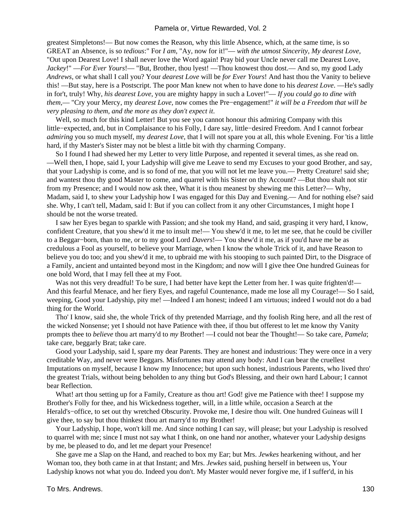greatest Simpletons!— But now comes the Reason, why this little Absence, which, at the same time, is so GREAT an Absence, is so *tedious*:" For *I am,* "Ay, now for it!"— *with the utmost Sincerity, My dearest Love,* "Out upon Dearest Love! I shall never love the Word again! Pray bid your Uncle never call me Dearest Love, *Jackey*!" —*For Ever Yours*!— "But, Brother, thou lyest! —Thou knowest thou dost.— And so, my good Lady *Andrews,* or what shall I call you? Your *dearest Love* will be *for Ever Yours*! And hast thou the Vanity to believe this! —But stay, here is a Postscript. The poor Man knew not when to have done to his *dearest Love*. —He's sadly in for't, truly! Why, *his dearest Love,* you are mighty happy in such a Lover!"— *If you could go to dine with them,*— "Cry your Mercy, my *dearest Love,* now comes the Pre−engagement!" *it will be a Freedom that will be very pleasing to them, and the more as they don't expect it*.

Well, so much for this kind Letter! But you see you cannot honour this admiring Company with this little−expected, and, but in Complaisance to his Folly, I dare say, little−desired Freedom. And I cannot forbear *admiring* you so much myself, my *dearest Love,* that I will not spare you at all, this whole Evening. For 'tis a little hard, if thy Master's Sister may not be blest a little bit with thy charming Company.

 So I found I had shewed her my Letter to very little Purpose, and repented it several times, as she read on. —Well then, I hope, said I, your Ladyship will give me Leave to send my Excuses to your good Brother, and say, that your Ladyship is come, and is so fond of me, that you will not let me leave you.— Pretty Creature! said she; and wantest thou thy good Master to come, and quarrel with his Sister on thy Account? —But thou shalt not stir from my Presence; and I would now ask thee, What it is thou meanest by shewing me this Letter?— Why, Madam, said I, to shew your Ladyship how I was engaged for this Day and Evening.— And for nothing else? said she. Why, I can't tell, Madam, said I: But if you can collect from it any other Circumstances, I might hope I should be not the worse treated.

 I saw her Eyes began to sparkle with Passion; and she took my Hand, and said, grasping it very hard, I know, confident Creature, that you shew'd it me to insult me!— You shew'd it me, to let me see, that he could be civiller to a Beggar−born, than to me, or to my good Lord *Davers*!— You shew'd it me, as if you'd have me be as credulous a Fool as yourself, to believe your Marriage, when I know the whole Trick of it, and have Reason to believe you do too; and you shew'd it me, to upbraid me with his stooping to such painted Dirt, to the Disgrace of a Family, ancient and untainted beyond most in the Kingdom; and now will I give thee One hundred Guineas for one bold Word, that I may fell thee at my Foot.

Was not this very dreadful! To be sure, I had better have kept the Letter from her. I was quite frighten'd!— And this fearful Menace, and her fiery Eyes, and rageful Countenance, made me lose all my Courage!— So I said, weeping, Good your Ladyship, pity me! —Indeed I am honest; indeed I am virtuous; indeed I would not do a bad thing for the World.

 Tho' I know, said she, the whole Trick of thy pretended Marriage, and thy foolish Ring here, and all the rest of the wicked Nonsense; yet I should not have Patience with thee, if thou but offerest to let me know thy Vanity prompts thee to *believe* thou art marry'd to *my* Brother! —I could not bear the Thought!— So take care, *Pamela*; take care, beggarly Brat; take care.

 Good your Ladyship, said I, spare my dear Parents. They are honest and industrious: They were once in a very creditable Way, and never were Beggars. Misfortunes may attend any body: And I can bear the cruellest Imputations on myself, because I know my Innocence; but upon such honest, industrious Parents, who lived thro' the greatest Trials, without being beholden to any thing but God's Blessing, and their own hard Labour; I cannot bear Reflection.

What! art thou setting up for a Family, Creature as thou art! God! give me Patience with thee! I suppose my Brother's Folly for thee, and his Wickedness together, will, in a little while, occasion a Search at the Herald's−office, to set out thy wretched Obscurity. Provoke me, I desire thou wilt. One hundred Guineas will I give thee, to say but thou thinkest thou art marry'd to my Brother!

 Your Ladyship, I hope, won't kill me. And since nothing I can say, will please; but your Ladyship is resolved to quarrel with me; since I must not say what I think, on one hand nor another, whatever your Ladyship designs by me, be pleased to do, and let me depart your Presence!

 She gave me a Slap on the Hand, and reached to box my Ear; but Mrs. *Jewkes* hearkening without, and her Woman too, they both came in at that Instant; and Mrs. *Jewkes* said, pushing herself in between us, Your Ladyship knows not what you do. Indeed you don't. My Master would never forgive me, if I suffer'd, in his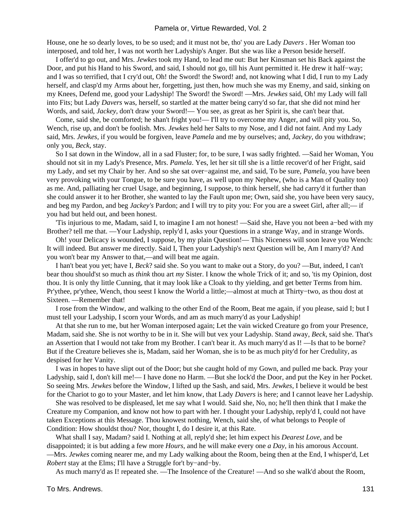### Pamela or, Virtue Rewarded, Vol. 2

House, one he so dearly loves, to be so used; and it must not be, tho' you are Lady *Davers* . Her Woman too interposed, and told her, I was not worth her Ladyship's Anger. But she was like a Person beside herself.

 I offer'd to go out, and Mrs. *Jewkes* took my Hand, to lead me out: But her Kinsman set his Back against the Door, and put his Hand to his Sword, and said, I should not go, till his Aunt permitted it. He drew it half−way; and I was so terrified, that I cry'd out, Oh! the Sword! the Sword! and, not knowing what I did, I run to my Lady herself, and clasp'd my Arms about her, forgetting, just then, how much she was my Enemy, and said, sinking on my Knees, Defend me, good your Ladyship! The Sword! the Sword! —Mrs. *Jewkes* said, Oh! my Lady will fall into Fits; but Lady *Davers* was, herself, so startled at the matter being carry'd so far, that she did not mind her Words, and said, *Jackey,* don't draw your Sword!— You see, as great as her Spirit is, she can't bear that.

 Come, said she, be comforted; he shan't fright you!— I'll try to overcome my Anger, and will pity you. So, Wench, rise up, and don't be foolish. Mrs. *Jewkes* held her Salts to my Nose, and I did not faint. And my Lady said, Mrs. *Jewkes,* if you would be forgiven, leave *Pamela* and me by ourselves; and, *Jackey,* do you withdraw; only you, *Beck,* stay.

 So I sat down in the Window, all in a sad Fluster; for, to be sure, I was sadly frighted. —Said her Woman, You should not sit in my Lady's Presence, Mrs. *Pamela*. Yes, let her sit till she is a little recover'd of her Fright, said my Lady, and set my Chair by her. And so she sat over−against me, and said, To be sure, *Pamela,* you have been very provoking with your Tongue, to be sure you have, as well upon my Nephew, (who is a Man of Quality too) as me. And, palliating her cruel Usage, and beginning, I suppose, to think herself, she had carry'd it further than she could answer it to her Brother, she wanted to lay the Fault upon me; Own, said she, you have been very saucy, and beg my Pardon, and beg *Jackey's* Pardon; and I will try to pity you: For you are a sweet Girl, after all;— if you had but held out, and been honest.

 'Tis injurious to me, Madam, said I, to imagine I am not honest! —Said she, Have you not been a−bed with my Brother? tell me that. —Your Ladyship, reply'd I, asks your Questions in a strange Way, and in strange Words.

 Oh! your Delicacy is wounded, I suppose, by my plain Question!— This Niceness will soon leave you Wench: It will indeed. But answer me directly. Said I, Then your Ladyship's next Question will be, Am I marry'd? And you won't bear my Answer to that,—and will beat me again.

 I han't beat you yet; have I, *Beck*? said she. So you want to make out a Story, do you? —But, indeed, I can't bear thou should'st so much as *think* thou art *my* Sister. I know the whole Trick of it; and so, 'tis my Opinion, dost thou. It is only thy little Cunning, that it may look like a Cloak to thy yielding, and get better Terms from him. Pr'ythee, pr'ythee, Wench, thou seest I know the World a little;—almost at much at Thirty−two, as thou dost at Sixteen. —Remember that!

 I rose from the Window, and walking to the other End of the Room, Beat me again, if you please, said I; but I must tell your Ladyship, I scorn your Words, and am as much marry'd as your Ladyship!

 At that she run to me, but her Woman interposed again; Let the vain wicked Creature go from your Presence, Madam, said she. She is not worthy to be in it. She will but vex your Ladyship. Stand away, *Beck,* said she. That's an Assertion that I would not take from my Brother. I can't bear it. As much marry'd as I! —Is that to be borne? But if the Creature believes she is, Madam, said her Woman, she is to be as much pity'd for her Credulity, as despised for her Vanity.

 I was in hopes to have slipt out of the Door; but she caught hold of my Gown, and pulled me back. Pray your Ladyship, said I, don't kill me!— I have done no Harm. —But she lock'd the Door, and put the Key in her Pocket. So seeing Mrs. *Jewkes* before the Window, I lifted up the Sash, and said, Mrs. *Jewkes,* I believe it would be best for the Chariot to go to your Master, and let him know, that Lady *Davers* is here; and I cannot leave her Ladyship.

 She was resolved to be displeased, let me say what I would. Said she, No, no; he'll then think that I make the Creature my Companion, and know not how to part with her. I thought your Ladyship, reply'd I, could not have taken Exceptions at this Message. Thou knowest nothing, Wench, said she, of what belongs to People of Condition: How shouldst thou? Nor, thought I, do I desire it, at this Rate.

 What shall I say, Madam? said I. Nothing at all, reply'd she; let him expect his *Dearest Love,* and be disappointed; it is but adding a few more *Hours,* and he will make every one *a Day,* in his amorous Account. —Mrs. *Jewkes* coming nearer me, and my Lady walking about the Room, being then at the End, I whisper'd, Let *Robert* stay at the Elms; I'll have a Struggle for't by−and−by.

As much marry'd as I! repeated she. —The Insolence of the Creature! —And so she walk'd about the Room,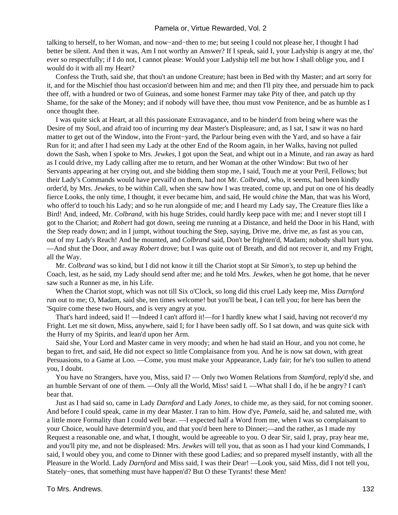talking to herself, to her Woman, and now−and−then to me; but seeing I could not please her, I thought I had better be silent. And then it was, Am I not worthy an Answer? If I speak, said I, your Ladyship is angry at me, tho' ever so respectfully; if I do not, I cannot please: Would your Ladyship tell me but how I shall oblige you, and I would do it with all my Heart?

 Confess the Truth, said she, that thou't an undone Creature; hast been in Bed with thy Master; and art sorry for it, and for the Mischief thou hast occasion'd between him and me; and then I'll pity thee, and persuade him to pack thee off, with a hundred or two of Guineas, and some honest Farmer may take Pity of thee, and patch up thy Shame, for the sake of the Money; and if nobody will have thee, thou must vow Penitence, and be as humble as I once thought thee.

 I was quite sick at Heart, at all this passionate Extravagance, and to be hinder'd from being where was the Desire of my Soul, and afraid too of incurring my dear Master's Displeasure; and, as I sat, I saw it was no hard matter to get out of the Window, into the Front−yard, the Parlour being even with the Yard, and so have a fair Run for it; and after I had seen my Lady at the other End of the Room again, in her Walks, having not pulled down the Sash, when I spoke to Mrs. *Jewkes,* I got upon the Seat, and whipt out in a Minute, and ran away as hard as I could drive, my Lady calling after me to return, and her Woman at the other Window: But two of her Servants appearing at her crying out, and she bidding them stop me, I said, Touch me at your Peril, Fellows; but their Lady's Commands would have prevail'd on them, had not Mr. *Colbrand,* who, it seems, had been kindly order'd, by Mrs. *Jewkes,* to be within Call, when she saw how I was treated, come up, and put on one of his deadly fierce Looks, the only time, I thought, it ever became him, and said, He would *chine* the Man, that was his Word, who offer'd to touch his Lady; and so he run alongside of me; and I heard my Lady say, The Creature flies like a Bird! And, indeed, Mr. *Colbrand,* with his huge Strides, could hardly keep pace with me; and I never stopt till I got to the Chariot; and *Robert* had got down, seeing me running at a Distance, and held the Door in his Hand, with the Step ready down; and in I jumpt, without touching the Step, saying, Drive me, drive me, as fast as you can, out of my Lady's Reach! And he mounted, and *Colbrand* said, Don't be frighten'd, Madam; nobody shall hurt you. —And shut the Door, and away *Robert* drove; but I was quite out of Breath, and did not recover it, and my Fright, all the Way.

 Mr. *Colbrand* was so kind, but I did not know it till the Chariot stopt at Sir *Simon's,* to step up behind the Coach, lest, as he said, my Lady should send after me; and he told Mrs. *Jewkes,* when he got home, that he never saw such a Runner as me, in his Life.

 When the Chariot stopt, which was not till Six o'Clock, so long did this cruel Lady keep me, Miss *Darnford* run out to me; O, Madam, said she, ten times welcome! but you'll be beat, I can tell you; for here has been the 'Squire come these two Hours, and is very angry at you.

 That's hard indeed, said I! —Indeed I can't afford it!—for I hardly knew what I said, having not recover'd my Fright. Let me sit down, Miss, anywhere, said I; for I have been sadly off. So I sat down, and was quite sick with the Hurry of my Spirits, and lean'd upon her Arm.

 Said she, Your Lord and Master came in very moody; and when he had staid an Hour, and you not come, he began to fret, and said, He did not expect so little Complaisance from you. And he is now sat down, with great Persuasions, to a Game at Loo. —Come, you must make your Appearance, Lady fair; for he's too sullen to attend you, I doubt.

 You have no Strangers, have you, Miss, said I? — Only two Women Relations from *Stamford,* reply'd she, and an humble Servant of one of them. —Only all the World, Miss! said I. —What shall I do, if he be angry? I can't bear that.

 Just as I had said so, came in Lady *Darnford* and Lady *Jones,* to chide me, as they said, for not coming sooner. And before I could speak, came in my dear Master. I ran to him. How d'ye, *Pamela,* said he, and saluted me, with a little more Formality than I could well bear. —I expected half a Word from me, when I was so complaisant to your Choice, would have determin'd you, and that you'd been here to Dinner;—and the rather, as I made my Request a reasonable one, and what, I thought, would be agreeable to you. O dear Sir, said I, pray, pray hear me, and you'll pity me, and not be displeased: Mrs. *Jewkes* will tell you, that as soon as I had your kind Commands, I said, I would obey you, and come to Dinner with these good Ladies; and so prepared myself instantly, with all the Pleasure in the World. Lady *Darnford* and Miss said, I was their Dear! —Look you, said Miss, did I not tell you, Stately−ones, that something must have happen'd? But O these Tyrants! these Men!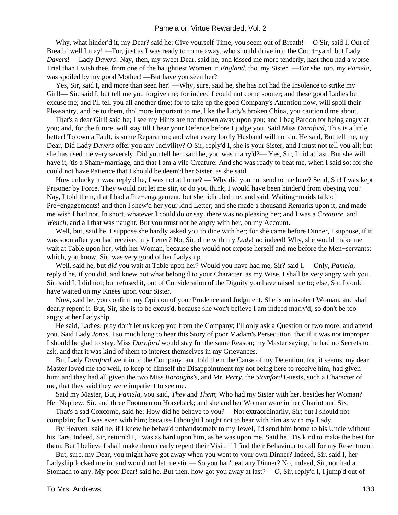Why, what hinder'd it, my Dear? said he: Give yourself Time; you seem out of Breath! —O Sir, said I, Out of Breath! well I may! —For, just as I was ready to come away, who should drive into the Court−yard, but Lady *Davers*! —Lady *Davers*! Nay, then, my sweet Dear, said he, and kissed me more tenderly, hast thou had a worse Trial than I wish thee, from one of the haughtiest Women in *England,* tho' my Sister! —For she, too, my *Pamela,* was spoiled by my good Mother! —But have you seen her?

Yes, Sir, said I, and more than seen her! —Why, sure, said he, she has not had the Insolence to strike my Girl!— Sir, said I, but tell me you forgive me; for indeed I could not come sooner; and these good Ladies but excuse me; and I'll tell you all another time; for to take up the good Company's Attention now, will spoil their Pleasantry, and be to them, tho' more important to me, like the Lady's broken China, you caution'd me about.

 That's a dear Girl! said he; I see my Hints are not thrown away upon you; and I beg Pardon for being angry at you; and, for the future, will stay till I hear your Defence before I judge you. Said Miss *Darnford,* This is a little better! To own a Fault, is some Reparation; and what every lordly Husband will not do. He said, But tell me, my Dear, Did Lady *Davers* offer you any Incivility? O Sir, reply'd I, she is your Sister, and I must not tell you all; but she has used me very severely. Did you tell her, said he, you was marry'd?— Yes, Sir, I did at last: But she will have it, 'tis a Sham−marriage, and that I am a vile Creature: And she was ready to beat me, when I said so; for she could not have Patience that I should be deem'd her Sister, as she said.

 How unlucky it was, reply'd he, I was not at home? — Why did you not send to me here? Send, Sir! I was kept Prisoner by Force. They would not let me stir, or do you think, I would have been hinder'd from obeying you? Nay, I told them, that I had a Pre−engagement; but she ridiculed me, and said, Waiting−maids talk of Pre−engagements! and then I shew'd her your kind Letter; and she made a thousand Remarks upon it, and made me wish I had not. In short, whatever I could do or say, there was no pleasing her; and I was a *Creature,* and *Wench,* and all that was naught. But you must not be angry with her, on my Account.

Well, but, said he, I suppose she hardly asked you to dine with her; for she came before Dinner, I suppose, if it was soon after you had received my Letter? No, Sir, dine with my *Lady*! no indeed! Why, she would make me wait at Table upon her, with her Woman, because she would not expose herself and me before the Men−servants; which, you know, Sir, was very good of her Ladyship.

 Well, said he, but *did* you wait at Table upon her? Would you have had me, Sir? said I.— Only, *Pamela,* reply'd he, if you did, and knew not what belong'd to your Character, as my Wise, I shall be very angry with you. Sir, said I, I did not; but refused it, out of Consideration of the Dignity you have raised me to; else, Sir, I could have waited on my Knees upon your Sister.

 Now, said he, you confirm my Opinion of your Prudence and Judgment. She is an insolent Woman, and shall dearly repent it. But, Sir, she is to be excus'd, because she won't believe I am indeed marry'd; so don't be too angry at her Ladyship.

 He said, Ladies, pray don't let us keep you from the Company; I'll only ask a Question or two more, and attend you. Said Lady *Jones,* I so much long to hear this Story of poor Madam's Persecution, that if it was not improper, I should be glad to stay. Miss *Darnford* would stay for the same Reason; my Master saying, he had no Secrets to ask, and that it was kind of them to interest themselves in my Grievances.

 But Lady *Darnford* went in to the Company, and told them the Cause of my Detention; for, it seems, my dear Master loved me too well, to keep to himself the Disappointment my not being here to receive him, had given him; and they had all given the two Miss *Boroughs's,* and Mr. *Perry,* the *Stamford* Guests, such a Character of me, that they said they were impatient to see me.

 Said my Master, But, *Pamela,* you said, *They* and *Them*; Who had my Sister with her, besides her Woman? Her Nephew, Sir, and three Footmen on Horseback; and she and her Woman were in her Chariot and Six.

 That's a sad Coxcomb, said he: How did he behave to you?— Not extraordinarily, Sir; but I should not complain; for I was even with him; because I thought I ought not to bear with him as with my Lady.

 By Heaven! said he, if I knew he behav'd unhandsomely to my Jewel, I'd send him home to his Uncle without his Ears. Indeed, Sir, return'd I, I was as hard upon him, as he was upon me. Said he, 'Tis kind to make the best for them. But I believe I shall make them dearly repent their Visit, if I find their Behaviour to call for my Resentment.

 But, sure, my Dear, you might have got away when you went to your own Dinner? Indeed, Sir, said I, her Ladyship locked me in, and would not let me stir.— So you han't eat any Dinner? No, indeed, Sir, nor had a Stomach to any. My poor Dear! said he. But then, how got you away at last? —O, Sir, reply'd I, I jump'd out of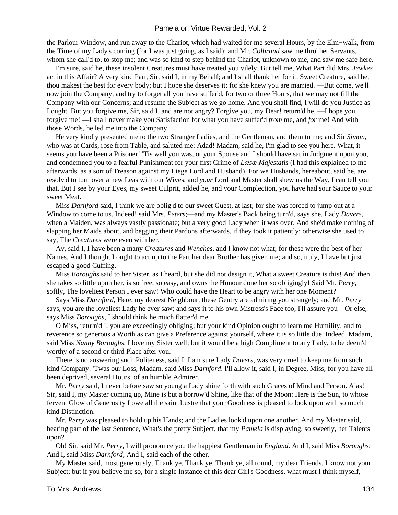the Parlour Window, and run away to the Chariot, which had waited for me several Hours, by the Elm−walk, from the Time of my Lady's coming (for I was just going, as I said); and Mr. *Colbrand* saw me thro' her Servants, whom she call'd to, to stop me; and was so kind to step behind the Chariot, unknown to me, and saw me safe here.

 I'm sure, said he, these insolent Creatures must have treated you vilely. But tell me, What Part did Mrs. *Jewkes* act in this Affair? A very kind Part, Sir, said I, in my Behalf; and I shall thank her for it. Sweet Creature, said he, thou makest the best for every body; but I hope she deserves it; for she knew you are married. —But come, we'll now join the Company, and try to forget all you have suffer'd, for two or three Hours, that we may not fill the Company with our Concerns; and resume the Subject as we go home. And you shall find, I will do you Justice as I ought. But you forgive me, Sir, said I, and are not angry? Forgive you, my Dear! return'd he. —I hope you forgive me! —I shall never make you Satisfaction for what you have suffer'd *from* me, and *for* me! And with those Words, he led me into the Company.

 He very kindly presented me to the two Stranger Ladies, and the Gentleman, and them to me; and Sir *Simon,* who was at Cards, rose from Table, and saluted me: Adad! Madam, said he, I'm glad to see you here. What, it seems you have been a Prisoner! 'Tis well you was, or your Spouse and I should have sat in Judgment upon you, and condemned you to a fearful Punishment for your first Crime of *Læsæ Majestatis* (I had this explained to me afterwards, as a sort of Treason against my Liege Lord and Husband). For we Husbands, hereabout, said he, are resolv'd to turn over a new Leas with our Wives, and *your* Lord and Master shall shew us the Way, I can tell you that. But I see by your Eyes, my sweet Culprit, added he, and your Complection, you have had sour Sauce to your sweet Meat.

 Miss *Darnford* said, I think we are oblig'd to our sweet Guest, at last; for she was forced to jump out at a Window to come to us. Indeed! said Mrs. *Peters*;—and my Master's Back being turn'd, says she, Lady *Davers,* when a Maiden, was always vastly passionate; but a very good Lady when it was over. And she'd make nothing of slapping her Maids about, and begging their Pardons afterwards, if they took it patiently; otherwise she used to say, The *Creatures* were even with her.

 Ay, said I, I have been a many *Creatures* and *Wenches,* and I know not what; for these were the best of her Names. And I thought I ought to act up to the Part her dear Brother has given me; and so, truly, I have but just escaped a good Cuffing.

 Miss *Boroughs* said to her Sister, as I heard, but she did not design it, What a sweet Creature is this! And then she takes so little upon her, is so free, so easy, and owns the Honour done her so obligingly! Said Mr. *Perry,* softly, The loveliest Person I ever saw! Who could have the Heart to be angry with her one Moment?

 Says Miss *Darnford,* Here, my dearest Neighbour, these Gentry are admiring you strangely; and Mr. *Perry* says, you are the loveliest Lady he ever saw; and says it to his own Mistress's Face too, I'll assure you—Or else, says Miss *Boroughs,* I should think he much flatter'd me.

 O Miss, return'd I, you are exceedingly obliging; but your kind Opinion ought to learn me Humility, and to reverence so generous a Worth as can give a Preference against yourself, where it is so little due. Indeed, Madam, said Miss *Nanny Boroughs,* I love my Sister well; but it would be a high Compliment to any Lady, to be deem'd worthy of a second or third Place after you.

 There is no answering such Politeness, said I: I am sure Lady *Davers,* was very cruel to keep me from such kind Company. 'Twas our Loss, Madam, said Miss *Darnford*. I'll allow it, said I, in Degree, Miss; for you have all been deprived, several Hours, of an humble Admirer.

 Mr. *Perry* said, I never before saw so young a Lady shine forth with such Graces of Mind and Person. Alas! Sir, said I, my Master coming up, Mine is but a borrow'd Shine, like that of the Moon: Here is the Sun, to whose fervent Glow of Generosity I owe all the saint Lustre that your Goodness is pleased to look upon with so much kind Distinction.

 Mr. *Perry* was pleased to hold up his Hands; and the Ladies look'd upon one another. And my Master said, hearing part of the last Sentence, What's the pretty Subject, that my *Pamela* is displaying, so sweetly, her Talents upon?

 Oh! Sir, said Mr. *Perry,* I will pronounce you the happiest Gentleman in *England*. And I, said Miss *Boroughs*; And I, said Miss *Darnford*; And I, said each of the other.

 My Master said, most generously, Thank ye, Thank ye, Thank ye, all round, my dear Friends. I know not your Subject; but if you believe me so, for a single Instance of this dear Girl's Goodness, what must I think myself,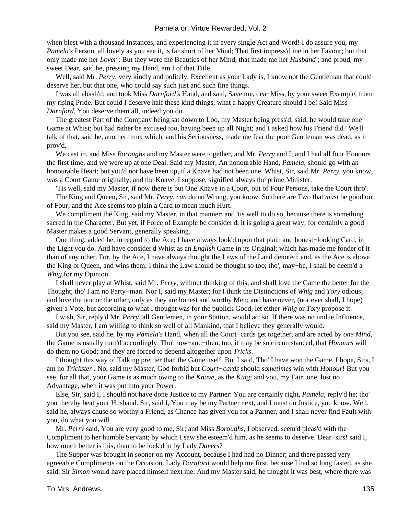when blest with a thousand Instances, and experiencing it in every single Act and Word! I do assure you, my *Pamela's* Person, all lovely as you see it, is far short of her Mind; That first impress'd me in her Favour; but that only made me her *Lover* : But they were the Beauties of her Mind, that made me her *Husband* ; and proud, my sweet Dear, said he, pressing my Hand, am I of that Title.

Well, said Mr. Perry, very kindly and politely, Excellent as your Lady is, I know not the Gentleman that could deserve her, but that one, who could say such just and such fine things.

 I was all abash'd; and took Miss *Darnford's* Hand, and said, Save me, dear Miss, by your sweet Example, from my rising Pride. But could I deserve half these kind things, what a happy Creature should I be! Said Miss *Darnford,* You deserve them all, indeed you do.

 The greatest Part of the Company being sat down to Loo, my Master being press'd, said, he would take one Game at Whist; but had rather be excused too, having been up all Night; and I asked how his Friend did? We'll talk of that, said he, another time; which, and his Seriousness, made me fear the poor Gentleman was dead, as it prov'd.

 We cast in, and Miss *Boroughs* and my Master were together, and Mr. *Perry* and I; and I had all four Honours the first time, and we were up at one Deal. Said my Master, An honourable Hand, *Pamela,* should go with an honourable Heart; but you'd not have been up, if a Knave had not been one. Whist, Sir, said Mr. *Perry,* you know, was a Court Game originally, and the Knave, I suppose, signified always the prime Minister.

 'Tis well, said my Master, if now there is but One Knave in a Court, out of Four Persons, take the Court thro'. The King and Queen, Sir, said Mr. *Perry, can* do no Wrong, you know. So there are Two that *must* be good out of Four; and the Ace seems too plain a Card to mean much Hurt.

We compliment the King, said my Master, in that manner; and 'tis well to do so, because there is something sacred in the Character. But yet, if Force of Example be consider'd, it is going a great way; for certainly a good Master makes a good Servant, generally speaking.

 One thing, added he, in regard to the Ace; I have always look'd upon that plain and honest−looking Card, in the Light you do. And have consider'd Whist as an *English* Game in its Original; which has made me fonder of it than of any other. For, by the Ace, I have always thought the Laws of the Land denoted; and, as the Ace is above the King or Queen, and wins them; I think the Law should be thought so too; tho', may−be, I shall be deem'd a *Whig* for my Opinion.

 I shall never play at Whist, said Mr. *Perry,* without thinking of this, and shall love the Game the better for the Thought; tho' I am no Party−man. Nor I, said my Master; for I think the Distinctions of *Whig* and *Tory* odious; and love the one or the other, only as they are honest and worthy Men; and have never, (nor ever shall, I hope) given a Vote, but according to what I thought was for the publick Good, let either *Whig* or *Tory* propose it.

 I wish, Sir, reply'd Mr. *Perry,* all Gentlemen, in your Station, would act so. If there was no undue Influence, said my Master, I am willing to think so well of all Mankind, that I believe they generally would.

 But you see, said he, by my *Pamela's* Hand, when all the Court−cards get together, and are acted by *one Mind,* the Game is usually turn'd accordingly. Tho' now−and−then, too, it may be so circumstanced, that *Honours* will do them no Good; and they are forced to depend altogether upon *Tricks*.

 I thought this way of Talking prettier than the Game itself. But I said, Tho' I have won the Game, I hope, Sirs, I am no *Trickster* . No, said my Master, God forbid but *Court−cards* should *sometimes* win with *Honour*! But you see, for all that, your Game is as much owing to the *Knave,* as the *King*; and you, my Fair−one, lost no Advantage, when it was put into your Power.

 Else, Sir, said I, I should not have done Justice to my Partner: You are certainly right, *Pamela,* reply'd he; tho' you thereby beat your Husband. Sir, said I, You may be my Partner next, and I must do Justice, you know. Well, said he, always chuse so worthy a Friend, as Chance has given you for a Partner, and I shall never find Fault with you, do what you will.

 Mr. *Perry* said, You are very good to me, Sir; and Miss *Boroughs,* I observed, seem'd pleas'd with the Compliment to her humble Servant; by which I saw she esteem'd him, as he seems to deserve. Dear−sirs! said I, how much better is this, than to be lock'd in by Lady *Davers*?

 The Supper was brought in sooner on my Account, because I had had no Dinner; and there passed very agreeable Compliments on the Occasion. Lady *Darnford* would help me first, because I had so long fasted, as she said. Sir *Simon* would have placed himself next me: And my Master said, he thought it was best, where there was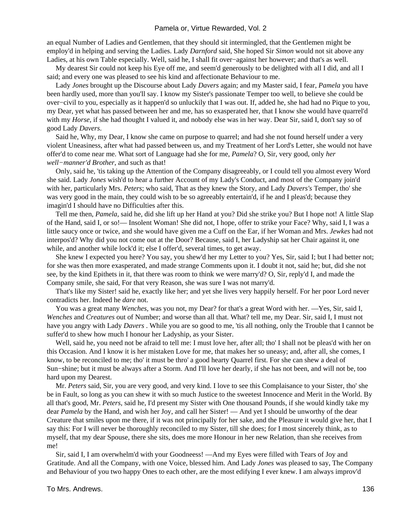an equal Number of Ladies and Gentlemen, that they should sit intermingled, that the Gentlemen might be employ'd in helping and serving the Ladies. Lady *Darnford* said, She hoped Sir *Simon* would not sit above any Ladies, at his own Table especially. Well, said he, I shall fit over−against her however; and that's as well.

 My dearest Sir could not keep his Eye off me, and seem'd generously to be delighted with all I did, and all I said; and every one was pleased to see his kind and affectionate Behaviour to me.

 Lady *Jones* brought up the Discourse about Lady *Davers* again; and my Master said, I fear, *Pamela* you have been hardly used, more than you'll say. I know my Sister's passionate Temper too well, to believe she could be over−civil to you, especially as it happen'd so unluckily that I was out. If, added he, she had had no Pique to you, my Dear, yet what has passed between her and me, has so exasperated her, that I know she would have quarrel'd with my *Horse,* if she had thought I valued it, and nobody else was in her way. Dear Sir, said I, don't say so of good Lady *Davers*.

 Said he, Why, my Dear, I know she came on purpose to quarrel; and had she not found herself under a very violent Uneasiness, after what had passed between us, and my Treatment of her Lord's Letter, she would not have offer'd to come near me. What sort of Language had she for me, *Pamela*? O, Sir, very good, only *her well−manner'd Brother,* and such as that!

 Only, said he, 'tis taking up the Attention of the Company disagreeably, or I could tell you almost every Word she said. Lady *Jones* wish'd to hear a further Account of my Lady's Conduct, and most of the Company join'd with her, particularly Mrs. *Peters*; who said, That as they knew the Story, and Lady *Davers's* Temper, tho' she was very good in the main, they could wish to be so agreeably entertain'd, if he and I pleas'd; because they imagin'd I should have no Difficulties after this.

 Tell me then, *Pamela,* said he, did she lift up her Hand at you? Did she strike you? But I hope not! A little Slap of the Hand, said I, or so!— Insolent Woman! She did not, I hope, offer to strike your Face? Why, said I, I was a little saucy once or twice, and she would have given me a Cuff on the Ear, if her Woman and Mrs. *Jewkes* had not interpos'd? Why did you not come out at the Door? Because, said I, her Ladyship sat her Chair against it, one while, and another while lock'd it; else I offer'd, several times, to get away.

 She knew I expected you here? You say, you shew'd her my Letter to you? Yes, Sir, said I; but I had better not; for she was then more exasperated, and made strange Comments upon it. I doubt it not, said he; but, did she not see, by the kind Epithets in it, that there was room to think we were marry'd? O, Sir, reply'd I, and made the Company smile, she said, For that very Reason, she was sure I was not marry'd.

 That's like my Sister! said he, exactly like her; and yet she lives very happily herself. For her poor Lord never contradicts her. Indeed he *dare* not.

 You was a great many *Wenches,* was you not, my Dear? for that's a great Word with her. —Yes, Sir, said I, *Wenches* and *Creatures* out of Number; and worse than all that. What? tell me, my Dear. Sir, said I, I must not have you angry with Lady *Davers* . While you are so good to me, 'tis all nothing, only the Trouble that I cannot be suffer'd to shew how much I honour her Ladyship, as your Sister.

 Well, said he, you need not be afraid to tell me: I must love her, after all; tho' I shall not be pleas'd with her on this Occasion. And I know it is her mistaken Love for me, that makes her so uneasy; and, after all, she comes, I know, to be reconciled to me; tho' it must be thro' a good hearty Quarrel first. For she can shew a deal of Sun−shine; but it must be always after a Storm. And I'll love her dearly, if she has not been, and will not be, too hard upon my Dearest.

 Mr. *Peters* said, Sir, you are very good, and very kind. I love to see this Complaisance to your Sister, tho' she be in Fault, so long as you can shew it with so much Justice to the sweetest Innocence and Merit in the World. By all that's good, Mr. *Peters,* said he, I'd present my Sister with One thousand Pounds, if she would kindly take my dear *Pamela* by the Hand, and wish her Joy, and call her Sister! — And yet I should be unworthy of the dear Creature that smiles upon me there, if it was not principally for her sake, and the Pleasure it would give her, that I say this: For I will never be thoroughly reconciled to my Sister, till she does; for I most sincerely think, as to myself, that my dear Spouse, there she sits, does me more Honour in her new Relation, than she receives from me!

 Sir, said I, I am overwhelm'd with your Goodneess! —And my Eyes were filled with Tears of Joy and Gratitude. And all the Company, with one Voice, blessed him. And Lady *Jones* was pleased to say, The Company and Behaviour of you two happy Ones to each other, are the most edifying I ever knew. I am always improv'd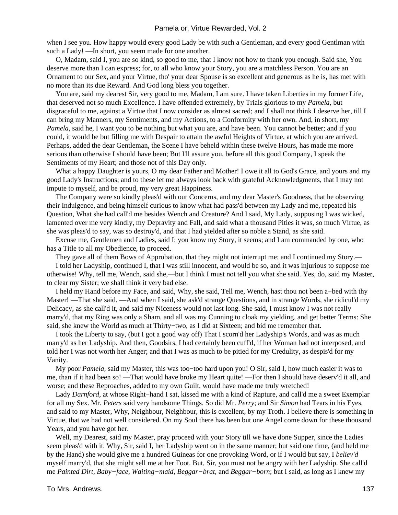when I see you. How happy would every good Lady be with such a Gentleman, and every good Gentlman with such a Lady! —In short, you seem made for one another.

 O, Madam, said I, you are so kind, so good to me, that I know not how to thank you enough. Said she, You deserve more than I can express; for, to all who know your Story, you are a matchless Person. You are an Ornament to our Sex, and your Virtue, tho' your dear Spouse is so excellent and generous as he is, has met with no more than its due Reward. And God long bless you together.

 You are, said my dearest Sir, very good to me, Madam, I am sure. I have taken Liberties in my former Life, that deserved not so much Excellence. I have offended extremely, by Trials glorious to my *Pamela,* but disgraceful to me, against a Virtue that I now consider as almost sacred; and I shall not think I deserve her, till I can bring my Manners, my Sentiments, and my Actions, to a Conformity with her own. And, in short, my *Pamela,* said he, I want you to be nothing but what you are, and have been. You cannot be better; and if you could, it would be but filling me with Despair to attain the awful Heights of Virtue, at which you are arrived. Perhaps, added the dear Gentleman, the Scene I have beheld within these twelve Hours, has made me more serious than otherwise I should have been; But I'll assure you, before all this good Company, I speak the Sentiments of my Heart; and those not of this Day only.

 What a happy Daughter is yours, O my dear Father and Mother! I owe it all to God's Grace, and yours and my good Lady's Instructions; and to these let me always look back with grateful Acknowledgments, that I may not impute to myself, and be proud, my very great Happiness.

 The Company were so kindly pleas'd with our Concerns, and my dear Master's Goodness, that he observing their Indulgence, and being himself curious to know what had pass'd between my Lady and me, repeated his Question, What she had call'd me besides Wench and Creature? And I said, My Lady, supposing I was wicked, lamented over me very kindly, my Depravity and Fall, and said what a thousand Pities it was, so much Virtue, as she was pleas'd to say, was so destroy'd, and that I had yielded after so noble a Stand, as she said.

 Excuse me, Gentlemen and Ladies, said I; you know my Story, it seems; and I am commanded by one, who has a Title to all my Obedience, to proceed.

They gave all of them Bows of Approbation, that they might not interrupt me; and I continued my Story.—

 I told her Ladyship, continued I, that I was still innocent, and would be so, and it was injurious to suppose me otherwise! Why, tell me, Wench, said she,—but I think I must not tell you what she said. Yes, do, said my Master, to clear my Sister; we shall think it very bad else.

 I held my Hand before my Face, and said, Why, she said, Tell me, Wench, hast thou not been a−bed with thy Master! —That she said. —And when I said, she ask'd strange Questions, and in strange Words, she ridicul'd my Delicacy, as she call'd it, and said my Niceness would not last long. She said, I must know I was not really marry'd, that my Ring was only a Sham, and all was my Cunning to cloak my yielding, and get better Terms: She said, she knew the World as much at Thirty−two, as I did at Sixteen; and bid me remember that.

 I took the Liberty to say, (but I got a good way off) That I scorn'd her Ladyship's Words, and was as much marry'd as her Ladyship. And then, Goodsirs, I had certainly been cuff'd, if her Woman had not interposed, and told her I was not worth her Anger; and that I was as much to be pitied for my Credulity, as despis'd for my Vanity.

 My poor *Pamela,* said my Master, this was too−too hard upon you! O Sir, said I, how much easier it was to me, than if it had been so! —That would have broke my Heart quite! —For then I should have deserv'd it all, and worse; and these Reproaches, added to my own Guilt, would have made me truly wretched!

 Lady *Darnford,* at whose Right−hand I sat, kissed me with a kind of Rapture, and call'd me a sweet Exemplar for all my Sex. Mr. *Peters* said very handsome Things. So did Mr. *Perry*; and Sir *Simon* had Tears in his Eyes, and said to my Master, Why, Neighbour, Neighbour, this is excellent, by my Troth. I believe there is something in Virtue, that we had not well considered. On my Soul there has been but one Angel come down for these thousand Years, and you have got her.

 Well, my Dearest, said my Master, pray proceed with your Story till we have done Supper, since the Ladies seem pleas'd with it. Why, Sir, said I, her Ladyship went on in the same manner; but said one time, (and held me by the Hand) she would give me a hundred Guineas for one provoking Word, or if I would but say, I *believ'd* myself marry'd, that she might sell me at her Foot. But, Sir, you must not be angry with her Ladyship. She call'd me *Painted Dirt, Baby−face, Waiting−maid, Beggar−brat,* and *Beggar−born*; but I said, as long as I knew my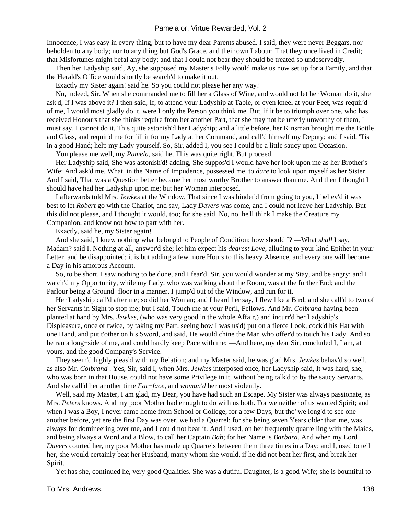Innocence, I was easy in every thing, but to have my dear Parents abused. I said, they were never Beggars, nor beholden to any body; nor to any thing but God's Grace, and their own Labour: That they once lived in Credit; that Misfortunes might befal any body; and that I could not bear they should be treated so undeservedly.

 Then her Ladyship said, Ay, she supposed my Master's Folly would make us now set up for a Family, and that the Herald's Office would shortly be search'd to make it out.

Exactly my Sister again! said he. So you could not please her any way?

 No, indeed, Sir. When she commanded me to fill her a Glass of Wine, and would not let her Woman do it, she ask'd, If I was above it? I then said, If, to attend your Ladyship at Table, or even kneel at your Feet, was requir'd of me, I would most gladly do it, were I only the Person you think me. But, if it be to triumph over one, who has received Honours that she thinks require from her another Part, that she may not be utterly unworthy of them, I must say, I cannot do it. This quite astonish'd her Ladyship; and a little before, her Kinsman brought me the Bottle and Glass, and requir'd me for fill it for my Lady at her Command, and call'd himself my Deputy; and I said, 'Tis in a good Hand; help my Lady yourself. So, Sir, added I, you see I could be a little saucy upon Occasion.

You please me well, my *Pamela,* said he. This was quite right. But proceed.

 Her Ladyship said, She was astonish'd! adding, She suppos'd I would have her look upon me as her Brother's Wife: And ask'd me, What, in the Name of Impudence, possessed me, to *dare* to look upon myself as her Sister! And I said, That was a Question better became her most worthy Brother to answer than me. And then I thought I should have had her Ladyship upon me; but her Woman interposed.

 I afterwards told Mrs. *Jewkes* at the Window, That since I was hinder'd from going to you, I believ'd it was best to let *Robert* go with the Chariot, and say, Lady *Davers* was come, and I could not leave her Ladyship. But this did not please, and I thought it would, too; for she said, No, no, he'll think I make the Creature my Companion, and know not how to part with her.

Exactly, said he, my Sister again!

 And she said, I knew nothing what belong'd to People of Condition; how should I? —What *shall* I say, Madam? said I. Nothing at all, answer'd she; let him expect his *dearest Love,* alluding to your kind Epithet in your Letter, and be disappointed; it is but adding a few more Hours to this heavy Absence, and every one will become a Day in his amorous Account.

 So, to be short, I saw nothing to be done, and I fear'd, Sir, you would wonder at my Stay, and be angry; and I watch'd my Opportunity, while my Lady, who was walking about the Room, was at the further End; and the Parlour being a Ground−floor in a manner, I jump'd out of the Window, and run for it.

 Her Ladyship call'd after me; so did her Woman; and I heard her say, I flew like a Bird; and she call'd to two of her Servants in Sight to stop me; but I said, Touch me at your Peril, Fellows. And Mr. *Colbrand* having been planted at hand by Mrs. *Jewkes,* (who was very good in the whole Affair,) and incurr'd her Ladyship's Displeasure, once or twice, by taking my Part, seeing how I was us'd) put on a fierce Look, cock'd his Hat with one Hand, and put t'other on his Sword, and said, He would chine the Man who offer'd to touch his Lady. And so he ran a long−side of me, and could hardly keep Pace with me: —And here, my dear Sir, concluded I, I am, at yours, and the good Company's Service.

 They seem'd highly pleas'd with my Relation; and my Master said, he was glad Mrs. *Jewkes* behav'd so well, as also Mr. *Colbrand* . Yes, Sir, said I, when Mrs. *Jewkes* interposed once, her Ladyship said, It was hard, she, who was born in that House, could not have some Privilege in it, without being talk'd to by the saucy Servants. And she call'd her another time *Fat−face,* and *woman'd* her most violently.

 Well, said my Master, I am glad, my Dear, you have had such an Escape. My Sister was always passionate, as Mrs. *Peters* knows. And my poor Mother had enough to do with us both. For we neither of us wanted Spirit; and when I was a Boy, I never came home from School or College, for a few Days, but tho' we long'd to see one another before, yet ere the first Day was over, we had a Quarrel; for she being seven Years older than me, was always for domineering over me, and I could not bear it. And I used, on her frequently quarrelling with the Maids, and being always a Word and a Blow, to call her Captain *Bab*; for her Name is *Barbara*. And when my Lord *Davers* courted her, my poor Mother has made up Quarrels between them three times in a Day; and I, used to tell her, she would certainly beat her Husband, marry whom she would, if he did not beat her first, and break her Spirit.

Yet has she, continued he, very good Qualities. She was a dutiful Daughter, is a good Wife; she is bountiful to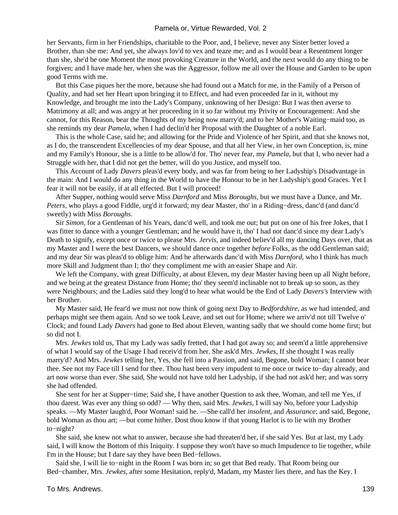her Servants, firm in her Friendships, charitable to the Poor, and, I believe, never any Sister better loved a Brother, than she me: And yet, she always lov'd to vex and teaze me; and as I would bear a Resentment longer than she, she'd be one Moment the most provoking Creature in the World, and the next would do any thing to be forgiven; and I have made her, when she was the Aggressor, follow me all over the House and Garden to be upon good Terms with me.

 But this Case piques her the more, because she had found out a Match for me, in the Family of a Person of Quality, and had set her Heart upon bringing it to Effect, and had even proceeded far in it, without my Knowledge, and brought me into the Lady's Company, unknowing of her Design: But I was then averse to Matrimony at all; and was angry at her proceeding in it so far without my Privity or Encouragement: And she cannot, for this Reason, bear the Thoughts of my being now marry'd; and to her Mother's Waiting−maid too, as she reminds my dear *Pamela,* when I had declin'd her Proposal with the Daughter of a noble Earl.

 This is the whole Case, said he; and allowing for the Pride and Violence of her Spirit, and that she knows not, as I do, the transcendent Excellencies of my dear Spouse, and that all her View, in her own Conception, is, mine and my Family's Honour, she is a little to be allow'd for. Tho' never fear, my *Pamela,* but that I, who never had a Struggle with her, that I did not get the better, will do you Justice, and myself too.

 This Account of Lady *Davers* pleas'd every body, and was far from being to her Ladyship's Disadvantage in the main: And I would do any thing in the World to have the Honour to be in her Ladyship's good Graces. Yet I fear it will not be easily, if at all effected. But I will proceed!

 After Supper, nothing would serve Miss *Darnford* and Miss *Boroughs,* but we must have a Dance, and Mr. *Peters,* who plays a good Fiddle, urg'd it forward; my dear Master, tho' in a Riding−dress, danc'd (and danc'd sweetly) with Miss *Boroughs*.

 Sir *Simon,* for a Gentleman of his Years, danc'd well, and took me out; but put on one of his free Jokes, that I was fitter to dance with a younger Gentleman; and he would have it, tho' I had not danc'd since my dear Lady's Death to signify, except once or twice to please Mrs. *Jervis,* and indeed believ'd all my dancing Days over, that as my Master and I were the best Dancers, we should dance once together *before* Folks, as the odd Gentleman said; and my dear Sir was pleas'd to oblige him: And he afterwards danc'd with Miss *Darnford,* who I think has much more Skill and Judgment than I; tho' they compliment me with an easier Shape and Air.

We left the Company, with great Difficulty, at about Eleven, my dear Master having been up all Night before, and we being at the greatest Distance from Home; tho' they seem'd inclinable not to break up so soon, as they were Neighbours; and the Ladies said they long'd to hear what would be the End of Lady *Davers's* Interview with her Brother.

 My Master said, He fear'd we must not now think of going next Day to *Bedfordshire,* as we had intended, and perhaps might see them again. And so we took Leave, and set out for Home; where we arriv'd not till Twelve o' Clock; and found Lady *Davers* had gone to Bed about Eleven, wanting sadly that we should come home first; but so did not I.

 Mrs. *Jewkes* told us, That my Lady was sadly fretted, that I had got away so; and seem'd a little apprehensive of what I would say of the Usage I had receiv'd from her. She ask'd Mrs. *Jewkes,* If she thought I was really marry'd? And Mrs. *Jewkes* telling her, Yes, she fell into a Passion, and said, Begone, bold Woman; I cannot bear thee. See not my Face till I send for thee. Thou hast been very impudent to me once or twice to−day already, and art now worse than ever. She said, She would not have told her Ladyship, if she had not ask'd her; and was sorry she had offended.

 She sent for her at Supper−time; Said she, I have another Question to ask thee, Woman, and tell me Yes, if thou darest. Was ever any thing so odd? — Why then, said Mrs. *Jewkes,* I will say No, before your Ladyship speaks. —My Master laugh'd, Poor Woman! said he. —She call'd her *insolent,* and *Assurance*; and said, Begone, bold Woman as thou art; —but come hither. Dost thou know if that young Harlot is to lie with my Brother to−night?

 She said, she knew not what to answer, because she had threaten'd her, if she said Yes. But at last, my Lady said, I will know the Bottom of this Iniquity. I suppose they won't have so much Impudence to lie together, while I'm in the House; but I dare say they have been Bed−fellows.

 Said she, I will lie to−night in the Room I was born in; so get that Bed ready. That Room being our Bed−chamber, Mrs. *Jewkes,* after some Hesitation, reply'd, Madam, my Master lies there, and has the Key. I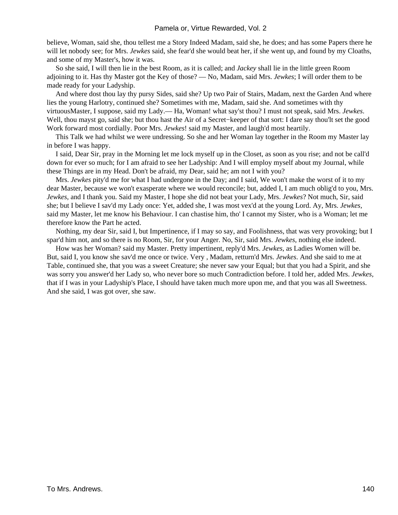believe, Woman, said she, thou tellest me a Story Indeed Madam, said she, he does; and has some Papers there he will let nobody see; for Mrs. *Jewkes* said, she fear'd she would beat her, if she went up, and found by my Cloaths, and some of my Master's, how it was.

 So she said, I will then lie in the best Room, as it is called; and *Jackey* shall lie in the little green Room adjoining to it. Has thy Master got the Key of those? — No, Madam, said Mrs. *Jewkes*; I will order them to be made ready for your Ladyship.

 And where dost thou lay thy pursy Sides, said she? Up two Pair of Stairs, Madam, next the Garden And where lies the young Harlotry, continued she? Sometimes with me, Madam, said she. And sometimes with thy virtuousMaster, I suppose, said my Lady.— Ha, Woman! what say'st thou? I must not speak, said Mrs. *Jewkes*. Well, thou mayst go, said she; but thou hast the Air of a Secret−keeper of that sort: I dare say thou'lt set the good Work forward most cordially. Poor Mrs. *Jewkes*! said my Master, and laugh'd most heartily.

 This Talk we had whilst we were undressing. So she and her Woman lay together in the Room my Master lay in before I was happy.

 I said, Dear Sir, pray in the Morning let me lock myself up in the Closet, as soon as you rise; and not be call'd down for ever so much; for I am afraid to see her Ladyship: And I will employ myself about my Journal, while these Things are in my Head. Don't be afraid, my Dear, said he; am not I with you?

 Mrs. *Jewkes* pity'd me for what I had undergone in the Day; and I said, We won't make the worst of it to my dear Master, because we won't exasperate where we would reconcile; but, added I, I am much oblig'd to you, Mrs. *Jewkes,* and I thank you. Said my Master, I hope she did not beat your Lady, Mrs. *Jewkes*? Not much, Sir, said she; but I believe I sav'd my Lady once: Yet, added she, I was most vex'd at the young Lord. Ay, Mrs. *Jewkes,* said my Master, let me know his Behaviour. I can chastise him, tho' I cannot my Sister, who is a Woman; let me therefore know the Part he acted.

 Nothing, my dear Sir, said I, but Impertinence, if I may so say, and Foolishness, that was very provoking; but I spar'd him not, and so there is no Room, Sir, for your Anger. No, Sir, said Mrs. *Jewkes,* nothing else indeed.

 How was her Woman? said my Master. Pretty impertinent, reply'd Mrs. *Jewkes,* as Ladies Women will be. But, said I, you know she sav'd me once or twice. Very , Madam, retturn'd Mrs. *Jewkes*. And she said to me at Table, continued she, that you was a sweet Creature; she never saw your Equal; but that you had a Spirit, and she was sorry you answer'd her Lady so, who never bore so much Contradiction before. I told her, added Mrs. *Jewkes,* that if I was in your Ladyship's Place, I should have taken much more upon me, and that you was all Sweetness. And she said, I was got over, she saw.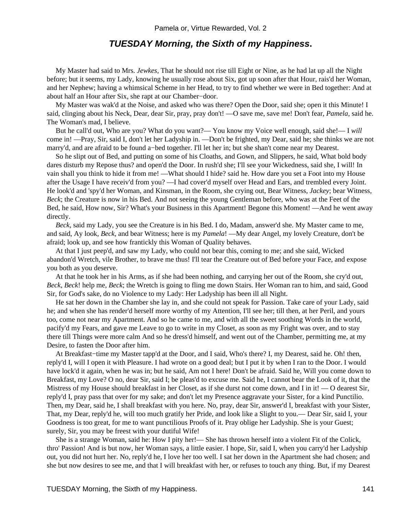# **TUESDAY Morning, the Sixth of my Happiness.**

 My Master had said to Mrs. *Jewkes,* That he should not rise till Eight or Nine, as he had lat up all the Night before; but it seems, my Lady, knowing he usually rose about Six, got up soon after that Hour, rais'd her Woman, and her Nephew; having a whimsical Scheme in her Head, to try to find whether we were in Bed together: And at about half an Hour after Six, she rapt at our Chamber−door.

 My Master was wak'd at the Noise, and asked who was there? Open the Door, said she; open it this Minute! I said, clinging about his Neck, Dear, dear Sir, pray, pray don't! —O save me, save me! Don't fear, *Pamela,* said he. The Woman's mad, I believe.

 But he call'd out, Who are you? What do you want?— You know my Voice well enough, said she!— I *will* come in! —Pray, Sir, said I, don't let her Ladyship in. —Don't be frighted, my Dear, said he; she thinks we are not marry'd, and are afraid to be found a−bed together. I'll let her in; but she shan't come near my Dearest.

 So he slipt out of Bed, and putting on some of his Cloaths, and Gown, and Slippers, he said, What bold body dares disturb my Repose thus? and open'd the Door. In rush'd she; I'll see your Wickedness, said she, I will! In vain shall you think to hide it from me! —What should I hide? said he. How dare you set a Foot into my House after the Usage I have receiv'd from you? —I had cover'd myself over Head and Ears, and trembled every Joint. He look'd and 'spy'd her Woman, and Kinsman, in the Room, she crying out, Bear Witness, *Jackey*; bear Witness, *Beck*; the Creature is now in his Bed. And not seeing the young Gentleman before, who was at the Feet of the Bed, he said, How now, Sir? What's your Business in this Apartment! Begone this Moment! —And he went away directly.

*Beck,* said my Lady, you see the Creature is in his Bed. I do, Madam, answer'd she. My Master came to me, and said, Ay look, *Beck,* and bear Witness; here is my *Pamela*! —My dear Angel, my lovely Creature, don't be afraid; look up, and see how frantickly this Woman of Quality behaves.

 At that I just peep'd, and saw my Lady, who could not bear this, coming to me; and she said, Wicked abandon'd Wretch, vile Brother, to brave me thus! I'll tear the Creature out of Bed before your Face, and expose you both as you deserve.

 At that he took her in his Arms, as if she had been nothing, and carrying her out of the Room, she cry'd out, *Beck, Beck*! help me, *Beck*; the Wretch is going to fling me down Stairs. Her Woman ran to him, and said, Good Sir, for God's sake, do no Violence to my Lady: Her Ladyship has been ill all Night.

 He sat her down in the Chamber she lay in, and she could not speak for Passion. Take care of your Lady, said he; and when she has render'd herself more worthy of my Attention, I'll see her; till then, at her Peril, and yours too, come not near my Apartment. And so he came to me, and with all the sweet soothing Words in the world, pacify'd my Fears, and gave me Leave to go to write in my Closet, as soon as my Fright was over, and to stay there till Things were more calm And so he dress'd himself, and went out of the Chamber, permitting me, at my Desire, to fasten the Door after him.

 At Breakfast−time my Master tapp'd at the Door, and I said, Who's there? I, my Dearest, said he. Oh! then, reply'd I, will I open it with Pleasure. I had wrote on a good deal; but I put it by when I ran to the Door. I would have lock'd it again, when he was in; but he said, Am not I here! Don't be afraid. Said he, Will you come down to Breakfast, my Love? O no, dear Sir, said I; be pleas'd to excuse me. Said he, I cannot bear the Look of it, that the Mistress of my House should breakfast in her Closet, as if she durst not come down, and I in it! — O dearest Sir, reply'd I, pray pass that over for my sake; and don't let my Presence aggravate your Sister, for a kind Punctilio. Then, my Dear, said he, I shall breakfast with you here. No, pray, dear Sir, answer'd I, breakfast with your Sister, That, my Dear, reply'd he, will too much gratify her Pride, and look like a Slight to you.— Dear Sir, said I, your Goodness is too great, for me to want punctilious Proofs of it. Pray oblige her Ladyship. She is your Guest; surely, Sir, you may be freest with your dutiful Wife!

 She is a strange Woman, said he: How I pity her!— She has thrown herself into a violent Fit of the Colick, thro' Passion! And is but now, her Woman says, a little easier. I hope, Sir, said I, when you carry'd her Ladyship out, you did not hurt her. No, reply'd he, I love her too well. I sat her down in the Apartment she had chosen; and she but now desires to see me, and that I will breakfast with her, or refuses to touch any thing. But, if my Dearest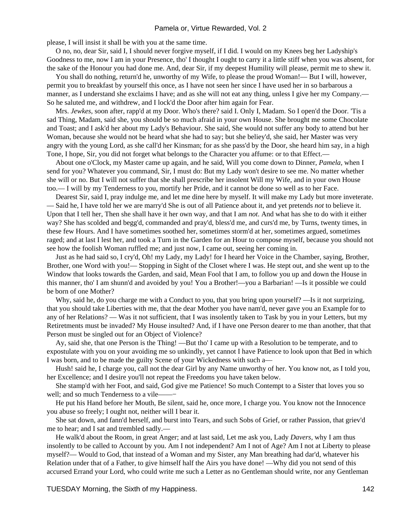please, I will insist it shall be with you at the same time.

 O no, no, dear Sir, said I, I should never forgive myself, if I did. I would on my Knees beg her Ladyship's Goodness to me, now I am in your Presence, tho' I thought I ought to carry it a little stiff when you was absent, for the sake of the Honour you had done me. And, dear Sir, if my deepest Humility will please, permit me to shew it.

 You shall do nothing, return'd he, unworthy of my Wife, to please the proud Woman!— But I will, however, permit you to breakfast by yourself this once, as I have not seen her since I have used her in so barbarous a manner, as I understand she exclaims I have; and as she will not eat any thing, unless I give her my Company.— So he saluted me, and withdrew, and I lock'd the Door after him again for Fear.

 Mrs. *Jewkes,* soon after, rapp'd at my Door. Who's there? said I. Only I, Madam. So I open'd the Door. 'Tis a sad Thing, Madam, said she, you should be so much afraid in your own House. She brought me some Chocolate and Toast; and I ask'd her about my Lady's Behaviour. She said, She would not suffer any body to attend but her Woman, because she would not be heard what she had to say; but she beliey'd, she said, her Master was very angry with the young Lord, as she call'd her Kinsman; for as she pass'd by the Door, she heard him say, in a high Tone, I hope, Sir, you did not forget what belongs to the Character you affume: or to that Effect.—

 About one o'Clock, my Master came up again, and he said, Will you come down to Dinner, *Pamela,* when I send for you? Whatever you command, Sir, I must do: But my Lady won't desire to see me. No matter whether she will or no. But I will not suffer that she shall prescribe her insolent Will my Wife, and in your own House too.— I will by my Tenderness to you, mortify her Pride, and it cannot be done so well as to her Face.

 Dearest Sir, said I, pray indulge me, and let me dine here by myself. It will make my Lady but more inveterate. — Said he, I have told her we are marry'd She is out of all Patience about it, and yet pretends *not* to believe it. Upon that I tell her, Then she shall have it her own way, and that I am *not*. And what has she to do with it either way? She has scolded and begg'd, commanded and pray'd, bless'd me, and curs'd me, by Turns, twenty times, in these few Hours. And I have sometimes soothed her, sometimes storm'd at her, sometimes argued, sometimes raged; and at last I lest her, and took a Turn in the Garden for an Hour to compose myself, because you should not see how the foolish Woman ruffled me; and just now, I came out, seeing her coming in.

 Just as he had said so, I cry'd, Oh! my Lady, my Lady! for I heard her Voice in the Chamber, saying, Brother, Brother, one Word with you!— Stopping in Sight of the Closet where I was. He stept out, and she went up to the Window that looks towards the Garden, and said, Mean Fool that I am, to follow you up and down the House in this manner, tho' I am shunn'd and avoided by you! You a Brother!—you a Barbarian! —Is it possible we could be born of one Mother?

Why, said he, do you charge me with a Conduct to you, that you bring upon yourself? —Is it not surprizing, that you should take Liberties with me, that the dear Mother you have nam'd, never gave you an Example for to any of her Relations? — Was it not sufficient, that I was insolently taken to Task by you in your Letters, but my Retiretments must be invaded? My House insulted? And, if I have one Person dearer to me than another, that that Person must be singled out for an Object of Violence?

 Ay, said she, that one Person is the Thing! —But tho' I came up with a Resolution to be temperate, and to expostulate with you on your avoiding me so unkindly, yet cannot I have Patience to look upon that Bed in which I was born, and to be made the guilty Scene of your Wickedness with such a—

Hush! said he, I charge you, call not the dear Girl by any Name unworthy of her. You know not, as I told you, her Excellence; and I desire you'll not repeat the Freedoms you have taken below.

 She stamp'd with her Foot, and said, God give me Patience! So much Contempt to a Sister that loves you so well; and so much Tenderness to a vile—

 He put his Hand before her Mouth, Be silent, said he, once more, I charge you. You know not the Innocence you abuse so freely; I ought not, neither will I bear it.

 She sat down, and fann'd herself, and burst into Tears, and such Sobs of Grief, or rather Passion, that griev'd me to hear; and I sat and trembled sadly.—

 He walk'd about the Room, in great Anger; and at last said, Let me ask you, Lady *Davers,* why I am thus insolently to be called to Account by you. Am I not independent? Am I not of Age? Am I not at Liberty to please myself?— Would to God, that instead of a Woman and my Sister, any Man breathing had dar'd, whatever his Relation under that of a Father, to give himself half the Airs you have done! —Why did you not send of this accursed Errand your Lord, who could write me such a Letter as no Gentleman should write, nor any Gentleman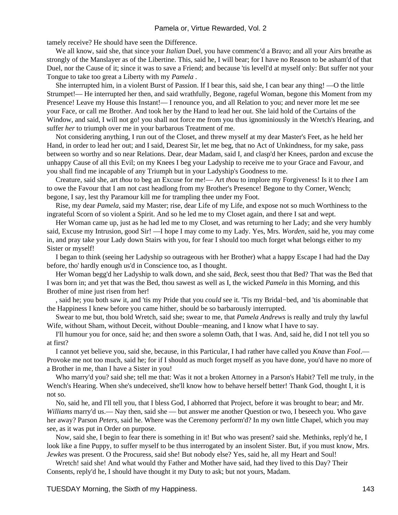tamely receive? He should have seen the Difference.

 We all know, said she, that since your *Italian* Duel, you have commenc'd a Bravo; and all your Airs breathe as strongly of the Manslayer as of the Libertine. This, said he, I will bear; for I have no Reason to be asham'd of that Duel, nor the Cause of it; since it was to save a Friend; and because 'tis levell'd at myself only: But suffer not your Tongue to take too great a Liberty with my *Pamela* .

 She interrupted him, in a violent Burst of Passion. If I bear this, said she, I can bear any thing! —O the little Strumpet!— He interrupted her then, and said wrathfully, Begone, rageful Woman, begone this Moment from my Presence! Leave my House this Instant!— I renounce you, and all Relation to you; and never more let me see your Face, or call me Brother. And took her by the Hand to lead her out. She laid hold of the Curtains of the Window, and said, I will not go! you shall not force me from you thus ignominiously in the Wretch's Hearing, and suffer *her* to triumph over me in your barbarous Treatment of me.

 Not considering anything, I run out of the Closet, and threw myself at my dear Master's Feet, as he held her Hand, in order to lead her out; and I said, Dearest Sir, let me beg, that no Act of Unkindness, for my sake, pass between so worthy and so near Relations. Dear, dear Madam, said I, and clasp'd her Knees, pardon and excuse the unhappy Cause of all this Evil; on my Knees I beg your Ladyship to receive me to your Grace and Favour, and you shall find me incapable of any Triumph but in your Ladyship's Goodness to me.

 Creature, said she, art *thou* to beg an Excuse for me!— Art *thou* to implore my Forgiveness! Is it to *thee* I am to owe the Favour that I am not cast headlong from my Brother's Presence! Begone to thy Corner, Wench; begone, I say, lest thy Paramour kill me for trampling thee under my Foot.

 Rise, my dear *Pamela,* said my Master; rise, dear Life of my Life, and expose not so much Worthiness to the ingrateful Scorn of so violent a Spirit. And so he led me to my Closet again, and there I sat and wept.

 Her Woman came up, just as he had led me to my Closet, and was returning to her Lady; and she very humbly said, Excuse my Intrusion, good Sir! —I hope I may come to my Lady. Yes, Mrs. *Worden,* said he, you may come in, and pray take your Lady down Stairs with you, for fear I should too much forget what belongs either to my Sister or myself!

 I began to think (seeing her Ladyship so outrageous with her Brother) what a happy Escape I had had the Day before, tho' hardly enough us'd in Conscience too, as I thought.

 Her Woman begg'd her Ladyship to walk down, and she said, *Beck,* seest thou that Bed? That was the Bed that I was born in; and yet that was the Bed, thou sawest as well as I, the wicked *Pamela* in this Morning, and this Brother of mine just risen from her!

 , said he; you both saw it, and 'tis my Pride that you *could* see it. 'Tis my Bridal−bed, and 'tis abominable that the Happiness I knew before you came hither, should be so barbarously interrupted.

 Swear to me but, thou bold Wretch, said she; swear to me, that *Pamela Andrews* is really and truly thy lawful Wife, without Sham, without Deceit, without Double−meaning, and I know what I have to say.

 I'll humour you for once, said he; and then swore a solemn Oath, that I was. And, said he, did I not tell you so at first?

 I cannot yet believe you, said she, because, in this Particular, I had rather have called you *Knave* than *Fool*.— Provoke me not too much, said he; for if I should as much forget myself as you have done, you'd have no more of a Brother in me, than I have a Sister in you!

 Who marry'd you? said she; tell me that: Was it not a broken Attorney in a Parson's Habit? Tell me truly, in the Wench's Hearing. When she's undeceived, she'll know how to behave herself better! Thank God, thought I, it is not so.

 No, said he, and I'll tell you, that I bless God, I abhorred that Project, before it was brought to bear; and Mr. *Williams* marry'd us.— Nay then, said she — but answer me another Question or two, I beseech you. Who gave her away? Parson *Peters,* said he. Where was the Ceremony perform'd? In my own little Chapel, which you may see, as it was put in Order on purpose.

 Now, said she, I begin to fear there is something in it! But who was present? said she. Methinks, reply'd he, I look like a fine Puppy, to suffer myself to be thus interrogated by an insolent Sister. But, if you must know, Mrs. *Jewkes* was present. O the Procuress, said she! But nobody else? Yes, said he, all my Heart and Soul!

Wretch! said she! And what would thy Father and Mother have said, had they lived to this Day? Their Consents, reply'd he, I should have thought it my Duty to ask; but not yours, Madam.

TUESDAY Morning, the Sixth of my Happiness. The state of the state of the state of the state of the state of the state of the state of the state of the state of the state of the state of the state of the state of the state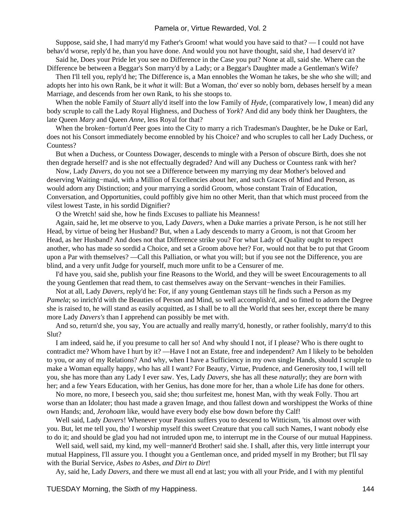Suppose, said she, I had marry'd my Father's Groom! what would you have said to that? — I could not have behav'd worse, reply'd he, than you have done. And would you not have thought, said she, I had deserv'd it?

 Said he, Does your Pride let you see no Difference in the Case you put? None at all, said she. Where can the Difference be between a Beggar's Son marry'd by a Lady; or a Beggar's Daughter made a Gentleman's Wife?

 Then I'll tell you, reply'd he; The Difference is, a Man ennobles the Woman he takes, be she *who* she will; and adopts her into his own Rank, be it *what* it will: But a Woman, tho' ever so nobly born, debases herself by a mean Marriage, and descends from her own Rank, to his she stoops to.

 When the noble Family of *Stuart* ally'd itself into the low Family of *Hyde,* (comparatively low, I mean) did any body scruple to call the Lady Royal Highness, and Duchess of *York*? And did any body think her Daughters, the late Queen *Mary* and Queen *Anne,* less Royal for that?

 When the broken−fortun'd Peer goes into the City to marry a rich Tradesman's Daughter, be he Duke or Earl, does not his Consort immediately become ennobled by his Choice? and who scruples to call her Lady Duchess, or Countess?

 But when a Duchess, or Countess Dowager, descends to mingle with a Person of obscure Birth, does she not then degrade herself? and is she not effectually degraded? And will any Duchess or Countess rank with her?

 Now, Lady *Davers,* do you not see a Difference between my marrying my dear Mother's beloved and deserving Waiting−maid, with a Million of Excellencies about her, and such Graces of Mind and Person, as would adorn any Distinction; and your marrying a sordid Groom, whose constant Train of Education, Conversation, and Opportunities, could poffibly give him no other Merit, than that which must proceed from the vilest lowest Taste, in his sordid Dignifier?

O the Wretch! said she, how he finds Excuses to palliate his Meanness!

 Again, said he, let me observe to you, Lady *Davers,* when a Duke marries a private Person, is he not still her Head, by virtue of being her Husband? But, when a Lady descends to marry a Groom, is not that Groom her Head, as her Husband? And does not that Difference strike you? For what Lady of Quality ought to respect another, who has made so sordid a Choice, and set a Groom above her? For, would not that be to put that Groom upon a Par with themselves? —Call this Palliation, or what you will; but if you see not the Difference, you are blind, and a very unfit Judge for yourself, much more unfit to be a Censurer of me.

 I'd have you, said she, publish your fine Reasons to the World, and they will be sweet Encouragements to all the young Gentlemen that read them, to cast themselves away on the Servant−wenches in their Families.

 Not at all, Lady *Davers,* reply'd he: For, if any young Gentleman stays till he finds such a Person as my *Pamela*; so inrich'd with the Beauties of Person and Mind, so well accomplish'd, and so fitted to adorn the Degree she is raised to, he will stand as easily acquitted, as I shall be to all the World that sees her, except there be many more Lady *Davers's* than I apprehend can possibly be met with.

 And so, return'd she, you say, You are actually and really marry'd, honestly, or rather foolishly, marry'd to this Slut?

 I am indeed, said he, if you presume to call her so! And why should I not, if I please? Who is there ought to contradict me? Whom have I hurt by it? —Have I not an Estate, free and independent? Am I likely to be beholden to you, or any of my Relations? And why, when I have a Sufficiency in my own single Hands, should I scruple to make a Woman equally happy, who has all I want? For Beauty, Virtue, Prudence, and Generosity too, I will tell you, she has more than any Lady I ever saw. Yes, Lady *Davers,* she has all these *naturally*; they are *born* with her; and a few Years Education, with her Genius, has done more for her, than a whole Life has done for others.

 No more, no more, I beseech you, said she; thou surfeitest me, honest Man, with thy weak Folly. Thou art worse than an Idolater; thou hast made a graven Image, and thou fallest down and worshippest the Works of thine own Hands; and, *Jerohoam* like, would have every body else bow down before thy Calf!

 Well said, Lady *Davers*! Whenever your Passion suffers you to descend to Witticism, 'tis almost over with you. But, let me tell you, tho' I worship myself this sweet Creature that you call such Names, I want nobody else to do it; and should be glad you had not intruded upon me, to interrupt me in the Course of our mutual Happiness.

 Well said, well said, my kind, my well−manner'd Brother! said she. I shall, after this, very little interrupt your mutual Happiness, I'll assure you. I thought you a Gentleman once, and prided myself in my Brother; but I'll say with the Burial Service, *Asbes to Asbes, and Dirt to Dirt*!

Ay, said he, Lady *Davers,* and there we must all end at last; you with all your Pride, and I with my plentiful

TUESDAY Morning, the Sixth of my Happiness. The state of the state of the state of the state of the state of the state of the state of the state of the state of the state of the state of the state of the state of the state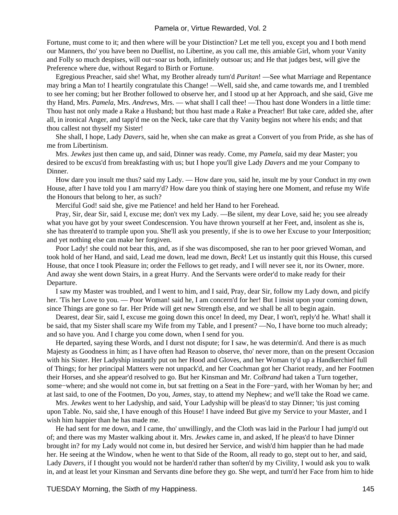Fortune, must come to it; and then where will be your Distinction? Let me tell you, except you and I both mend our Manners, tho' you have been no Duellist, no Libertine, as you call me, this amiable Girl, whom your Vanity and Folly so much despises, will out−soar us both, infinitely outsoar us; and He that judges best, will give the Preference where due, without Regard to Birth or Fortune.

 Egregious Preacher, said she! What, my Brother already turn'd *Puritan*! —See what Marriage and Repentance may bring a Man to! I heartily congratulate this Change! —Well, said she, and came towards me, and I trembled to see her coming; but her Brother followed to observe her, and I stood up at her Approach, and she said, Give me thy Hand, Mrs. *Pamela,* Mrs. *Andrews,* Mrs. — what shall I call thee! —Thou hast done Wonders in a little time: Thou hast not only made a Rake a Husband; but thou hast made a Rake a Preacher! But take care, added she, after all, in ironical Anger, and tapp'd me on the Neck, take care that thy Vanity begins not where his ends; and that thou callest not thyself my Sister!

 She shall, I hope, Lady *Davers,* said he, when she can make as great a Convert of you from Pride, as she has of me from Libertinism.

 Mrs. *Jewkes* just then came up, and said, Dinner was ready. Come, my *Pamela,* said my dear Master; you desired to be excus'd from breakfasting with us; but I hope you'll give Lady *Davers* and me your Company to Dinner.

 How dare you insult me thus? said my Lady. — How dare you, said he, insult me by your Conduct in my own House, after I have told you I am marry'd? How dare you think of staying here one Moment, and refuse my Wife the Honours that belong to her, as such?

Merciful God! said she, give me Patience! and held her Hand to her Forehead.

 Pray, Sir, dear Sir, said I, excuse me; don't vex my Lady. —Be silent, my dear Love, said he; you see already what you have got by your sweet Condescension. You have thrown yourself at her Feet, and, insolent as she is, she has threaten'd to trample upon you. She'll ask you presently, if she is to owe her Excuse to your Interposition; and yet nothing else can make her forgiven.

 Poor Lady! she could not bear this, and, as if she was discomposed, she ran to her poor grieved Woman, and took hold of her Hand, and said, Lead me down, lead me down, *Beck*! Let us instantly quit this House, this cursed House, that once I took Pleasure in; order the Fellows to get ready, and I will never see it, nor its Owner, more. And away she went down Stairs, in a great Hurry. And the Servants were order'd to make ready for their Departure.

 I saw my Master was troubled, and I went to him, and I said, Pray, dear Sir, follow my Lady down, and picify her. 'Tis her Love to you. — Poor Woman! said he, I am concern'd for her! But I insist upon your coming down, since Things are gone so far. Her Pride will get new Strength else, and we shall be all to begin again.

 Dearest, dear Sir, said I, excuse me going down this once! In deed, my Dear, I won't, reply'd he. What! shall it be said, that my Sister shall scare my Wife from my Table, and I present? —No, I have borne too much already; and so have you. And I charge you come down, when I send for you.

 He departed, saying these Words, and I durst not dispute; for I saw, he was determin'd. And there is as much Majesty as Goodness in him; as I have often had Reason to observe, tho' never more, than on the present Occasion with his Sister. Her Ladyship instantly put on her Hood and Gloves, and her Woman ty'd up a Handkerchief full of Things; for her principal Matters were not unpack'd, and her Coachman got her Chariot ready, and her Footmen their Horses, and she appear'd resolved to go. But her Kinsman and Mr. *Colbrand* had taken a Turn together, some−where; and she would not come in, but sat fretting on a Seat in the Fore−yard, with her Woman by her; and at last said, to one of the Footmen, Do you, *James,* stay, to attend my Nephew; and we'll take the Road we came.

 Mrs. *Jewkes* went to her Ladyship, and said, Your Ladyship will be pleas'd to stay Dinner; 'tis just coming upon Table. No, said she, I have enough of this House! I have indeed But give my Service to your Master, and I wish him happier than he has made me.

 He had sent for me down, and I came, tho' unwillingly, and the Cloth was laid in the Parlour I had jump'd out of; and there was my Master walking about it. Mrs. *Jewkes* came in, and asked, If he pleas'd to have Dinner brought in? for my Lady would not come in, but desired her Service, and wish'd him happier than he had made her. He seeing at the Window, when he went to that Side of the Room, all ready to go, stept out to her, and said, Lady *Davers,* if I thought you would not be harden'd rather than soften'd by my Civility, I would ask you to walk in, and at least let your Kinsman and Servants dine before they go. She wept, and turn'd her Face from him to hide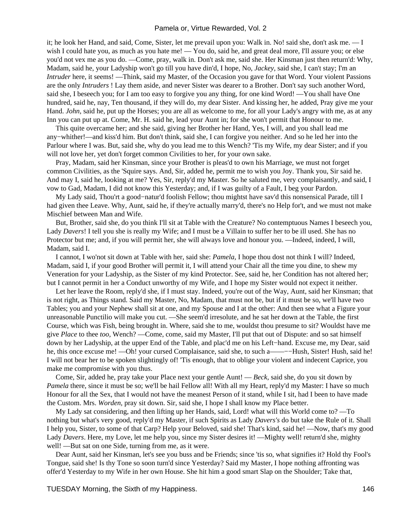it; he look her Hand, and said, Come, Sister, let me prevail upon you: Walk in. No! said she, don't ask me. — I wish I could hate you, as much as you hate me! — You do, said he, and great deal more, I'll assure you; or else you'd not vex me as you do. —Come, pray, walk in. Don't ask me, said she. Her Kinsman just then return'd: Why, Madam, said he, your Ladyship won't go till you have din'd, I hope, No, *Jackey,* said she, I can't stay; I'm an *Intruder* here, it seems! —Think, said my Master, of the Occasion you gave for that Word. Your violent Passions are the only *Intruders* ! Lay them aside, and never Sister was dearer to a Brother. Don't say such another Word, said she, I beseech you; for I am too easy to forgive you any thing, for one kind Word! —You shall have One hundred, said he, nay, Ten thousand, if they will do, my dear Sister. And kissing her, he added, Pray give me your Hand. *John,* said he, put up the Horses; you are all as welcome to me, for all your Lady's angry with me, as at any Inn you can put up at. Come, Mr. H. said he, lead your Aunt in; for she won't permit that Honour to me.

 This quite overcame her; and she said, giving her Brother her Hand, Yes, I will, and you shall lead me any−whither!—and kiss'd him. But don't think, said she, I can forgive you neither. And so he led her into the Parlour where I was. But, said she, why do you lead me to this Wench? 'Tis my Wife, my dear Sister; and if you will not love her, yet don't forget common Civilities to her, for your own sake.

 Pray, Madam, said her Kinsman, since your Brother is pleas'd to own his Marriage, we must not forget common Civilities, as the 'Squire says. And, Sir, added he, permit me to wish you Joy. Thank you, Sir said he. And may I, said he, looking at me? Yes, Sir, reply'd my Master. So he saluted me, very complaisantly, and said, I vow to Gad, Madam, I did not know this Yesterday; and, if I was guilty of a Fault, I beg your Pardon.

 My Lady said, Thou'rt a good−natur'd foolish Fellow; thou mightst have sav'd this nonsensical Parade, till I had given thee Leave. Why, Aunt, said he, if they're actually marry'd, there's no Help for't, and we must not make Mischief between Man and Wife.

 But, Brother, said she, do you think I'll sit at Table with the Creature? No contemptuous Names I beseech you, Lady *Davers*! I tell you she is really my Wife; and I must be a Villain to suffer her to be ill used. She has no Protector but me; and, if you will permit her, she will always love and honour you. —Indeed, indeed, I will, Madam, said I.

 I cannot, I wo'not sit down at Table with her, said she: *Pamela,* I hope thou dost not think I will? Indeed, Madam, said I, if your good Brother will permit it, I will attend your Chair all the time you dine, to shew my Veneration for your Ladyship, as the Sister of my kind Protector. See, said he, her Condition has not altered her; but I cannot permit in her a Conduct unworthy of my Wife, and I hope my Sister would not expect it neither.

 Let her leave the Room, reply'd she, if I must stay. Indeed, you're out of the Way, Aunt, said her Kinsman; that is not right, as Things stand. Said my Master, No, Madam, that must not be, but if it must be so, we'll have two Tables; you and your Nephew shall sit at one, and my Spouse and I at the other: And then see what a Figure your unreasonable Punctilio will make you cut. —She seem'd irresolute, and he sat her down at the Table, the first Course, which was Fish, being brought in. Where, said she to me, wouldst thou presume to sit? Wouldst have me give *Place* to thee *too,* Wench? —Come, come, said my Master, I'll put that out of Dispute: and so sat himself down by her Ladyship, at the upper End of the Table, and plac'd me on his Left−hand. Excuse me, my Dear, said he, this once excuse me! —Oh! your cursed Complaisance, said she, to such a——−−Hush, Sister! Hush, said he! I will not bear her to be spoken slightingly of! 'Tis enough, that to oblige your violent and indecent Caprice, you make me compromise with you thus.

 Come, Sir, added he, pray take your Place next your gentle Aunt! — *Beck,* said she, do you sit down by *Pamela* there, since it must be so; we'll be hail Fellow all! With all my Heart, reply'd my Master: I have so much Honour for all the Sex, that I would not have the meanest Person of it stand, while I sit, had I been to have made the Custom. Mrs. *Worden,* pray sit down. Sir, said she, I hope I shall know my Place better.

 My Lady sat considering, and then lifting up her Hands, said, Lord! what will this World come to? —To nothing but what's very good, reply'd my Master, if such Spirits as Lady *Davers's* do but take the Rule of it. Shall I help you, Sister, to some of that Carp? Help your Beloved, said she! That's kind, said he! —Now, that's my good Lady *Davers*. Here, my Love, let me help you, since my Sister desires it! —Mighty well! return'd she, mighty well! —But sat on one Side, turning from me, as it were.

 Dear Aunt, said her Kinsman, let's see you buss and be Friends; since 'tis so, what signifies it? Hold thy Fool's Tongue, said she! Is thy Tone so soon turn'd since Yesterday? Said my Master, I hope nothing affronting was offer'd Yesterday to my Wife in her own House. She hit him a good smart Slap on the Shoulder; Take that,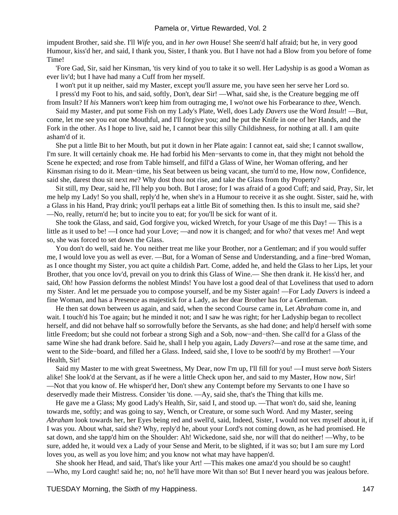impudent Brother, said she. I'll *Wife* you, and in *her own* House! She seem'd half afraid; but he, in very good Humour, kiss'd her, and said, I thank you, Sister, I thank you. But I have not had a Blow from you before of fome Time!

 'Fore Gad, Sir, said her Kinsman, 'tis very kind of you to take it so well. Her Ladyship is as good a Woman as ever liv'd; but I have had many a Cuff from her myself.

 I won't put it up neither, said my Master, except you'll assure me, you have seen her serve her Lord so. I press'd my Foot to his, and said, softly, Don't, dear Sir! —What, said she, is the Creature begging me off from Insult? If *his* Manners won't keep him from outraging me, I wo'not owe his Forbearance to *thee,* Wench.

 Said my Master, and put some Fish on my Lady's Plate, Well, does Lady *Davers* use the Word *Insult*! —But, come, let me see you eat one Mouthful, and I'll forgive you; and he put the Knife in one of her Hands, and the Fork in the other. As I hope to live, said he, I cannot bear this silly Childishness, for nothing at all. I am quite asham'd of it.

 She put a little Bit to her Mouth, but put it down in her Plate again: I cannot eat, said she; I cannot swallow, I'm sure. It will certainly choak me. He had forbid his Men−servants to come in, that they might not behold the Scene he expected; and rose from Table himself, and fill'd a Glass of Wine, her Woman offering, and her Kinsman rising to do it. Mean−time, his Seat between us being vacant, she turn'd to me, How now, Confidence, said she, darest thou sit next *me*? Why dost thou not rise, and take the Glass from thy Property?

 Sit still, my Dear, said he, I'll help you both. But I arose; for I was afraid of a good Cuff; and said, Pray, Sir, let me help my Lady! So you shall, reply'd he, when she's in a Humour to receive it as she ought. Sister, said he, with a Glass in his Hand, Pray drink; you'll perhaps eat a little Bit of something then. Is this to insult me, said she? —No, really, return'd he; but to incite you to eat; for you'll be sick for want of it.

 She took the Glass, and said, God forgive you, wicked Wretch, for your Usage of me this Day! — This is a little as it used to be! —I once had your Love; —and now it is changed; and for who? that vexes me! And wept so, she was forced to set down the Glass.

 You don't do well, said he. You neither treat me like your Brother, nor a Gentleman; and if you would suffer me, I would love you as well as ever. —But, for a Woman of Sense and Understanding, and a fine−bred Woman, as I once thought my Sister, you act quite a childish Part. Come, added he, and held the Glass to her Lips, let your Brother, that you once lov'd, prevail on you to drink this Glass of Wine.— She then drank it. He kiss'd her, and said, Oh! how Passion deforms the noblest Minds! You have lost a good deal of that Loveliness that used to adorn my Sister. And let me persuade you to compose yourself, and be my Sister again! —For Lady *Davers* is indeed a fine Woman, and has a Presence as majestick for a Lady, as her dear Brother has for a Gentleman.

 He then sat down between us again, and said, when the second Course came in, Let *Abraham* come in, and wait. I touch'd his Toe again; but he minded it not; and I saw he was right; for her Ladyship began to recollect herself, and did not behave half so sorrowfully before the Servants, as she had done; and help'd herself with some little Freedom; but she could not forbear a strong Sigh and a Sob, now−and−then. She call'd for a Glass of the same Wine she had drank before. Said he, shall I help you again, Lady *Davers*?—and rose at the same time, and went to the Side−board, and filled her a Glass. Indeed, said she, I love to be sooth'd by my Brother! —Your Health, Sir!

 Said my Master to me with great Sweetness, My Dear, now I'm up, I'll fill for you! —I must serve *both* Sisters alike! She look'd at the Servant, as if he were a little Check upon her, and said to my Master, How now, Sir! —Not that you know of. He whisper'd her, Don't shew any Contempt before my Servants to one I have so deservedly made their Mistress. Consider 'tis done. —Ay, said she, that's the Thing that kills me.

 He gave me a Glass; My good Lady's Health, Sir, said I, and stood up. —That won't do, said she, leaning towards me, softly; and was going to say, Wench, or Creature, or some such Word. And my Master, seeing *Abraham* look towards her, her Eyes being red and swell'd, said, Indeed, Sister, I would not vex myself about it, if I was you. About what, said she? Why, reply'd he, about your Lord's not coming down, as he had promised. He sat down, and she tapp'd him on the Shoulder: Ah! Wickedone, said she, nor will that do neither! —Why, to be sure, added he, it would vex a Lady of your Sense and Merit, to be slighted, if it was so; but I am sure my Lord loves you, as well as you love him; and you know not what may have happen'd.

 She shook her Head, and said, That's like your Art! —This makes one amaz'd you should be so caught! —Who, my Lord caught! said he; no, no! he'll have more Wit than so! But I never heard you was jealous before.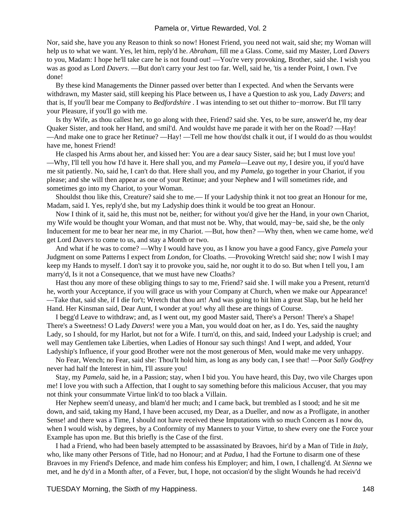Nor, said she, have you any Reason to think so now! Honest Friend, you need not wait, said she; my Woman will help us to what we want. Yes, let him, reply'd he. *Abraham,* fill me a Glass. Come, said my Master, Lord *Davers* to you, Madam: I hope he'll take care he is not found out! —You're very provoking, Brother, said she. I wish you was as good as Lord *Davers*. —But don't carry your Jest too far. Well, said he, 'tis a tender Point, I own. I've done!

 By these kind Managements the Dinner passed over better than I expected. And when the Servants were withdrawn, my Master said, still keeping his Place between us, I have a Question to ask you, Lady *Davers*; and that is, If you'll bear me Company to *Bedfordshire* . I was intending to set out thither to−morrow. But I'll tarry your Pleasure, if you'll go with me.

 Is thy Wife, as thou callest her, to go along with thee, Friend? said she. Yes, to be sure, answer'd he, my dear Quaker Sister, and took her Hand, and smil'd. And wouldst have me parade it with her on the Road? —Hay! —And make one to grace her Retinue? —Hay! —Tell me how thou'dst chalk it out, if I would do as thou wouldst have me, honest Friend!

 He clasped his Arms about her, and kissed her: You are a dear saucy Sister, said he; but I must love you! —Why, I'll tell you how I'd have it. Here shall you, and my *Pamela*—Leave out *my,* I desire you, if you'd have me sit patiently. No, said he, I can't do that. Here shall you, and my *Pamela,* go together in your Chariot, if you please; and she will then appear as one of your Retinue; and your Nephew and I will sometimes ride, and sometimes go into my Chariot, to your Woman.

 Shouldst thou like this, Creature? said she to me.— If your Ladyship think it not too great an Honour for me, Madam, said I. Yes, reply'd she, but my Ladyship does think it would be too great an Honour.

 Now I think of it, said he, this must not be, neither; for without you'd give her the Hand, in your own Chariot, my Wife would be thought your Woman, and that must not be. Why, that would, may−be, said she, be the only Inducement for me to bear her near me, in my Chariot. —But, how then? —Why then, when we came home, we'd get Lord *Davers* to come to us, and stay a Month or two.

 And what if he was to come? —Why I would have you, as I know you have a good Fancy, give *Pamela* your Judgment on some Patterns I expect from *London,* for Cloaths. —Provoking Wretch! said she; now I wish I may keep my Hands to myself. I don't say it to provoke you, said he, nor ought it to do so. But when I tell you, I am marry'd, Is it not a Consequence, that we must have new Cloaths?

 Hast thou any more of these obliging things to say to me, Friend? said she. I will make you a Present, return'd he, worth your Acceptance, if you will grace us with your Company at Church, when we make our Appearance! —Take that, said she, if I die for't; Wretch that thou art! And was going to hit him a great Slap, but he held her Hand. Her Kinsman said, Dear Aunt, I wonder at you! why all these are things of Course.

 I begg'd Leave to withdraw; and, as I went out, my good Master said, There's a Person! There's a Shape! There's a Sweetness! O Lady *Davers*! were you a Man, you would doat on her, as I do. Yes, said the naughty Lady, so I should, for my Harlot, but not for a Wife. I turn'd, on this, and said, Indeed your Ladyship is cruel; and well may Gentlemen take Liberties, when Ladies of Honour say such things! And I wept, and added, Your Ladyship's Influence, if your good Brother were not the most generous of Men, would make me very unhappy.

 No Fear, Wench; no Fear, said she: Thou'lt hold him, as long as any body can, I see that! —Poor *Sally Godfrey* never had half the Interest in him, I'll assure you!

 Stay, my *Pamela,* said he, in a Passion; stay, when I bid you. You have heard, this Day, two vile Charges upon me! I love you with such a Affection, that I ought to say something before this malicious Accuser, that you may not think your consummate Virtue link'd to too black a Villain.

 Her Nephew seem'd uneasy, and blam'd her much; and I came back, but trembled as I stood; and he sit me down, and said, taking my Hand, I have been accused, my Dear, as a Dueller, and now as a Profligate, in another Sense! and there was a Time, I should not have received these Imputations with so much Concern as I now do, when I would wish, by degrees, by a Conformity of my Manners to your Virtue, to shew every one the Force your Example has upon me. But this briefly is the Case of the first.

 I had a Friend, who had been basely attempted to be assassinated by Bravoes, hir'd by a Man of Title in *Italy,* who, like many other Persons of Title, had no Honour; and at *Padua,* I had the Fortune to disarm one of these Bravoes in my Friend's Defence, and made him confess his Employer; and him, I own, I challeng'd. At *Sienna* we met, and he dy'd in a Month after, of a Fever, but, I hope, not occasion'd by the slight Wounds he had receiv'd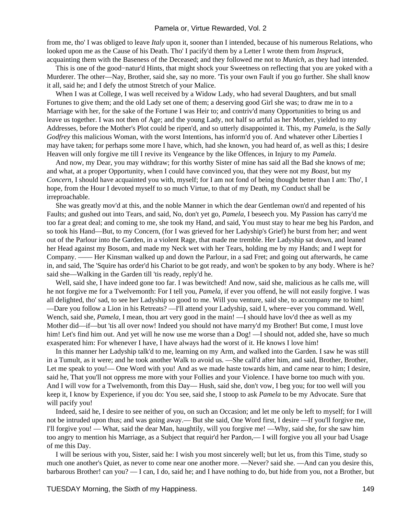from me, tho' I was obliged to leave *Italy* upon it, sooner than I intended, because of his numerous Relations, who looked upon me as the Cause of his Death. Tho' I pacify'd them by a Letter I wrote them from *Inspruck,* acquainting them with the Baseness of the Deceased; and they followed me not to *Munich,* as they had intended.

 This is one of the good−natur'd Hints, that might shock your Sweetness on reflecting that you are yoked with a Murderer. The other—Nay, Brother, said she, say no more. 'Tis your own Fault if you go further. She shall know it all, said he; and I defy the utmost Stretch of your Malice.

 When I was at College, I was well received by a Widow Lady, who had several Daughters, and but small Fortunes to give them; and the old Lady set one of them; a deserving good Girl she was; to draw me in to a Marriage with her, for the sake of the Fortune I was Heir to; and contriv'd many Opportunities to bring us and leave us together. I was not then of Age; and the young Lady, not half so artful as her Mother, yielded to my Addresses, before the Mother's Plot could be ripen'd, and so utterly disappointed it. This, my *Pamela,* is the *Sally Godfrey* this malicious Woman, with the worst Intentions, has inform'd you of. And whatever other Liberties I may have taken; for perhaps some more I have, which, had she known, you had heard of, as well as this; I desire Heaven will only forgive me till I revive its Vengeance by the like Offences, in Injury to my *Pamela*.

 And now, my Dear, you may withdraw; for this worthy Sister of mine has said all the Bad she knows of me; and what, at a proper Opportunity, when I could have convinced you, that they were not my *Boast,* but my *Concern,* I should have acquainted you with, myself; for I am not fond of being thought better than I am: Tho', I hope, from the Hour I devoted myself to so much Virtue, to that of my Death, my Conduct shall be irreproachable.

 She was greatly mov'd at this, and the noble Manner in which the dear Gentleman own'd and repented of his Faults; and gushed out into Tears, and said, No, don't yet go, *Pamela,* I beseech you. My Passion has carry'd me too far a great deal; and coming to me, she took my Hand, and said, You must stay to hear me beg his Pardon, and so took his Hand—But, to my Concern, (for I was grieved for her Ladyship's Grief) he burst from her; and went out of the Parlour into the Garden, in a violent Rage, that made me tremble. Her Ladyship sat down, and leaned her Head against my Bosom, and made my Neck wet with her Tears, holding me by my Hands; and I wept for Company. —— Her Kinsman walked up and down the Parlour, in a sad Fret; and going out afterwards, he came in, and said, The 'Squire has order'd his Chariot to be got ready, and won't be spoken to by any body. Where is he? said she—Walking in the Garden till 'tis ready, reply'd he.

Well, said she, I have indeed gone too far. I was bewitched! And now, said she, malicious as he calls me, will he not forgive me for a Twelvemonth: For I tell you, *Pamela,* if ever you offend, he will not easily forgive. I was all delighted, tho' sad, to see her Ladyship so good to me. Will you venture, said she, to accompany me to him! —Dare you follow a Lion in his Retreats? —I'll attend your Ladyship, said I, where−ever you command. Well, Wench, said she, *Pamela,* I mean, thou art very good in the main! —I should have lov'd thee as well as my Mother did—if—but 'tis all over now! Indeed you should not have marry'd my Brother! But come, I must love him! Let's find him out. And yet will he now use me worse than a  $\text{Dog}$ ! —I should not, added she, have so much exasperated him: For whenever I have, I have always had the worst of it. He knows I love him!

 In this manner her Ladyship talk'd to me, learning on my Arm, and walked into the Garden. I saw he was still in a Tumult, as it were; and he took another Walk to avoid us. —She call'd after him, and said, Brother, Brother, Let me speak to you!— One Word with you! And as we made haste towards him, and came near to him; I desire, said he, That you'll not oppress me more with your Follies and your Violence. I have borne too much with you. And I will vow for a Twelvemonth, from this Day— Hush, said she, don't vow, I beg you; for too well will you keep it, I know by Experience, if you do: You see, said she, I stoop to ask *Pamela* to be my Advocate. Sure that will pacify you!

 Indeed, said he, I desire to see neither of you, on such an Occasion; and let me only be left to myself; for I will not be intruded upon thus; and was going away.— But she said, One Word first, I desire —If you'll forgive me, I'll forgive you! — What, said the dear Man, haughtily, will you forgive me! —Why, said she, for she saw him too angry to mention his Marriage, as a Subject that requir'd her Pardon,— I will forgive you all your bad Usage of me this Day.

 I will be serious with you, Sister, said he: I wish you most sincerely well; but let us, from this Time, study so much one another's Quiet, as never to come near one another more. —Never? said she. —And can you desire this, barbarous Brother! can you? — I can, I do, said he; and I have nothing to do, but hide from you, not a Brother, but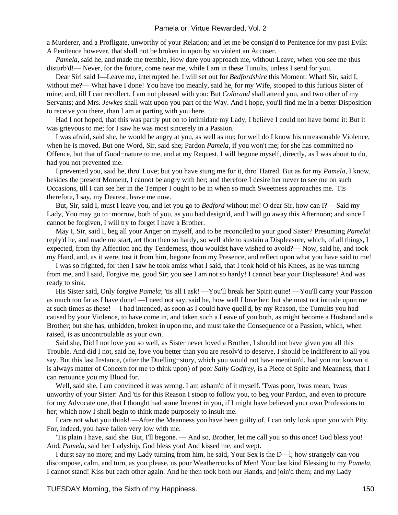a Murderer, and a Profligate, unworthy of your Relation; and let me be consign'd to Penitence for my past Evils: A Penitence however, that shall not be broken in upon by so violent an Accuser.

*Pamela,* said he, and made me tremble, How dare you approach me, without Leave, when you see me thus disturb'd!— Never, for the future, come near me, while I am in these Tunults, unless I send for you.

 Dear Sir! said I—Leave me, interrupted he. I will set out for *Bedfordshire* this Moment: What! Sir, said I, without me?— What have I done! You have too meanly, said he, for my Wife, stooped to this furious Sister of mine; and, till I can recollect, I am not pleased with you: But *Colbrand* shall attend you, and two other of my Servants; and Mrs. *Jewkes* shall wait upon you part of the Way. And I hope, you'll find me in a better Disposition to receive you there, than I am at parting with you here.

 Had I not hoped, that this was partly put on to intimidate my Lady, I believe I could not have borne it: But it was grievous to me; for I saw he was most sincerely in a Passion.

 I was afraid, said she, he would be angry at you, as well as me; for well do I know his unreasonable Violence, when he is moved. But one Word, Sir, said she; Pardon *Pamela,* if you won't me; for she has committed no Offence, but that of Good−nature to me, and at my Request. I will begone myself, directly, as I was about to do, had you not prevented me.

 I prevented you, said he, thro' Love; but you have stung me for it, thro' Hatred. But as for my *Pamela,* I know, besides the present Moment, I cannot be angry with her; and therefore I desire her never to see me on such Occasions, till I can see her in the Temper I ought to be in when so much Sweetness approaches me. 'Tis therefore, I say, my Dearest, leave me now.

 But, Sir, said I, must I leave you, and let you go to *Bedford* without me! O dear Sir, how can I? —Said my Lady, You may go to−morrow, both of you, as you had design'd, and I will go away this Afternoon; and since I cannot be forgiven, I will try to forget I have a Brother.

 May I, Sir, said I, beg all your Anger on myself, and to be reconciled to your good Sister? Presuming *Pamela*! reply'd he, and made me start, art thou then so hardy, so well able to sustain a Displeasure, which, of all things, I expected, from thy Affection and thy Tenderness, thou wouldst have wished to avoid?— Now, said he, and took my Hand, and, as it were, tost it from him, begone from my Presence, and reflect upon what you have said to me!

 I was so frighted, for then I saw he took amiss what I said, that I took hold of his Knees, as he was turning from me, and I said, Forgive me, good Sir; you see I am not so hardy! I cannot bear your Displeasure! And was ready to sink.

 His Sister said, Only forgive *Pamela*; 'tis all I ask! —You'll break her Spirit quite! —You'll carry your Passion as much too far as I have done! —I need not say, said he, how well I love her: but she must not intrude upon me at such times as these! —I had intended, as soon as I could have quell'd, by my Reason, the Tumults you had caused by your Violence, to have come in, and taken such a Leave of you both, as might become a Husband and a Brother; but she has, unbidden, broken in upon me, and must take the Consequence of a Passion, which, when raised, is as uncontroulable as your own.

 Said she, Did I not love you so well, as Sister never loved a Brother, I should not have given you all this Trouble. And did I not, said he, love you better than you are resolv'd to deserve, I should be indifferent to all you say. But this last Instance, (after the Duelling−story, which you would not have mention'd, had you not known it is always matter of Concern for me to think upon) of poor *Sally Godfrey,* is a Piece of Spite and Meanness, that I can renounce you my Blood for.

 Well, said she, I am convinced it was wrong. I am asham'd of it myself. 'Twas poor, 'twas mean, 'twas unworthy of your Sister: And 'tis for this Reason I stoop to follow you, to beg your Pardon, and even to procure for my Advocate one, that I thought had some Interest in you, if I might have believed your own Professions to her; which now I shall begin to think made purposely to insult me.

 I care not what you think! —After the Meanness you have been guilty of, I can only look upon you with Pity. For, indeed, you have fallen very low with me.

 'Tis plain I have, said she. But, I'll begone. — And so, Brother, let me call you so this once! God bless you! And, *Pamela,* said her Ladyship, God bless you! And kissed me, and wept.

 I durst say no more; and my Lady turning from him, he said, Your Sex is the D—l; how strangely can you discompose, calm, and turn, as you please, us poor Weathercocks of Men! Your last kind Blessing to my *Pamela,* I cannot stand! Kiss but each other again. And he then took both our Hands, and join'd them; and my Lady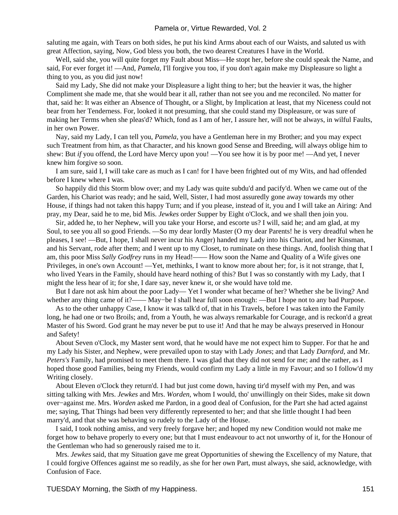saluting me again, with Tears on both sides, he put his kind Arms about each of our Waists, and saluted us with great Affection, saying, Now, God bless you both, the two dearest Creatures I have in the World.

Well, said she, you will quite forget my Fault about Miss—He stopt her, before she could speak the Name, and said, For ever forget it! —And, *Pamela,* I'll forgive you too, if you don't again make my Displeasure so light a thing to you, as you did just now!

 Said my Lady, She did not make your Displeasure a light thing to her; but the heavier it was, the higher Compliment she made me, that she would bear it all, rather than not see you and me reconciled. No matter for that, said he: It was either an Absence of Thought, or a Slight, by Implication at least, that my Niceness could not bear from her Tenderness. For, looked it not presuming, that she could stand my Displeasure, or was sure of making her Terms when she pleas'd? Which, fond as I am of her, I assure her, will not be always, in wilful Faults, in her own Power.

 Nay, said my Lady, I can tell you, *Pamela,* you have a Gentleman here in my Brother; and you may expect such Treatment from him, as that Character, and his known good Sense and Breeding, will always oblige him to shew: But *if* you offend, the Lord have Mercy upon you! —You see how it is by poor me! —And yet, I never knew him forgive so soon.

 I am sure, said I, I will take care as much as I can! for I have been frighted out of my Wits, and had offended before I knew where I was.

 So happily did this Storm blow over; and my Lady was quite subdu'd and pacify'd. When we came out of the Garden, his Chariot was ready; and he said, Well, Sister, I had most assuredly gone away towards my other House, if things had not taken this happy Turn; and if you please, instead of it, you and I will take an Airing: And pray, my Dear, said he to me, bid Mis. *Jewkes* order Supper by Eight o'Clock, and we shall then join you.

 Sir, added he, to her Nephew, will you take your Horse, and escorte us? I will, said he; and am glad, at my Soul, to see you all so good Friends. —So my dear lordly Master (O my dear Parents! he is very dreadful when he pleases, I see! —But, I hope, I shall never incur his Anger) handed my Lady into his Chariot, and her Kinsman, and his Servant, rode after them; and I went up to my Closet, to ruminate on these things. And, foolish thing that I am, this poor Miss *Sally Godfrey* runs in my Head!—— How soon the Name and Quality of a Wife gives one Privileges, in one's own Account! —Yet, methinks, I want to know more about her; for, is it not strange, that I, who lived Years in the Family, should have heard nothing of this? But I was so constantly with my Lady, that I might the less hear of it; for she, I dare say, never knew it, or she would have told me.

 But I dare not ask him about the poor Lady— Yet I wonder what became of her? Whether she be living? And whether any thing came of it?—— May–be I shall hear full soon enough: —But I hope not to any bad Purpose.

 As to the other unhappy Case, I know it was talk'd of, that in his Travels, before I was taken into the Family long, he had one or two Broils; and, from a Youth, he was always remarkable for Courage, and is reckon'd a great Master of his Sword. God grant he may never be put to use it! And that he may be always preserved in Honour and Safety!

 About Seven o'Clock, my Master sent word, that he would have me not expect him to Supper. For that he and my Lady his Sister, and Nephew, were prevailed upon to stay with Lady *Jones*; and that Lady *Darnford,* and Mr. *Peters's* Family, had promised to meet them there. I was glad that they did not send for me; and the rather, as I hoped those good Families, being my Friends, would confirm my Lady a little in my Favour; and so I follow'd my Writing closely.

 About Eleven o'Clock they return'd. I had but just come down, having tir'd myself with my Pen, and was sitting talking with Mrs. *Jewkes* and Mrs. *Worden,* whom I would, tho' unwillingly on their Sides, make sit down over−against me. Mrs. *Worden* asked me Pardon, in a good deal of Confusion, for the Part she had acted against me; saying, That Things had been very differently represented to her; and that she little thought I had been marry'd, and that she was behaving so rudely to the Lady of the House.

 I said, I took nothing amiss, and very freely forgave her; and hoped my new Condition would not make me forget how to behave properly to every one; but that I must endeavour to act not unworthy of it, for the Honour of the Gentleman who had so generously raised me to it.

 Mrs. *Jewkes* said, that my Situation gave me great Opportunities of shewing the Excellency of my Nature, that I could forgive Offences against me so readily, as she for her own Part, must always, she said, acknowledge, with Confusion of Face.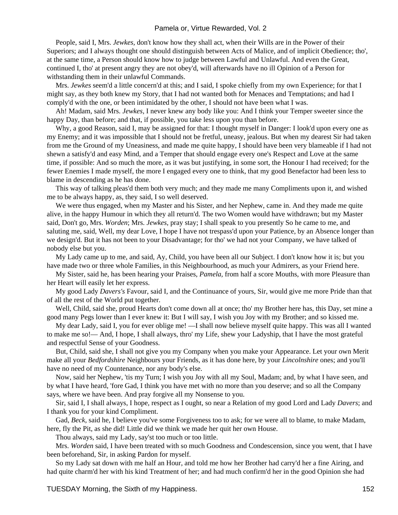People, said I, Mrs. *Jewkes,* don't know how they shall act, when their Wills are in the Power of their Superiors; and I always thought one should distinguish between Acts of Malice, and of implicit Obedience; tho', at the same time, a Person should know how to judge between Lawful and Unlawful. And even the Great, continued I, tho' at present angry they are not obey'd, will afterwards have no ill Opinion of a Person for withstanding them in their unlawful Commands.

 Mrs. *Jewkes* seem'd a little concern'd at this; and I said, I spoke chiefly from my own Experience; for that I might say, as they both knew my Story, that I had not wanted both for Menaces and Temptations; and had I comply'd with the one, or been intimidated by the other, I should not have been what I was.

 Ah! Madam, said Mrs. *Jewkes,* I never knew any body like you: And I think your Temper sweeter since the happy Day, than before; and that, if possible, you take less upon you than before.

 Why, a good Reason, said I, may be assigned for that: I thought myself in Danger: I look'd upon every one as my Enemy; and it was impossible that I should not be fretful, uneasy, jealous. But when my dearest Sir had taken from me the Ground of my Uneasiness, and made me quite happy, I should have been very blameable if I had not shewn a satisfy'd and easy Mind, and a Temper that should engage every one's Respect and Love at the same time, if possible: And so much the more, as it was but justifying, in some sort, the Honour I had received; for the fewer Enemies I made myself, the more I engaged every one to think, that my good Benefactor had been less to blame in descending as he has done.

 This way of talking pleas'd them both very much; and they made me many Compliments upon it, and wished me to be always happy, as, they said, I so well deserved.

We were thus engaged, when my Master and his Sister, and her Nephew, came in. And they made me quite alive, in the happy Humour in which they all return'd. The two Women would have withdrawn; but my Master said, Don't go, Mrs. *Worden*; Mrs. *Jewkes,* pray stay; I shall speak to you presently So he came to me, and saluting me, said, Well, my dear Love, I hope I have not trespass'd upon your Patience, by an Absence longer than we design'd. But it has not been to your Disadvantage; for tho' we had not your Company, we have talked of nobody else but you.

 My Lady came up to me, and said, Ay, Child, you have been all our Subject. I don't know how it is; but you have made two or three whole Families, in this Neighbourhood, as much your Admirers, as your Friend here.

 My Sister, said he, has been hearing your Praises, *Pamela,* from half a score Mouths, with more Pleasure than her Heart will easily let her express.

 My good Lady *Davers's* Favour, said I, and the Continuance of yours, Sir, would give me more Pride than that of all the rest of the World put together.

 Well, Child, said she, proud Hearts don't come down all at once; tho' my Brother here has, this Day, set mine a good many Pegs lower than I ever knew it: But I will say, I wish you Joy with my Brother; and so kissed me.

 My dear Lady, said I, you for ever oblige me! —I shall now believe myself quite happy. This was all I wanted to make me so!— And, I hope, I shall always, thro' my Life, shew your Ladyship, that I have the most grateful and respectful Sense of your Goodness.

 But, Child, said she, I shall not give you my Company when you make your Appearance. Let your own Merit make all your *Bedfordshire* Neighbours your Friends, as it has done here, by your *Lincolnshire* ones; and you'll have no need of my Countenance, nor any body's else.

 Now, said her Nephew, 'tis my Turn; I wish you Joy with all my Soul, Madam; and, by what I have seen, and by what I have heard, 'fore Gad, I think you have met with no more than you deserve; and so all the Company says, where we have been. And pray forgive all my Nonsense to you.

 Sir, said I, I shall always, I hope, respect as I ought, so near a Relation of my good Lord and Lady *Davers*; and I thank you for your kind Compliment.

Gad, *Beck*, said he, I believe you've some Forgiveness too to ask; for we were all to blame, to make Madam, here, fly the Pit, as she did! Little did we think we made her quit her own House.

Thou always, said my Lady, say'st too much or too little.

 Mrs. *Worden* said, I have been treated with so much Goodness and Condescension, since you went, that I have been beforehand, Sir, in asking Pardon for myself.

 So my Lady sat down with me half an Hour, and told me how her Brother had carry'd her a fine Airing, and had quite charm'd her with his kind Treatment of her; and had much confirm'd her in the good Opinion she had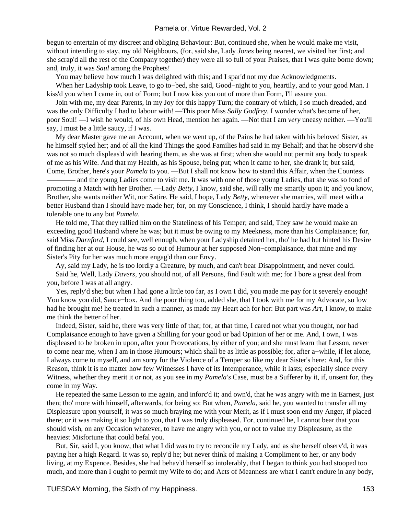begun to entertain of my discreet and obliging Behaviour: But, continued she, when he would make me visit, without intending to stay, my old Neighbours, (for, said she, Lady *Jones* being nearest, we visited her first; and she scrap'd all the rest of the Company together) they were all so full of your Praises, that I was quite borne down; and, truly, it was *Saul* among the Prophets!

You may believe how much I was delighted with this; and I spar'd not my due Acknowledgments.

 When her Ladyship took Leave, to go to−bed, she said, Good−night to you, heartily, and to your good Man. I kiss'd you when I came in, out of Form; but I now kiss you out of more than Form, I'll assure you.

 Join with me, my dear Parents, in my Joy for this happy Turn; the contrary of which, I so much dreaded, and was the only Difficulty I had to labour with! —This poor Miss *Sally Godfrey,* I wonder what's become of her, poor Soul! —I wish he would, of his own Head, mention her again. —Not that I am *very* uneasy neither. —You'll say, I must be a little saucy, if I was.

 My dear Master gave me an Account, when we went up, of the Pains he had taken with his beloved Sister, as he himself styled her; and of all the kind Things the good Families had said in my Behalf; and that he observ'd she was not so much displeas'd with hearing them, as she was at first; when she would not permit any body to speak of me as his Wife. And that my Health, as his Spouse, being put; when it came to her, she drank it; but said,

Come, Brother, here's your *Pamela* to you. —But I shall not know how to stand this Affair, when the Countess ———— and the young Ladies come to visit me. It was with one of those young Ladies, that she was so fond of promoting a Match with her Brother. —Lady *Betty,* I know, said she, will rally me smartly upon it; and you know, Brother, she wants neither Wit, nor Satire. He said, I hope, Lady *Betty,* whenever she marries, will meet with a better Husband than I should have made her; for, on my Conscience, I think, I should hardly have made a tolerable one to any but *Pamela*.

 He told me, That they rallied him on the Stateliness of his Temper; and said, They saw he would make an exceeding good Husband where he was; but it must be owing to my Meekness, more than his Complaisance; for, said Miss *Darnford,* I could see, well enough, when your Ladyship detained her, tho' he had but hinted his Desire of finding her at our House, he was so out of Humour at her supposed Non−complaisance, that mine and my Sister's Pity for her was much more engag'd than our Envy.

 Ay, said my Lady, he is too lordly a Creature, by much, and can't bear Disappointment, and never could. Said he, Well, Lady *Davers,* you should not, of all Persons, find Fault with me; for I bore a great deal from you, before I was at all angry.

Yes, reply'd she; but when I had gone a little too far, as I own I did, you made me pay for it severely enough! You know you did, Sauce−box. And the poor thing too, added she, that I took with me for my Advocate, so low had he brought me! he treated in such a manner, as made my Heart ach for her: But part was *Art,* I know, to make me think the better of her.

 Indeed, Sister, said he, there was very little of that; for, at that time, I cared not what you thought, nor had Complaisance enough to have given a Shilling for your good or bad Opinion of her or me. And, I own, I was displeased to be broken in upon, after your Provocations, by either of you; and she must learn that Lesson, never to come near me, when I am in those Humours; which shall be as little as possible; for, after a−while, if let alone, I always come to myself, and am sorry for the Violence of a Temper so like my dear Sister's here: And, for this Reason, think it is no matter how few Witnesses I have of its Intemperance, while it lasts; especially since every Witness, whether they merit it or not, as you see in my *Pamela's* Case, must be a Sufferer by it, if, unsent for, they come in my Way.

 He repeated the same Lesson to me again, and inforc'd it; and own'd, that he was angry with me in Earnest, just then; tho' more with himself, afterwards, for being so: But when, *Pamela,* said he, you wanted to transfer all my Displeasure upon yourself, it was so much braying me with your Merit, as if I must soon end my Anger, if placed there; or it was making it so light to you, that I was truly displeased. For, continued he, I cannot bear that you should wish, on any Occasion whatever, to have me angry with you, or not to value my Displeasure, as the heaviest Misfortune that could befal you.

 But, Sir, said I, you know, that what I did was to try to reconcile my Lady, and as she herself observ'd, it was paying her a high Regard. It was so, reply'd he; but never think of making a Compliment to her, or any body living, at my Expence. Besides, she had behav'd herself so intolerably, that I began to think you had stooped too much, and more than I ought to permit my Wife to do; and Acts of Meanness are what I cant't endure in any body,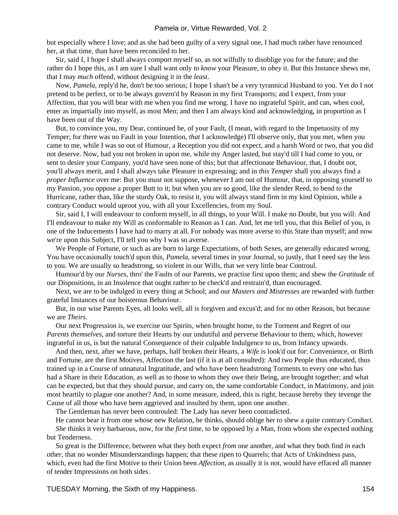but especially where I love; and as she had been guilty of a very signal one, I had much rather have renounced her, at that time, than have been reconciled to her.

 Sir, said I, I hope I shall always comport myself so, as not wilfully to disoblige you for the future; and the rather do I hope this, as I am sure I shall want only to *know* your Pleasure, to *obey* it. But this Instance shews me, that I may *much* offend, without designing it in the *least*.

 Now, *Pamela,* reply'd he, don't be too serious; I hope I shan't be a very tyrannical Husband to you. Yet do I not pretend to be perfect, or to be always govern'd by Reason in my first Transports; and I expect, from your Affection, that you will bear with me when you find me wrong. I have no ingrateful Spirit, and can, when cool, enter as impartially into myself, as most Men; and then I am always kind and acknowledging, in proportion as I have been out of the Way.

 But, to convince you, my Dear, continued he, of your Fault, (I mean, with regard to the Impetuosity of my Temper; for there was no Fault in your Intention, *that* I acknowledge) I'll observe only, that you met, when you came to me, while I was so out of Humour, a Reception you did not expect, and a harsh Word or two, that you did not deserve. Now, had you not broken in upon me, while my Anger lasted, but stay'd till I had come to you, or sent to desire your Company, you'd have seen none of this; but that affectionate Behaviour, that, I doubt not, you'll always merit, and I shall always take Pleasure in expressing; and in *this Temper* shall you always find a *proper Influence* over me: But you must not suppose, whenever I am out of Humour, that, in opposing yourself to my Passion, you oppose a proper Butt to it; but when you are so good, like the slender Reed, to bend to the Hurricane, rather than, like the sturdy Oak, to resist it, you will always stand firm in my kind Opinion, while a contrary Conduct would uproot you, with all your Excellencies, from my Soul.

 Sir, said I, I will endeavour to conform myself, in all things, to your Will. I make no Doubt, but you will: And I'll endeavour to make my Will as conformable to Reason as I can. And, let me tell you, that this Belief of you, is one of the Inducements I have had to marry at all. For nobody was more averse to this State than myself; and now we're upon this Subject, I'll tell you why I was so averse.

We People of Fortune, or such as are born to large Expectations, of both Sexes, are generally educated wrong. You have occasionally touch'd upon this, *Pamela*, several times in your Journal, so justly, that I need say the less to you. We are usually so headstrong, so violent in our Wills, that we very little bear Controul.

 Humour'd by our *Nurses,* thro' the Faults of our Parents, we practise first upon them; and shew the *Gratitude* of our Dispositions, in an Insolence that ought rather to be check'd and restrain'd, than encouraged.

 Next, we are to be indulged in every thing at School; and our *Masters and Mistresses* are rewarded with further grateful Instances of our boisterous Behaviour.

 But, in our wise Parents Eyes, all looks well, all is forgiven and excus'd; and for no other Reason, but because we are *Theirs*.

 Our next Progression is, we exercise our Spirits, when brought home, to the Torment and Regret of our *Parents themselves,* and torture their Hearts by our undutiful and perverse Behaviour to them; which, however ingrateful in us, is but the natural Consequence of their culpable Indulgence to us, from Infancy upwards.

 And then, next, after we have, perhaps, half broken their Hearts, a *Wife* is look'd out for: Convenience, or Birth and Fortune, are the first Motives, Affection the last (if it is at all consulted): And two People thus educated, thus trained up in a Course of unnatural Ingratitude, and who have been headstrong Torments to every one who has had a Share in their Education, as well as to those to whom they owe their Being, are brought together; and what can be expected, but that they should pursue, and carry on, the same comfortable Conduct, in Matrimony, and join most heartily to plague one another? And, in some measure, indeed, this is right, because hereby they tevenge the Cause of all those who have been aggrieved and insulted by them, upon one another.

The Gentleman has never been controuled: The Lady has never been contradicted.

 He cannot bear it from one whose new Relation, he thinks, should oblige her to shew a quite contrary Conduct. *She* thinks it very barbarous, now, for the *first* time, to be opposed by a Man, from whom she expected nothing but Tenderness.

 So great is the Difference, between what they both expect *from* one another, and what they both find *in* each other, that no wonder Misunderstandings happen; that these ripen to Quarrels; that Acts of Unkindness pass, which, even had the first Motive to their Union been *Affection,* as usually it is not, would have effaced all manner of tender Impressions on both sides.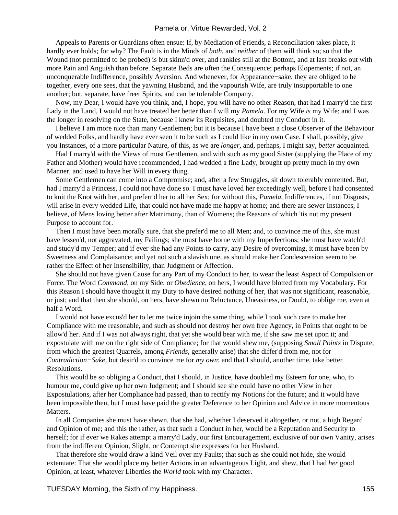Appeals to Parents or Guardians often ensue: If, by Mediation of Friends, a Reconciliation takes place, it hardly ever holds; for why? The Fault is in the Minds of *both,* and *neither* of them will think so; so that the Wound (not permitted to be probed) is but skinn'd over, and rankles still at the Bottom, and at last breaks out with more Pain and Anguish than before. Separate Beds are often the Consequence; perhaps Elopements; if not, an unconquerable Indifference, possibly Aversion. And whenever, for Appearance−sake, they are obliged to be together, every one sees, that the yawning Husband, and the vapourish Wife, are truly insupportable to one another; but, separate, have freer Spirits, and can be tolerable Company.

 Now, my Dear, I would have you think, and, I hope, you will have no other Reason, that had I marry'd the first Lady in the Land, I would not have treated her better than I will my *Pamela*. For my Wife *is* my Wife; and I was the longer in resolving on the State, because I knew its Requisites, and doubted my Conduct in it.

 I believe I am more nice than many Gentlemen; but it is because I have been a close Observer of the Behaviour of wedded Folks, and hardly have ever seen it to be such as I could like in my own Case. I shall, possibly, give you Instances, of a more particular Nature, of this, as we are *longer,* and, perhaps, I might say, *better* acquainted.

 Had I marry'd with the Views of most Gentlemen, and with such as my good Sister (supplying the Place of my Father and Mother) would have recommended, I had wedded a fine Lady, brought up pretty much in my own Manner, and used to have her Will in every thing.

 Some Gentlemen can come into a Compromise; and, after a few Struggles, sit down tolerably contented. But, had I marry'd a Princess, I could not have done so. I must have loved her exceedingly well, before I had consented to knit the Knot with her, and preferr'd her to all her Sex; for without this, *Pamela,* Indifferences, if not Disgusts, will arise in every wedded Life, that could not have made me happy at home; and there are sewer Instances, I believe, of Mens loving better after Matrimony, than of Womens; the Reasons of which 'tis not my present Purpose to account for.

 Then I must have been morally sure, that she prefer'd me to all Men; and, to convince me of this, she must have lessen'd, not aggravated, my Failings; she must have borne with my Imperfections; she must have watch'd and study'd my Temper; and if ever she had any Points to carry, any Desire of overcoming, it must have been by Sweetness and Complaisance; and yet not such a slavish one, as should make her Condescension seem to be rather the Effect of her Insensibility, than Judgment or Affection.

 She should not have given Cause for any Part of my Conduct to her, to wear the least Aspect of Compulsion or Force. The Word *Command,* on my Side, or *Obedience,* on hers, I would have blotted from my Vocabulary. For this Reason I should have thought it my Duty to have desired nothing of her, that was not significant, reasonable, or just; and that then she should, on hers, have shewn no Reluctance, Uneasiness, or Doubt, to oblige me, even at half a Word.

 I would not have excus'd her to let me twice injoin the same thing, while I took such care to make her Compliance with me reasonable, and such as should not destroy her own free Agency, in Points that ought to be allow'd her. And if I was not always right, that yet she would bear with me, if she saw me set upon it; and expostulate with me on the right side of Compliance; for that would shew me, (supposing *Small Points* in Dispute, from which the greatest Quarrels, among *Friends,* generally arise) that she differ'd from me, not for *Contradiction−Sake,* but desir'd to convince me for *my own*; and that I should, another time, take better Resolutions.

 This would be so obliging a Conduct, that I should, in Justice, have doubled my Esteem for one, who, to humour me, could give up her own Judgment; and I should see she could have no other View in her Expostulations, after her Compliance had passed, than to rectify my Notions for the future; and it would have been impossible then, but I must have paid the greater Deference to her Opinion and Advice in more momentous Matters.

 In all Companies she must have shewn, that she had, whether I deserved it altogether, or not, a high Regard and Opinion of me; and this the rather, as that such a Conduct in her, would be a Reputation and Security to herself; for if ever we Rakes attempt a marry'd Lady, our first Encouragement, exclusive of our own Vanity, arises from the indifferent Opinion, Slight, or Contempt she expresses for her Husband.

 That therefore she would draw a kind Veil over my Faults; that such as she could not hide, she would extenuate: That she would place my better Actions in an advantageous Light, and shew, that I had *her* good Opinion, at least, whatever Liberties the *World* took with my Character.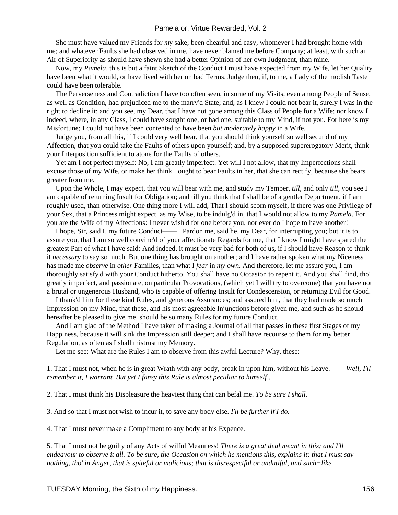She must have valued my Friends for *my* sake; been chearful and easy, whomever I had brought home with me; and whatever Faults she had observed in me, have never blamed me before Company; at least, with such an Air of Superiority as should have shewn she had a better Opinion of her own Judgment, than mine.

 Now, my *Pamela,* this is but a faint Sketch of the Conduct I must have expected from my Wife, let her Quality have been what it would, or have lived with her on bad Terms. Judge then, if, to me, a Lady of the modish Taste could have been tolerable.

 The Perverseness and Contradiction I have too often seen, in some of my Visits, even among People of Sense, as well as Condition, had prejudiced me to the marry'd State; and, as I knew I could not bear it, surely I was in the right to decline it; and you see, my Dear, that I have not gone among this Class of People for a Wife; nor know I indeed, where, in any Class, I could have sought one, or had one, suitable to my Mind, if not you. For here is my Misfortune; I could not have been contented to have been *but moderately happy* in a Wife.

 Judge you, from all this, if I could very well bear, that you should think yourself so well secur'd of my Affection, that you could take the Faults of others upon yourself; and, by a supposed supererogatory Merit, think your Interposition sufficient to atone for the Faults of others.

 Yet am I not perfect myself: No, I am greatly imperfect. Yet will I not allow, that my Imperfections shall excuse those of my Wife, or make her think I ought to bear Faults in her, that she can rectify, because she bears greater from me.

 Upon the Whole, I may expect, that you will bear with me, and study my Temper, *till,* and only *till,* you see I am capable of returning Insult for Obligation; and till you think that I shall be of a gentler Deportment, if I am roughly used, than otherwise. One thing more I will add, That I should scorn myself, if there was one Privilege of your Sex, that a Princess might expect, as my Wise, to be indulg'd in, that I would not allow to my *Pamela*. For you are the Wife of my Affections: I never wish'd for one before you, nor ever do I hope to have another!

 I hope, Sir, said I, my future Conduct——− Pardon me, said he, my Dear, for interrupting you; but it is to assure you, that I am so well convinc'd of your affectionate Regards for me, that I know I might have spared the greatest Part of what I have said: And indeed, it must be very bad for both of us, if I should have Reason to think it *necessary* to say so much. But one thing has brought on another; and I have rather spoken what my Niceness has made me *observe* in *other* Families, than what I *fear* in *my own*. And therefore, let me assure you, I am thoroughly satisfy'd with your Conduct hitherto. You shall have no Occasion to repent it. And you shall find, tho' greatly imperfect, and passionate, on particular Provocations, (which yet I will try to overcome) that you have not a brutal or ungenerous Husband, who is capable of offering Insult for Condescension, or returning Evil for Good.

 I thank'd him for these kind Rules, and generous Assurances; and assured him, that they had made so much Impression on my Mind, that these, and his most agreeable Injunctions before given me, and such as he should hereafter be pleased to give me, should be so many Rules for my future Conduct.

 And I am glad of the Method I have taken of making a Journal of all that passes in these first Stages of my Happiness, because it will sink the Impression still deeper; and I shall have recourse to them for my better Regulation, as often as I shall mistrust my Memory.

Let me see: What are the Rules I am to observe from this awful Lecture? Why, these:

1. That I must not, when he is in great Wrath with any body, break in upon him, without his Leave. ——*Well, I'll remember it, I warrant. But yet I fansy this Rule is almost peculiar to himself* .

2. That I must think his Displeasure the heaviest thing that can befal me. *To be sure I shall.*

3. And so that I must not wish to incur it, to save any body else. *I'll be further if I do.*

4. That I must never make a Compliment to any body at his Expence.

5. That I must not be guilty of any Acts of wilful Meanness! *There is a great deal meant in this; and I'll endeavour to observe it all. To be sure, the Occasion on which he mentions this, explains it; that I must say nothing, tho' in Anger, that is spiteful or malicious; that is disrespectful or undutiful, and such−like.*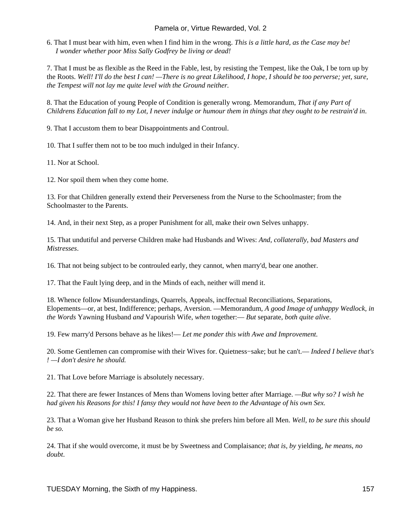6. That I must bear with him, even when I find him in the wrong. *This is a little hard, as the Case may be! I wonder whether poor Miss Sally Godfrey be living or dead!*

7. That I must be as flexible as the Reed in the Fable, lest, by resisting the Tempest, like the Oak, I be torn up by the Roots. *Well! I'll do the best I can! —There is no great Likelihood, I hope, I should be too perverse; yet, sure, the Tempest will not lay me quite level with the Ground neither.*

8. That the Education of young People of Condition is generally wrong. Memorandum, *That if any Part of Childrens Education fall to my Lot, I never indulge or humour them in things that they ought to be restrain'd in*.

9. That I accustom them to bear Disappointments and Controul.

10. That I suffer them not to be too much indulged in their Infancy.

11. Nor at School.

12. Nor spoil them when they come home.

13. For that Children generally extend their Perverseness from the Nurse to the Schoolmaster; from the Schoolmaster to the Parents.

14. And, in their next Step, as a proper Punishment for all, make their own Selves unhappy.

15. That undutiful and perverse Children make had Husbands and Wives: *And, collaterally, bad Masters and Mistresses*.

16. That not being subject to be controuled early, they cannot, when marry'd, bear one another.

17. That the Fault lying deep, and in the Minds of each, neither will mend it.

18. Whence follow Misunderstandings, Quarrels, Appeals, incffectual Reconciliations, Separations, Elopements—or, at best, Indifference; perhaps, Aversion. —Memorandum, *A good Image of unhappy Wedlock, in the Words* Yawning Husband *and* Vapourish Wife, *when* together:— *But* separate, *both quite alive*.

19. Few marry'd Persons behave as he likes!— *Let me ponder this with Awe and Improvement.*

20. Some Gentlemen can compromise with their Wives for. Quietness−sake; but he can't.— *Indeed I believe that's ! —I don't desire he should.*

21. That Love before Marriage is absolutely necessary.

22. That there are fewer Instances of Mens than Womens loving better after Marriage. *—But why so? I wish he had given his Reasons for this! I fansy they would not have been to the Advantage of his own Sex.*

23. That a Woman give her Husband Reason to think she prefers him before all Men. *Well, to be sure this should be so.*

24. That if she would overcome, it must be by Sweetness and Complaisance; *that is, by* yielding, *he means, no doubt*.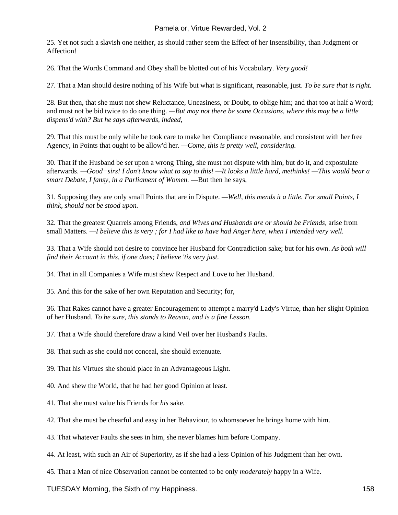25. Yet not such a slavish one neither, as should rather seem the Effect of her Insensibility, than Judgment or Affection!

26. That the Words Command and Obey shall be blotted out of his Vocabulary. *Very good!*

27. That a Man should desire nothing of his Wife but what is significant, reasonable, just. *To be sure that is right.*

28. But then, that she must not shew Reluctance, Uneasiness, or Doubt, to oblige him; and that too at half a Word; and must not be bid twice to do one thing. *—But may not there be some Occasions, where this may be a little dispens'd with? But he says afterwards, indeed,*

29. That this must be only while he took care to make her Compliance reasonable, and consistent with her free Agency, in Points that ought to be allow'd her. *—Come, this is pretty well, considering.*

30. That if the Husband be *set* upon a wrong Thing, she must not dispute with him, but do it, and expostulate afterwards. *—Good−sirs! I don't know what to say to this! —It looks a little hard, methinks! —This would bear a smart Debate, I fansy, in a Parliament of Women.* —But then he says,

31. Supposing they are only small Points that are in Dispute. *—Well, this mends it a little. For small Points, I think, should not be stood upon.*

32. That the greatest Quarrels among Friends, *and Wives and Husbands are or should be Friends,* arise from small Matters. *—I believe this is very ; for I had like to have had Anger here, when I intended very well.*

33. That a Wife should not desire to convince her Husband for Contradiction sake; but for his own. *As both will find their Account in this, if one does; I believe 'tis very just.*

34. That in all Companies a Wife must shew Respect and Love to her Husband.

35. And this for the sake of her own Reputation and Security; for,

36. That Rakes cannot have a greater Encouragement to attempt a marry'd Lady's Virtue, than her slight Opinion of her Husband. *To be sure, this stands to Reason, and is a fine Lesson.*

37. That a Wife should therefore draw a kind Veil over her Husband's Faults.

38. That such as she could not conceal, she should extenuate.

39. That his Virtues she should place in an Advantageous Light.

40. And shew the World, that he had her good Opinion at least.

41. That she must value his Friends for *his* sake.

42. That she must be chearful and easy in her Behaviour, to whomsoever he brings home with him.

43. That whatever Faults she sees in him, she never blames him before Company.

44. At least, with such an Air of Superiority, as if she had a less Opinion of his Judgment than her own.

45. That a Man of nice Observation cannot be contented to be only *moderately* happy in a Wife.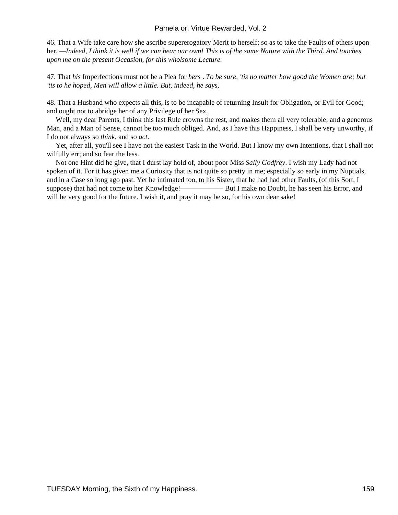46. That a Wife take care how she ascribe supererogatory Merit to herself; so as to take the Faults of others upon her. *—Indeed, I think it is well if we can bear our own! This is of the same Nature with the Third. And touches upon me on the present Occasion, for this wholsome Lecture.*

47. That *his* Imperfections must not be a Plea for *hers* . *To be sure, 'tis no matter how good the Women are; but 'tis to he hoped, Men will allow a little. But, indeed, he says,*

48. That a Husband who expects all this, is to be incapable of returning Insult for Obligation, or Evil for Good; and ought not to abridge her of any Privilege of her Sex.

Well, my dear Parents, I think this last Rule crowns the rest, and makes them all very tolerable; and a generous Man, and a Man of Sense, cannot be too much obliged. And, as I have this Happiness, I shall be very unworthy, if I do not always so *think,* and so *act*.

 Yet, after all, you'll see I have not the easiest Task in the World. But I know my own Intentions, that I shall not wilfully err; and so fear the less.

 Not one Hint did he give, that I durst lay hold of, about poor Miss *Sally Godfrey*. I wish my Lady had not spoken of it. For it has given me a Curiosity that is not quite so pretty in me; especially so early in my Nuptials, and in a Case so long ago past. Yet he intimated too, to his Sister, that he had had other Faults, (of this Sort, I suppose) that had not come to her Knowledge!———————————————————— But I make no Doubt, he has seen his Error, and will be very good for the future. I wish it, and pray it may be so, for his own dear sake!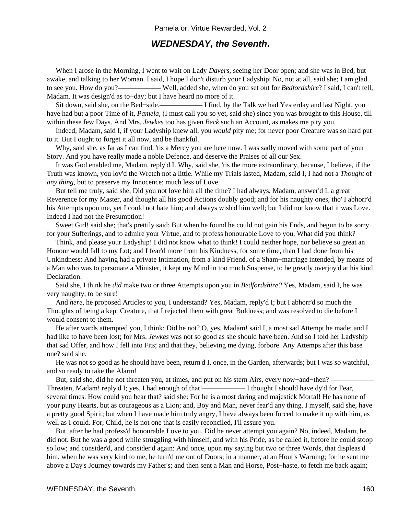### **WEDNESDAY, the Seventh.**

 When I arose in the Morning, I went to wait on Lady *Davers,* seeing her Door open; and she was in Bed, but awake, and talking to her Woman. I said, I hope I don't disturb your Ladyship: No, not at all, said she; I am glad to see you. How do you?—————— Well, added she, when do you set out for *Bedfordshire*? I said, I can't tell, Madam. It was design'd as to−day; but I have heard no more of it.

 Sit down, said she, on the Bed−side.—————— I find, by the Talk we had Yesterday and last Night, you have had but a poor Time of it, *Pamela,* (I must call you so yet, said she) since you was brought to this House, till within these few Days. And Mrs. *Jewkes* too has given *Beck* such an Account, as makes me pity you.

 Indeed, Madam, said I, if your Ladyship knew all, you *would* pity me; for never poor Creature was so hard put to it. But I ought to forget it all now, and be thankful.

Why, said she, as far as I can find, 'tis a Mercy you are here now. I was sadly moved with some part of your Story. And you have really made a noble Defence, and deserve the Praises of all our Sex.

 It was God enabled me, Madam, reply'd I. Why, said she, 'tis the more extraordinary, because, I believe, if the Truth was known, you lov'd the Wretch not a little. While my Trials lasted, Madam, said I, I had not a *Thought* of *any thing,* but to preserve my Innocence; much less of Love.

 But tell me truly, said she, Did you not love him all the time? I had always, Madam, answer'd I, a great Reverence for my Master, and thought all his good Actions doubly good; and for his naughty ones, tho' I abhorr'd his Attempts upon me, yet I could not hate him; and always wish'd him well; but I did not know that it was Love. Indeed I had not the Presumption!

 Sweet Girl! said she; that's prettily said: But when he found he could not gain his Ends, and begun to be sorry for your Sufferings, and to admire your Virtue, and to profess honourable Love to you, What did you think?

 Think, and please your Ladyship! I did not know what to think! I could neither hope, nor believe so great an Honour would fall to my Lot; and I fear'd more from his Kindness, for some time, than I had done from his Unkindness: And having had a private Intimation, from a kind Friend, of a Sham−marriage intended, by means of a Man who was to personate a Minister, it kept my Mind in too much Suspense, to be greatly overjoy'd at his kind Declaration.

 Said she, I think he *did* make two or three Attempts upon you in *Bedfordshire?* Yes, Madam, said I, he was very naughty, to be sure!

 And *here,* he proposed Articles to you, I understand? Yes, Madam, reply'd I; but I abhorr'd so much the Thoughts of being a kept Creature, that I rejected them with great Boldness; and was resolved to die before I would consent to them.

 He after wards attempted you, I think; Did he not? O, yes, Madam! said I, a most sad Attempt he made; and I had like to have been lost; for Mrs. *Jewkes* was not so good as she should have been. And so I told her Ladyship that sad Offer, and how I fell into Fits; and that they, believing me dying, forbore. Any Attemps after this base one? said she.

 He was not so good as he should have been, return'd I, once, in the Garden, afterwards; but I was *so* watchful, and *so* ready to take the Alarm!

But, said she, did he not threaten you, at times, and put on his stern Airs, every now–and–then? — Threaten, Madam! reply'd I; yes, I had enough of that!—————— I thought I should have dy'd for Fear, several times. How could you bear that? said she: For he is a most daring and majestick Mortal! He has none of your puny Hearts, but as courageous as a Lion; and, Boy and Man, never fear'd any thing. I myself, said she, have a pretty good Spirit; but when I have made him truly angry, I have always been forced to make it up with him, as well as I could. For, Child, he is not one that is easily reconciled, I'll assure you.

 But, after he had profess'd honourable Love to you, Did he never attempt you again? No, indeed, Madam, he did not. But he was a good while struggling with himself, and with his Pride, as be called it, before he could stoop so low; and consider'd, and consider'd again: And once, upon my saying but two or three Words, that displeas'd him, when he was very kind to me, he turn'd me out of Doors; in a manner, at an Hour's Warning; for he sent me above a Day's Journey towards my Father's; and then sent a Man and Horse, Post−haste, to fetch me back again;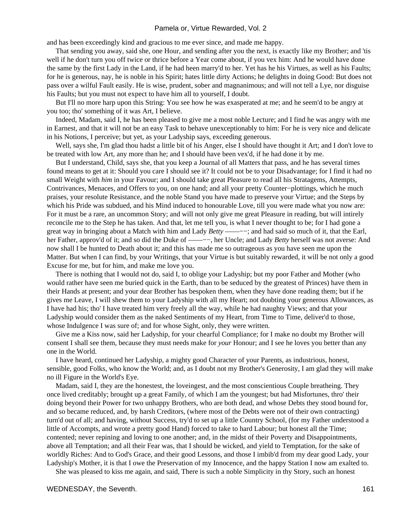and has been exceedingly kind and gracious to me ever since, and made me happy.

 That sending you away, said she, one Hour, and sending after you the next, is exactly like my Brother; and 'tis well if he don't turn you off twice or thrice before a Year come about, if you vex him: And he would have done the same by the first Lady in the Land, if he had heen marry'd to her. Yet has he his Virtues, as well as his Faults; for he is generous, nay, he is noble in his Spirit; hates little dirty Actions; he delights in doing Good: But does not pass over a wilful Fault easily. He is wise, prudent, sober and magnanimous; and will not tell a Lye, nor disguise his Faults; but you must not expect to have him all to yourself, I doubt.

 But I'll no more harp upon this String: You see how he was exasperated at me; and he seem'd to be angry at you too; tho' something of it was Art, I believe.

 Indeed, Madam, said I, he has been pleased to give me a most noble Lecture; and I find he was angry with me in Earnest, and that it will not be an easy Task to behave unexceptionably to him: For he is very nice and delicate in his Notions, I perceive; but yet, as your Ladyship says, exceeding generous.

 Well, says she, I'm glad thou hadst a little bit of his Anger, else I should have thought it Art; and I don't love to be treated with low Art, any more than he; and I should have been vex'd, if he had done it by me.

 But I understand, Child, says she, that you keep a Journal of all Matters that pass, and he has several times found means to get at it: Should you care I should see it? It could not be to your Disadvantage; for I find it had no small Weight with *him* in your Favour; and I should take great Pleasure to read all his Stratagems, Attempts, Contrivances, Menaces, and Offers to you, on one hand; and all your pretty Counter−plottings, which he much praises, your resolute Resistance, and the noble Stand you have made to preserve your Virtue; and the Steps by which his Pride was subdued, and his Mind induced to honourable Love, till you were made what you now are: For it must be a rare, an uncommon Story; and will not only give me great Pleasure in reading, but will intirely reconcile me to the Step he has taken. And that, let me tell you, is what I never thought to be; for I had gone a great way in bringing about a Match with him and Lady *Betty* ——−−; and had said so much of it, that the Earl, her Father, approv'd of it; and so did the Duke of ——−−, her Uncle; and Lady *Betty* herself was not averse: And now shall I be hunted to Death about it; and this has made me so outrageous as you have seen me upon the Matter. But when I can find, by your Writings, that your Virtue is but suitably rewarded, it will be not only a good Excuse for me, but for him, and make me love you.

 There is nothing that I would not do, said I, to oblige your Ladyship; but my poor Father and Mother (who would rather have seen me buried quick in the Earth, than to be seduced by the greatest of Princes) have them in their Hands at present; and your dear Brother has bespoken them, when they have done reading them; but if he gives me Leave, I will shew them to your Ladyship with all my Heart; not doubting your generous Allowances, as I have had his; tho' I have treated him very freely all the way, while he had naughty Views; and that your Ladyship would consider them as the naked Sentiments of my Heart, from Time to Time, deliver'd to those, whose Indulgence I was sure of; and for whose Sight, only, they were written.

 Give me a Kiss now, said her Ladyship, for your chearful Compliance; for I make no doubt my Brother will consent I shall see them, because they must needs make for *your* Honour; and I see he loves you better than any one in the World.

 I have heard, continued her Ladyship, a mighty good Character of your Parents, as industrious, honest, sensible, good Folks, who know the World; and, as I doubt not my Brother's Generosity, I am glad they will make no ill Figure in the World's Eye.

 Madam, said I, they are the honestest, the loveingest, and the most conscientious Couple breatheing. They once lived creditably; brought up a great Family, of which I am the youngest; but had Misfortunes, thro' their doing beyond their Power for two unhappy Brothers, who are both dead, and whose Debts they stood bound for, and so became reduced, and, by harsh Creditors, (where most of the Debts were not of their own contracting) turn'd out of all; and having, without Success, try'd to set up a little Country School, (for my Father understood a little of Accompts, and wrote a pretty good Hand) forced to take to hard Labour; but honest all the Time; contented; never repining and loving to one another; and, in the midst of their Poverty and Disappointments, above all Temptation; and all their Fear was, that I should be wicked, and yield to Temptation, for the sake of worldly Riches: And to God's Grace, and their good Lessons, and those I imbib'd from my dear good Lady, your Ladyship's Mother, it is that I owe the Preservation of my Innocence, and the happy Station I now am exalted to.

She was pleased to kiss me again, and said, There is such a noble Simplicity in thy Story, such an honest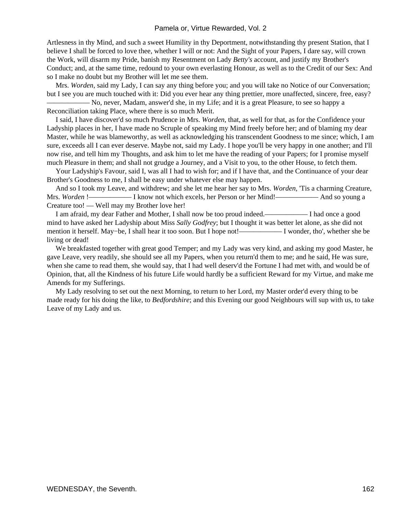Artlesness in thy Mind, and such a sweet Humility in thy Deportment, notwithstanding thy present Station, that I believe I shall be forced to love thee, whether I will or not: And the Sight of your Papers, I dare say, will crown the Work, will disarm my Pride, banish my Resentment on Lady *Betty's* account, and justify my Brother's Conduct; and, at the same time, redound to your own everlasting Honour, as well as to the Credit of our Sex: And so I make no doubt but my Brother will let me see them.

 Mrs. *Worden,* said my Lady, I can say any thing before you; and you will take no Notice of our Conversation; but I see you are much touched with it: Did you ever hear any thing prettier, more unaffected, sincere, free, easy? —————— No, never, Madam, answer'd she, in my Life; and it is a great Pleasure, to see so happy a

Reconciliation taking Place, where there is so much Merit.

 I said, I have discover'd so much Prudence in Mrs. *Worden,* that, as well for that, as for the Confidence your Ladyship places in her, I have made no Scruple of speaking my Mind freely before her; and of blaming my dear Master, while he was blameworthy, as well as acknowledging his transcendent Goodness to me since; which, I am sure, exceeds all I can ever deserve. Maybe not, said my Lady. I hope you'll be very happy in one another; and I'll now rise, and tell him my Thoughts, and ask him to let me have the reading of your Papers; for I promise myself much Pleasure in them; and shall not grudge a Journey, and a Visit to you, to the other House, to fetch them.

 Your Ladyship's Favour, said I, was all I had to wish for; and if I have that, and the Continuance of your dear Brother's Goodness to me, I shall be easy under whatever else may happen.

 And so I took my Leave, and withdrew; and she let me hear her say to Mrs. *Worden,* 'Tis a charming Creature, Mrs. *Worden* !—————— I know not which excels, her Person or her Mind!—————— And so young a Creature too! — Well may my Brother love her!

 I am afraid, my dear Father and Mother, I shall now be too proud indeed.—————— I had once a good mind to have asked her Ladyship about Miss *Sally Godfrey*; but I thought it was better let alone, as she did not mention it herself. May−be, I shall hear it too soon. But I hope not!—————— I wonder, tho', whether she be living or dead!

We breakfasted together with great good Temper; and my Lady was very kind, and asking my good Master, he gave Leave, very readily, she should see all my Papers, when you return'd them to me; and he said, He was sure, when she came to read them, she would say, that I had well deserv'd the Fortune I had met with, and would be of Opinion, that, all the Kindness of his future Life would hardly be a sufficient Reward for my Virtue, and make me Amends for my Sufferings.

 My Lady resolving to set out the next Morning, to return to her Lord, my Master order'd every thing to be made ready for his doing the like, to *Bedfordshire*; and this Evening our good Neighbours will sup with us, to take Leave of my Lady and us.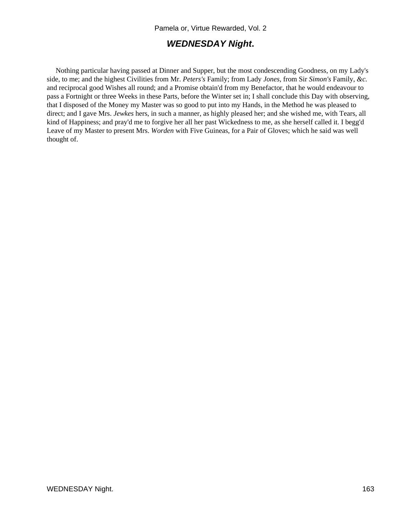# **WEDNESDAY Night.**

 Nothing particular having passed at Dinner and Supper, but the most condescending Goodness, on my Lady's side, to me; and the highest Civilities from Mr. *Peters's* Family; from Lady *Jones,* from Sir *Simon's* Family, *&c.* and reciprocal good Wishes all round; and a Promise obtain'd from my Benefactor, that he would endeavour to pass a Fortnight or three Weeks in these Parts, before the Winter set in; I shall conclude this Day with observing, that I disposed of the Money my Master was so good to put into my Hands, in the Method he was pleased to direct; and I gave Mrs. *Jewkes* hers, in such a manner, as highly pleased her; and she wished me, with Tears, all kind of Happiness; and pray'd me to forgive her all her past Wickedness to me, as she herself called it. I begg'd Leave of my Master to present Mrs. *Worden* with Five Guineas, for a Pair of Gloves; which he said was well thought of.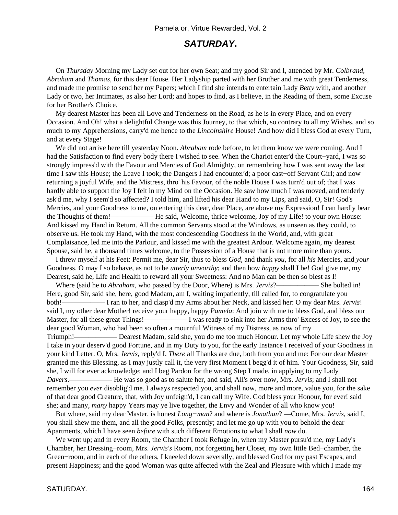## **SATURDAY.**

 On *Thursday* Morning my Lady set out for her own Seat; and my good Sir and I, attended by Mr. *Colbrand, Abraham* and *Thomas,* for this dear House. Her Ladyship parted with her Brother and me with great Tenderness, and made me promise to send her my Papers; which I find she intends to entertain Lady *Betty* with, and another Lady or two, her Intimates, as also her Lord; and hopes to find, as I believe, in the Reading of them, some Excuse for her Brother's Choice.

 My dearest Master has been all Love and Tenderness on the Road, as he is in every Place, and on every Occasion. And Oh! what a delightful Change was this Journey, to that which, so contrary to all my Wishes, and so much to my Apprehensions, carry'd me hence to the *Lincolnshire* House! And how did I bless God at every Turn, and at every Stage!

 We did not arrive here till yesterday Noon. *Abraham* rode before, to let them know we were coming. And I had the Satisfaction to find every body there I wished to see. When the Chariot enter'd the Court−yard, I was so strongly impress'd with the Favour and Mercies of God Almighty, on remembring how I was sent away the last time I saw this House; the Leave I took; the Dangers I had encounter'd; a poor cast−off Servant Girl; and now returning a joyful Wife, and the Mistress, thro' his Favour, of the noble House I was turn'd out of; that I was hardly able to support the Joy I felt in my Mind on the Occasion. He saw how much I was moved, and tenderly ask'd me, why I seem'd so affected? I told him, and lifted his dear Hand to my Lips, and said, O, Sir! God's Mercies, and your Goodness to me, on entering this dear, dear Place, are above my Expression! I can hardly bear the Thoughts of them!—————— He said, Welcome, thrice welcome, Joy of my Life! to your own House: And kissed my Hand in Return. All the common Servants stood at the Windows, as unseen as they could, to observe us. He took my Hand, with the most condescending Goodness in the World, and, with great Complaisance, led me into the Parlour, and kissed me with the greatest Ardour. Welcome again, my dearest Spouse, said he, a thousand times welcome, to the Possession of a House that is not more mine than yours.

 I threw myself at his Feet: Permit me, dear Sir, thus to bless *God,* and thank *you,* for all *his* Mercies, and *your* Goodness. O may I so behave, as not to be *utterly unworthy*; and then how *happy* shall I be! God give me, my Dearest, said he, Life and Health to reward all your Sweetness: And no Man can be then so blest as I!

Where (said he to *Abraham*, who passed by the Door, Where) is Mrs. *Jervis*?————————— She bolted in! Here, good Sir, said she, here, good Madam, am I, waiting impatiently, till called for, to congratulate you both!—————— I ran to her, and clasp'd my Arms about her Neck, and kissed her: O my dear Mrs. *Jervis*! said I, my other dear Mother! receive your happy, happy *Pamela*: And join with me to bless God, and bless our Master, for all these great Things!—————— I was ready to sink into her Arms thro' Excess of Joy, to see the dear good Woman, who had been so often a mournful Witness of my Distress, as now of my Triumph!—————— Dearest Madam, said she, you do me too much Honour. Let my whole Life shew the Joy I take in your deserv'd good Fortune, and in my Duty to you, for the early Instance I received of your Goodness in your kind Letter. O, Mrs. *Jervis,* reply'd I, *There* all Thanks are due, both from you and me: For our dear Master granted me this Blessing, as I may justly call it, the very first Moment I begg'd it of him. Your Goodness, Sir, said she, I will for ever acknowledge; and I beg Pardon for the wrong Step I made, in applying to my Lady *Davers*.—————— He was so good as to salute her, and said, All's over now, Mrs. *Jervis*; and I shall not remember you *ever* disoblig'd me. I always respected you, and shall now, more and more, value you, for the sake of that dear good Creature, that, with Joy unfeign'd, I can call my Wife. God bless your Honour, for ever! said she; and many, *many* happy Years may ye live together, the Envy and Wonder of all who know you!

 But where, said my dear Master, is honest *Long−man*? and where is *Jonathan*? —Come, Mrs. *Jervis,* said I, you shall shew me them, and all the good Folks, presently; and let me go up with you to behold the dear Apartments, which I have seen *before* with such different Emotions to what I shall *now* do.

 We went up; and in every Room, the Chamber I took Refuge in, when my Master pursu'd me, my Lady's Chamber, her Dressing−room, Mrs. *Jervis's* Room, not forgetting her Closet, my own little Bed−chamber, the Green−room, and in each of the others, I kneeled down severally, and blessed God for my past Escapes, and present Happiness; and the good Woman was quite affected with the Zeal and Pleasure with which I made my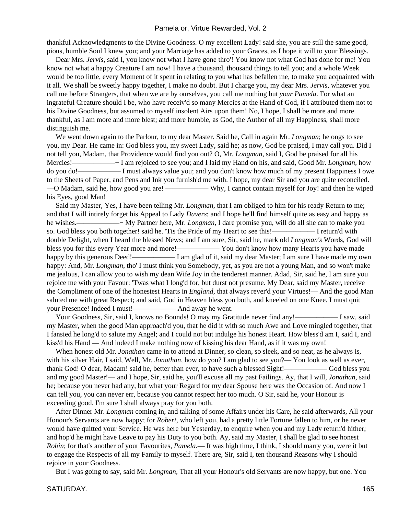thankful Acknowledgments to the Divine Goodness. O my excellent Lady! said she, you are still the same good, pious, humble Soul I knew you; and your Marriage has added to your Graces, as I hope it will to your Blessings.

 Dear Mrs. *Jervis,* said I, you know not what I have gone thro'! You know not what God has done for me! You know not what a happy Creature I am now! I have a thousand, thousand things to tell you; and a whole Week would be too little, every Moment of it spent in relating to you what has befallen me, to make you acquainted with it all. We shall be sweetly happy together, I make no doubt. But I charge you, my dear Mrs. *Jervis,* whatever you call me before Strangers, that when we are by ourselves, you call me nothing but *your Pamela*. For what an ingrateful Creature should I be, who have receiv'd so many Mercies at the Hand of God, if I attributed them not to his Divine Goodness, but assumed to myself insolent Airs upon them! No, I hope, I shall be more and more thankful, as I am more and more blest; and more humble, as God, the Author of all my Happiness, shall more distinguish me.

 We went down again to the Parlour, to my dear Master. Said he, Call in again Mr. *Longman*; he ongs to see you, my Dear. He came in: God bless you, my sweet Lady, said he; as now, God be praised, I may call you. Did I not tell you, Madam, that Providence would find you out? O, Mr. *Longman,* said I, God be praised for all his Mercies!——————− I am rejoiced to see you; and I laid my Hand on his, and said, Good Mr. *Longman,* how do you do!—————— I must always value you; and you don't know how much of my present Happiness I owe to the Sheets of Paper, and Pens and Ink you furnish'd me with. I hope, my dear Sir and you are quite reconciled. —O Madam, said he, how good you are! —————— Why, I cannot contain myself for Joy! and then he wiped his Eyes, good Man!

 Said my Master, Yes, I have been telling Mr. *Longman,* that I am obliged to him for his ready Return to me; and that I will intirely forget his Appeal to Lady *Davers*; and I hope he'll find himself quite as easy and happy as he wishes.——————− My Partner here, Mr. *Longman,* I dare promise you, will do all she can to make you so. God bless you both together! said he. 'Tis the Pride of my Heart to see this!——————————————————— I return'd with double Delight, when I heard the blessed News; and I am sure, Sir, said he, mark old *Longman's* Words, God will bless you for this every Year more and more!——————————————————— You don't know how many Hearts you have made happy by this generous Deed!——————— I am glad of it, said my dear Master; I am sure I have made my own happy: And, Mr. *Longman,* tho' I must think you Somebody, yet, as you are not a young Man, and so won't make me jealous, I can allow you to wish my dean Wife Joy in the tenderest manner. Adad, Sir, said he, I am sure you rejoice me with your Favour: 'Twas what I long'd for, but durst not presume. My Dear, said my Master, receive the Compliment of one of the honestest Hearts in *England,* that always rever'd your Virtues!— And the good Man saluted me with great Respect; and said, God in Heaven bless you both, and kneeled on one Knee. I must quit your Presence! Indeed I must!—————— And away he went.

 Your Goodness, Sir, said I, knows no Bounds! O may my Gratitude never find any!—————— I saw, said my Master, when the good Man approach'd you, that he did it with so much Awe and Love mingled together, that I fansied he long'd to salute my Angel; and I could not but indulge his honest Heart. How bless'd am I, said I, and kiss'd his Hand — And indeed I make nothing now of kissing his dear Hand, as if it was my own!

When honest old Mr. *Jonathan* came in to attend at Dinner, so clean, so sleek, and so neat, as he always is, with his silver Hair, I said, Well, Mr. *Jonathan,* how do you? I am glad to see you?— You look as well as ever, thank God! O dear, Madam! said he, better than ever, to have such a blessed Sight!—————— God bless you and my good Master!— and I hope, Sir, said he, you'll excuse all my past Failings. Ay, that I will, *Jonathan,* said he; because you never had any, but what your Regard for my dear Spouse here was the Occasion of. And now I can tell you, you can never err, because you cannot respect her too much. O Sir, said he, your Honour is exceeding good. I'm sure I shall always pray for you both.

 After Dinner Mr. *Longman* coming in, and talking of some Affairs under his Care, he said afterwards, All your Honour's Servants are now happy; for *Robert,* who left you, had a pretty little Fortune fallen to him, or he never would have quitted your Service. He was here but Yesterday, to enquire when you and my Lady return'd hither; and hop'd he might have Leave to pay his Duty to you both. Ay, said my Master, I shall be glad to see honest *Robin*; for that's another of your Favourites, *Pamela*.— It was high time, I think, I should marry you, were it but to engage the Respects of all my Family to myself. There are, Sir, said I, ten thousand Reasons why I should rejoice in your Goodness.

But I was going to say, said Mr. *Longman,* That all your Honour's old Servants are now happy, but one. You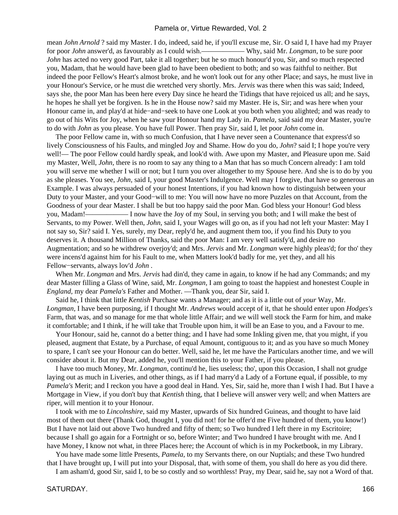mean *John Arnold* ? said my Master. I do, indeed, said he, if you'll excuse me, Sir. O said I, I have had my Prayer for poor *John* answer'd, as favourably as I could wish.—————— Why, said Mr. *Longman,* to be sure poor *John* has acted no very good Part, take it all together; but he so much honour'd you, Sir, and so much respected you, Madam, that he would have been glad to have been obedient to both; and so was faithful to neither. But indeed the poor Fellow's Heart's almost broke, and he won't look out for any other Place; and says, he must live in your Honour's Service, or he must die wretched very shortly. Mrs. *Jervis* was there when this was said; Indeed, says she, the poor Man has been here every Day since he heard the Tidings that have rejoiced us all; and he says, he hopes he shall yet be forgiven. Is he in the House now? said my Master. He is, Sir; and was here when your Honour came in, and play'd at hide−and−seek to have one Look at you both when you alighted; and was ready to go out of his Wits for Joy, when he saw your Honour hand my Lady in. *Pamela,* said said my dear Master, you're to do with *John* as you please. You have full Power. Then pray Sir, said I, let poor *John* come in.

 The poor Fellow came in, with so much Confusion, that I have never seen a Countenance that express'd so lively Consciousness of his Faults, and mingled Joy and Shame. How do you do, *John*? said I; I hope you're very well!— The poor Fellow could hardly speak, and look'd with. Awe upon my Master, and Pleasure upon me. Said my Master, Well, *John,* there is no room to say any thing to a Man that has so much Concern already: I am told you will serve me whether I will or not; but I turn you over altogether to my Spouse here. And she is to do by you as she pleases. You see, *John,* said I, your good Master's Indulgence. Well may I forgive, that have so generous an Example. I was always persuaded of your honest Intentions, if you had known how to distinguish between your Duty to your Master, and your Good−will to me: You will now have no more Puzzles on that Account, from the Goodness of your dear Master. I shall be but too happy said the poor Man. God bless your Honour! God bless you, Madam!—————— I now have the Joy of my Soul, in serving you both; and I will make the best of Servants, to my Power. Well then, *John,* said I, your Wages will go on, as if you had not left your Master: May I not say so, Sir? said I. Yes, surely, my Dear, reply'd he, and augment them too, if you find his Duty to you deserves it. A thousand Million of Thanks, said the poor Man: I am very well satisfy'd, and desire no Augmentation; and so he withdrew overjoy'd; and Mrs. *Jervis* and Mr. *Longman* were highly pleas'd; for tho' they were incens'd against him for his Fault to me, when Matters look'd badly for me, yet they, and all his Fellow−servants, always lov'd *John* .

 When Mr. *Longman* and Mrs. *Jervis* had din'd, they came in again, to know if he had any Commands; and my dear Master filling a Glass of Wine, said, Mr. *Longman,* I am going to toast the happiest and honestest Couple in *England,* my dear *Pamela's* Father and Mother. —Thank you, dear Sir, said I.

 Said he, I think that little *Kentish* Purchase wants a Manager; and as it is a little out of *your* Way, Mr. *Longman,* I have been purposing, if I thought Mr. *Andrews* would accept of it, that he should enter upon *Hodges's* Farm, that was, and so manage for me that whole little Affair; and we will well stock the Farm for him, and make it comfortable; and I think, if he will take that Trouble upon him, it will be an Ease to you, and a Favour to me.

 Your Honour, said he, cannot do a better thing; and I have had some Inkling given me, that you might, if you pleased, augment that Estate, by a Purchase, of equal Amount, contiguous to it; and as you have so much Money to spare, I can't see your Honour can do better. Well, said he, let me have the Particulars another time, and we will consider about it. But my Dear, added he, you'll mention this to your Father, if you please.

 I have too much Money, Mr. *Longman,* continu'd he, lies useless; tho', upon this Occasion, I shall not grudge laying out as much in Liveries, and other things, as if I had marry'd a Lady of a Fortune equal, if possible, to my *Pamela's* Merit; and I reckon you have a good deal in Hand. Yes, Sir, said he, more than I wish I had. But I have a Mortgage in View, if you don't buy that *Kentish* thing, that I believe will answer very well; and when Matters are riper, will mention it to your Honour.

 I took with me to *Lincolnshire,* said my Master, upwards of Six hundred Guineas, and thought to have laid most of them out there (Thank God, thought I, you did not! for he offer'd me Five hundred of them, you know!) But I have not laid out above Two hundred and fifty of them; so Two hundred I left there in my Escritoire; because I shall go again for a Fortnight or so, before Winter; and Two hundred I have brought with me. And I have Money, I know not what, in three Places here; the Account of which is in my Pocketbook, in my Library.

 You have made some little Presents, *Pamela,* to my Servants there, on our Nuptials; and these Two hundred that I have brought up, I will put into your Disposal, that, with some of them, you shall do here as you did there.

I am asham'd, good Sir, said I, to be so costly and so worthless! Pray, my Dear, said he, say not a Word of that.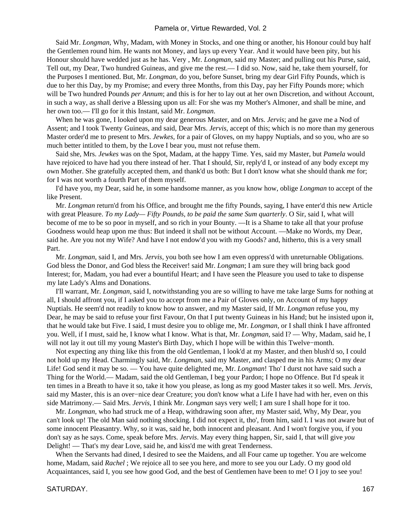Said Mr. *Longman,* Why, Madam, with Money in Stocks, and one thing or another, his Honour could buy half the Gentlemen round him. He wants not Money, and lays up every Year. And it would have been pity, but his Honour should have wedded just as he has. Very , Mr. *Longman,* said my Master; and pulling out his Purse, said, Tell out, my Dear, Two hundred Guineas, and give me the rest.— I did so. Now, said he, take them yourself, for the Purposes I mentioned. But, Mr. *Longman,* do you, before Sunset, bring my dear Girl Fifty Pounds, which is due to her this Day, by my Promise; and every three Months, from this Day, pay her Fifty Pounds more; which will be Two hundred Pounds *per Annum*; and this is for her to lay out at her own Discretion, and without Account, in such a way, as shall derive a Blessing upon us all: For she was my Mother's Almoner, and shall be mine, and her own too.— I'll go for it this Instant, said Mr. *Longman*.

 When he was gone, I looked upon my dear generous Master, and on Mrs. *Jervis*; and he gave me a Nod of Assent; and I took Twenty Guineas, and said, Dear Mrs. *Jervis,* accept of this; which is no more than my generous Master order'd me to present to Mrs. *Jewkes,* for a pair of Gloves, on my happy Nuptials, and so you, who are so much better intitled to them, by the Love I bear you, must not refuse them.

 Said she, Mrs. *Jewkes* was on the Spot, Madam, at the happy Time. Yes, said my Master, but *Pamela* would have rejoiced to have had you there instead of her. That I should, Sir, reply'd I, or instead of any body except my own Mother. She gratefully accepted them, and thank'd us both: But I don't know what she should thank *me* for; for I was not worth a fourth Part of them myself.

 I'd have you, my Dear, said he, in some handsome manner, as you know how, oblige *Longman* to accept of the like Present.

 Mr. *Longman* return'd from his Office, and brought me the fifty Pounds, saying, I have enter'd this new Article with great Pleasure. *To my Lady— Fifty Pounds, to be paid the same Sum quarterly*. O Sir, said I, what will become of me to be so poor in myself, and so rich in your Bounty. —It is a Shame to take all that your profuse Goodness would heap upon me thus: But indeed it shall not be without Account. —Make no Words, my Dear, said he. Are you not my Wife? And have I not endow'd you with my Goods? and, hitherto, this is a very small Part.

 Mr. *Longman,* said I, and Mrs. *Jervis,* you both see how I am even oppress'd with unreturnable Obligations. God bless the Donor, and God bless the Receiver! said Mr. *Longman*; I am sure they will bring back good Interest; for, Madam, you had ever a bountiful Heart; and I have seen the Pleasure you used to take to dispense my late Lady's Alms and Donations.

 I'll warrant, Mr. *Longman,* said I, notwithstanding you are so willing to have me take large Sums for nothing at all, I should affront you, if I asked you to accept from me a Pair of Gloves only, on Account of my happy Nuptials. He seem'd not readily to know how to answer, and my Master said, If Mr. *Longman* refuse you, my Dear, he may be said to refuse your first Favour, On that I put twenty Guineas in his Hand; but he insisted upon it, that he would take but Five. I said, I must desire you to oblige me, Mr. *Longman,* or I shall think I have affronted you. Well, if I must, said he, I know what I know. What is that, Mr. *Longman,* said I? — Why, Madam, said he, I will not lay it out till my young Master's Birth Day, which I hope will be within this Twelve−month.

 Not expecting any thing like this from the old Gentleman, I look'd at my Master, and then blush'd so, I could not hold up my Head. Charmingly said, Mr. *Longman,* said my Master, and clasped me in his Arms; O my dear Life! God send it may be so. — You have quite delighted me, Mr. *Longman*! Tho' I durst not have said such a Thing for the World.— Madam, said the old Gentleman, I beg your Pardon; I hope no Offence. But I'd speak it ten times in a Breath to have it so, take it how you please, as long as my good Master takes it so well. Mrs. *Jervis,* said my Master, this is an over−nice dear Creature; you don't know what a Life I have had with her, even on this side Matrimony.— Said Mrs. *Jervis,* I think Mr. *Longman* says very well; I am sure I shall hope for it too.

 Mr. *Longman,* who had struck me of a Heap, withdrawing soon after, my Master said, Why, My Dear, you can't look up! The old Man said nothing shocking. I did not expect it, tho', from him, said I. I was not aware but of some innocent Pleasantry. Why, so it was, said he, both innocent and pleasant. And I won't forgive you, if you don't say as he says. Come, speak before Mrs. *Jervis*. May every thing happen, Sir, said I, that will give *you* Delight! — That's my dear Love, said he, and kiss'd me with great Tenderness.

 When the Servants had dined, I desired to see the Maidens, and all Four came up together. You are welcome home, Madam, said *Rachel* ; We rejoice all to see you here, and more to see you our Lady. O my good old Acquaintances, said I, you see how good God, and the best of Gentlemen have been to me! O I joy to see you!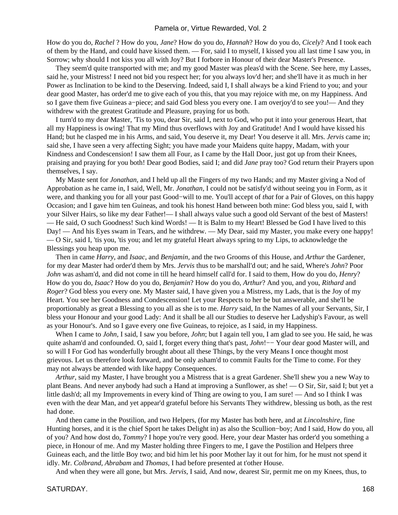How do you do, *Rachel* ? How do you, *Jane*? How do you do, *Hannah*? How do you do, *Cicely*? And I took each of them by the Hand, and could have kissed them. — For, said I to myself, I kissed you all last time I saw you, in Sorrow; why should I not kiss you all with Joy? But I forbore in Honour of their dear Master's Presence.

 They seem'd quite transported with me; and my good Master was pleas'd with the Scene. See here, my Lasses, said he, your Mistress! I need not bid you respect her; for you always lov'd her; and she'll have it as much in her Power as Inclination to be kind to the Deserving. Indeed, said I, I shall always be a kind Friend to you; and your dear good Master, has order'd me to give each of you this, that you may rejoice with me, on my Happiness. And so I gave them five Guineas a−piece; and said God bless you every one. I am overjoy'd to see you!— And they withdrew with the greatest Gratitude and Pleasure, praying for us both.

 I turn'd to my dear Master, 'Tis to you, dear Sir, said I, next to God, who put it into your generous Heart, that all my Happiness is owing! That my Mind thus overflows with Joy and Gratitude! And I would have kissed his Hand; but he clasped me in his Arms, and said, You deserve it, my Dear! You deserve it all. Mrs. *Jervis* came in; said she, I have seen a very affecting Sight; you have made your Maidens quite happy, Madam, with your Kindness and Condescension! I saw them all Four, as I came by the Hall Door, just got up from their Knees, praising and praying for you both! Dear good Bodies, said I; and did *Jane* pray too? God return their Prayers upon themselves, I say.

 My Maste sent for *Jonathan,* and I held up all the Fingers of my two Hands; and my Master giving a Nod of Approbation as he came in, I said, Well, Mr. *Jonathan,* I could not be satisfy'd without seeing you in Form, as it were, and thanking you for all your past Good−will to me. You'll accept of *that* for a Pair of Gloves, on this happy Occasion; and I gave him ten Guineas, and took his honest Hand between both mine: God bless you, said I, with your Silver Hairs, so like my dear Father!— I shall always value such a good old Servant of the best of Masters! — He said, O such Goodness! Such kind Words! — It is Balm to my Heart! Blessed be God I have lived to this Day! — And his Eyes swam in Tears, and he withdrew. — My Dear, said my Master, you make every one happy! — O Sir, said I, 'tis you, 'tis you; and let my grateful Heart always spring to my Lips, to acknowledge the Blessings you heap upon me.

 Then in came *Harry,* and *Isaac,* and *Benjamin,* and the two Grooms of this House, and *Arthur* the Gardener, for my dear Master had order'd them by Mrs. *Jervis* thus to be marshall'd out; and he said, Where's *John*? Poor *John* was asham'd, and did not come in till he heard himself call'd for. I said to them, How do you do, *Henry*? How do you do, *Isaac*? How do you do, *Benjamin*? How do you do, *Arthur*? And you, and you, *Rithard* and *Roger*? God bless you every one. My Master said, I have given you a Mistress, my Lads, that is the Joy of my Heart. You see her Goodness and Condescension! Let your Respects to her be but answerable, and she'll be proportionably as great a Blessing to you all as she is to me. *Harry* said, In the Names of all your Servants, Sir, I bless your Honour and your good Lady: And it shall be all our Studies to deserve her Ladyship's Favour, as well as your Honour's. And so I gave every one five Guineas, to rejoice, as I said, in my Happiness.

 When I came to *John,* I said, I saw you before, *John*; but I again tell you, I am glad to see you. He said, he was quite asham'd and confounded. O, said I, forget every thing that's past, *John*!−− Your dear good Master will, and so will I For God has wonderfully brought about all these Things, by the very Means I once thought most grievous. Let us therefore look forward, and be only asham'd to commit Faults for the Time to come. For they may not always be attended with like happy Consequences.

*Arthur,* said my Master, I have brought you a Mistress that is a great Gardener. She'll shew you a new Way to plant Beans. And never anybody had such a Hand at improving a Sunflower, as she! — O Sir, Sir, said I; but yet a little dash'd; all my Improvements in every kind of Thing are owing to you, I am sure! — And so I think I was even with the dear Man, and yet appear'd grateful before his Servants They withdrew, blessing us both, as the rest had done.

 And then came in the Postilion, and two Helpers, (for my Master has both here, and at *Lincolnshire,* fine Hunting horses, and it is the chief Sport he takes Delight in) as also the Scullion−boy; And I said, How do you, all of you? And how dost do, *Tommy*? I hope you're very good. Here, your dear Master has order'd you something a piece, in Honour of me. And my Master holding three Fingers to me, I gave the Postilion and Helpers three Guineas each, and the little Boy two; and bid him let his poor Mother lay it out for him, for he must not spend it idly. Mr. *Colbrand, Abrabam* and *Thomas,* I had before presented at t'other House.

And when they were all gone, but Mrs. *Jervis,* I said, And now, dearest Sir, permit me on my Knees, thus, to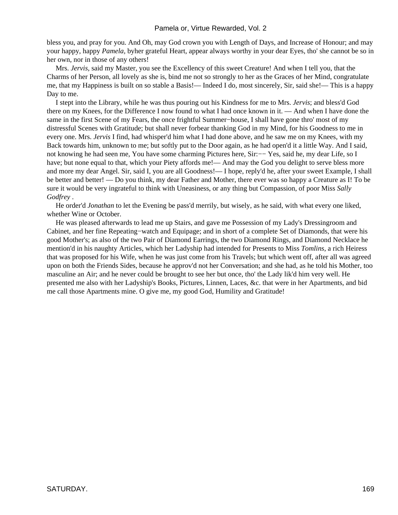bless you, and pray for you. And Oh, may God crown you with Length of Days, and Increase of Honour; and may your happy, happy *Pamela,* byher grateful Heart, appear always worthy in your dear Eyes, tho' she cannot be so in her own, nor in those of any others!

 Mrs. *Jervis,* said my Master, you see the Excellency of this sweet Creature! And when I tell you, that the Charms of her Person, all lovely as she is, bind me not so strongly to her as the Graces of her Mind, congratulate me, that my Happiness is built on so stable a Basis!— Indeed I do, most sincerely, Sir, said she!— This is a happy Day to me.

 I stept into the Library, while he was thus pouring out his Kindness for me to Mrs. *Jervis*; and bless'd God there on my Knees, for the Difference I now found to what I had once known in it. — And when I have done the same in the first Scene of my Fears, the once frightful Summer−house, I shall have gone thro' most of my distressful Scenes with Gratitude; but shall never forbear thanking God in my Mind, for his Goodness to me in every one. Mrs. *Jervis* I find, had whisper'd him what I had done above, and he saw me on my Knees, with my Back towards him, unknown to me; but softly put to the Door again, as he had open'd it a little Way. And I said, not knowing he had seen me, You have some charming Pictures here, Sir:−− Yes, said he, my dear Life, so I have; but none equal to that, which your Piety affords me!— And may the God you delight to serve bless more and more my dear Angel. Sir, said I, you are all Goodness!— I hope, reply'd he, after your sweet Example, I shall be better and better! — Do you think, my dear Father and Mother, there ever was so happy a Creature as I! To be sure it would be very ingrateful to think with Uneasiness, or any thing but Compassion, of poor Miss *Sally Godfrey* .

 He order'd *Jonathan* to let the Evening be pass'd merrily, but wisely, as he said, with what every one liked, whether Wine or October.

 He was pleased afterwards to lead me up Stairs, and gave me Possession of my Lady's Dressingroom and Cabinet, and her fine Repeating−watch and Equipage; and in short of a complete Set of Diamonds, that were his good Mother's; as also of the two Pair of Diamond Earrings, the two Diamond Rings, and Diamond Necklace he mention'd in his naughty Articles, which her Ladyship had intended for Presents to Miss *Tomlins,* a rich Heiress that was proposed for his Wife, when he was just come from his Travels; but which went off, after all was agreed upon on both the Friends Sides, because he approv'd not her Conversation; and she had, as he told his Mother, too masculine an Air; and he never could be brought to see her but once, tho' the Lady lik'd him very well. He presented me also with her Ladyship's Books, Pictures, Linnen, Laces, &c. that were in her Apartments, and bid me call those Apartments mine. O give me, my good God, Humility and Gratitude!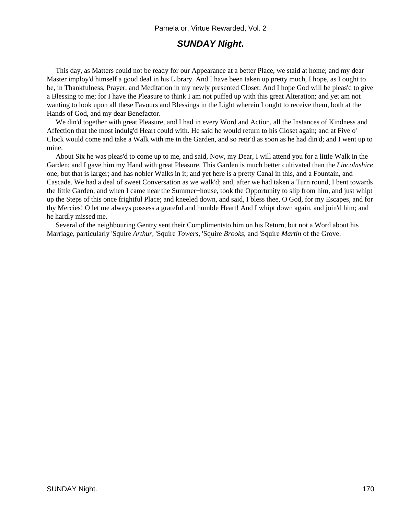## **SUNDAY Night.**

 This day, as Matters could not be ready for our Appearance at a better Place, we staid at home; and my dear Master imploy'd himself a good deal in his Library. And I have been taken up pretty much, I hope, as I ought to be, in Thankfulness, Prayer, and Meditation in my newly presented Closet: And I hope God will be pleas'd to give a Blessing to me; for I have the Pleasure to think I am not puffed up with this great Alteration; and yet am not wanting to look upon all these Favours and Blessings in the Light wherein I ought to receive them, both at the Hands of God, and my dear Benefactor.

We din'd together with great Pleasure, and I had in every Word and Action, all the Instances of Kindness and Affection that the most indulg'd Heart could with. He said he would return to his Closet again; and at Five o' Clock would come and take a Walk with me in the Garden, and so retir'd as soon as he had din'd; and I went up to mine.

 About Six he was pleas'd to come up to me, and said, Now, my Dear, I will attend you for a little Walk in the Garden; and I gave him my Hand with great Pleasure. This Garden is much better cultivated than the *Lincolnshire* one; but that is larger; and has nobler Walks in it; and yet here is a pretty Canal in this, and a Fountain, and Cascade. We had a deal of sweet Conversation as we walk'd; and, after we had taken a Turn round, I bent towards the little Garden, and when I came near the Summer−house, took the Opportunity to slip from him, and just whipt up the Steps of this once frightful Place; and kneeled down, and said, I bless thee, O God, for my Escapes, and for thy Mercies! O let me always possess a grateful and humble Heart! And I whipt down again, and join'd him; and he hardly missed me.

 Several of the neighbouring Gentry sent their Complimentsto him on his Return, but not a Word about his Marriage, particularly 'Squire *Arthur,* 'Squire *Towers,* 'Squire *Brooks,* and 'Squire *Martin* of the Grove.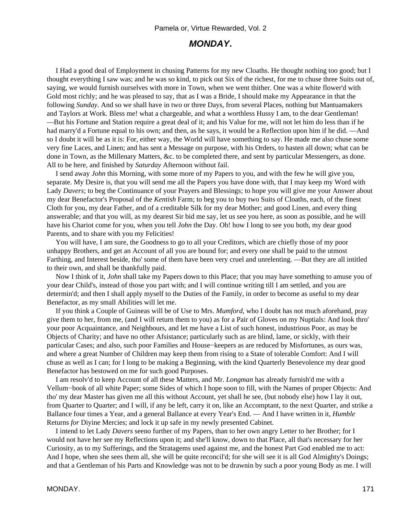### **MONDAY.**

 I Had a good deal of Employment in chusing Patterns for my new Cloaths. He thought nothing too good; but I thought everything I saw was; and he was so kind, to pick out Six of the richest, for me to chuse three Suits out of, saying, we would furnish ourselves with more in Town, when we went thither. One was a white flower'd with Gold most richly; and he was pleased to say, that as I was a Bride, I should make my Appearance in that the following *Sunday*. And so we shall have in two or three Days, from several Places, nothing but Mantuamakers and Taylors at Work. Bless me! what a chargeable, and what a worthless Hussy I am, to the dear Gentleman! —But his Fortune and Station require a great deal of it; and his Value for me, will not let him do less than if he had marry'd a Fortune equal to his own; and then, as he says, it would be a Reflection upon him if he did. —And so I doubt it will be as it is: For, either way, the World will have something to say. He made me also chuse some very fine Laces, and Linen; and has sent a Message on purpose, with his Orders, to hasten all down; what can be done in Town, as the Millenary Matters, &c. to be completed there, and sent by particular Messengers, as done. All to be here, and finished by *Saturday* Afternoon without fail.

 I send away *John* this Morning, with some more of my Papers to you, and with the few he will give you, separate. My Desire is, that you will send me all the Papers you have done with, that I may keep my Word with Lady *Davers*; to beg the Continuance of your Prayers and Blessings; to hope you will give me your Answer about my dear Benefactor's Proposal of the *Kentish* Farm; to beg you to buy two Suits of Cloaths, each, of the finest Cloth for you, my dear Father, and of a creditable Silk for my dear Mother; and good Linen, and every thing answerable; and that you will, as my dearest Sir bid me say, let us see you here, as soon as possible, and he will have his Chariot come for you, when you tell *John* the Day. Oh! how I long to see you both, my dear good Parents, and to share with you my Felicities!

 You will have, I am sure, the Goodness to go to all your Creditors, which are chiefly those of my poor unhappy Brothers, and get an Account of all you are bound for; and every one shall be paid to the utmost Farthing, and Interest beside, tho' some of them have been very cruel and unrelenting. —But they are all intitled to their own, and shall be thankfully paid.

 Now I think of it, *John* shall take my Papers down to this Place; that you may have something to amuse you of your dear Child's, instead of those you part with; and I will continue writing till I am settled, and you are determin'd; and then I shall apply myself to the Duties of the Family, in order to become as useful to my dear Benefactor, as my small Abilities will let me.

 If you think a Couple of Guineas will be of Use to Mrs. *Mumford,* who I doubt has not much aforehand, pray give them to her, from me, (and I will return them to you) as for a Pair of Gloves on my Nuptials: And look thro' your poor Acquaintance, and Neighbours, and let me have a List of such honest, industrious Poor, as may be Objects of Charity; and have no other Afsistance; particularly such as are blind, lame, or sickly, with their particular Cases; and also, such poor Families and House−keepers as are reduced by Misfortunes, as ours was, and where a great Number of Children may keep them from rising to a State of tolerable Comfort: And I will chuse as well as I can; for I long to be making a Beginning, with the kind Quarterly Benevolence my dear good Benefactor has bestowed on me for such good Purposes.

 I am resolv'd to keep Account of all these Matters, and Mr. *Longman* has already furnish'd me with a Vellum−book of all white Paper; some Sides of which I hope soon to fill, with the Names of proper Objects: And tho' my dear Master has given me all this without Account, yet shall he see, (but nobody else) how I lay it out, from Quarter to Quarter; and I will, if any be left, carry it on, like an Accomptant, to the next Quarter, and strike a Ballance four times a Year, and a general Ballance at every Year's End. — And I have written in it, *Humble* Returns *for* Diyine Mercies; and lock it up safe in my newly presented Cabinet.

 I intend to let Lady *Davers* seeno further of my Papers, than to her own angry Letter to her Brother; for I would not have her see my Reflections upon it; and she'll know, down to that Place, all that's necessary for her Curiosity, as to my Sufferings, and the Stratagems used against me, and the honest Part God enabled me to act: And I hope, when she sees them all, she will be quite reconcil'd; for she will see it is all God Almighty's Doings; and that a Gentleman of his Parts and Knowledge was not to be drawnin by such a poor young Body as me. I will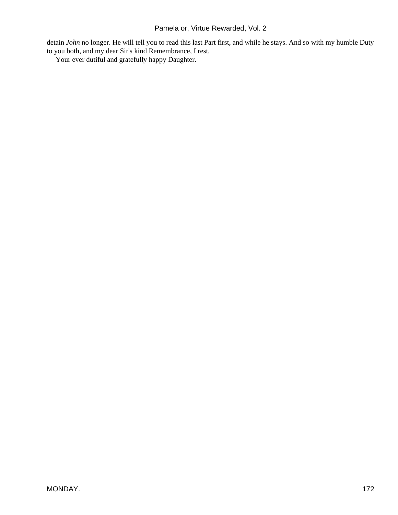detain *John* no longer. He will tell you to read this last Part first, and while he stays. And so with my humble Duty to you both, and my dear Sir's kind Remembrance, I rest,

Your ever dutiful and gratefully happy Daughter.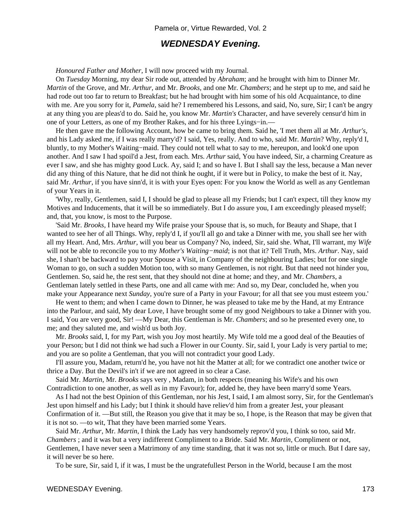# **WEDNESDAY Evening.**

*Honoured Father and Mother,* I will now proceed with my Journal.

 On *Tuesday* Morning, my dear Sir rode out, attended by *Abraham*; and he brought with him to Dinner Mr. *Martin* of the Grove, and Mr. *Arthur,* and Mr. *Brooks,* and one Mr. *Chambers*; and he stept up to me, and said he had rode out too far to return to Breakfast; but he had brought with him some of his old Acquaintance, to dine with me. Are you sorry for it, *Pamela,* said he? I remembered his Lessons, and said, No, sure, Sir; I can't be angry at any thing you are pleas'd to do. Said he, you know Mr. *Martin's* Character, and have severely censur'd him in one of your Letters, as one of my Brother Rakes, and for his three Lyings−in.—

 He then gave me the following Account, how be came to bring them. Said he, 'I met them all at Mr. *Arthur's,* and his Lady asked me, if I was really marry'd? I said, Yes, really. And to who, said Mr. *Martin*? Why, reply'd I, bluntly, to my Mother's Waiting−maid. They could not tell what to say to me, hereupon, and look'd one upon another. And I saw I had spoil'd a Jest, from each. Mrs. *Arthur* said, You have indeed, Sir, a charming Creature as ever I saw, and she has mighty good Luck. Ay, said I; and so have I. But I shall say the less, because a Man never did any thing of this Nature, that he did not think he ought, if it were but in Policy, to make the best of it. Nay, said Mr. *Arthur,* if you have sinn'd, it is with your Eyes open: For you know the World as well as any Gentleman of your Years in it.

 'Why, really, Gentlemen, said I, I should be glad to please all my Friends; but I can't expect, till they know my Motives and Inducements, that it will be so immediately. But I do assure you, I am exceedingly pleased myself; and, that, you know, is most to the Purpose.

 'Said Mr. *Brooks,* I have heard my Wife praise your Spouse that is, so much, for Beauty and Shape, that I wanted to see her of all Things. Why, reply'd I, if you'll all go and take a Dinner with me, you shall see her with all my Heart. And, Mrs. *Arthur,* will you bear us Company? No, indeed, Sir, said she. What, I'll warrant, my *Wife* will not be able to reconcile you to my *Mother's Waiting−maid*; is not that it? Tell Truth, Mrs. *Arthur*. Nay, said she, I shan't be backward to pay your Spouse a Visit, in Company of the neighbouring Ladies; but for one single Woman to go, on such a sudden Motion too, with so many Gentlemen, is not right. But that need not hinder you, Gentlemen. So, said he, the rest sent, that they should not dine at home; and they, and Mr. *Chambers,* a Gentleman lately settled in these Parts, one and all came with me: And so, my Dear, concluded he, when you make your Appearance next *Sunday,* you're sure of a Party in your Favour; for all that see you must esteem you.'

 He went to them; and when I came down to Dinner, he was pleased to take me by the Hand, at my Entrance into the Parlour, and said, My dear Love, I have brought some of my good Neighbours to take a Dinner with you. I said, You are very good, Sir! —My Dear, this Gentleman is Mr. *Chambers*; and so he presented every one, to me; and they saluted me, and wish'd us both Joy.

 Mr. *Brooks* said, I, for my Part, wish you Joy most heartily. My Wife told me a good deal of the Beauties of your Person; but I did not think we had such a Flower in our County. Sir, said I, your Lady is very partial to me; and you are so polite a Gentleman, that you will not contradict your good Lady.

 I'll assure you, Madam, return'd he, you have not hit the Matter at all; for we contradict one another twice or thrice a Day. But the Devil's in't if we are not agreed in so clear a Case.

 Said Mr. *Martin,* Mr. *Brooks* says very , Madam, in both respects (meaning his Wife's and his own Contradiction to one another, as well as in my Favour); for, added he, they have been marry'd some Years.

 As I had not the best Opinion of this Gentleman, nor his Jest, I said, I am almost sorry, Sir, for the Gentleman's Jest upon himself and his Lady; but I think it should have reliev'd him from a greater Jest, your pleasant Confirmation of it. —But still, the Reason you give that it may be so, I hope, is the Reason that may be given that it is not so. —to wit, That they have been married some Years.

 Said Mr. *Arthur,* Mr. *Martin,* I think the Lady has very handsomely reprov'd you, I think so too, said Mr. *Chambers* ; and it was but a very indifferent Compliment to a Bride. Said Mr. *Martin,* Compliment or not, Gentlemen, I have never seen a Matrimony of any time standing, that it was not so, little or much. But I dare say, it will never be so here.

To be sure, Sir, said I, if it was, I must be the ungratefullest Person in the World, because I am the most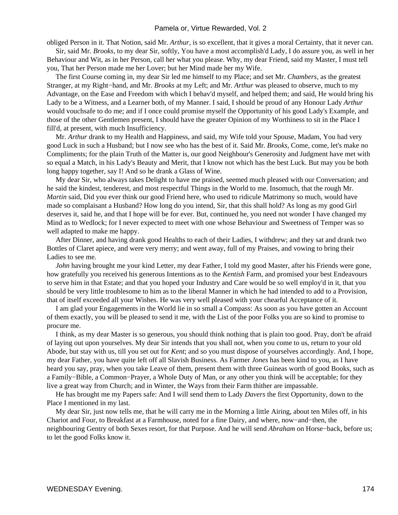obliged Person in it. That Notion, said Mr. *Arthur,* is so excellent, that it gives a moral Certainty, that it never can.

 Sir, said Mr. *Brooks,* to my dear Sir, softly, You have a most accomplish'd Lady, I do assure you, as well in her Behaviour and Wit, as in her Person, call her what you please. Why, my dear Friend, said my Master, I must tell you, That her Person made me her Lover; but her Mind made her my Wife.

 The first Course coming in, my dear Sir led me himself to my Place; and set Mr. *Chambers,* as the greatest Stranger, at my Right−hand, and Mr. *Brooks* at my Left; and Mr. *Arthur* was pleased to observe, much to my Advantage, on the Ease and Freedom with which I behav'd myself, and helped them; and said, He would bring his Lady to be a Witness, and a Learner both, of my Manner. I said, I should be proud of any Honour Lady *Arthur* would vouchsafe to do me; and if I once could promise myself the Opportunity of his good Lady's Example, and those of the other Gentlemen present, I should have the greater Opinion of my Worthiness to sit in the Place I fill'd, at present, with much Insufficiency.

 Mr. *Arthur* drank to my Health and Happiness, and said, my Wife told your Spouse, Madam, You had very good Luck in such a Husband; but I now see who has the best of it. Said Mr. *Brooks,* Come, come, let's make no Compliments; for the plain Truth of the Matter is, our good Neighbour's Generosity and Judgment have met with so equal a Match, in his Lady's Beauty and Merit, that I know not which has the best Luck. But may you be both long happy together, say I! And so he drank a Glass of Wine.

 My dear Sir, who always takes Delight to have me praised, seemed much pleased with our Conversation; and he said the kindest, tenderest, and most respectful Things in the World to me. Insomuch, that the rough Mr. *Martin* said, Did you ever think our good Friend here, who used to ridicule Matrimony so much, would have made so complaisant a Husband? How long do you intend, Sir, that this shall hold? As long as my good Girl deserves it, said he, and that I hope will be for ever. But, continued he, you need not wonder I have changed my Mind as to Wedlock; for I never expected to meet with one whose Behaviour and Sweetness of Temper was so well adapted to make me happy.

 After Dinner, and having drank good Healths to each of their Ladies, I withdrew; and they sat and drank two Bottles of Claret apiece, and were very merry; and went away, full of my Praises, and vowing to bring their Ladies to see me.

*John* having brought me your kind Letter, my dear Father, I told my good Master, after his Friends were gone, how gratefully you received his generous Intentions as to the *Kentish* Farm, and promised your best Endeavours to serve him in that Estate; and that you hoped your Industry and Care would be so well employ'd in it, that you should be very little troublesome to him as to the liberal Manner in which he had intended to add to a Provision, that of itself exceeded all your Wishes. He was very well pleased with your chearful Acceptance of it.

 I am glad your Engagements in the World lie in so small a Compass: As soon as you have gotten an Account of them exactly, you will be pleased to send it me, with the List of the poor Folks you are so kind to promise to procure me.

 I think, as my dear Master is so generous, you should think nothing that is plain too good. Pray, don't be afraid of laying out upon yourselves. My dear Sir intends that you shall not, when you come to us, return to your old Abode, but stay with us, till you set out for *Kent*; and so you must dispose of yourselves accordingly. And, I hope, my dear Father, you have quite left off all Slavish Business. As Farmer *Jones* has been kind to you, as I have heard you say, pray, when you take Leave of them, present them with three Guineas worth of good Books, such as a Family−Bible, a Common−Prayer, a Whole Duty of Man, or any other you think will be acceptable; for they live a great way from Church; and in Winter, the Ways from their Farm thither are impassable.

 He has brought me my Papers safe: And I will send them to Lady *Davers* the first Opportunity, down to the Place I mentioned in my last.

 My dear Sir, just now tells me, that he will carry me in the Morning a little Airing, about ten Miles off, in his Chariot and Four, to Breakfast at a Farmhouse, noted for a fine Dairy, and where, now−and−then, the neighbouring Gentry of both Sexes resort, for that Purpose. And he will send *Abraham* on Horse−back, before us; to let the good Folks know it.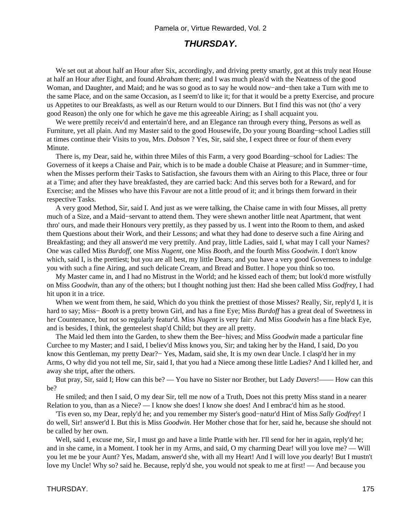## **THURSDAY.**

We set out at about half an Hour after Six, accordingly, and driving pretty smartly, got at this truly neat House at half an Hour after Eight, and found *Abraham* there; and I was much pleas'd with the Neatness of the good Woman, and Daughter, and Maid; and he was so good as to say he would now−and−then take a Turn with me to the same Place, and on the same Occasion, as I seem'd to like it; for that it would be a pretty Exercise, and procure us Appetites to our Breakfasts, as well as our Return would to our Dinners. But I find this was not (tho' a very good Reason) the only one for which he gave me this agreeable Airing; as I shall acquaint you.

 We were prettily receiv'd and entertain'd here, and an Elegance ran through every thing, Persons as well as Furniture, yet all plain. And my Master said to the good Housewife, Do your young Boarding−school Ladies still at times continue their Visits to you, Mrs. *Dobson* ? Yes, Sir, said she, I expect three or four of them every Minute.

 There is, my Dear, said he, within three Miles of this Farm, a very good Boarding−school for Ladies: The Governess of it keeps a Chaise and Pair, which is to be made a double Chaise at Pleasure; and in Summer−time, when the Misses perform their Tasks to Satisfaction, she favours them with an Airing to this Place, three or four at a Time; and after they have breakfasted, they are carried back: And this serves both for a Reward, and for Exercise; and the Misses who have this Favour are not a little proud of it; and it brings them forward in their respective Tasks.

 A very good Method, Sir, said I. And just as we were talking, the Chaise came in with four Misses, all pretty much of a Size, and a Maid−servant to attend them. They were shewn another little neat Apartment, that went thro' ours, and made their Honours very prettily, as they passed by us. I went into the Room to them, and asked them Questions about their Work, and their Lessons; and what they had done to deserve such a fine Airing and Breakfasting; and they all answer'd me very prettily. And pray, little Ladies, said I, what may I call your Names? One was called Miss *Burdoff,* one Miss *Nugent,* one Miss *Booth,* and the fourth Miss *Goodwin*. I don't know which, said I, is the prettiest; but you are all best, my little Dears; and you have a very good Governess to indulge you with such a fine Airing, and such delicate Cream, and Bread and Butter. I hope you think so too.

 My Master came in, and I had no Mistrust in the World; and he kissed each of them; but look'd more wistfully on Miss *Goodwin,* than any of the others; but I thought nothing just then: Had she been called Miss *Godfrey,* I had hit upon it in a trice.

When we went from them, he said, Which do you think the prettiest of those Misses? Really, Sir, reply'd I, it is hard to say; Miss− *Booth* is a pretty brown Girl, and has a fine Eye; Miss *Burdoff* has a great deal of Sweetness in her Countenance, but not so regularly featur'd. Miss *Nugent* is very fair: And Miss *Goodwin* has a fine black Eye, and is besides, I think, the genteelest shap'd Child; but they are all pretty.

 The Maid led them into the Garden, to shew them the Bee−hives; and Miss *Goodwin* made a particular fine Curchee to my Master; and I said, I believ'd Miss knows you, Sir; and taking her by the Hand, I said, Do you know this Gentleman, my pretty Dear?− Yes, Madam, said she, It is my own dear Uncle. I clasp'd her in my Arms, O why did you not tell me, Sir, said I, that you had a Niece among these little Ladies? And I killed her, and away she tript, after the others.

 But pray, Sir, said I; How can this be? — You have no Sister nor Brother, but Lady *Davers*!—— How can this be?

 He smiled; and then I said, O my dear Sir, tell me now of a Truth, Does not this pretty Miss stand in a nearer Relation to you, than as a Niece? — I know she does! I know she does! And I embrac'd him as he stood.

 'Tis even so, my Dear, reply'd he; and you remember my Sister's good−natur'd Hint of Miss *Sally Godfrey*! I do well, Sir! answer'd I. But this is Miss *Goodwin*. Her Mother chose that for her, said he, because she should not be called by her own.

Well, said I, excuse me, Sir, I must go and have a little Prattle with her. I'll send for her in again, reply'd he; and in she came, in a Moment. I took her in my Arms, and said, O my charming Dear! will you love me? — Will you let me be your Aunt? Yes, Madam, answer'd she, with all my Heart! And I will love *you* dearly! But I mustn't love my Uncle! Why so? said he. Because, reply'd she, you would not speak to me at first! — And because you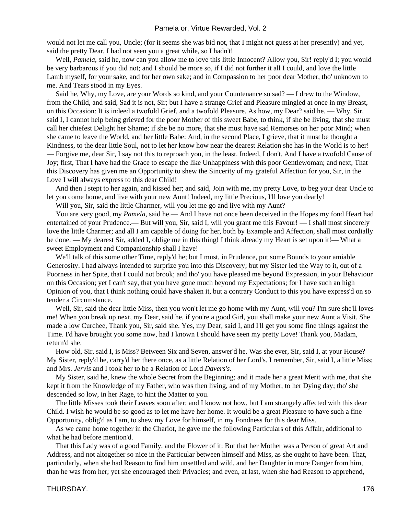would not let me call you, Uncle; (for it seems she was bid not, that I might not guess at her presently) and yet, said the pretty Dear, I had not seen you a great while, so I hadn't!

Well, Pamela, said he, now can you allow me to love this little Innocent? Allow you, Sir! reply'd I; you would be very barbarous if you did not; and I should be more so, if I did not further it all I could, and love the little Lamb myself, for your sake, and for her own sake; and in Compassion to her poor dear Mother, tho' unknown to me. And Tears stood in my Eyes.

 Said he, Why, my Love, are your Words so kind, and your Countenance so sad? — I drew to the Window, from the Child, and said, Sad it is not, Sir; but I have a strange Grief and Pleasure mingled at once in my Breast, on this Occasion: It is indeed a twofold Grief, and a twofold Pleasure. As how, my Dear? said he. — Why, Sir, said I, I cannot help being grieved for the poor Mother of this sweet Babe, to think, if she be living, that she must call her chiefest Delight her Shame; if she be no more, that she must have sad Remorses on her poor Mind; when she came to leave the World, and her little Babe: And, in the second Place, I grieve, that it must be thought a Kindness, to the dear little Soul, not to let her know how near the dearest Relation she has in the World is to her! — Forgive me, dear Sir, I say not this to reproach you, in the least. Indeed, I don't. And I have a twofold Cause of Joy; first, That I have had the Grace to escape the like Unhappiness with this poor Gentlewoman; and next, That this Discovery has given me an Opportunity to shew the Sincerity of my grateful Affection for you, Sir, in the Love I will always express to this dear Child!

 And then I stept to her again, and kissed her; and said, Join with me, my pretty Love, to beg your dear Uncle to let you come home, and live with your new Aunt! Indeed, my little Precious, I'll love you dearly!

Will you, Sir, said the little Charmer, will you let me go and live with my Aunt?

You are very good, my *Pamela*, said he.— And I have not once been deceived in the Hopes my fond Heart had entertained of your Prudence.— But will you, Sir, said I, will you grant me this Favour! — I shall most sincerely love the little Charmer; and all I am capable of doing for her, both by Example and Affection, shall most cordially be done. — My dearest Sir, added I, oblige me in this thing! I think already my Heart is set upon it!— What a sweet Employment and Companionship shall I have!

 We'll talk of this some other Time, reply'd he; but I must, in Prudence, put some Bounds to your amiable Generosity. I had always intended to surprize you into this Discovery; but my Sister led the Way to it, out of a Poorness in her Spite, that I could not brook; and tho' you have pleased me beyond Expression, in your Behaviour on this Occasion; yet I can't say, that you have gone much beyond my Expectations; for I have such an high Opinion of you, that I think nothing could have shaken it, but a contrary Conduct to this you have express'd on so tender a Circumstance.

 Well, Sir, said the dear little Miss, then you won't let me go home with my Aunt, will you? I'm sure she'll loves me! When you break up next, my Dear, said he, if you're a good Girl, you shall make your new Aunt a Visit. She made a low Curchee, Thank you, Sir, said she. Yes, my Dear, said I, and I'll get you some fine things against the Time. I'd have brought you some now, had I known I should have seen my pretty Love! Thank you, Madam, return'd she.

 How old, Sir, said I, is Miss? Between Six and Seven, answer'd he. Was she ever, Sir, said I, at your House? My Sister, reply'd he, carry'd her there once, as a little Relation of her Lord's. I remember, Sir, said I, a little Miss; and Mrs. *Jervis* and I took her to be a Relation of Lord *Davers's*.

 My Sister, said he, knew the whole Secret from the Beginning; and it made her a great Merit with me, that she kept it from the Knowledge of my Father, who was then living, and of my Mother, to her Dying day; tho' she descended so low, in her Rage, to hint the Matter to you.

 The little Misses took their Leaves soon after; and I know not how, but I am strangely affected with this dear Child. I wish he would be so good as to let me have her home. It would be a great Pleasure to have such a fine Opportunity, oblig'd as I am, to shew my Love for himself, in my Fondness for this dear Miss.

 As we came home together in the Chariot, he gave me the following Particulars of this Affair, additional to what he had before mention'd.

 That this Lady was of a good Family, and the Flower of it: But that her Mother was a Person of great Art and Address, and not altogether so nice in the Particular between himself and Miss, as she ought to have been. That, particularly, when she had Reason to find him unsettled and wild, and her Daughter in more Danger from him, than he was from her; yet she encouraged their Privacies; and even, at last, when she had Reason to apprehend,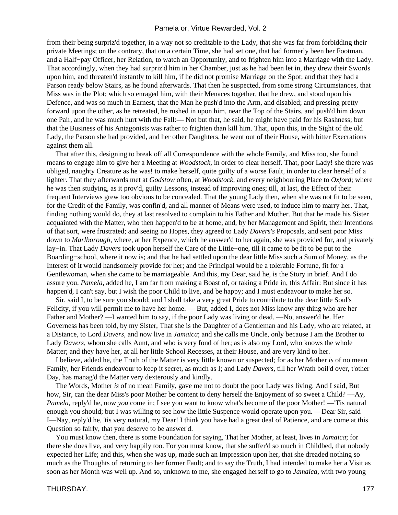#### Pamela or, Virtue Rewarded, Vol. 2

from their being surpriz'd together, in a way not so creditable to the Lady, that she was far from forbidding their private Meetings; on the contrary, that on a certain Time, she had set one, that had formerly been her Footman, and a Half−pay Officer, her Relation, to watch an Opportunity, and to frighten him into a Marriage with the Lady. That accordingly, when they had surpriz'd him in her Chamber, just as he had been let in, they drew their Swords upon him, and threaten'd instantly to kill him, if he did not promise Marriage on the Spot; and that they had a Parson ready below Stairs, as he found afterwards. That then he suspected, from some strong Circumstances, that Miss was in the Plot; which so enraged him, with their Menaces together, that he drew, and stood upon his Defence, and was so much in Earnest, that the Man he push'd into the Arm, and disabled; and pressing pretty forward upon the other, as he retreated, he rushed in upon him, near the Top of the Stairs, and push'd him down one Pair, and he was much hurt with the Fall:— Not but that, he said, he might have paid for his Rashness; but that the Business of his Antagonists was rather to frighten than kill him. That, upon this, in the Sight of the old Lady, the Parson she had provided, and her other Daughters, he went out of their House, with bitter Execrations against them all.

 That after this, designing to break off all Correspondence with the whole Family, and Miss too, she found means to engage him to give her a Meeting at *Woodstock,* in order to clear herself. That, poor Lady! she there was obliged, naughty Creature as he was! to make herself, quite guilty of a worse Fault, in order to clear herself of a lighter. That they afterwards met at *Godstow* often, at *Woodstock,* and every neighbouring Place to *Oxford*; where he was then studying, as it prov'd, guilty Lessons, instead of improving ones; till, at last, the Effect of their frequent Interviews grew too obvious to be concealed. That the young Lady then, when she was not fit to be seen, for the Credit of the Family, was confin'd, and all manner of Means were used, to induce him to marry her. That, finding nothing would do, they at last resolved to complain to his Father and Mother. But that he made his Sister acquainted with the Matter, who then happen'd to be at home, and, by her Management and Spirit, their Intentions of that sort, were frustrated; and seeing no Hopes, they agreed to Lady *Davers's* Proposals, and sent poor Miss down to *Marlborough*, where, at her Expence, which he answer'd to her again, she was provided for, and privately lay−in. That Lady *Davers* took upon herself the Care of the Little−one, till it came to be fit to be put to the Boarding−school, where it now is; and that he had settled upon the dear little Miss such a Sum of Money, as the Interest of it would handsomely provide for her; and the Principal would be a tolerable Fortune, fit for a Gentlewoman, when she came to be marriageable. And this, my Dear, said he, is the Story in brief. And I do assure you, *Pamela,* added he, I am far from making a Boast of, or taking a Pride in, this Affair: But since it has happen'd, I can't say, but I wish the poor Child to live, and be happy; and I must endeavour to make her so.

 Sir, said I, to be sure you should; and I shall take a very great Pride to contribute to the dear little Soul's Felicity, if you will permit me to have her home. — But, added I, does not Miss know any thing who are her Father and Mother? —I wanted him to say, if the poor Lady was living or dead. —No, answer'd he. Her Governess has been told, by my Sister, That she is the Daughter of a Gentleman and his Lady, who are related, at a Distance, to Lord *Davers,* and now live in *Jamaica*; and she calls me Uncle, only because I am the Brother to Lady *Davers*, whom she calls Aunt, and who is very fond of her; as is also my Lord, who knows the whole Matter; and they have her, at all her little School Recesses, at their House, and are very kind to her.

 I believe, added he, the Truth of the Matter is very little known or suspected; for as her Mother *is* of no mean Family, her Friends endeavour to keep it secret, as much as I; and Lady *Davers,* till her Wrath boil'd over, t'other Day, has manag'd the Matter very dexterously and kindly.

 The Words, Mother *is* of no mean Family, gave me not to doubt the poor Lady was living. And I said, But how, Sir, can the dear Miss's poor Mother be content to deny herself the Enjoyment of so sweet a Child? —Ay, *Pamela,* reply'd he, now *you* come in; I see you want to know what's become of the poor Mother! —'Tis natural enough you should; but I was willing to see how the little Suspence would operate upon you. —Dear Sir, said I—Nay, reply'd he, 'tis very natural, my Dear! I think you have had a great deal of Patience, and are come at this Question so fairly, that you deserve to be answer'd.

 You must know then, there is some Foundation for saying, That her Mother, at least, lives in *Jamaica*; for there she does live, and very happily too. For you must know, that she suffer'd so much in Childbed, that nobody expected her Life; and this, when she was up, made such an Impression upon her, that she dreaded nothing so much as the Thoughts of returning to her former Fault; and to say the Truth, I had intended to make her a Visit as soon as her Month was well up. And so, unknown to me, she engaged herself to go to *Jamaica,* with two young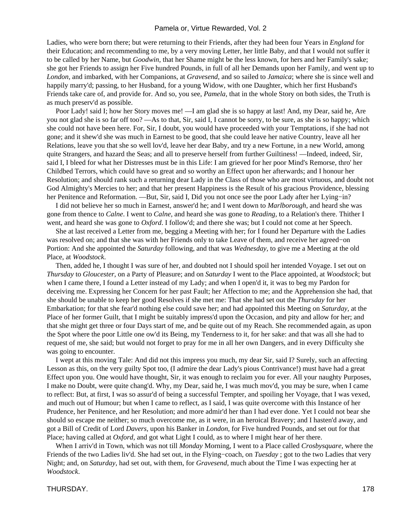Ladies, who were born there; but were returning to their Friends, after they had been four Years in *England* for their Education; and recommending to me, by a very moving Letter, her little Baby, and that I would not suffer it to be called by her Name, but *Goodwin,* that her Shame might be the less known, for hers and her Family's sake; she got her Friends to assign her Five hundred Pounds, in full of all her Demands upon her Family, and went up to *London,* and imbarked, with her Companions, at *Gravesend,* and so sailed to *Jamaica*; where she is since well and happily marry'd; passing, to her Husband, for a young Widow, with one Daughter, which her first Husband's Friends take care of, and provide for. And so, you see, *Pamela,* that in the whole Story on both sides, the Truth is as much preserv'd as possible.

 Poor Lady! said I; how her Story moves me! —I am glad she is so happy at last! And, my Dear, said he, Are you not glad she is so far off too? —As to that, Sir, said I, I cannot be sorry, to be sure, as she is so happy; which she could not have been here. For, Sir, I doubt, you would have proceeded with your Temptations, if she had not gone; and it shew'd she was much in Earnest to be good, that she could leave her native Country, leave all her Relations, leave you that she so well lov'd, leave her dear Baby, and try a new Fortune, in a new World, among quite Strangers, and hazard the Seas; and all to preserve herself from further Guiltiness! —Indeed, indeed, Sir, said I, I bleed for what her Distresses must be in this Life: I am grieved for her poor Mind's Remorse, thro' her Childbed Terrors, which could have so great and so worthy an Effect upon her afterwards; and I honour her Resolution; and should rank such a returning dear Lady in the Class of those who are most virtuous, and doubt not God Almighty's Mercies to her; and that her present Happiness is the Result of his gracious Providence, blessing her Penitence and Reformation. —But, Sir, said I, Did you not once see the poor Lady after her Lying−in?

 I did not believe her so much in Earnest, answer'd he; and I went down to *Marlborough,* and heard she was gone from thence to *Calne*. I went to *Calne,* and heard she was gone to *Reading,* to a Relation's there. Thither I went, and heard she was gone to *Oxford*. I follow'd; and there she was; but I could not come at her Speech.

 She at last received a Letter from me, begging a Meeting with her; for I found her Departure with the Ladies was resolved on; and that she was with her Friends only to take Leave of them, and receive her agreed−on Portion: And she appointed the *Saturday* following, and that was *Wednesday,* to give me a Meeting at the old Place, at *Woodstock*.

 Then, added he, I thought I was sure of her, and doubted not I should spoil her intended Voyage. I set out on *Thursday* to *Gloucester,* on a Party of Pleasure; and on *Saturday* I went to the Place appointed, at *Woodstock*; but when I came there, I found a Letter instead of my Lady; and when I open'd it, it was to beg my Pardon for deceiving me. Expressing her Concern for her past Fault; her Affection to me; and the Apprehension she had, that she should be unable to keep her good Resolves if she met me: That she had set out the *Thursday* for her Embarkation; for that she fear'd nothing else could save her; and had appointed this Meeting on *Saturday,* at the Place of her former Guilt, that I might be suitably impress'd upon the Occasion, and pity and allow for her; and that she might get three or four Days start of me, and be quite out of my Reach. She recommended again, as upon the Spot where the poor Little one ow'd its Being, my Tenderness to it, for her sake: and that was all she had to request of me, she said; but would not forget to pray for me in all her own Dangers, and in every Difficulty she was going to encounter.

 I wept at this moving Tale: And did not this impress you much, my dear Sir, said I? Surely, such an affecting Lesson as this, on the very guilty Spot too, (I admire the dear Lady's pious Contrivance!) must have had a great Effect upon you. One would have thought, Sir, it was enough to reclaim you for ever. All your naughty Purposes, I make no Doubt, were quite chang'd. Why, my Dear, said he, I was much mov'd, you may be sure, when I came to reflect: But, at first, I was so assur'd of being a successful Tempter, and spoiling her Voyage, that I was vexed, and much out of Humour; but when I came to reflect, as I said, I was quite overcome with this Instance of her Prudence, her Penitence, and her Resolution; and more admir'd her than I had ever done. Yet I could not bear she should so escape me neither; so much overcome me, as it were, in an heroical Bravery; and I hasten'd away, and got a Bill of Credit of Lord *Davers,* upon his Banker in *London,* for Five hundred Pounds, and set out for that Place; having called at *Oxford,* and got what Light I could, as to where I might hear of her there.

 When I arriv'd in Town, which was not till *Monday* Morning, I went to a Place called *Crosbysquare,* where the Friends of the two Ladies liv'd. She had set out, in the Flying−coach, on *Tuesday* ; got to the two Ladies that very Night; and, on *Saturday,* had set out, with them, for *Gravesend,* much about the Time I was expecting her at *Woodstock*.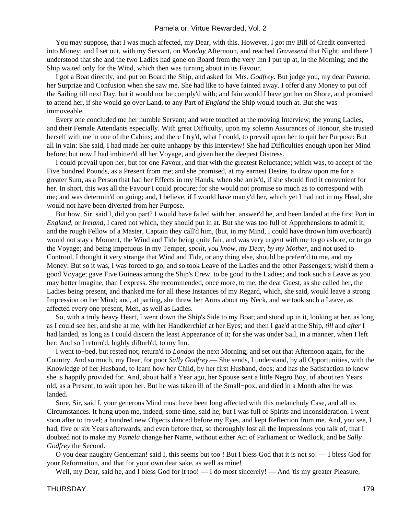You may suppose, that I was much affected, my Dear, with this. However, I got my Bill of Credit converted into Money; and I set out, with my Servant, on *Monday* Afternoon, and reached *Gravesend* that Night; and there I understood that she and the two Ladies had gone on Board from the very Inn I put up at, in the Morning; and the Ship waited only for the Wind, which then was turning about in its Favour.

 I got a Boat directly, and put on Board the Ship, and asked for Mrs. *Godfrey*. But judge you, my dear *Pamela,* her Surprize and Confusion when she saw me. She had like to have fainted away. I offer'd any Money to put off the Sailing till next Day, but it would not be comply'd with; and fain would I have got her on Shore, and promised to attend her, if she would go over Land, to any Part of *England* the Ship would touch at. But she was immoveable.

 Every one concluded me her humble Servant; and were touched at the moving Interview; the young Ladies, and their Female Attendants especially. With great Difficulty, upon my solemn Assurances of Honour, she trusted herself with me in one of the Cabins; and there I try'd, what I could, to prevail upon her to quit her Purpose: But all in vain: She said, I had made her quite unhappy by this Interview! She had Difficulties enough upon her Mind before; but now I had imbitter'd all her Voyage, and given her the deepest Distress.

 I could prevail upon her, but for one Favour, and that with the greatest Reluctance; which was, to accept of the Five hundred Pounds, as a Present from me; and she promised, at my earnest Desire, to draw upon me for a greater Sum, as a Person that had her Effects in my Hands, when she arriv'd, if she should find it convenient for her. In short, this was all the Favour I could procure; for she would not promise so much as to correspond with me; and was determin'd on going; and, I believe, if I would have marry'd her, which yet I had not in my Head, she would not have been diverted from her Purpose.

 But how, Sir, said I, did you part? I would have failed with her, answer'd he, and been landed at the first Port in *England,* or *Ireland,* I cared not which, they should put in at. But she was too full of Apprehensions to admit it; and the rough Fellow of a Master, Captain they call'd him, (but, in my Mind, I could have thrown him overboard) would not stay a Moment, the Wind and Tide being quite fair, and was very urgent with me to go ashore, or to go the Voyage; and being impetuous in my Temper, *spoilt, you know, my Dear, by my Mother,* and not used to Controul, I thought it very strange that Wind and Tide, or any thing else, should be preferr'd to me, and my Money: But so it was, I was forced to go, and so took Leave of the Ladies and the other Passengers; wish'd them a good Voyage; gave Five Guineas among the Ship's Crew, to be good to the Ladies; and took such a Leave as you may better imagine, than I express. She recommended, once more, to me, the dear Guest, as she called her, the Ladies being present, and thanked me for all these Instances of my Regard, which, she said, would leave a strong Impression on her Mind; and, at parting, she threw her Arms about my Neck, and we took such a Leave, as affected every one present, Men, as well as Ladies.

 So, with a truly heavy Heart, I went down the Ship's Side to my Boat; and stood up in it, looking at her, as long as I could see her, and she at me, with her Handkerchief at her Eyes; and then I gaz'd at the Ship, *till* and *after* I had landed, as long as I could discern the least Appearance of it; for she was under Sail, in a manner, when I left her: And so I return'd, highly difturb'd, to my Inn.

 I went to−bed, but rested not; return'd to *London* the next Morning; and set out that Afternoon again, for the Country. And so much, my Dear, for poor *Sally Godfrey*.— She sends, I understand, by all Opportunities, with the Knowledge of her Husband, to learn how her Child, by her first Husband, does; and has the Satisfaction to know she is happily provided for. And, about half a Year ago, her Spouse sent a little Negro Boy, of about ten Years old, as a Present, to wait upon her. But he was taken ill of the Small−pox, and died in a Month after he was landed.

 Sure, Sir, said I, your generous Mind must have been long affected with this melancholy Case, and all its Circumstances. It hung upon me, indeed, some time, said he; but I was full of Spirits and Inconsideration. I went soon after to travel; a hundred new Objects danced before my Eyes, and kept Reflection from me. And, you see, I had, five or six Years afterwards, and even before that, so thoroughly lost all the Impressions you talk of, that I doubted not to make my *Pamela* change her Name, without either Act of Parliament or Wedlock, and be *Sally Godfrey* the Second.

 O you dear naughty Gentleman! said I, this seems but too ! But I bless God that it is not so! — I bless God for your Reformation, and that for your own dear sake, as well as mine!

Well, my Dear, said he, and I bless God for it too! — I do most sincerely! — And 'tis my greater Pleasure,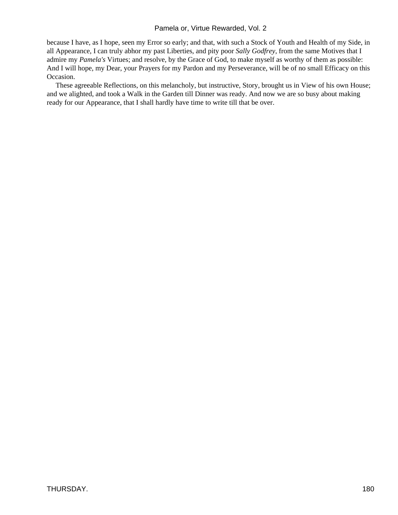because I have, as I hope, seen my Error so early; and that, with such a Stock of Youth and Health of my Side, in all Appearance, I can truly abhor my past Liberties, and pity poor *Sally Godfrey,* from the same Motives that I admire my *Pamela's* Virtues; and resolve, by the Grace of God, to make myself as worthy of them as possible: And I will hope, my Dear, your Prayers for my Pardon and my Perseverance, will be of no small Efficacy on this Occasion.

 These agreeable Reflections, on this melancholy, but instructive, Story, brought us in View of his own House; and we alighted, and took a Walk in the Garden till Dinner was ready. And now we are so busy about making ready for our Appearance, that I shall hardly have time to write till that be over.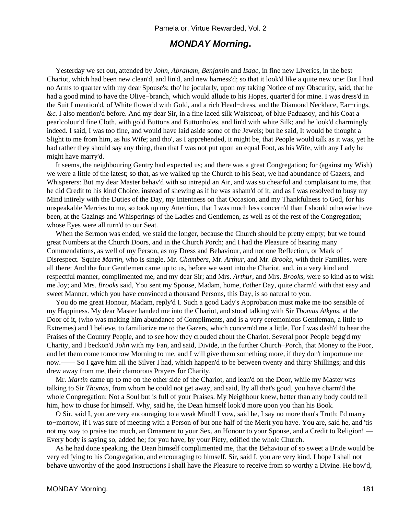## **MONDAY Morning.**

 Yesterday we set out, attended by *John, Abraham, Benjamin* and *Isaac,* in fine new Liveries, in the best Chariot, which had been new clean'd, and lin'd, and new harness'd; so that it look'd like a quite new one: But I had no Arms to quarter with my dear Spouse's; tho' he jocularly, upon my taking Notice of my Obscurity, said, that he had a good mind to have the Olive−branch, which would allude to his Hopes, quarter'd for mine. I was dress'd in the Suit I mention'd, of White flower'd with Gold, and a rich Head−dress, and the Diamond Necklace, Ear−rings, *&c.* I also mention'd before. And my dear Sir, in a fine laced silk Waistcoat, of blue Paduasoy, and his Coat a pearlcolour'd fine Cloth, with gold Buttons and Buttonholes, and lin'd with white Silk; and he look'd charmingly indeed. I said, I was too fine, and would have laid aside some of the Jewels; but he said, It would be thought a Slight to me from him, as his Wife; and tho', as I apprehended, it might be, that People would talk as it was, yet he had rather they should say any thing, than that I was not put upon an equal Foot, as his Wife, with any Lady he might have marry'd.

 It seems, the neighbouring Gentry had expected us; and there was a great Congregation; for (against my Wish) we were a little of the latest; so that, as we walked up the Church to his Seat, we had abundance of Gazers, and Whisperers: But my dear Master behav'd with so intrepid an Air, and was so chearful and complaisant to me, that he did Credit to his kind Choice, instead of shewing as if he was asham'd of it; and as I was resolved to busy my Mind intirely with the Duties of the Day, my Intentness on that Occasion, and my Thankfulness to God, for his unspeakable Mercies to me, so took up my Attention, that I was much less concern'd than I should otherwise have been, at the Gazings and Whisperings of the Ladies and Gentlemen, as well as of the rest of the Congregation; whose Eyes were all turn'd to our Seat.

 When the Sermon was ended, we staid the longer, because the Church should be pretty empty; but we found great Numbers at the Church Doors, and in the Church Porch; and I had the Pleasure of hearing many Commendations, as well of my Person, as my Dress and Behaviour, and not one Reflection, or Mark of Disrespect. 'Squire *Martin,* who is single, Mr. *Chambers,* Mr. *Arthur,* and Mr. *Brooks,* with their Families, were all there: And the four Gentlemen came up to us, before we went into the Chariot, and, in a very kind and respectful manner, complimented me, and my dear Sir; and Mrs. *Arthur,* and Mrs. *Brooks,* were so kind as to wish me Joy; and Mrs. *Brooks* said, You sent my Spouse, Madam, home, t'other Day, quite charm'd with that easy and sweet Manner, which you have convinced a thousand Persons, this Day, is so natural to you.

 You do me great Honour, Madam, reply'd I. Such a good Lady's Approbation must make me too sensible of my Happiness. My dear Master handed me into the Chariot, and stood talking with Sir *Thomas Atkyns,* at the Door of it, (who was making him abundance of Compliments, and is a very ceremonious Gentleman, a little to Extremes) and I believe, to familiarize me to the Gazers, which concern'd me a little. For I was dash'd to hear the Praises of the Country People, and to see how they crouded about the Chariot. Several poor People begg'd my Charity, and I beckon'd *John* with my Fan, and said, Divide, in the further Church−Porch, that Money to the Poor, and let them come tomorrow Morning to me, and I will give them something more, if they don't importune me now.—— So I gave him all the Silver I had, which happen'd to be between twenty and thirty Shillings; and this drew away from me, their clamorous Prayers for Charity.

 Mr. *Martin* came up to me on the other side of the Chariot, and lean'd on the Door, while my Master was talking to Sir *Thomas,* from whom he could not get away, and said, By all that's good, you have charm'd the whole Congregation: Not a Soul but is full of your Praises. My Neighbour knew, better than any body could tell him, how to chuse for himself. Why, said he, the Dean himself look'd more upon you than his Book.

 O Sir, said I, you are very encouraging to a weak Mind! I vow, said he, I say no more than's Truth: I'd marry to−morrow, if I was sure of meeting with a Person of but one half of the Merit you have. You are, said he, and 'tis not my way to praise too much, an Ornament to your Sex, an Honour to your Spouse, and a Credit to Religion! — Every body is saying so, added he; for you have, by your Piety, edified the whole Church.

 As he had done speaking, the Dean himself complimented me, that the Behaviour of so sweet a Bride would be very edifying to his Congregation, and encouraging to himself. Sir, said I, you are very kind. I hope I shall not behave unworthy of the good Instructions I shall have the Pleasure to receive from so worthy a Divine. He bow'd,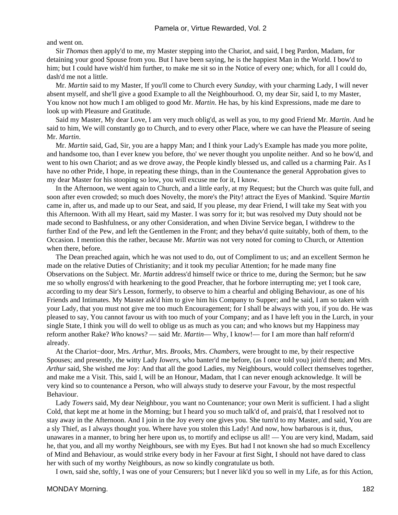#### and went on.

 Sir *Thomas* then apply'd to me, my Master stepping into the Chariot, and said, I beg Pardon, Madam, for detaining your good Spouse from you. But I have been saying, he is the happiest Man in the World. I bow'd to him; but I could have wish'd him further, to make me sit so in the Notice of every one; which, for all I could do, dash'd me not a little.

 Mr. *Martin* said to my Master, If you'll come to Church every *Sunday,* with your charming Lady, I will never absent myself, and she'll give a good Example to all the Neighbourhood. O, my dear Sir, said I, to my Master, You know not how much I am obliged to good Mr. *Martin*. He has, by his kind Expressions, made me dare to look up with Pleasure and Gratitude.

 Said my Master, My dear Love, I am very much oblig'd, as well as you, to my good Friend Mr. *Martin*. And he said to him, We will constantly go to Church, and to every other Place, where we can have the Pleasure of seeing Mr. *Martin*.

 Mr. *Martin* said, Gad, Sir, you are a happy Man; and I think your Lady's Example has made you more polite, and handsome too, than I ever knew you before, tho' we never thought you unpolite neither. And so he bow'd, and went to his own Chariot; and as we drove away, the People kindly blessed us, and called us a charming Pair. As I have no other Pride, I hope, in repeating these things, than in the Countenance the general Approbation gives to my dear Master for his stooping so low, you will excuse me for it, I know.

 In the Afternoon, we went again to Church, and a little early, at my Request; but the Church was quite full, and soon after even crowded; so much does Novelty, the more's the Pity! attract the Eyes of Mankind. 'Squire *Martin* came in, after us, and made up to our Seat, and said, If you please, my dear Friend, I will take my Seat with you this Afternoon. With all my Heart, said my Master. I was sorry for it; but was resolved my Duty should not be made second to Bashfulness, or any other Consideration, and when Divine Service began, I withdrew to the further End of the Pew, and left the Gentlemen in the Front; and they behav'd quite suitably, both of them, to the Occasion. I mention this the rather, because Mr. *Martin* was not very noted for coming to Church, or Attention when there, before.

 The Dean preached again, which he was not used to do, out of Compliment to us; and an excellent Sermon he made on the relative Duties of Christianity; and it took my peculiar Attention; for he made many fine Observations on the Subject. Mr. *Martin* address'd himself twice or thrice to me, during the Sermon; but he saw me so wholly engross'd with hearkening to the good Preacher, that he forbore interrupting me; yet I took care, according to my dear Sir's Lesson, formerly, to observe to him a chearful and obliging Behaviour, as one of his Friends and Intimates. My Master ask'd him to give him his Company to Supper; and he said, I am so taken with your Lady, that you must not give me too much Encouragement; for I shall be always with you, if you do. He was pleased to say, You cannot favour us with too much of your Company; and as I have left you in the Lurch, in your single State, I think you will do well to oblige us as much as you can; and who knows but my Happiness may reform another Rake? *Who* knows? — said Mr. *Martin*— Why, I know!— for I am more than half reform'd already.

 At the Chariot−door, Mrs. *Arthur,* Mrs. *Brooks,* Mrs. *Chambers,* were brought to me, by their respective Spouses; and presently, the witty Lady *Iowers,* who banter'd me before, (as I once told you) join'd them; and Mrs. *Arthur* said, She wished me Joy: And that all the good Ladies, my Neighbours, would collect themselves together, and make me a Visit. This, said I, will be an Honour, Madam, that I can never enough acknowledge. It will be very kind so to countenance a Person, who will always study to deserve your Favour, by the most respectful Behaviour.

 Lady *Towers* said, My dear Neighbour, you want no Countenance; your own Merit is sufficient. I had a slight Cold, that kept me at home in the Morning; but I heard you so much talk'd of, and prais'd, that I resolved not to stay away in the Afternoon. And I join in the Joy every one gives you. She turn'd to my Master, and said, You are a sly Thief, as I always thought you. Where have you stolen this Lady! And now, how barbarous is it, thus, unawares in a manner, to bring her here upon us, to mortify and eclipse us all! — You are very kind, Madam, said he, that you, and all my worthy Neighbours, see with my Eyes. But had I not known she had so much Excellency of Mind and Behaviour, as would strike every body in her Favour at first Sight, I should not have dared to class her with such of my worthy Neighbours, as now so kindly congratulate us both.

I own, said she, softly, I was one of your Censurers; but I never lik'd you so well in my Life, as for this Action,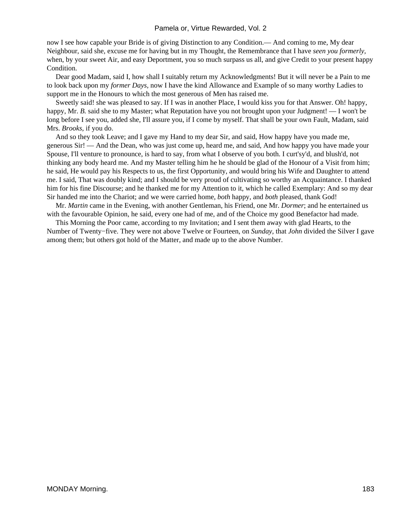now I see how capable your Bride is of giving Distinction to any Condition.— And coming to me, My dear Neighbour, said she, excuse me for having but in my Thought, the Remembrance that I have *seen you formerly,* when, by your sweet Air, and easy Deportment, you so much surpass us all, and give Credit to your present happy Condition.

 Dear good Madam, said I, how shall I suitably return my Acknowledgments! But it will never be a Pain to me to look back upon my *former Days,* now I have the kind Allowance and Example of so many worthy Ladies to support me in the Honours to which the most generous of Men has raised me.

 Sweetly said! she was pleased to say. If I was in another Place, I would kiss you for that Answer. Oh! happy, happy, Mr. *B.* said she to my Master; what Reputation have you not brought upon your Judgment! — I won't be long before I see you, added she, I'll assure you, if I come by myself. That shall be your own Fault, Madam, said Mrs. *Brooks,* if you do.

 And so they took Leave; and I gave my Hand to my dear Sir, and said, How happy have you made me, generous Sir! — And the Dean, who was just come up, heard me, and said, And how happy you have made your Spouse, I'll venture to pronounce, is hard to say, from what I observe of you both. I curt'sy'd, and blush'd, not thinking any body heard me. And my Master telling him he he should be glad of the Honour of a Visit from him; he said, He would pay his Respects to us, the first Opportunity, and would bring his Wife and Daughter to attend me. I said, That was doubly kind; and I should be very proud of cultivating so worthy an Acquaintance. I thanked him for his fine Discourse; and he thanked me for my Attention to it, which he called Exemplary: And so my dear Sir handed me into the Chariot; and we were carried home, *both* happy, and *both* pleased, thank God!

 Mr. *Martin* came in the Evening, with another Gentleman, his Friend, one Mr. *Dormer*; and he entertained us with the favourable Opinion, he said, every one had of me, and of the Choice my good Benefactor had made.

 This Morning the Poor came, according to my Invitation; and I sent them away with glad Hearts, to the Number of Twenty−five. They were not above Twelve or Fourteen, on *Sunday,* that *John* divided the Silver I gave among them; but others got hold of the Matter, and made up to the above Number.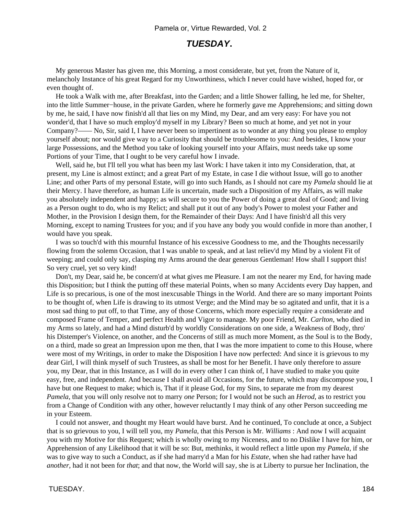#### **TUESDAY.**

 My generous Master has given me, this Morning, a most considerate, but yet, from the Nature of it, melancholy Instance of his great Regard for my Unworthiness, which I never could have wished, hoped for, or even thought of.

 He took a Walk with me, after Breakfast, into the Garden; and a little Shower falling, he led me, for Shelter, into the little Summer−house, in the private Garden, where he formerly gave me Apprehensions; and sitting down by me, he said, I have now finish'd all that lies on my Mind, my Dear, and am very easy: For have you not wonder'd, that I have so much employ'd myself in my Library? Been so much at home, and yet not in your Company?—— No, Sir, said I, I have never been so impertinent as to wonder at any thing you please to employ yourself about; nor would give way to a Curiosity that should be troublesome to you: And besides, I know your large Possessions, and the Method you take of looking yourself into your Affairs, must needs take up some Portions of your Time, that I ought to be very careful how I invade.

Well, said he, but I'll tell you what has been my last Work: I have taken it into my Consideration, that, at present, my Line is almost extinct; and a great Part of my Estate, in case I die without Issue, will go to another Line; and other Parts of my personal Estate, will go into such Hands, as I should not care my *Pamela* should lie at their Mercy. I have therefore, as human Life is uncertain, made such a Disposition of my Affairs, as will make you absolutely independent and happy; as will secure to you the Power of doing a great deal of Good; and living as a Person ought to do, who is my Relict; and shall put it out of any body's Power to molest your Father and Mother, in the Provision I design them, for the Remainder of their Days: And I have finish'd all this very Morning, except to naming Trustees for you; and if you have any body you would confide in more than another, I would have you speak.

 I was so touch'd with this mournful Instance of his excessive Goodness to me, and the Thoughts necessarily flowing from the solemn Occasion, that I was unable to speak, and at last reliev'd my Mind by a violent Fit of weeping; and could only say, clasping my Arms around the dear generous Gentleman! How shall I support this! So very cruel, yet so very kind!

 Don't, my Dear, said he, be concern'd at what gives me Pleasure. I am not the nearer my End, for having made this Disposition; but I think the putting off these material Points, when so many Accidents every Day happen, and Life is so precarious, is one of the most inexcusable Things in the World. And there are so many important Points to be thought of, when Life is drawing to its utmost Verge; and the Mind may be so agitated and unfit, that it is a most sad thing to put off, to that Time, any of those Concerns, which more especially require a considerate and composed Frame of Temper, and perfect Health and Vigor to manage. My poor Friend, Mr. *Carlton,* who died in my Arms so lately, and had a Mind disturb'd by worldly Considerations on one side, a Weakness of Body, thro' his Distemper's Violence, on another, and the Concerns of still as much more Moment, as the Soul is to the Body, on a third, made so great an Impression upon me then, that I was the more impatient to come to this House, where were most of my Writings, in order to make the Disposition I have now perfected: And since it is grievous to my dear Girl, I will think myself of such Trustees, as shall be most for her Benefit. I have only therefore to assure you, my Dear, that in this Instance, as I will do in every other I can think of, I have studied to make you quite easy, free, and independent. And because I shall avoid all Occasions, for the future, which may discompose you, I have but one Request to make; which is, That if it please God, for my Sins, to separate me from my dearest *Pamela,* that you will only resolve not to marry *one* Person; for I would not be such an *Herod,* as to restrict you from a Change of Condition with any other, however reluctantly I may think of any other Person succeeding me in your Esteem.

 I could not answer, and thought my Heart would have burst. And he continued, To conclude at once, a Subject that is so grievous to you, I will tell you, my *Pamela,* that this Person is Mr. *Williams* : And now I will acquaint you with my Motive for this Request; which is wholly owing to my Niceness, and to no Dislike I have for him, or Apprehension of any Likelihood that it will be so: But, methinks, it would reflect a little upon my *Pamela,* if she was to give way to such a Conduct, as if she had marry'd a Man for his *Estate,* when she had rather have had *another,* had it not been for *that*; and that now, the World will say, she is at Liberty to pursue her Inclination, the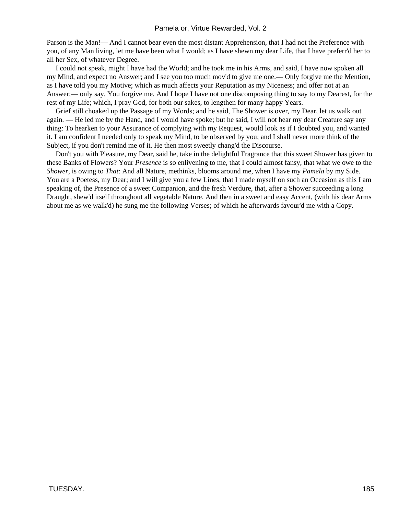Parson is the Man!— And I cannot bear even the most distant Apprehension, that I had not the Preference with you, of any Man living, let me have been what I would; as I have shewn my dear Life, that I have preferr'd her to all her Sex, of whatever Degree.

 I could not speak, might I have had the World; and he took me in his Arms, and said, I have now spoken all my Mind, and expect no Answer; and I see you too much mov'd to give me one.— Only forgive me the Mention, as I have told you my Motive; which as much affects your Reputation as my Niceness; and offer not at an Answer;— only say, You forgive me. And I hope I have not one discomposing thing to say to my Dearest, for the rest of my Life; which, I pray God, for both our sakes, to lengthen for many happy Years.

 Grief still choaked up the Passage of my Words; and he said, The Shower is over, my Dear, let us walk out again. — He led me by the Hand, and I would have spoke; but he said, I will not hear my dear Creature say any thing: To hearken to your Assurance of complying with my Request, would look as if I doubted you, and wanted it. I am confident I needed only to speak my Mind, to be observed by you; and I shall never more think of the Subject, if you don't remind me of it. He then most sweetly chang'd the Discourse.

 Don't you with Pleasure, my Dear, said he, take in the delightful Fragrance that this sweet Shower has given to these Banks of Flowers? Your *Presence* is so enlivening to me, that I could almost fansy, that what we owe to the *Shower,* is owing to *That*: And all Nature, methinks, blooms around me, when I have my *Pamela* by my Side. You are a Poetess, my Dear; and I will give you a few Lines, that I made myself on such an Occasion as this I am speaking of, the Presence of a sweet Companion, and the fresh Verdure, that, after a Shower succeeding a long Draught, shew'd itself throughout all vegetable Nature. And then in a sweet and easy Accent, (with his dear Arms about me as we walk'd) he sung me the following Verses; of which he afterwards favour'd me with a Copy.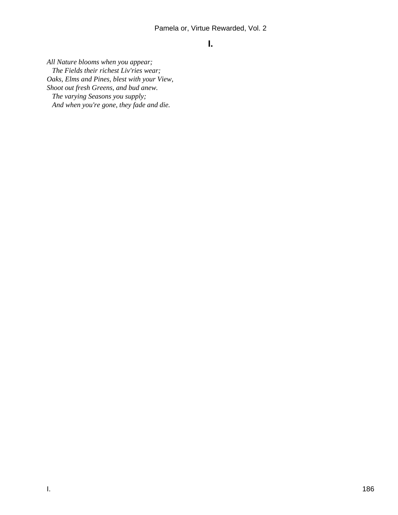## **I.**

*All Nature blooms when you appear; The Fields their richest Liv'ries wear; Oaks, Elms and Pines, blest with your View, Shoot out fresh Greens, and bud anew. The varying Seasons you supply; And when you're gone, they fade and die.*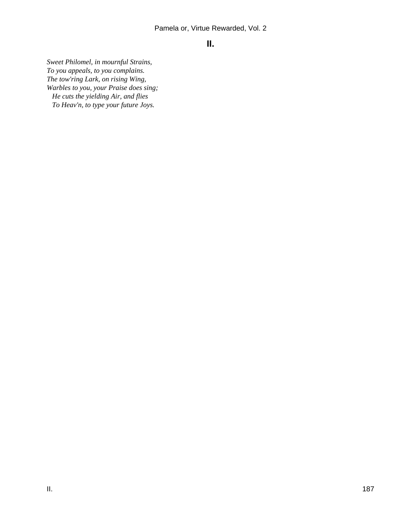## **II.**

*Sweet Philomel, in mournful Strains, To you appeals, to you complains. The tow'ring Lark, on rising Wing, Warbles to you, your Praise does sing; He cuts the yielding Air, and flies To Heav'n, to type your future Joys.*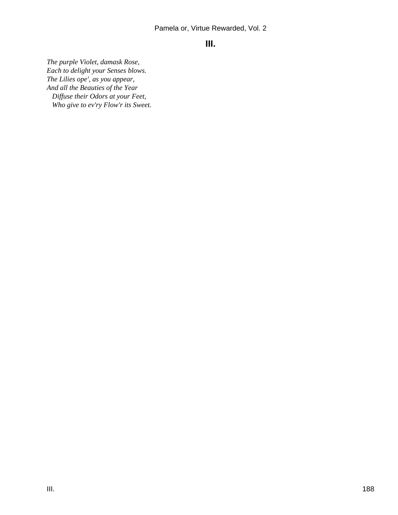# **III.**

*The purple Violet, damask Rose, Each to delight your Senses blows. The Lilies ope', as you appear, And all the Beauties of the Year Diffuse their Odors at your Feet, Who give to ev'ry Flow'r its Sweet.*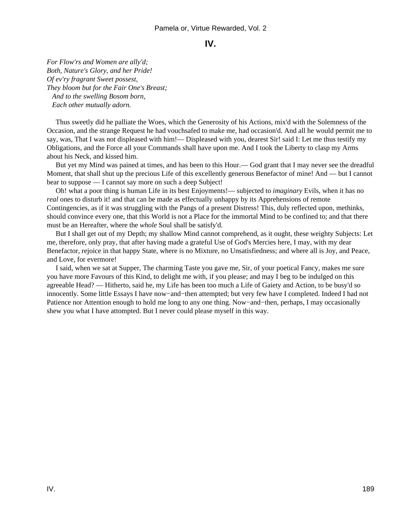#### **IV.**

*For Flow'rs and Women are ally'd; Both, Nature's Glory, and her Pride! Of ev'ry fragrant Sweet possest, They bloom but for the Fair One's Breast; And to the swelling Bosom born, Each other mutually adorn.*

 Thus sweetly did he palliate the Woes, which the Generosity of his Actions, mix'd with the Solemness of the Occasion, and the strange Request he had vouchsafed to make me, had occasion'd. And all he would permit me to say, was, That I was not displeased with him!— Displeased with you, dearest Sir! said I: Let me thus testify my Obligations, and the Force all your Commands shall have upon me. And I took the Liberty to clasp my Arms about his Neck, and kissed him.

 But yet my Mind was pained at times, and has been to this Hour.— God grant that I may never see the dreadful Moment, that shall shut up the precious Life of this excellently generous Benefactor of mine! And — but I cannot bear to suppose — I cannot say more on such a deep Subject!

 Oh! what a poor thing is human Life in its best Enjoyments!— subjected to *imaginary* Evils, when it has no *real* ones to disturb it! and that can be made as effectually unhappy by its Apprehensions of remote Contingencies, as if it was struggling with the Pangs of a present Distress! This, duly reflected upon, methinks, should convince every one, that this World is not a Place for the immortal Mind to be confined to; and that there must be an Hereafter, where the *whole* Soul shall be satisfy'd.

 But I shall get out of my Depth; my shallow Mind cannot comprehend, as it ought, these weighty Subjects: Let me, therefore, only pray, that after having made a grateful Use of God's Mercies here, I may, with my dear Benefactor, rejoice in that happy State, where is no Mixture, no Unsatisfiedness; and where all is Joy, and Peace, and Love, for evermore!

 I said, when we sat at Supper, The charming Taste you gave me, Sir, of your poetical Fancy, makes me sure you have more Favours of this Kind, to delight me with, if you please; and may I beg to be indulged on this agreeable Head? — Hitherto, said he, my Life has been too much a Life of Gaiety and Action, to be busy'd so innocently. Some little Essays I have now−and−then attempted; but very few have I completed. Indeed I had not Patience nor Attention enough to hold me long to any one thing. Now−and−then, perhaps, I may occasionally shew you what I have attompted. But I never could please myself in this way.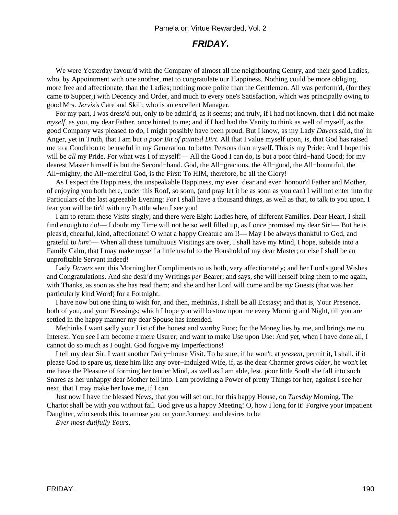#### **FRIDAY.**

 We were Yesterday favour'd with the Company of almost all the neighbouring Gentry, and their good Ladies, who, by Appointment with one another, met to congratulate our Happiness. Nothing could be more obliging, more free and affectionate, than the Ladies; nothing more polite than the Gentlemen. All was perform'd, (for they came to Supper,) with Decency and Order, and much to every one's Satisfaction, which was principally owing to good Mrs. *Jervis's* Care and Skill; who is an excellent Manager.

 For my part, I was dress'd out, only to be admir'd, as it seems; and truly, if I had not known, that I did not make *myself,* as you, my dear Father, once hinted to me; and if I had had the Vanity to think as well of myself, as the good Company was pleased to do, I might possibly have been proud. But I know, as my Lady *Davers* said, tho' in Anger, yet in Truth, that I am but *a poor Bit of painted Dirt*. All that I value myself upon, is, that God has raised me to a Condition to be useful in my Generation, to better Persons than myself. This is my Pride: And I hope this will be *all* my Pride. For what was I of myself!— All the Good I can do, is but a poor third−hand Good; for my dearest Master himself is but the Second−hand. God, the All−gracious, the All−good, the All−bountiful, the All−mighty, the All−merciful God, is the First: To HIM, therefore, be all the Glory!

 As I expect the Happiness, the unspeakable Happiness, my ever−dear and ever−honour'd Father and Mother, of enjoying you both here, under this Roof, so soon, (and pray let it be as soon as you can) I will not enter into the Particulars of the last agreeable Evening: For I shall have a thousand things, as well as that, to talk to you upon. I fear you will be tir'd with my Prattle when I see you!

 I am to return these Visits singly; and there were Eight Ladies here, of different Families. Dear Heart, I shall find enough to do!— I doubt my Time will not be so well filled up, as I once promised my dear Sir!— But he is pleas'd, chearful, kind, affectionate! O what a happy Creature am I!— May I be always thankful to God, and grateful to *him*!— When all these tumultuous Visitings are over, I shall have my Mind, I hope, subside into a Family Calm, that I may make myself a little useful to the Houshold of my dear Master; or else I shall be an unprofitable Servant indeed!

 Lady *Davers* sent this Morning her Compliments to us both, very affectionately; and her Lord's good Wishes and Congratulations. And she desir'd my Writings *per* Bearer; and says, she will herself bring them to me again, with Thanks, as soon as she has read them; and she and her Lord will come and be *my* Guests (that was her particularly kind Word) for a Fortnight.

 I have now but one thing to wish for, and then, methinks, I shall be all Ecstasy; and that is, Your Presence, both of you, and your Blessings; which I hope you will bestow upon me every Morning and Night, till you are settled in the happy manner my dear Spouse has intended.

 Methinks I want sadly your List of the honest and worthy Poor; for the Money lies by me, and brings me no Interest. You see I am become a mere Usurer; and want to make Use upon Use: And yet, when I have done all, I cannot do so much as I ought. God forgive my Imperfections!

 I tell my dear Sir, I want another Dairy−house Visit. To be sure, if he won't, at *present,* permit it, I shall, if it please God to spare us, tieze him like any over−indulged Wife, if, as the dear Charmer grows *older,* he won't let me have the Pleasure of forming her tender Mind, as well as I am able, lest, poor little Soul! she fall into such Snares as her unhappy dear Mother fell into. I am providing a Power of pretty Things for her, against I see her next, that I may make her love me, if I can.

 Just now I have the blessed News, that you will set out, for this happy House, on *Tuesday* Morning. The Chariot shall be with you without fail. God give us a happy Meeting! O, how I long for it! Forgive your impatient Daughter, who sends this, to amuse you on your Journey; and desires to be

*Ever most dutifully Yours.*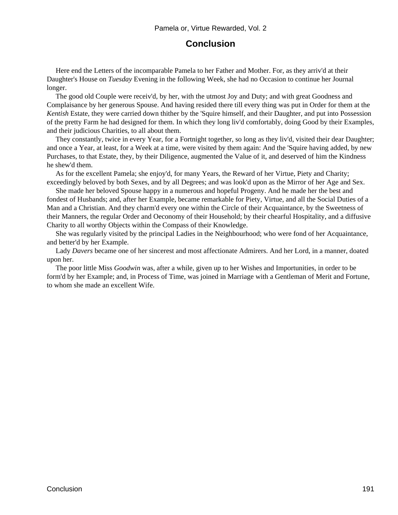# **Conclusion**

 Here end the Letters of the incomparable Pamela to her Father and Mother. For, as they arriv'd at their Daughter's House on *Tuesday* Evening in the following Week, she had no Occasion to continue her Journal longer.

 The good old Couple were receiv'd, by her, with the utmost Joy and Duty; and with great Goodness and Complaisance by her generous Spouse. And having resided there till every thing was put in Order for them at the *Kentish* Estate, they were carried down thither by the 'Squire himself, and their Daughter, and put into Possession of the pretty Farm he had designed for them. In which they long liv'd comfortably, doing Good by their Examples, and their judicious Charities, to all about them.

 They constantly, twice in every Year, for a Fortnight together, so long as they liv'd, visited their dear Daughter; and once a Year, at least, for a Week at a time, were visited by them again: And the 'Squire having added, by new Purchases, to that Estate, they, by their Diligence, augmented the Value of it, and deserved of him the Kindness he shew'd them.

 As for the excellent Pamela; she enjoy'd, for many Years, the Reward of her Virtue, Piety and Charity; exceedingly beloved by both Sexes, and by all Degrees; and was look'd upon as the Mirror of her Age and Sex.

 She made her beloved Spouse happy in a numerous and hopeful Progeny. And he made her the best and fondest of Husbands; and, after her Example, became remarkable for Piety, Virtue, and all the Social Duties of a Man and a Christian. And they charm'd every one within the Circle of their Acquaintance, by the Sweetness of their Manners, the regular Order and Oeconomy of their Household; by their chearful Hospitality, and a diffusive Charity to all worthy Objects within the Compass of their Knowledge.

 She was regularly visited by the principal Ladies in the Neighbourhood; who were fond of her Acquaintance, and better'd by her Example.

 Lady *Davers* became one of her sincerest and most affectionate Admirers. And her Lord, in a manner, doated upon her.

 The poor little Miss *Goodwin* was, after a while, given up to her Wishes and Importunities, in order to be form'd by her Example; and, in Process of Time, was joined in Marriage with a Gentleman of Merit and Fortune, to whom she made an excellent Wife.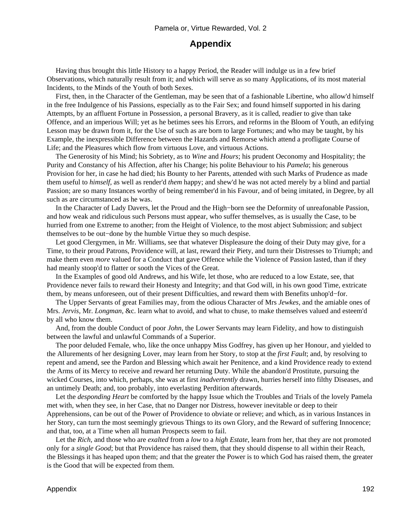### **Appendix**

 Having thus brought this little History to a happy Period, the Reader will indulge us in a few brief Observations, which naturally result from it; and which will serve as so many Applications, of its most material Incidents, to the Minds of the Youth of both Sexes.

 First, then, in the Character of the Gentleman, may be seen that of a fashionable Libertine, who allow'd himself in the free Indulgence of his Passions, especially as to the Fair Sex; and found himself supported in his daring Attempts, by an affluent Fortune in Possession, a personal Bravery, as it is called, readier to give than take Offence, and an imperious Will; yet as he betimes sees his Errors, and reforms in the Bloom of Youth, an edifying Lesson may be drawn from it, for the Use of such as are born to large Fortunes; and who may be taught, by his Example, the inexpressible Difference between the Hazards and Remorse which attend a profligate Course of Life; and the Pleasures which flow from virtuous Love, and virtuous Actions.

 The Generosity of his Mind; his Sobriety, as to *Wine* and *Hours*; his prudent Oeconomy and Hospitality; the Purity and Constancy of his Affection, after his Change; his polite Behaviour to his *Pamela*; his generous Provision for her, in case he had died; his Bounty to her Parents, attended with such Marks of Prudence as made them useful to *himself,* as well as render'd *them* happy; and shew'd he was not acted merely by a blind and partial Passion; are so many Instances worthy of being remember'd in his Favour, and of being imitated, in Degree, by all such as are circumstanced as he was.

 In the Character of Lady Davers, let the Proud and the High−born see the Deformity of unreafonable Passion, and how weak and ridiculous such Persons must appear, who suffer themselves, as is usually the Case, to be hurried from one Extreme to another; from the Height of Violence, to the most abject Submission; and subject themselves to be out−done by the humble Virtue they so much despise.

 Let good Clergymen, in Mr. Williams, see that whatever Displeasure the doing of their Duty may give, for a Time, to their proud Patrons, Providence will, at last, reward their Piety, and turn their Distresses to Triumph; and make them even *more* valued for a Conduct that gave Offence while the Violence of Passion lasted, than if they had meanly stoop'd to flatter or sooth the Vices of the Great.

 In the Examples of good old Andrews, and his Wife, let those, who are reduced to a low Estate, see, that Providence never fails to reward their Honesty and Integrity; and that God will, in his own good Time, extricate them, by means unforeseen, out of their present Difficulties, and reward them with Benefits unhop'd−for.

 The Upper Servants of great Families may, from the odious Character of Mrs *Jewkes,* and the amiable ones of Mrs. *Jervis,* Mr. *Longman,* &c. learn what to avoid, and what to chuse, to make themselves valued and esteem'd by all who know them.

 And, from the double Conduct of poor *John,* the Lower Servants may learn Fidelity, and how to distinguish between the lawful and unlawful Commands of a Superior.

 The poor deluded Female, who, like the once unhappy Miss Godfrey, has given up her Honour, and yielded to the Allurements of her designing Lover, may learn from her Story, to stop at the *first Fault*; and, by resolving to repent and amend, see the Pardon and Blessing which await her Penitence, and a kind Providence ready to extend the Arms of its Mercy to receive and reward her returning Duty. While the abandon'd Prostitute, pursuing the wicked Courses, into which, perhaps, she was at first *inadvertently* drawn, hurries herself into filthy Diseases, and an untimely Death; and, too probably, into everlasting Perdition afterwards.

 Let the *desponding Heart* be comforted by the happy Issue which the Troubles and Trials of the lovely Pamela met with, when they see, in her Case, that no Danger nor Distress, however inevitable or deep to their Apprehensions, can be out of the Power of Providence to obviate or relieve; and which, as in various Instances in her Story, can turn the most seemingly grievous Things to its own Glory, and the Reward of suffering Innocence; and that, too, at a Time when all human Prospects seem to fail.

 Let the *Rich,* and those who are *exalted* from a *low* to a *high Estate,* learn from her, that they are not promoted only for a *single Good*; but that Providence has raised them, that they should dispense to all within their Reach, the Blessings it has heaped upon them; and that the greater the Power is to which God has raised them, the greater is the Good that will be expected from them.